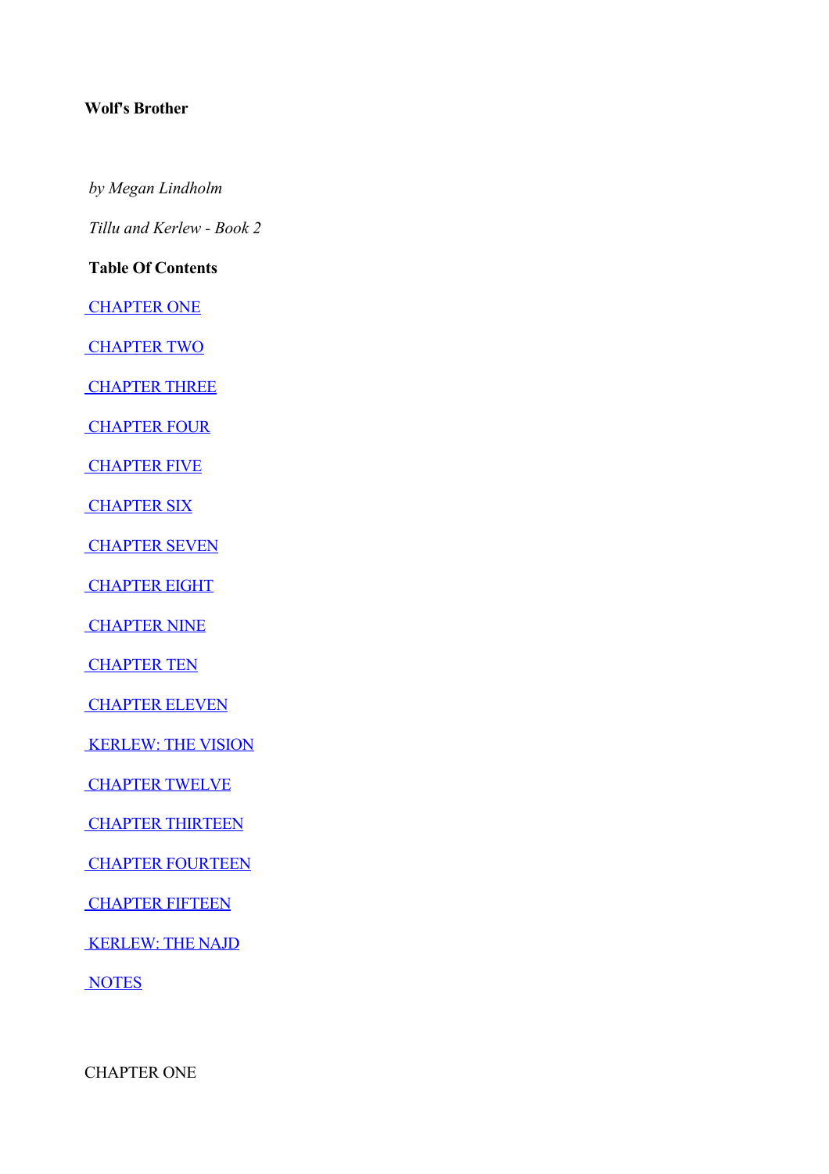### **Wolf's Brother**

 *by Megan Lindholm*

 *Tillu and Kerlew - Book 2*

# **Table Of Contents**

**CHAPTER ONE** 

CHAPTER TWO

CHAPTER THREE

**CHAPTER FOUR** 

CHAPTER FIVE

CHAPTER SIX

CHAPTER SEVEN

CHAPTER EIGHT

**CHAPTER NINE** 

**CHAPTER TEN** 

CHAPTER ELEVEN

KERLEW: THE VISION

CHAPTER TWELVE

CHAPTER THIRTEEN

CHAPTER FOURTEEN

CHAPTER FIFTEEN

KERLEW: THE NAJD

**NOTES** 

CHAPTER ONE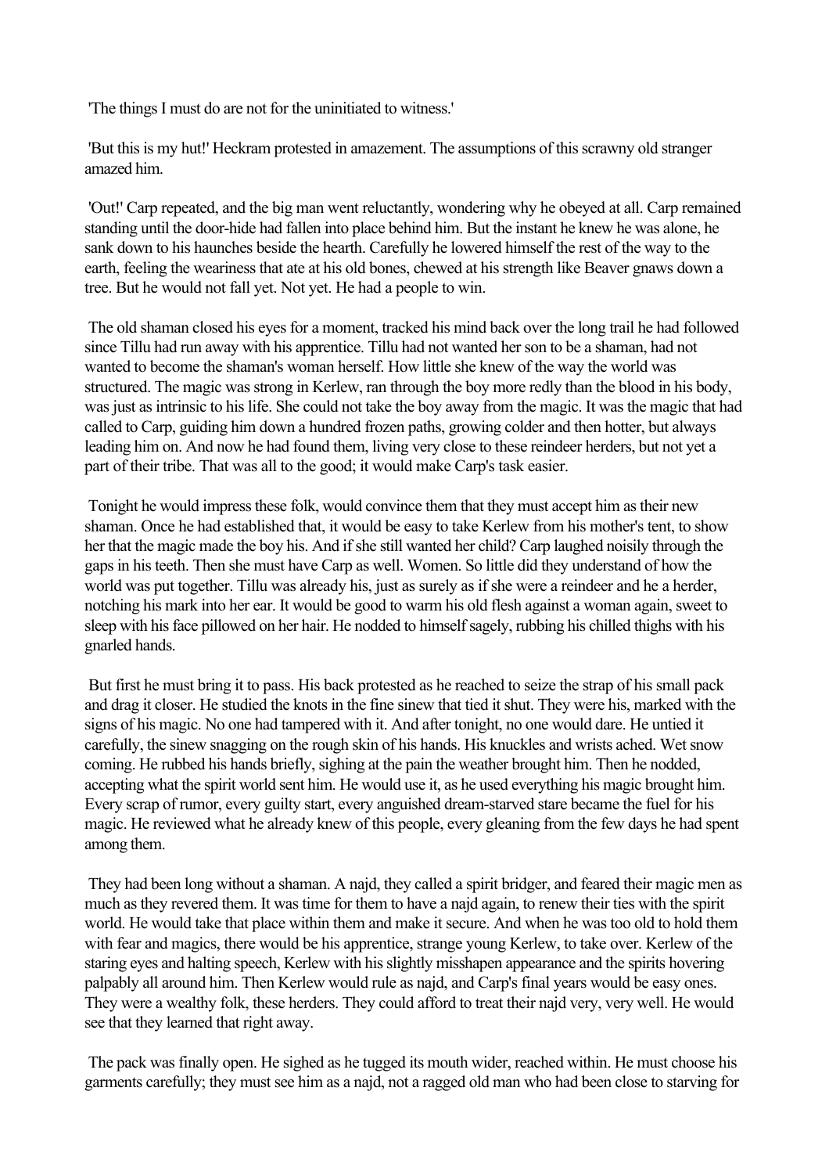'The things I must do are not for the uninitiated to witness.'

 'But this is my hut!' Heckram protested in amazement. The assumptions of this scrawny old stranger amazed him.

 'Out!' Carp repeated, and the big man went reluctantly, wondering why he obeyed at all. Carp remained standing until the door-hide had fallen into place behind him. But the instant he knew he was alone, he sank down to his haunches beside the hearth. Carefully he lowered himself the rest of the way to the earth, feeling the weariness that ate at his old bones, chewed at his strength like Beaver gnaws down a tree. But he would not fall yet. Not yet. He had a people to win.

 The old shaman closed his eyes for a moment, tracked his mind back over the long trail he had followed since Tillu had run away with his apprentice. Tillu had not wanted her son to be a shaman, had not wanted to become the shaman's woman herself. How little she knew of the way the world was structured. The magic was strong in Kerlew, ran through the boy more redly than the blood in his body, was just as intrinsic to his life. She could not take the boy away from the magic. It was the magic that had called to Carp, guiding him down a hundred frozen paths, growing colder and then hotter, but always leading him on. And now he had found them, living very close to these reindeer herders, but not yet a part of their tribe. That was all to the good; it would make Carp's task easier.

 Tonight he would impress these folk, would convince them that they must accept him as their new shaman. Once he had established that, it would be easy to take Kerlew from his mother's tent, to show her that the magic made the boy his. And if she still wanted her child? Carp laughed noisily through the gaps in his teeth. Then she must have Carp as well. Women. So little did they understand of how the world was put together. Tillu was already his, just as surely as if she were a reindeer and he a herder, notching his mark into her ear. It would be good to warm his old flesh against a woman again, sweet to sleep with his face pillowed on her hair. He nodded to himself sagely, rubbing his chilled thighs with his gnarled hands.

 But first he must bring it to pass. His back protested as he reached to seize the strap of his small pack and drag it closer. He studied the knots in the fine sinew that tied it shut. They were his, marked with the signs of his magic. No one had tampered with it. And after tonight, no one would dare. He untied it carefully, the sinew snagging on the rough skin of his hands. His knuckles and wrists ached. Wet snow coming. He rubbed his hands briefly, sighing at the pain the weather brought him. Then he nodded, accepting what the spirit world sent him. He would use it, as he used everything his magic brought him. Every scrap of rumor, every guilty start, every anguished dream-starved stare became the fuel for his magic. He reviewed what he already knew of this people, every gleaning from the few days he had spent among them.

 They had been long without a shaman. A najd, they called a spirit bridger, and feared their magic men as much as they revered them. It was time for them to have a najd again, to renew their ties with the spirit world. He would take that place within them and make it secure. And when he was too old to hold them with fear and magics, there would be his apprentice, strange young Kerlew, to take over. Kerlew of the staring eyes and halting speech, Kerlew with his slightly misshapen appearance and the spirits hovering palpably all around him. Then Kerlew would rule as najd, and Carp's final years would be easy ones. They were a wealthy folk, these herders. They could afford to treat their najd very, very well. He would see that they learned that right away.

 The pack was finally open. He sighed as he tugged its mouth wider, reached within. He must choose his garments carefully; they must see him as a najd, not a ragged old man who had been close to starving for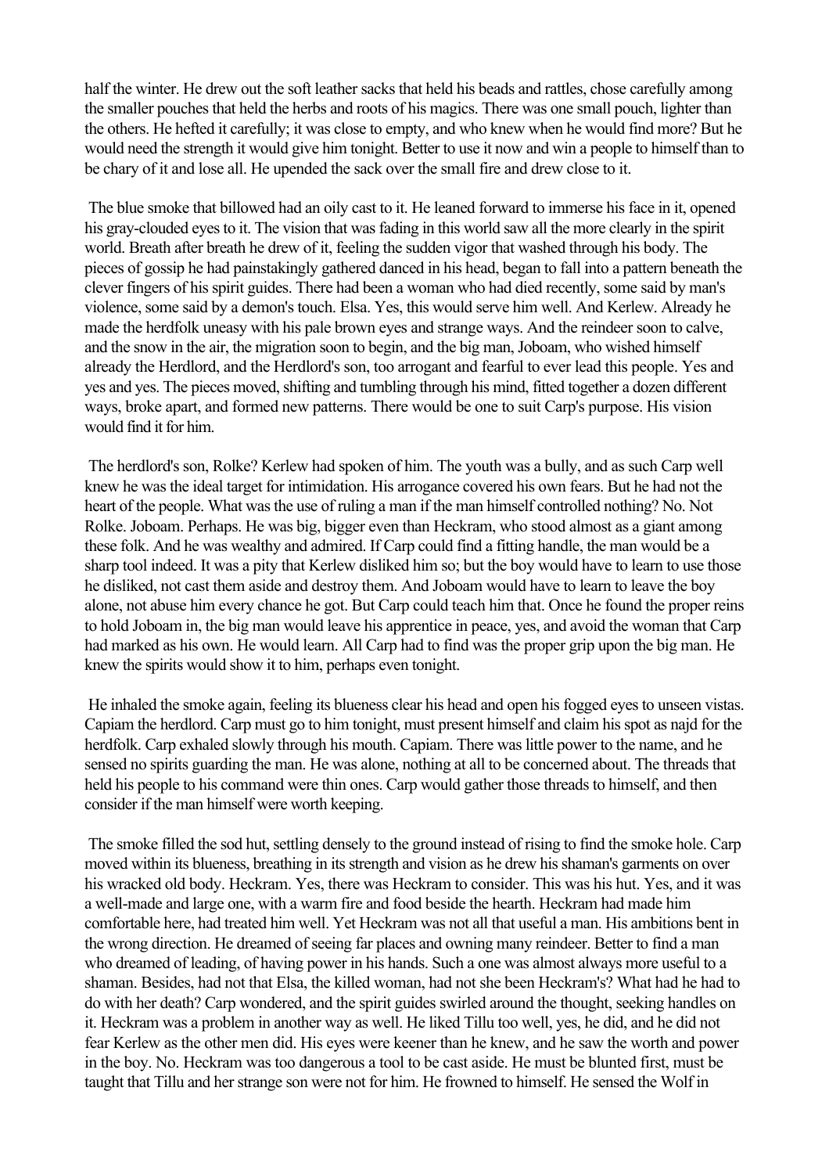half the winter. He drew out the soft leather sacks that held his beads and rattles, chose carefully among the smaller pouches that held the herbs and roots of his magics. There was one small pouch, lighter than the others. He hefted it carefully; it was close to empty, and who knew when he would find more? But he would need the strength it would give him tonight. Better to use it now and win a people to himself than to be chary of it and lose all. He upended the sack over the small fire and drew close to it.

 The blue smoke that billowed had an oily cast to it. He leaned forward to immerse his face in it, opened his gray-clouded eyes to it. The vision that was fading in this world saw all the more clearly in the spirit world. Breath after breath he drew of it, feeling the sudden vigor that washed through his body. The pieces of gossip he had painstakingly gathered danced in his head, began to fall into a pattern beneath the clever fingers of his spirit guides. There had been a woman who had died recently, some said by man's violence, some said by a demon's touch. Elsa. Yes, this would serve him well. And Kerlew. Already he made the herdfolk uneasy with his pale brown eyes and strange ways. And the reindeer soon to calve, and the snow in the air, the migration soon to begin, and the big man, Joboam, who wished himself already the Herdlord, and the Herdlord's son, too arrogant and fearful to ever lead this people. Yes and yes and yes. The pieces moved, shifting and tumbling through his mind, fitted together a dozen different ways, broke apart, and formed new patterns. There would be one to suit Carp's purpose. His vision would find it for him.

 The herdlord's son, Rolke? Kerlew had spoken of him. The youth was a bully, and as such Carp well knew he was the ideal target for intimidation. His arrogance covered his own fears. But he had not the heart of the people. What was the use of ruling a man if the man himself controlled nothing? No. Not Rolke. Joboam. Perhaps. He was big, bigger even than Heckram, who stood almost as a giant among these folk. And he was wealthy and admired. If Carp could find a fitting handle, the man would be a sharp tool indeed. It was a pity that Kerlew disliked him so; but the boy would have to learn to use those he disliked, not cast them aside and destroy them. And Joboam would have to learn to leave the boy alone, not abuse him every chance he got. But Carp could teach him that. Once he found the proper reins to hold Joboam in, the big man would leave his apprentice in peace, yes, and avoid the woman that Carp had marked as his own. He would learn. All Carp had to find was the proper grip upon the big man. He knew the spirits would show it to him, perhaps even tonight.

 He inhaled the smoke again, feeling its blueness clear his head and open his fogged eyes to unseen vistas. Capiam the herdlord. Carp must go to him tonight, must present himself and claim his spot as najd for the herdfolk. Carp exhaled slowly through his mouth. Capiam. There was little power to the name, and he sensed no spirits guarding the man. He was alone, nothing at all to be concerned about. The threads that held his people to his command were thin ones. Carp would gather those threads to himself, and then consider if the man himself were worth keeping.

 The smoke filled the sod hut, settling densely to the ground instead of rising to find the smoke hole. Carp moved within its blueness, breathing in its strength and vision as he drew his shaman's garments on over his wracked old body. Heckram. Yes, there was Heckram to consider. This was his hut. Yes, and it was a well-made and large one, with a warm fire and food beside the hearth. Heckram had made him comfortable here, had treated him well. Yet Heckram was not all that useful a man. His ambitions bent in the wrong direction. He dreamed of seeing far places and owning many reindeer. Better to find a man who dreamed of leading, of having power in his hands. Such a one was almost always more useful to a shaman. Besides, had not that Elsa, the killed woman, had not she been Heckram's? What had he had to do with her death? Carp wondered, and the spirit guides swirled around the thought, seeking handles on it. Heckram was a problem in another way as well. He liked Tillu too well, yes, he did, and he did not fear Kerlew as the other men did. His eyes were keener than he knew, and he saw the worth and power in the boy. No. Heckram was too dangerous a tool to be cast aside. He must be blunted first, must be taught that Tillu and her strange son were not for him. He frowned to himself. He sensed the Wolf in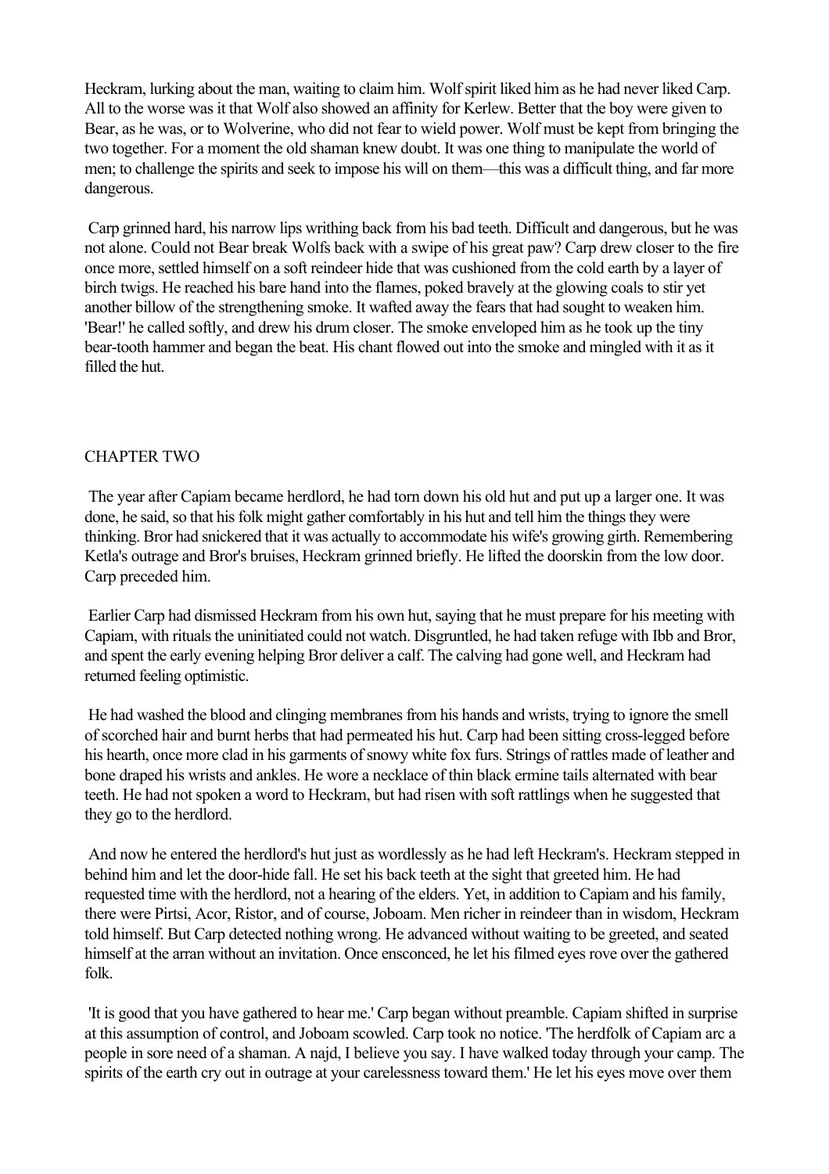Heckram, lurking about the man, waiting to claim him. Wolf spirit liked him as he had never liked Carp. All to the worse was it that Wolf also showed an affinity for Kerlew. Better that the boy were given to Bear, as he was, or to Wolverine, who did not fear to wield power. Wolf must be kept from bringing the two together. For a moment the old shaman knew doubt. It was one thing to manipulate the world of men; to challenge the spirits and seek to impose his will on them—this was a difficult thing, and far more dangerous.

 Carp grinned hard, his narrow lips writhing back from his bad teeth. Difficult and dangerous, but he was not alone. Could not Bear break Wolfs back with a swipe of his great paw? Carp drew closer to the fire once more, settled himself on a soft reindeer hide that was cushioned from the cold earth by a layer of birch twigs. He reached his bare hand into the flames, poked bravely at the glowing coals to stir yet another billow of the strengthening smoke. It wafted away the fears that had sought to weaken him. 'Bear!' he called softly, and drew his drum closer. The smoke enveloped him as he took up the tiny bear-tooth hammer and began the beat. His chant flowed out into the smoke and mingled with it as it filled the hut.

# CHAPTER TWO

 The year after Capiam became herdlord, he had torn down his old hut and put up a larger one. It was done, he said, so that his folk might gather comfortably in his hut and tell him the things they were thinking. Bror had snickered that it was actually to accommodate his wife's growing girth. Remembering Ketla's outrage and Bror's bruises, Heckram grinned briefly. He lifted the doorskin from the low door. Carp preceded him.

 Earlier Carp had dismissed Heckram from his own hut, saying that he must prepare for his meeting with Capiam, with rituals the uninitiated could not watch. Disgruntled, he had taken refuge with Ibb and Bror, and spent the early evening helping Bror deliver a calf. The calving had gone well, and Heckram had returned feeling optimistic.

 He had washed the blood and clinging membranes from his hands and wrists, trying to ignore the smell of scorched hair and burnt herbs that had permeated his hut. Carp had been sitting cross-legged before his hearth, once more clad in his garments of snowy white fox furs. Strings of rattles made of leather and bone draped his wrists and ankles. He wore a necklace of thin black ermine tails alternated with bear teeth. He had not spoken a word to Heckram, but had risen with soft rattlings when he suggested that they go to the herdlord.

 And now he entered the herdlord's hut just as wordlessly as he had left Heckram's. Heckram stepped in behind him and let the door-hide fall. He set his back teeth at the sight that greeted him. He had requested time with the herdlord, not a hearing of the elders. Yet, in addition to Capiam and his family, there were Pirtsi, Acor, Ristor, and of course, Joboam. Men richer in reindeer than in wisdom, Heckram told himself. But Carp detected nothing wrong. He advanced without waiting to be greeted, and seated himself at the arran without an invitation. Once ensconced, he let his filmed eyes rove over the gathered folk.

 'It is good that you have gathered to hear me.' Carp began without preamble. Capiam shifted in surprise at this assumption of control, and Joboam scowled. Carp took no notice. 'The herdfolk of Capiam arc a people in sore need of a shaman. A najd, I believe you say. I have walked today through your camp. The spirits of the earth cry out in outrage at your carelessness toward them.' He let his eyes move over them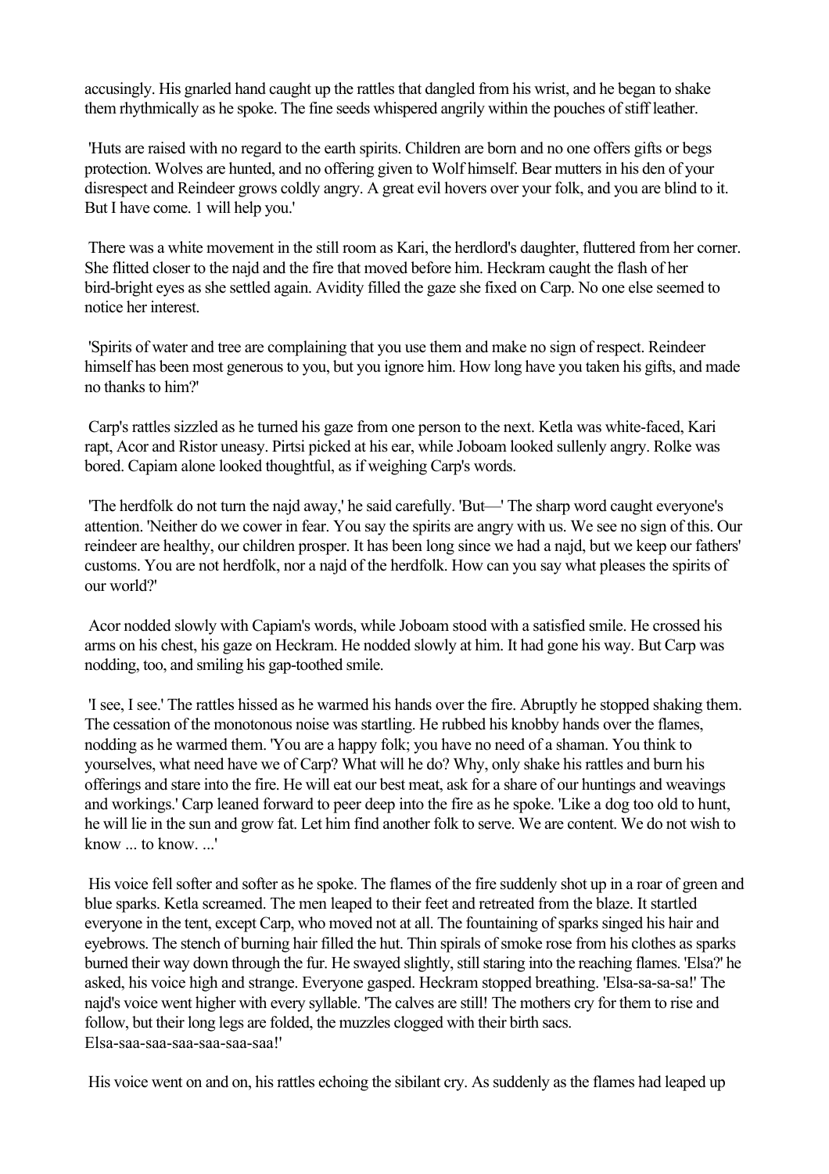accusingly. His gnarled hand caught up the rattles that dangled from his wrist, and he began to shake them rhythmically as he spoke. The fine seeds whispered angrily within the pouches of stiff leather.

 'Huts are raised with no regard to the earth spirits. Children are born and no one offers gifts or begs protection. Wolves are hunted, and no offering given to Wolf himself. Bear mutters in his den of your disrespect and Reindeer grows coldly angry. A great evil hovers over your folk, and you are blind to it. But I have come. 1 will help you.'

 There was a white movement in the still room as Kari, the herdlord's daughter, fluttered from her corner. She flitted closer to the najd and the fire that moved before him. Heckram caught the flash of her bird-bright eyes as she settled again. Avidity filled the gaze she fixed on Carp. No one else seemed to notice her interest.

 'Spirits of water and tree are complaining that you use them and make no sign of respect. Reindeer himself has been most generous to you, but you ignore him. How long have you taken his gifts, and made no thanks to him?'

 Carp's rattles sizzled as he turned his gaze from one person to the next. Ketla was white-faced, Kari rapt, Acor and Ristor uneasy. Pirtsi picked at his ear, while Joboam looked sullenly angry. Rolke was bored. Capiam alone looked thoughtful, as if weighing Carp's words.

 'The herdfolk do not turn the najd away,' he said carefully. 'But—' The sharp word caught everyone's attention. 'Neither do we cower in fear. You say the spirits are angry with us. We see no sign of this. Our reindeer are healthy, our children prosper. It has been long since we had a najd, but we keep our fathers' customs. You are not herdfolk, nor a najd of the herdfolk. How can you say what pleases the spirits of our world?'

 Acor nodded slowly with Capiam's words, while Joboam stood with a satisfied smile. He crossed his arms on his chest, his gaze on Heckram. He nodded slowly at him. It had gone his way. But Carp was nodding, too, and smiling his gap-toothed smile.

 'I see, I see.' The rattles hissed as he warmed his hands over the fire. Abruptly he stopped shaking them. The cessation of the monotonous noise was startling. He rubbed his knobby hands over the flames, nodding as he warmed them. 'You are a happy folk; you have no need of a shaman. You think to yourselves, what need have we of Carp? What will he do? Why, only shake his rattles and burn his offerings and stare into the fire. He will eat our best meat, ask for a share of our huntings and weavings and workings.' Carp leaned forward to peer deep into the fire as he spoke. 'Like a dog too old to hunt, he will lie in the sun and grow fat. Let him find another folk to serve. We are content. We do not wish to know ... to know. ...'

 His voice fell softer and softer as he spoke. The flames of the fire suddenly shot up in a roar of green and blue sparks. Ketla screamed. The men leaped to their feet and retreated from the blaze. It startled everyone in the tent, except Carp, who moved not at all. The fountaining of sparks singed his hair and eyebrows. The stench of burning hair filled the hut. Thin spirals of smoke rose from his clothes as sparks burned their way down through the fur. He swayed slightly, still staring into the reaching flames. 'Elsa?' he asked, his voice high and strange. Everyone gasped. Heckram stopped breathing. 'Elsa-sa-sa-sa!' The najd's voice went higher with every syllable. 'The calves are still! The mothers cry for them to rise and follow, but their long legs are folded, the muzzles clogged with their birth sacs. Elsa-saa-saa-saa-saa-saa-saa!'

His voice went on and on, his rattles echoing the sibilant cry. As suddenly as the flames had leaped up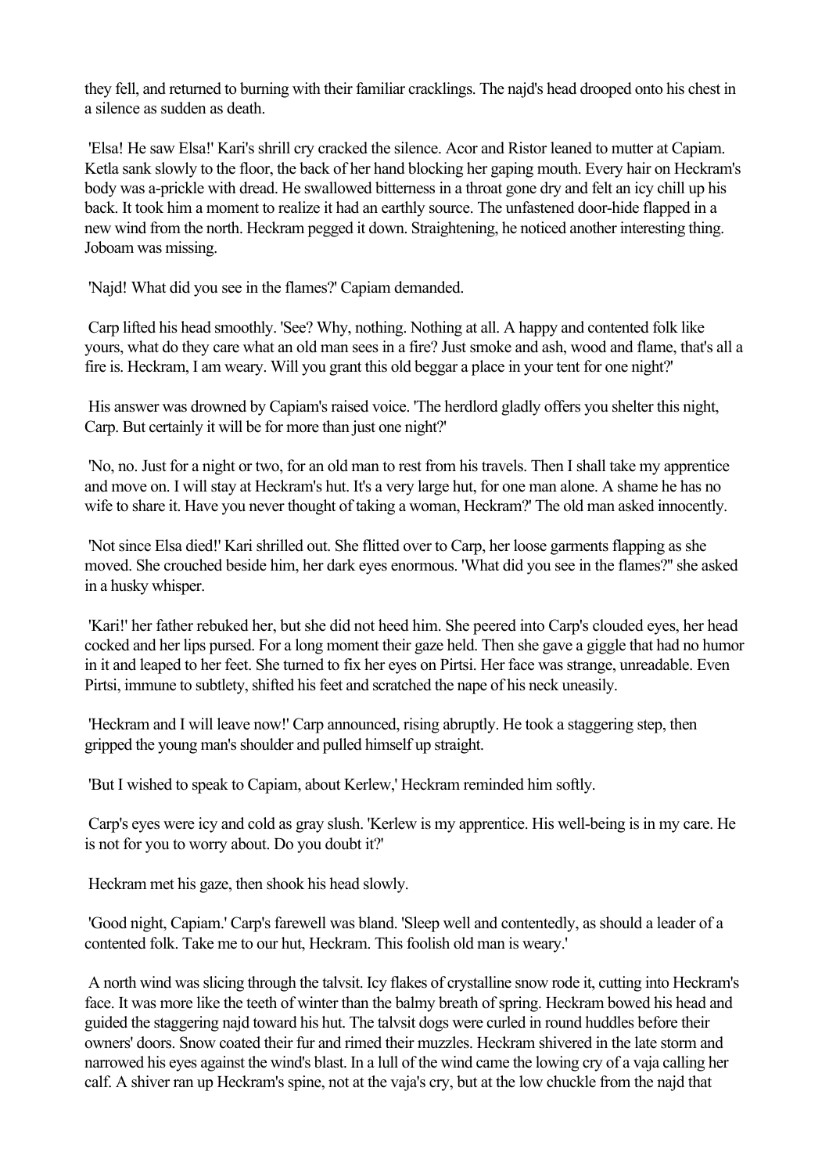they fell, and returned to burning with their familiar cracklings. The najd's head drooped onto his chest in a silence as sudden as death.

 'Elsa! He saw Elsa!' Kari's shrill cry cracked the silence. Acor and Ristor leaned to mutter at Capiam. Ketla sank slowly to the floor, the back of her hand blocking her gaping mouth. Every hair on Heckram's body was a-prickle with dread. He swallowed bitterness in a throat gone dry and felt an icy chill up his back. It took him a moment to realize it had an earthly source. The unfastened door-hide flapped in a new wind from the north. Heckram pegged it down. Straightening, he noticed another interesting thing. Joboam was missing.

'Najd! What did you see in the flames?' Capiam demanded.

 Carp lifted his head smoothly. 'See? Why, nothing. Nothing at all. A happy and contented folk like yours, what do they care what an old man sees in a fire? Just smoke and ash, wood and flame, that's all a fire is. Heckram, I am weary. Will you grant this old beggar a place in your tent for one night?'

 His answer was drowned by Capiam's raised voice. 'The herdlord gladly offers you shelter this night, Carp. But certainly it will be for more than just one night?'

 'No, no. Just for a night or two, for an old man to rest from his travels. Then I shall take my apprentice and move on. I will stay at Heckram's hut. It's a very large hut, for one man alone. A shame he has no wife to share it. Have you never thought of taking a woman, Heckram?' The old man asked innocently.

 'Not since Elsa died!' Kari shrilled out. She flitted over to Carp, her loose garments flapping as she moved. She crouched beside him, her dark eyes enormous. 'What did you see in the flames?'' she asked in a husky whisper.

 'Kari!' her father rebuked her, but she did not heed him. She peered into Carp's clouded eyes, her head cocked and her lips pursed. For a long moment their gaze held. Then she gave a giggle that had no humor in it and leaped to her feet. She turned to fix her eyes on Pirtsi. Her face was strange, unreadable. Even Pirtsi, immune to subtlety, shifted his feet and scratched the nape of his neck uneasily.

 'Heckram and I will leave now!' Carp announced, rising abruptly. He took a staggering step, then gripped the young man's shoulder and pulled himself up straight.

'But I wished to speak to Capiam, about Kerlew,' Heckram reminded him softly.

 Carp's eyes were icy and cold as gray slush. 'Kerlew is my apprentice. His well-being is in my care. He is not for you to worry about. Do you doubt it?'

Heckram met his gaze, then shook his head slowly.

 'Good night, Capiam.' Carp's farewell was bland. 'Sleep well and contentedly, as should a leader of a contented folk. Take me to our hut, Heckram. This foolish old man is weary.'

 A north wind was slicing through the talvsit. Icy flakes of crystalline snow rode it, cutting into Heckram's face. It was more like the teeth of winter than the balmy breath of spring. Heckram bowed his head and guided the staggering najd toward his hut. The talvsit dogs were curled in round huddles before their owners' doors. Snow coated their fur and rimed their muzzles. Heckram shivered in the late storm and narrowed his eyes against the wind's blast. In a lull of the wind came the lowing cry of a vaja calling her calf. A shiver ran up Heckram's spine, not at the vaja's cry, but at the low chuckle from the najd that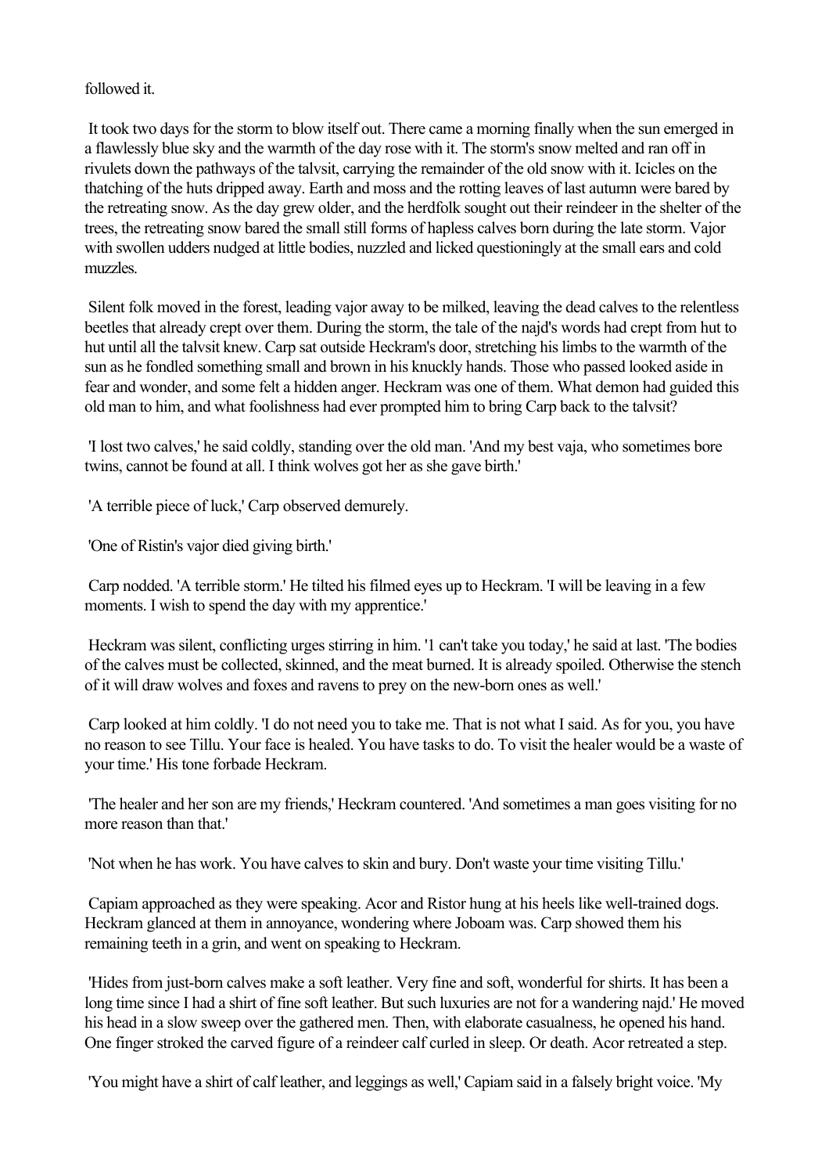# followed it.

 It took two days for the storm to blow itself out. There came a morning finally when the sun emerged in a flawlessly blue sky and the warmth of the day rose with it. The storm's snow melted and ran off in rivulets down the pathways of the talvsit, carrying the remainder of the old snow with it. Icicles on the thatching of the huts dripped away. Earth and moss and the rotting leaves of last autumn were bared by the retreating snow. As the day grew older, and the herdfolk sought out their reindeer in the shelter of the trees, the retreating snow bared the small still forms of hapless calves born during the late storm. Vajor with swollen udders nudged at little bodies, nuzzled and licked questioningly at the small ears and cold muzzles.

 Silent folk moved in the forest, leading vajor away to be milked, leaving the dead calves to the relentless beetles that already crept over them. During the storm, the tale of the najd's words had crept from hut to hut until all the talvsit knew. Carp sat outside Heckram's door, stretching his limbs to the warmth of the sun as he fondled something small and brown in his knuckly hands. Those who passed looked aside in fear and wonder, and some felt a hidden anger. Heckram was one of them. What demon had guided this old man to him, and what foolishness had ever prompted him to bring Carp back to the talvsit?

 'I lost two calves,' he said coldly, standing over the old man. 'And my best vaja, who sometimes bore twins, cannot be found at all. I think wolves got her as she gave birth.'

'A terrible piece of luck,' Carp observed demurely.

'One of Ristin's vajor died giving birth.'

 Carp nodded. 'A terrible storm.' He tilted his filmed eyes up to Heckram. 'I will be leaving in a few moments. I wish to spend the day with my apprentice.'

 Heckram was silent, conflicting urges stirring in him. '1 can't take you today,' he said at last. 'The bodies of the calves must be collected, skinned, and the meat burned. It is already spoiled. Otherwise the stench of it will draw wolves and foxes and ravens to prey on the new-born ones as well.'

 Carp looked at him coldly. 'I do not need you to take me. That is not what I said. As for you, you have no reason to see Tillu. Your face is healed. You have tasks to do. To visit the healer would be a waste of your time.' His tone forbade Heckram.

 'The healer and her son are my friends,' Heckram countered. 'And sometimes a man goes visiting for no more reason than that!

'Not when he has work. You have calves to skin and bury. Don't waste your time visiting Tillu.'

 Capiam approached as they were speaking. Acor and Ristor hung at his heels like well-trained dogs. Heckram glanced at them in annoyance, wondering where Joboam was. Carp showed them his remaining teeth in a grin, and went on speaking to Heckram.

 'Hides from just-born calves make a soft leather. Very fine and soft, wonderful for shirts. It has been a long time since I had a shirt of fine soft leather. But such luxuries are not for a wandering najd.' He moved his head in a slow sweep over the gathered men. Then, with elaborate casualness, he opened his hand. One finger stroked the carved figure of a reindeer calf curled in sleep. Or death. Acor retreated a step.

'You might have a shirt of calf leather, and leggings as well,' Capiam said in a falsely bright voice. 'My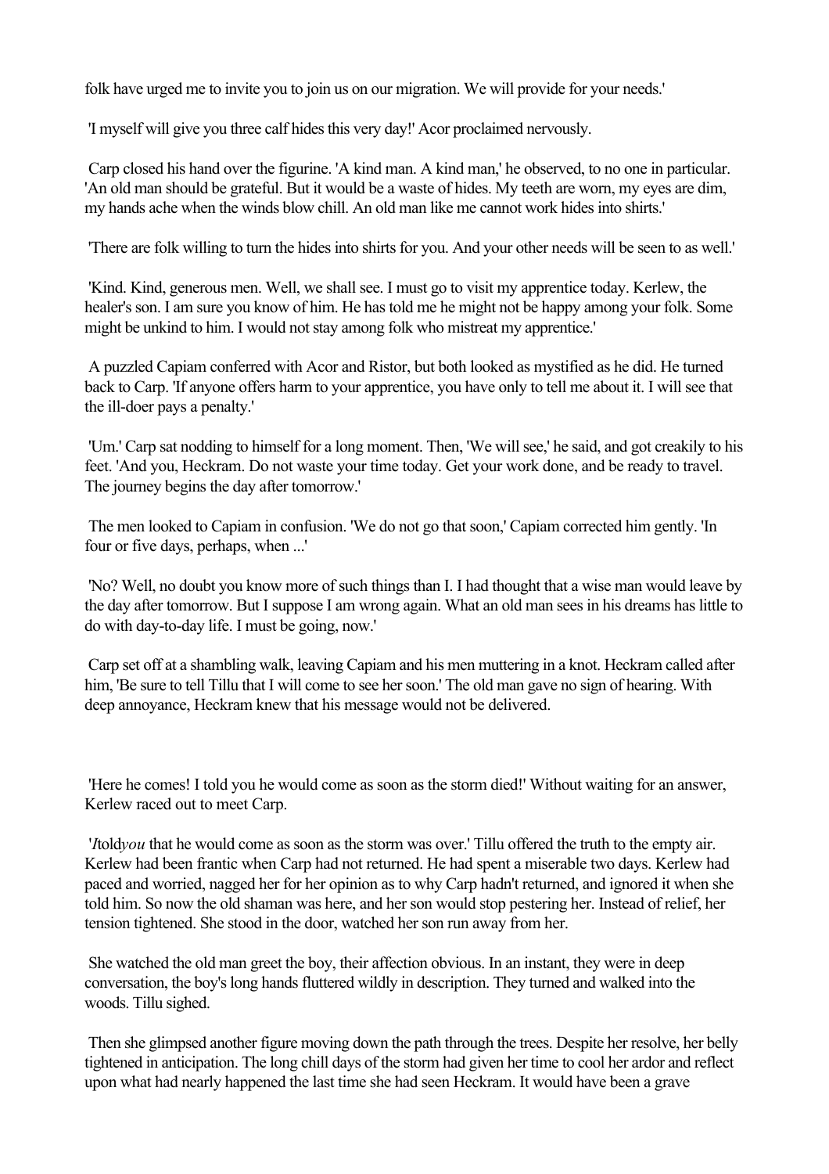folk have urged me to invite you to join us on our migration. We will provide for your needs.'

'I myself will give you three calf hides this very day!' Acor proclaimed nervously.

 Carp closed his hand over the figurine. 'A kind man. A kind man,' he observed, to no one in particular. 'An old man should be grateful. But it would be a waste of hides. My teeth are worn, my eyes are dim, my hands ache when the winds blow chill. An old man like me cannot work hides into shirts.'

'There are folk willing to turn the hides into shirts for you. And your other needs will be seen to as well.'

 'Kind. Kind, generous men. Well, we shall see. I must go to visit my apprentice today. Kerlew, the healer's son. I am sure you know of him. He has told me he might not be happy among your folk. Some might be unkind to him. I would not stay among folk who mistreat my apprentice.'

 A puzzled Capiam conferred with Acor and Ristor, but both looked as mystified as he did. He turned back to Carp. 'If anyone offers harm to your apprentice, you have only to tell me about it. I will see that the ill-doer pays a penalty.'

 'Um.' Carp sat nodding to himself for a long moment. Then, 'We will see,' he said, and got creakily to his feet. 'And you, Heckram. Do not waste your time today. Get your work done, and be ready to travel. The journey begins the day after tomorrow.'

 The men looked to Capiam in confusion. 'We do not go that soon,' Capiam corrected him gently. 'In four or five days, perhaps, when ...'

 'No? Well, no doubt you know more of such things than I. I had thought that a wise man would leave by the day after tomorrow. But I suppose I am wrong again. What an old man sees in his dreams has little to do with day-to-day life. I must be going, now.'

 Carp set off at a shambling walk, leaving Capiam and his men muttering in a knot. Heckram called after him, 'Be sure to tell Tillu that I will come to see her soon.' The old man gave no sign of hearing. With deep annoyance, Heckram knew that his message would not be delivered.

 'Here he comes! I told you he would come as soon as the storm died!' Without waiting for an answer, Kerlew raced out to meet Carp.

 '*I*told*you* that he would come as soon as the storm was over.' Tillu offered the truth to the empty air. Kerlew had been frantic when Carp had not returned. He had spent a miserable two days. Kerlew had paced and worried, nagged her for her opinion as to why Carp hadn't returned, and ignored it when she told him. So now the old shaman was here, and her son would stop pestering her. Instead of relief, her tension tightened. She stood in the door, watched her son run away from her.

 She watched the old man greet the boy, their affection obvious. In an instant, they were in deep conversation, the boy's long hands fluttered wildly in description. They turned and walked into the woods. Tillu sighed.

 Then she glimpsed another figure moving down the path through the trees. Despite her resolve, her belly tightened in anticipation. The long chill days of the storm had given her time to cool her ardor and reflect upon what had nearly happened the last time she had seen Heckram. It would have been a grave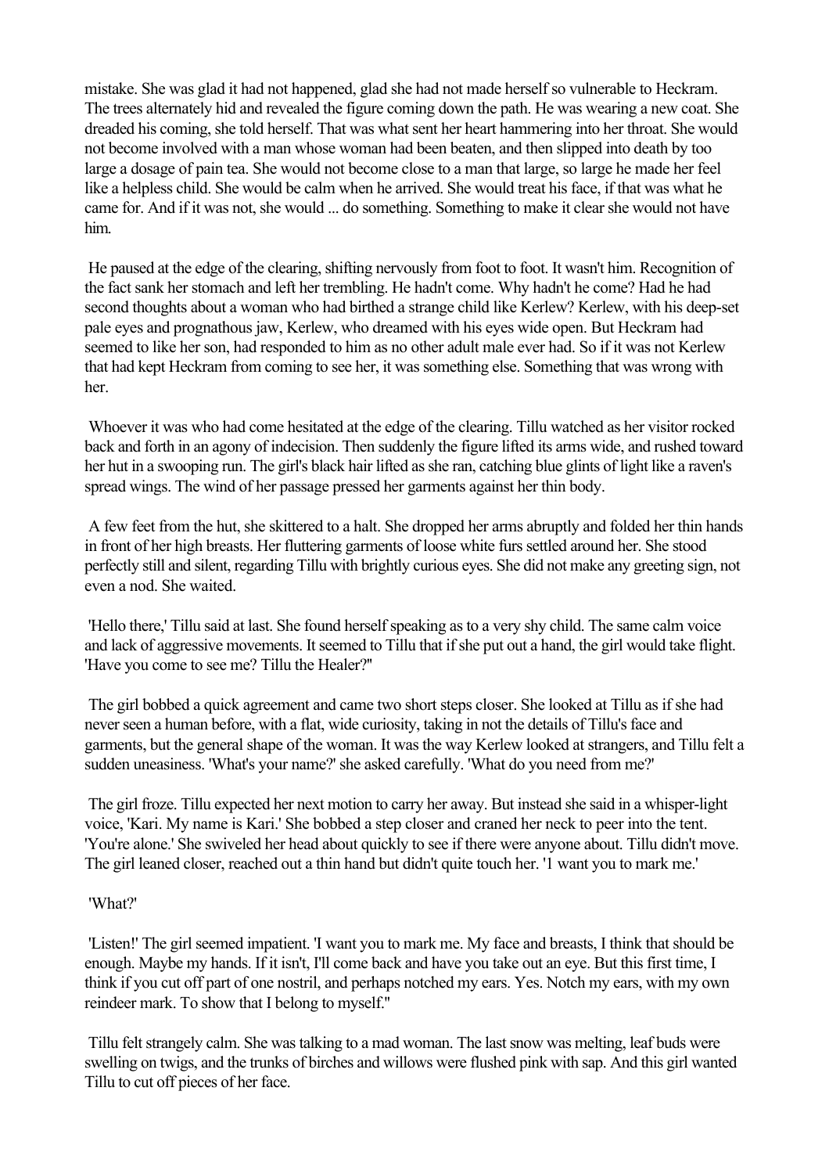mistake. She was glad it had not happened, glad she had not made herself so vulnerable to Heckram. The trees alternately hid and revealed the figure coming down the path. He was wearing a new coat. She dreaded his coming, she told herself. That was what sent her heart hammering into her throat. She would not become involved with a man whose woman had been beaten, and then slipped into death by too large a dosage of pain tea. She would not become close to a man that large, so large he made her feel like a helpless child. She would be calm when he arrived. She would treat his face, if that was what he came for. And if it was not, she would ... do something. Something to make it clear she would not have him.

 He paused at the edge of the clearing, shifting nervously from foot to foot. It wasn't him. Recognition of the fact sank her stomach and left her trembling. He hadn't come. Why hadn't he come? Had he had second thoughts about a woman who had birthed a strange child like Kerlew? Kerlew, with his deep-set pale eyes and prognathous jaw, Kerlew, who dreamed with his eyes wide open. But Heckram had seemed to like her son, had responded to him as no other adult male ever had. So if it was not Kerlew that had kept Heckram from coming to see her, it was something else. Something that was wrong with her.

 Whoever it was who had come hesitated at the edge of the clearing. Tillu watched as her visitor rocked back and forth in an agony of indecision. Then suddenly the figure lifted its arms wide, and rushed toward her hut in a swooping run. The girl's black hair lifted as she ran, catching blue glints of light like a raven's spread wings. The wind of her passage pressed her garments against her thin body.

 A few feet from the hut, she skittered to a halt. She dropped her arms abruptly and folded her thin hands in front of her high breasts. Her fluttering garments of loose white furs settled around her. She stood perfectly still and silent, regarding Tillu with brightly curious eyes. She did not make any greeting sign, not even a nod. She waited.

 'Hello there,' Tillu said at last. She found herself speaking as to a very shy child. The same calm voice and lack of aggressive movements. It seemed to Tillu that if she put out a hand, the girl would take flight. 'Have you come to see me? Tillu the Healer?''

 The girl bobbed a quick agreement and came two short steps closer. She looked at Tillu as if she had never seen a human before, with a flat, wide curiosity, taking in not the details of Tillu's face and garments, but the general shape of the woman. It was the way Kerlew looked at strangers, and Tillu felt a sudden uneasiness. 'What's your name?' she asked carefully. 'What do you need from me?'

 The girl froze. Tillu expected her next motion to carry her away. But instead she said in a whisper-light voice, 'Kari. My name is Kari.' She bobbed a step closer and craned her neck to peer into the tent. 'You're alone.' She swiveled her head about quickly to see if there were anyone about. Tillu didn't move. The girl leaned closer, reached out a thin hand but didn't quite touch her. '1 want you to mark me.'

# 'What?'

 'Listen!' The girl seemed impatient. 'I want you to mark me. My face and breasts, I think that should be enough. Maybe my hands. If it isn't, I'll come back and have you take out an eye. But this first time, I think if you cut off part of one nostril, and perhaps notched my ears. Yes. Notch my ears, with my own reindeer mark. To show that I belong to myself.''

 Tillu felt strangely calm. She was talking to a mad woman. The last snow was melting, leaf buds were swelling on twigs, and the trunks of birches and willows were flushed pink with sap. And this girl wanted Tillu to cut off pieces of her face.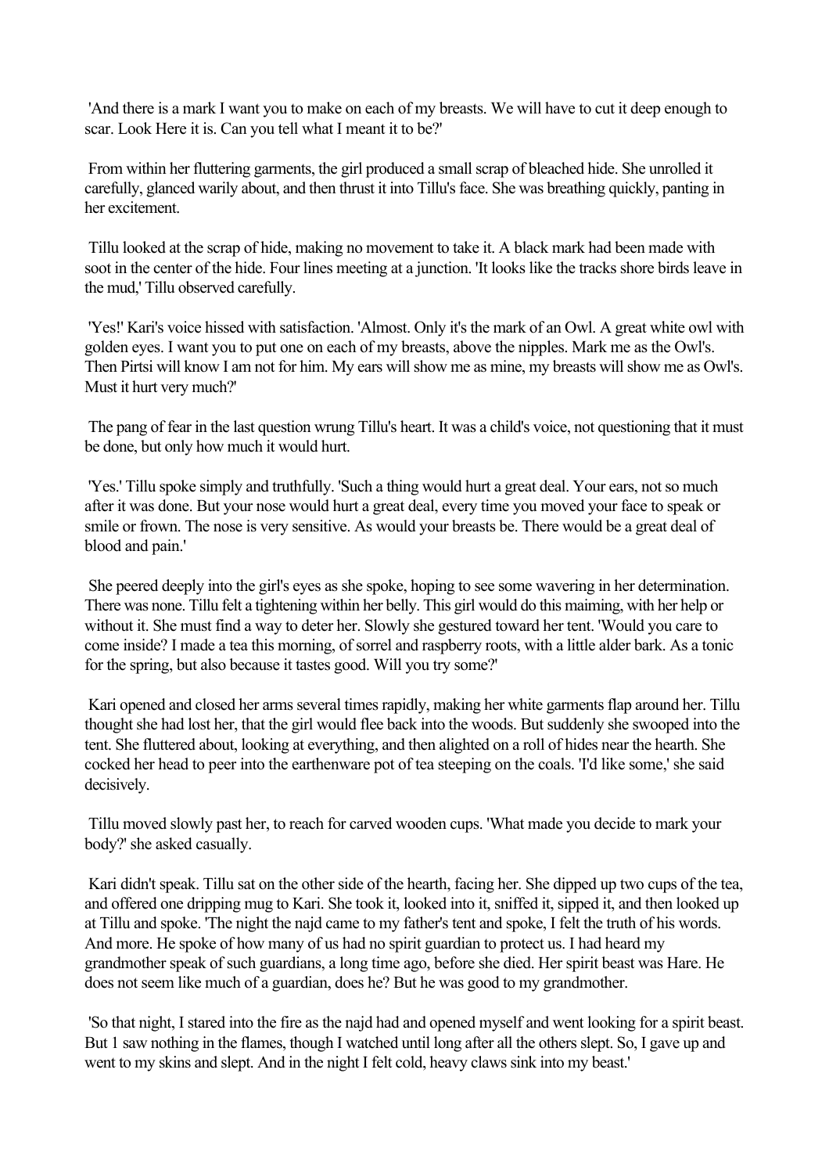'And there is a mark I want you to make on each of my breasts. We will have to cut it deep enough to scar. Look Here it is. Can you tell what I meant it to be?'

 From within her fluttering garments, the girl produced a small scrap of bleached hide. She unrolled it carefully, glanced warily about, and then thrust it into Tillu's face. She was breathing quickly, panting in her excitement.

 Tillu looked at the scrap of hide, making no movement to take it. A black mark had been made with soot in the center of the hide. Four lines meeting at a junction. 'It looks like the tracks shore birds leave in the mud,' Tillu observed carefully.

 'Yes!' Kari's voice hissed with satisfaction. 'Almost. Only it's the mark of an Owl. A great white owl with golden eyes. I want you to put one on each of my breasts, above the nipples. Mark me as the Owl's. Then Pirtsi will know I am not for him. My ears will show me as mine, my breasts will show me as Owl's. Must it hurt very much?'

 The pang of fear in the last question wrung Tillu's heart. It was a child's voice, not questioning that it must be done, but only how much it would hurt.

 'Yes.' Tillu spoke simply and truthfully. 'Such a thing would hurt a great deal. Your ears, not so much after it was done. But your nose would hurt a great deal, every time you moved your face to speak or smile or frown. The nose is very sensitive. As would your breasts be. There would be a great deal of blood and pain.'

 She peered deeply into the girl's eyes as she spoke, hoping to see some wavering in her determination. There was none. Tillu felt a tightening within her belly. This girl would do this maiming, with her help or without it. She must find a way to deter her. Slowly she gestured toward her tent. 'Would you care to come inside? I made a tea this morning, of sorrel and raspberry roots, with a little alder bark. As a tonic for the spring, but also because it tastes good. Will you try some?'

 Kari opened and closed her arms several times rapidly, making her white garments flap around her. Tillu thought she had lost her, that the girl would flee back into the woods. But suddenly she swooped into the tent. She fluttered about, looking at everything, and then alighted on a roll of hides near the hearth. She cocked her head to peer into the earthenware pot of tea steeping on the coals. 'I'd like some,' she said decisively.

 Tillu moved slowly past her, to reach for carved wooden cups. 'What made you decide to mark your body?' she asked casually.

 Kari didn't speak. Tillu sat on the other side of the hearth, facing her. She dipped up two cups of the tea, and offered one dripping mug to Kari. She took it, looked into it, sniffed it, sipped it, and then looked up at Tillu and spoke. 'The night the najd came to my father's tent and spoke, I felt the truth of his words. And more. He spoke of how many of us had no spirit guardian to protect us. I had heard my grandmother speak of such guardians, a long time ago, before she died. Her spirit beast was Hare. He does not seem like much of a guardian, does he? But he was good to my grandmother.

 'So that night, I stared into the fire as the najd had and opened myself and went looking for a spirit beast. But 1 saw nothing in the flames, though I watched until long after all the others slept. So, I gave up and went to my skins and slept. And in the night I felt cold, heavy claws sink into my beast.'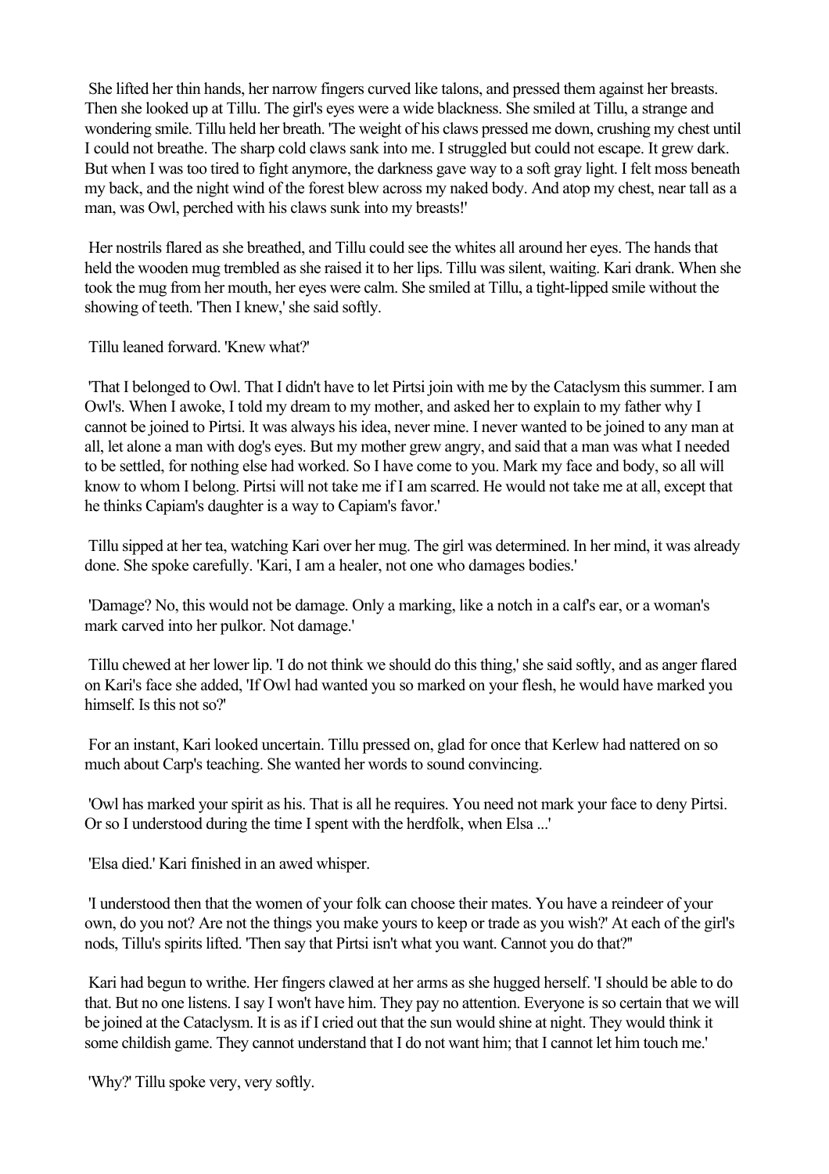She lifted her thin hands, her narrow fingers curved like talons, and pressed them against her breasts. Then she looked up at Tillu. The girl's eyes were a wide blackness. She smiled at Tillu, a strange and wondering smile. Tillu held her breath. 'The weight of his claws pressed me down, crushing my chest until I could not breathe. The sharp cold claws sank into me. I struggled but could not escape. It grew dark. But when I was too tired to fight anymore, the darkness gave way to a soft gray light. I felt moss beneath my back, and the night wind of the forest blew across my naked body. And atop my chest, near tall as a man, was Owl, perched with his claws sunk into my breasts!'

 Her nostrils flared as she breathed, and Tillu could see the whites all around her eyes. The hands that held the wooden mug trembled as she raised it to her lips. Tillu was silent, waiting. Kari drank. When she took the mug from her mouth, her eyes were calm. She smiled at Tillu, a tight-lipped smile without the showing of teeth. 'Then I knew,' she said softly.

Tillu leaned forward. 'Knew what?'

 'That I belonged to Owl. That I didn't have to let Pirtsi join with me by the Cataclysm this summer. I am Owl's. When I awoke, I told my dream to my mother, and asked her to explain to my father why I cannot be joined to Pirtsi. It was always his idea, never mine. I never wanted to be joined to any man at all, let alone a man with dog's eyes. But my mother grew angry, and said that a man was what I needed to be settled, for nothing else had worked. So I have come to you. Mark my face and body, so all will know to whom I belong. Pirtsi will not take me if I am scarred. He would not take me at all, except that he thinks Capiam's daughter is a way to Capiam's favor.'

 Tillu sipped at her tea, watching Kari over her mug. The girl was determined. In her mind, it was already done. She spoke carefully. 'Kari, I am a healer, not one who damages bodies.'

 'Damage? No, this would not be damage. Only a marking, like a notch in a calf's ear, or a woman's mark carved into her pulkor. Not damage.'

 Tillu chewed at her lower lip. 'I do not think we should do this thing,' she said softly, and as anger flared on Kari's face she added, 'If Owl had wanted you so marked on your flesh, he would have marked you himself. Is this not so?'

 For an instant, Kari looked uncertain. Tillu pressed on, glad for once that Kerlew had nattered on so much about Carp's teaching. She wanted her words to sound convincing.

 'Owl has marked your spirit as his. That is all he requires. You need not mark your face to deny Pirtsi. Or so I understood during the time I spent with the herdfolk, when Elsa ...'

'Elsa died.' Kari finished in an awed whisper.

 'I understood then that the women of your folk can choose their mates. You have a reindeer of your own, do you not? Are not the things you make yours to keep or trade as you wish?' At each of the girl's nods, Tillu's spirits lifted. 'Then say that Pirtsi isn't what you want. Cannot you do that?''

 Kari had begun to writhe. Her fingers clawed at her arms as she hugged herself. 'I should be able to do that. But no one listens. I say I won't have him. They pay no attention. Everyone is so certain that we will be joined at the Cataclysm. It is as if I cried out that the sun would shine at night. They would think it some childish game. They cannot understand that I do not want him; that I cannot let him touch me.'

'Why?' Tillu spoke very, very softly.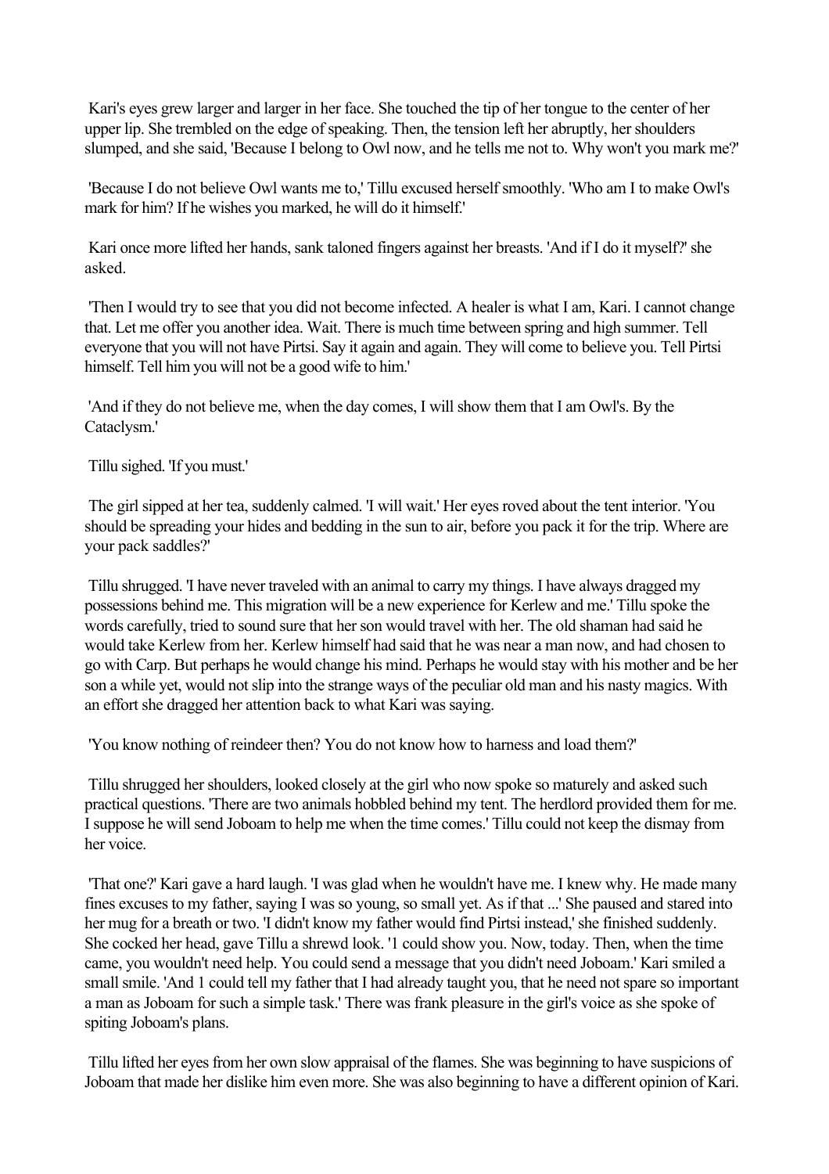Kari's eyes grew larger and larger in her face. She touched the tip of her tongue to the center of her upper lip. She trembled on the edge of speaking. Then, the tension left her abruptly, her shoulders slumped, and she said, 'Because I belong to Owl now, and he tells me not to. Why won't you mark me?'

 'Because I do not believe Owl wants me to,' Tillu excused herself smoothly. 'Who am I to make Owl's mark for him? If he wishes you marked, he will do it himself.'

 Kari once more lifted her hands, sank taloned fingers against her breasts. 'And if I do it myself?' she asked.

 'Then I would try to see that you did not become infected. A healer is what I am, Kari. I cannot change that. Let me offer you another idea. Wait. There is much time between spring and high summer. Tell everyone that you will not have Pirtsi. Say it again and again. They will come to believe you. Tell Pirtsi himself. Tell him you will not be a good wife to him.'

 'And if they do not believe me, when the day comes, I will show them that I am Owl's. By the Cataclysm.'

Tillu sighed. 'If you must.'

 The girl sipped at her tea, suddenly calmed. 'I will wait.' Her eyes roved about the tent interior. 'You should be spreading your hides and bedding in the sun to air, before you pack it for the trip. Where are your pack saddles?'

 Tillu shrugged. 'I have never traveled with an animal to carry my things. I have always dragged my possessions behind me. This migration will be a new experience for Kerlew and me.' Tillu spoke the words carefully, tried to sound sure that her son would travel with her. The old shaman had said he would take Kerlew from her. Kerlew himself had said that he was near a man now, and had chosen to go with Carp. But perhaps he would change his mind. Perhaps he would stay with his mother and be her son a while yet, would not slip into the strange ways of the peculiar old man and his nasty magics. With an effort she dragged her attention back to what Kari was saying.

'You know nothing of reindeer then? You do not know how to harness and load them?'

 Tillu shrugged her shoulders, looked closely at the girl who now spoke so maturely and asked such practical questions. 'There are two animals hobbled behind my tent. The herdlord provided them for me. I suppose he will send Joboam to help me when the time comes.' Tillu could not keep the dismay from her voice.

 'That one?' Kari gave a hard laugh. 'I was glad when he wouldn't have me. I knew why. He made many fines excuses to my father, saying I was so young, so small yet. As if that ...' She paused and stared into her mug for a breath or two. 'I didn't know my father would find Pirtsi instead,' she finished suddenly. She cocked her head, gave Tillu a shrewd look. '1 could show you. Now, today. Then, when the time came, you wouldn't need help. You could send a message that you didn't need Joboam.' Kari smiled a small smile. 'And 1 could tell my father that I had already taught you, that he need not spare so important a man as Joboam for such a simple task.' There was frank pleasure in the girl's voice as she spoke of spiting Joboam's plans.

 Tillu lifted her eyes from her own slow appraisal of the flames. She was beginning to have suspicions of Joboam that made her dislike him even more. She was also beginning to have a different opinion of Kari.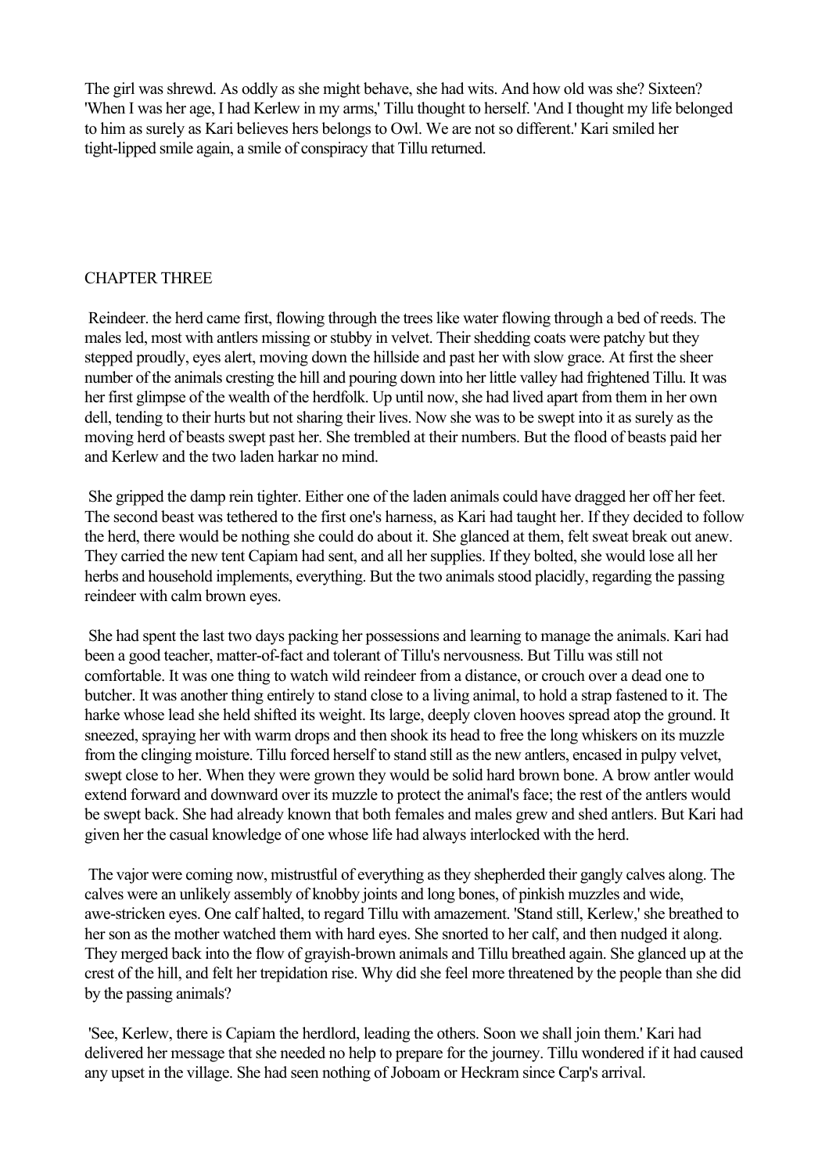The girl was shrewd. As oddly as she might behave, she had wits. And how old was she? Sixteen? 'When I was her age, I had Kerlew in my arms,' Tillu thought to herself. 'And I thought my life belonged to him as surely as Kari believes hers belongs to Owl. We are not so different.' Kari smiled her tight-lipped smile again, a smile of conspiracy that Tillu returned.

## CHAPTER THREE

 Reindeer. the herd came first, flowing through the trees like water flowing through a bed of reeds. The males led, most with antlers missing or stubby in velvet. Their shedding coats were patchy but they stepped proudly, eyes alert, moving down the hillside and past her with slow grace. At first the sheer number of the animals cresting the hill and pouring down into her little valley had frightened Tillu. It was her first glimpse of the wealth of the herdfolk. Up until now, she had lived apart from them in her own dell, tending to their hurts but not sharing their lives. Now she was to be swept into it as surely as the moving herd of beasts swept past her. She trembled at their numbers. But the flood of beasts paid her and Kerlew and the two laden harkar no mind.

 She gripped the damp rein tighter. Either one of the laden animals could have dragged her off her feet. The second beast was tethered to the first one's harness, as Kari had taught her. If they decided to follow the herd, there would be nothing she could do about it. She glanced at them, felt sweat break out anew. They carried the new tent Capiam had sent, and all her supplies. If they bolted, she would lose all her herbs and household implements, everything. But the two animals stood placidly, regarding the passing reindeer with calm brown eyes.

 She had spent the last two days packing her possessions and learning to manage the animals. Kari had been a good teacher, matter-of-fact and tolerant of Tillu's nervousness. But Tillu was still not comfortable. It was one thing to watch wild reindeer from a distance, or crouch over a dead one to butcher. It was another thing entirely to stand close to a living animal, to hold a strap fastened to it. The harke whose lead she held shifted its weight. Its large, deeply cloven hooves spread atop the ground. It sneezed, spraying her with warm drops and then shook its head to free the long whiskers on its muzzle from the clinging moisture. Tillu forced herself to stand still as the new antlers, encased in pulpy velvet, swept close to her. When they were grown they would be solid hard brown bone. A brow antler would extend forward and downward over its muzzle to protect the animal's face; the rest of the antlers would be swept back. She had already known that both females and males grew and shed antlers. But Kari had given her the casual knowledge of one whose life had always interlocked with the herd.

 The vajor were coming now, mistrustful of everything as they shepherded their gangly calves along. The calves were an unlikely assembly of knobby joints and long bones, of pinkish muzzles and wide, awe-stricken eyes. One calf halted, to regard Tillu with amazement. 'Stand still, Kerlew,' she breathed to her son as the mother watched them with hard eyes. She snorted to her calf, and then nudged it along. They merged back into the flow of grayish-brown animals and Tillu breathed again. She glanced up at the crest of the hill, and felt her trepidation rise. Why did she feel more threatened by the people than she did by the passing animals?

 'See, Kerlew, there is Capiam the herdlord, leading the others. Soon we shall join them.' Kari had delivered her message that she needed no help to prepare for the journey. Tillu wondered if it had caused any upset in the village. She had seen nothing of Joboam or Heckram since Carp's arrival.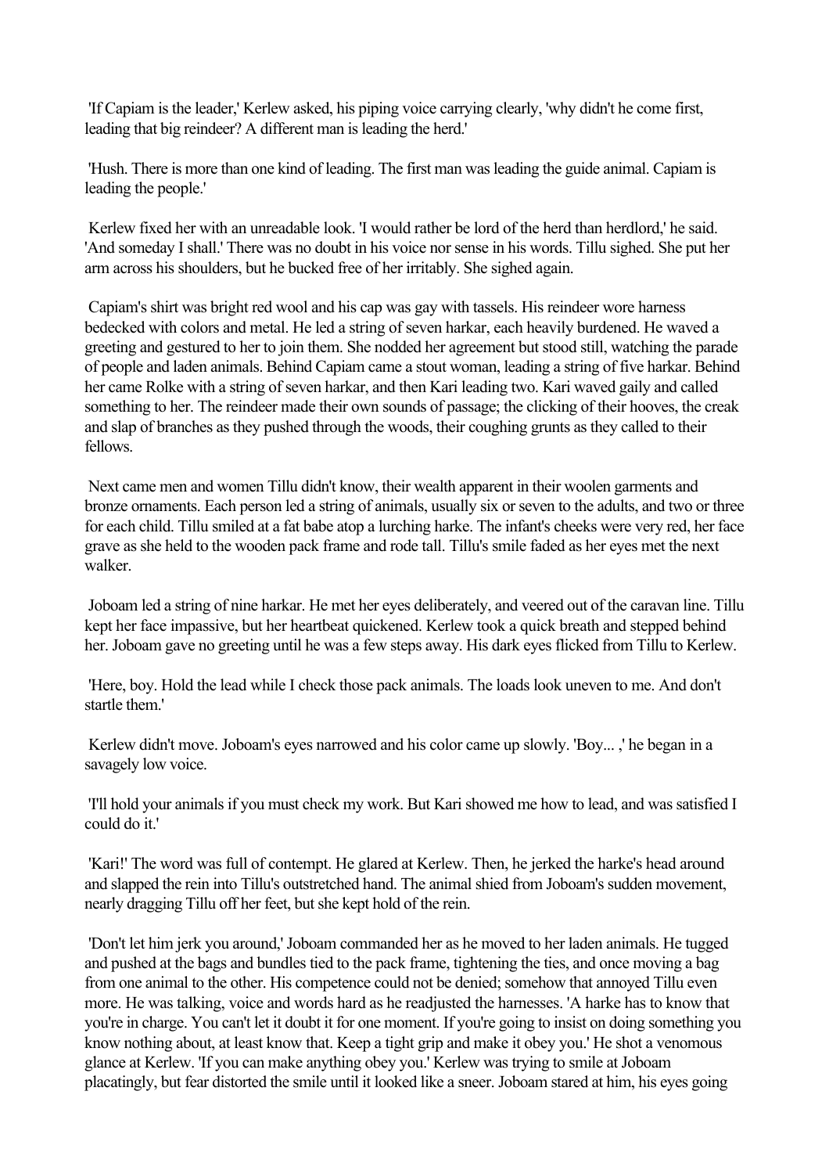'If Capiam is the leader,' Kerlew asked, his piping voice carrying clearly, 'why didn't he come first, leading that big reindeer? A different man is leading the herd.'

 'Hush. There is more than one kind of leading. The first man was leading the guide animal. Capiam is leading the people.'

 Kerlew fixed her with an unreadable look. 'I would rather be lord of the herd than herdlord,' he said. 'And someday I shall.' There was no doubt in his voice nor sense in his words. Tillu sighed. She put her arm across his shoulders, but he bucked free of her irritably. She sighed again.

 Capiam's shirt was bright red wool and his cap was gay with tassels. His reindeer wore harness bedecked with colors and metal. He led a string of seven harkar, each heavily burdened. He waved a greeting and gestured to her to join them. She nodded her agreement but stood still, watching the parade of people and laden animals. Behind Capiam came a stout woman, leading a string of five harkar. Behind her came Rolke with a string of seven harkar, and then Kari leading two. Kari waved gaily and called something to her. The reindeer made their own sounds of passage; the clicking of their hooves, the creak and slap of branches as they pushed through the woods, their coughing grunts as they called to their fellows.

 Next came men and women Tillu didn't know, their wealth apparent in their woolen garments and bronze ornaments. Each person led a string of animals, usually six or seven to the adults, and two or three for each child. Tillu smiled at a fat babe atop a lurching harke. The infant's cheeks were very red, her face grave as she held to the wooden pack frame and rode tall. Tillu's smile faded as her eyes met the next walker.

 Joboam led a string of nine harkar. He met her eyes deliberately, and veered out of the caravan line. Tillu kept her face impassive, but her heartbeat quickened. Kerlew took a quick breath and stepped behind her. Joboam gave no greeting until he was a few steps away. His dark eyes flicked from Tillu to Kerlew.

 'Here, boy. Hold the lead while I check those pack animals. The loads look uneven to me. And don't startle them.'

 Kerlew didn't move. Joboam's eyes narrowed and his color came up slowly. 'Boy... ,' he began in a savagely low voice.

 'I'll hold your animals if you must check my work. But Kari showed me how to lead, and was satisfied I could do it.'

 'Kari!' The word was full of contempt. He glared at Kerlew. Then, he jerked the harke's head around and slapped the rein into Tillu's outstretched hand. The animal shied from Joboam's sudden movement, nearly dragging Tillu off her feet, but she kept hold of the rein.

 'Don't let him jerk you around,' Joboam commanded her as he moved to her laden animals. He tugged and pushed at the bags and bundles tied to the pack frame, tightening the ties, and once moving a bag from one animal to the other. His competence could not be denied; somehow that annoyed Tillu even more. He was talking, voice and words hard as he readjusted the harnesses. 'A harke has to know that you're in charge. You can't let it doubt it for one moment. If you're going to insist on doing something you know nothing about, at least know that. Keep a tight grip and make it obey you.' He shot a venomous glance at Kerlew. 'If you can make anything obey you.' Kerlew was trying to smile at Joboam placatingly, but fear distorted the smile until it looked like a sneer. Joboam stared at him, his eyes going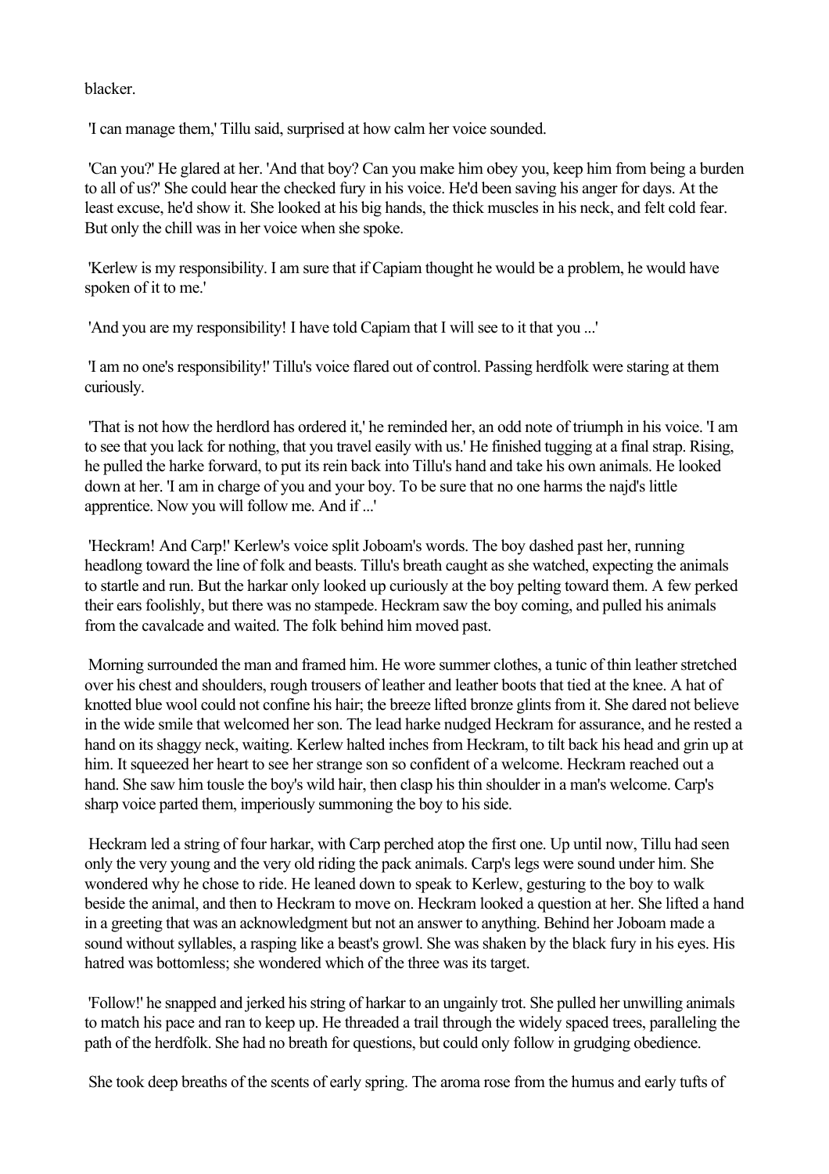blacker.

'I can manage them,' Tillu said, surprised at how calm her voice sounded.

 'Can you?' He glared at her. 'And that boy? Can you make him obey you, keep him from being a burden to all of us?' She could hear the checked fury in his voice. He'd been saving his anger for days. At the least excuse, he'd show it. She looked at his big hands, the thick muscles in his neck, and felt cold fear. But only the chill was in her voice when she spoke.

 'Kerlew is my responsibility. I am sure that if Capiam thought he would be a problem, he would have spoken of it to me.'

'And you are my responsibility! I have told Capiam that I will see to it that you ...'

 'I am no one's responsibility!' Tillu's voice flared out of control. Passing herdfolk were staring at them curiously.

 'That is not how the herdlord has ordered it,' he reminded her, an odd note of triumph in his voice. 'I am to see that you lack for nothing, that you travel easily with us.' He finished tugging at a final strap. Rising, he pulled the harke forward, to put its rein back into Tillu's hand and take his own animals. He looked down at her. 'I am in charge of you and your boy. To be sure that no one harms the najd's little apprentice. Now you will follow me. And if ...'

 'Heckram! And Carp!' Kerlew's voice split Joboam's words. The boy dashed past her, running headlong toward the line of folk and beasts. Tillu's breath caught as she watched, expecting the animals to startle and run. But the harkar only looked up curiously at the boy pelting toward them. A few perked their ears foolishly, but there was no stampede. Heckram saw the boy coming, and pulled his animals from the cavalcade and waited. The folk behind him moved past.

 Morning surrounded the man and framed him. He wore summer clothes, a tunic of thin leather stretched over his chest and shoulders, rough trousers of leather and leather boots that tied at the knee. A hat of knotted blue wool could not confine his hair; the breeze lifted bronze glints from it. She dared not believe in the wide smile that welcomed her son. The lead harke nudged Heckram for assurance, and he rested a hand on its shaggy neck, waiting. Kerlew halted inches from Heckram, to tilt back his head and grin up at him. It squeezed her heart to see her strange son so confident of a welcome. Heckram reached out a hand. She saw him tousle the boy's wild hair, then clasp his thin shoulder in a man's welcome. Carp's sharp voice parted them, imperiously summoning the boy to his side.

 Heckram led a string of four harkar, with Carp perched atop the first one. Up until now, Tillu had seen only the very young and the very old riding the pack animals. Carp's legs were sound under him. She wondered why he chose to ride. He leaned down to speak to Kerlew, gesturing to the boy to walk beside the animal, and then to Heckram to move on. Heckram looked a question at her. She lifted a hand in a greeting that was an acknowledgment but not an answer to anything. Behind her Joboam made a sound without syllables, a rasping like a beast's growl. She was shaken by the black fury in his eyes. His hatred was bottomless; she wondered which of the three was its target.

 'Follow!' he snapped and jerked his string of harkar to an ungainly trot. She pulled her unwilling animals to match his pace and ran to keep up. He threaded a trail through the widely spaced trees, paralleling the path of the herdfolk. She had no breath for questions, but could only follow in grudging obedience.

She took deep breaths of the scents of early spring. The aroma rose from the humus and early tufts of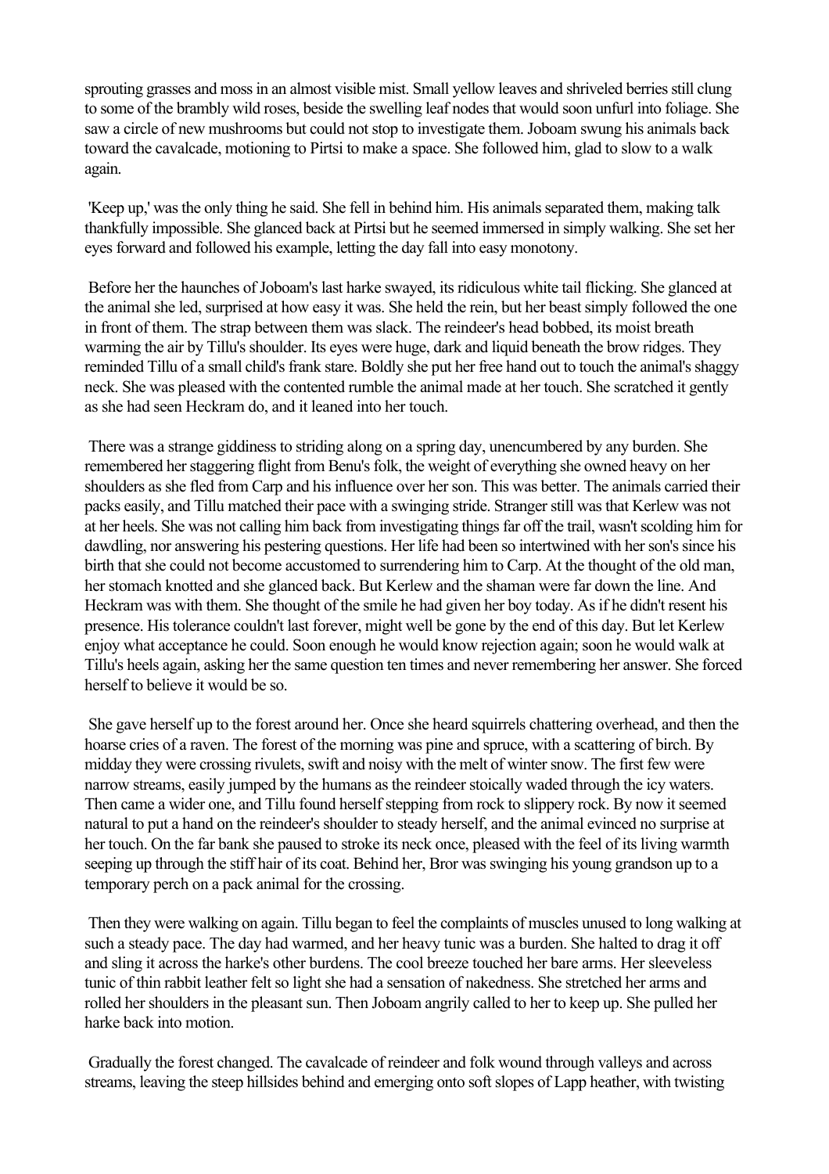sprouting grasses and moss in an almost visible mist. Small yellow leaves and shriveled berries still clung to some of the brambly wild roses, beside the swelling leaf nodes that would soon unfurl into foliage. She saw a circle of new mushrooms but could not stop to investigate them. Joboam swung his animals back toward the cavalcade, motioning to Pirtsi to make a space. She followed him, glad to slow to a walk again.

 'Keep up,' was the only thing he said. She fell in behind him. His animals separated them, making talk thankfully impossible. She glanced back at Pirtsi but he seemed immersed in simply walking. She set her eyes forward and followed his example, letting the day fall into easy monotony.

 Before her the haunches of Joboam's last harke swayed, its ridiculous white tail flicking. She glanced at the animal she led, surprised at how easy it was. She held the rein, but her beast simply followed the one in front of them. The strap between them was slack. The reindeer's head bobbed, its moist breath warming the air by Tillu's shoulder. Its eyes were huge, dark and liquid beneath the brow ridges. They reminded Tillu of a small child's frank stare. Boldly she put her free hand out to touch the animal's shaggy neck. She was pleased with the contented rumble the animal made at her touch. She scratched it gently as she had seen Heckram do, and it leaned into her touch.

 There was a strange giddiness to striding along on a spring day, unencumbered by any burden. She remembered her staggering flight from Benu's folk, the weight of everything she owned heavy on her shoulders as she fled from Carp and his influence over her son. This was better. The animals carried their packs easily, and Tillu matched their pace with a swinging stride. Stranger still was that Kerlew was not at her heels. She was not calling him back from investigating things far off the trail, wasn't scolding him for dawdling, nor answering his pestering questions. Her life had been so intertwined with her son's since his birth that she could not become accustomed to surrendering him to Carp. At the thought of the old man, her stomach knotted and she glanced back. But Kerlew and the shaman were far down the line. And Heckram was with them. She thought of the smile he had given her boy today. As if he didn't resent his presence. His tolerance couldn't last forever, might well be gone by the end of this day. But let Kerlew enjoy what acceptance he could. Soon enough he would know rejection again; soon he would walk at Tillu's heels again, asking her the same question ten times and never remembering her answer. She forced herself to believe it would be so.

 She gave herself up to the forest around her. Once she heard squirrels chattering overhead, and then the hoarse cries of a raven. The forest of the morning was pine and spruce, with a scattering of birch. By midday they were crossing rivulets, swift and noisy with the melt of winter snow. The first few were narrow streams, easily jumped by the humans as the reindeer stoically waded through the icy waters. Then came a wider one, and Tillu found herself stepping from rock to slippery rock. By now it seemed natural to put a hand on the reindeer's shoulder to steady herself, and the animal evinced no surprise at her touch. On the far bank she paused to stroke its neck once, pleased with the feel of its living warmth seeping up through the stiff hair of its coat. Behind her, Bror was swinging his young grandson up to a temporary perch on a pack animal for the crossing.

 Then they were walking on again. Tillu began to feel the complaints of muscles unused to long walking at such a steady pace. The day had warmed, and her heavy tunic was a burden. She halted to drag it off and sling it across the harke's other burdens. The cool breeze touched her bare arms. Her sleeveless tunic of thin rabbit leather felt so light she had a sensation of nakedness. She stretched her arms and rolled her shoulders in the pleasant sun. Then Joboam angrily called to her to keep up. She pulled her harke back into motion.

 Gradually the forest changed. The cavalcade of reindeer and folk wound through valleys and across streams, leaving the steep hillsides behind and emerging onto soft slopes of Lapp heather, with twisting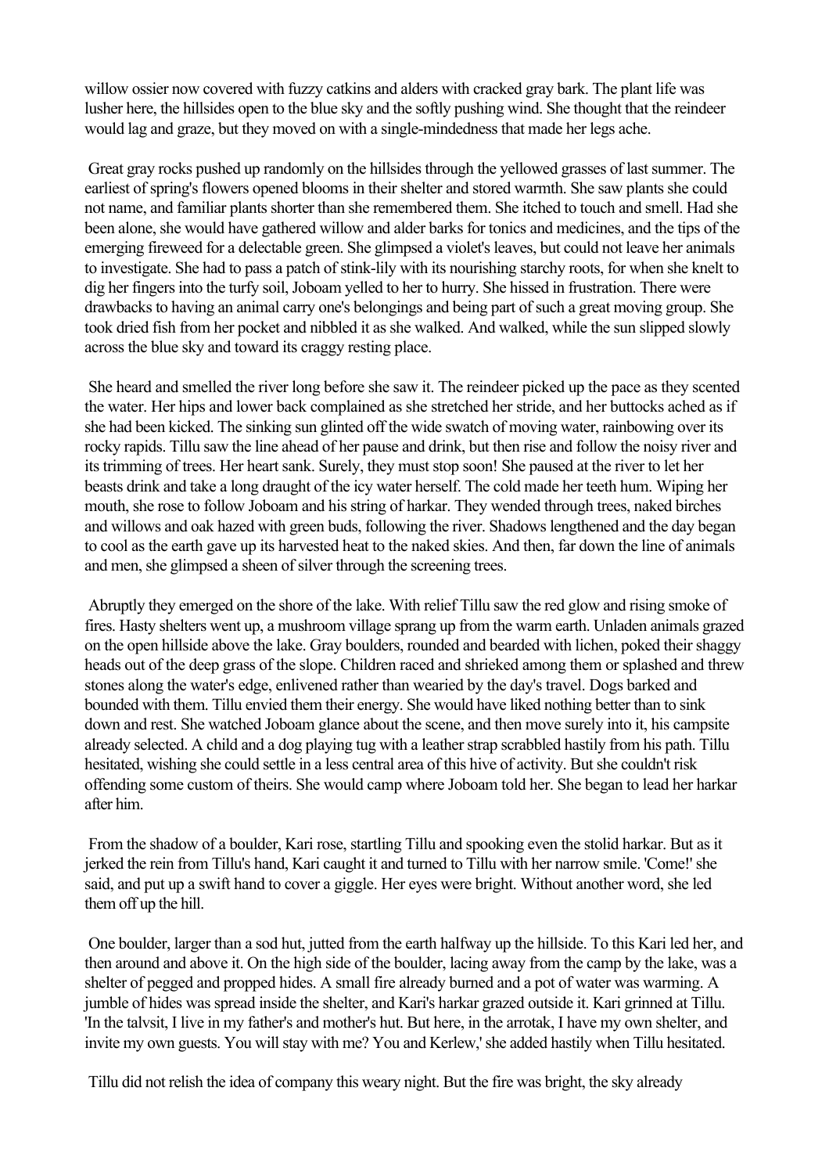willow ossier now covered with fuzzy catkins and alders with cracked gray bark. The plant life was lusher here, the hillsides open to the blue sky and the softly pushing wind. She thought that the reindeer would lag and graze, but they moved on with a single-mindedness that made her legs ache.

 Great gray rocks pushed up randomly on the hillsides through the yellowed grasses of last summer. The earliest of spring's flowers opened blooms in their shelter and stored warmth. She saw plants she could not name, and familiar plants shorter than she remembered them. She itched to touch and smell. Had she been alone, she would have gathered willow and alder barks for tonics and medicines, and the tips of the emerging fireweed for a delectable green. She glimpsed a violet's leaves, but could not leave her animals to investigate. She had to pass a patch of stink-lily with its nourishing starchy roots, for when she knelt to dig her fingers into the turfy soil, Joboam yelled to her to hurry. She hissed in frustration. There were drawbacks to having an animal carry one's belongings and being part of such a great moving group. She took dried fish from her pocket and nibbled it as she walked. And walked, while the sun slipped slowly across the blue sky and toward its craggy resting place.

 She heard and smelled the river long before she saw it. The reindeer picked up the pace as they scented the water. Her hips and lower back complained as she stretched her stride, and her buttocks ached as if she had been kicked. The sinking sun glinted off the wide swatch of moving water, rainbowing over its rocky rapids. Tillu saw the line ahead of her pause and drink, but then rise and follow the noisy river and its trimming of trees. Her heart sank. Surely, they must stop soon! She paused at the river to let her beasts drink and take a long draught of the icy water herself. The cold made her teeth hum. Wiping her mouth, she rose to follow Joboam and his string of harkar. They wended through trees, naked birches and willows and oak hazed with green buds, following the river. Shadows lengthened and the day began to cool as the earth gave up its harvested heat to the naked skies. And then, far down the line of animals and men, she glimpsed a sheen of silver through the screening trees.

 Abruptly they emerged on the shore of the lake. With relief Tillu saw the red glow and rising smoke of fires. Hasty shelters went up, a mushroom village sprang up from the warm earth. Unladen animals grazed on the open hillside above the lake. Gray boulders, rounded and bearded with lichen, poked their shaggy heads out of the deep grass of the slope. Children raced and shrieked among them or splashed and threw stones along the water's edge, enlivened rather than wearied by the day's travel. Dogs barked and bounded with them. Tillu envied them their energy. She would have liked nothing better than to sink down and rest. She watched Joboam glance about the scene, and then move surely into it, his campsite already selected. A child and a dog playing tug with a leather strap scrabbled hastily from his path. Tillu hesitated, wishing she could settle in a less central area of this hive of activity. But she couldn't risk offending some custom of theirs. She would camp where Joboam told her. She began to lead her harkar after him.

 From the shadow of a boulder, Kari rose, startling Tillu and spooking even the stolid harkar. But as it jerked the rein from Tillu's hand, Kari caught it and turned to Tillu with her narrow smile. 'Come!' she said, and put up a swift hand to cover a giggle. Her eyes were bright. Without another word, she led them off up the hill.

 One boulder, larger than a sod hut, jutted from the earth halfway up the hillside. To this Kari led her, and then around and above it. On the high side of the boulder, lacing away from the camp by the lake, was a shelter of pegged and propped hides. A small fire already burned and a pot of water was warming. A jumble of hides was spread inside the shelter, and Kari's harkar grazed outside it. Kari grinned at Tillu. 'In the talvsit, I live in my father's and mother's hut. But here, in the arrotak, I have my own shelter, and invite my own guests. You will stay with me? You and Kerlew,' she added hastily when Tillu hesitated.

Tillu did not relish the idea of company this weary night. But the fire was bright, the sky already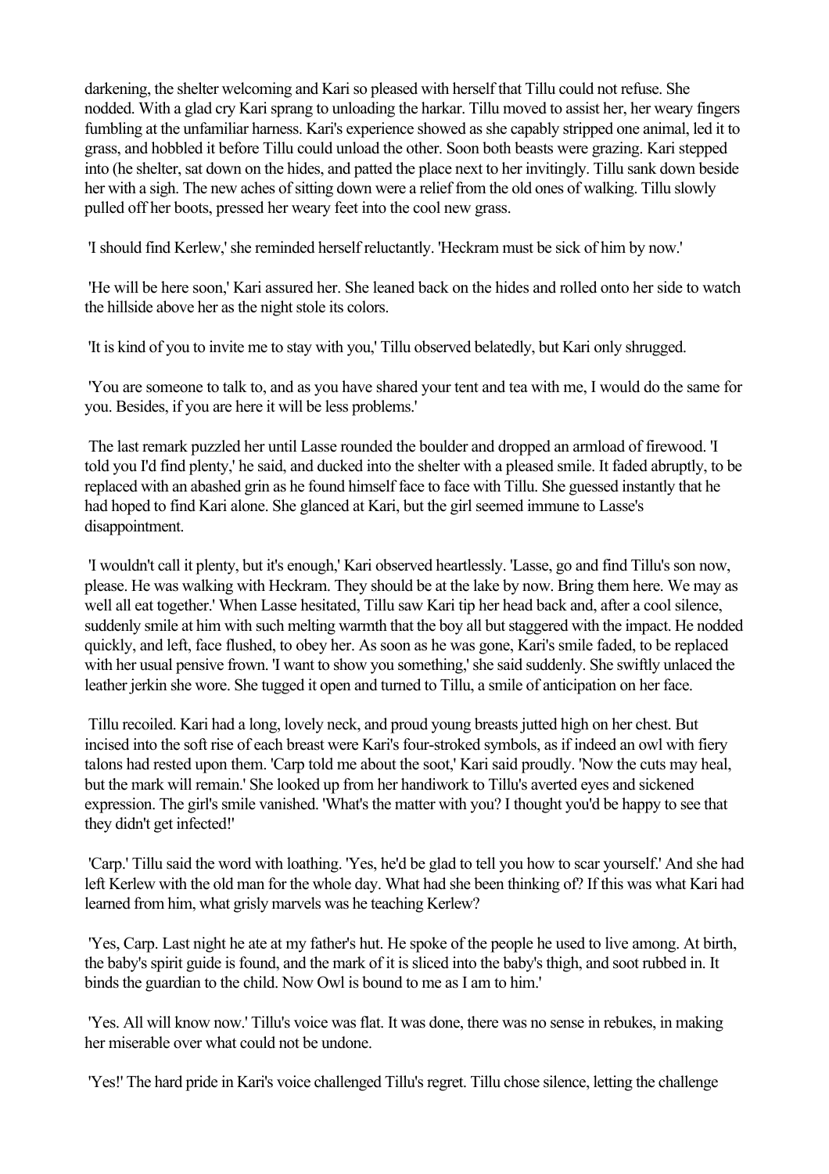darkening, the shelter welcoming and Kari so pleased with herself that Tillu could not refuse. She nodded. With a glad cry Kari sprang to unloading the harkar. Tillu moved to assist her, her weary fingers fumbling at the unfamiliar harness. Kari's experience showed as she capably stripped one animal, led it to grass, and hobbled it before Tillu could unload the other. Soon both beasts were grazing. Kari stepped into (he shelter, sat down on the hides, and patted the place next to her invitingly. Tillu sank down beside her with a sigh. The new aches of sitting down were a relief from the old ones of walking. Tillu slowly pulled off her boots, pressed her weary feet into the cool new grass.

'I should find Kerlew,' she reminded herself reluctantly. 'Heckram must be sick of him by now.'

 'He will be here soon,' Kari assured her. She leaned back on the hides and rolled onto her side to watch the hillside above her as the night stole its colors.

'It is kind of you to invite me to stay with you,' Tillu observed belatedly, but Kari only shrugged.

 'You are someone to talk to, and as you have shared your tent and tea with me, I would do the same for you. Besides, if you are here it will be less problems.'

 The last remark puzzled her until Lasse rounded the boulder and dropped an armload of firewood. 'I told you I'd find plenty,' he said, and ducked into the shelter with a pleased smile. It faded abruptly, to be replaced with an abashed grin as he found himself face to face with Tillu. She guessed instantly that he had hoped to find Kari alone. She glanced at Kari, but the girl seemed immune to Lasse's disappointment.

 'I wouldn't call it plenty, but it's enough,' Kari observed heartlessly. 'Lasse, go and find Tillu's son now, please. He was walking with Heckram. They should be at the lake by now. Bring them here. We may as well all eat together.' When Lasse hesitated, Tillu saw Kari tip her head back and, after a cool silence, suddenly smile at him with such melting warmth that the boy all but staggered with the impact. He nodded quickly, and left, face flushed, to obey her. As soon as he was gone, Kari's smile faded, to be replaced with her usual pensive frown. 'I want to show you something,' she said suddenly. She swiftly unlaced the leather jerkin she wore. She tugged it open and turned to Tillu, a smile of anticipation on her face.

 Tillu recoiled. Kari had a long, lovely neck, and proud young breasts jutted high on her chest. But incised into the soft rise of each breast were Kari's four-stroked symbols, as if indeed an owl with fiery talons had rested upon them. 'Carp told me about the soot,' Kari said proudly. 'Now the cuts may heal, but the mark will remain.' She looked up from her handiwork to Tillu's averted eyes and sickened expression. The girl's smile vanished. 'What's the matter with you? I thought you'd be happy to see that they didn't get infected!'

 'Carp.' Tillu said the word with loathing. 'Yes, he'd be glad to tell you how to scar yourself.' And she had left Kerlew with the old man for the whole day. What had she been thinking of? If this was what Kari had learned from him, what grisly marvels was he teaching Kerlew?

 'Yes, Carp. Last night he ate at my father's hut. He spoke of the people he used to live among. At birth, the baby's spirit guide is found, and the mark of it is sliced into the baby's thigh, and soot rubbed in. It binds the guardian to the child. Now Owl is bound to me as I am to him.'

 'Yes. All will know now.' Tillu's voice was flat. It was done, there was no sense in rebukes, in making her miserable over what could not be undone.

'Yes!' The hard pride in Kari's voice challenged Tillu's regret. Tillu chose silence, letting the challenge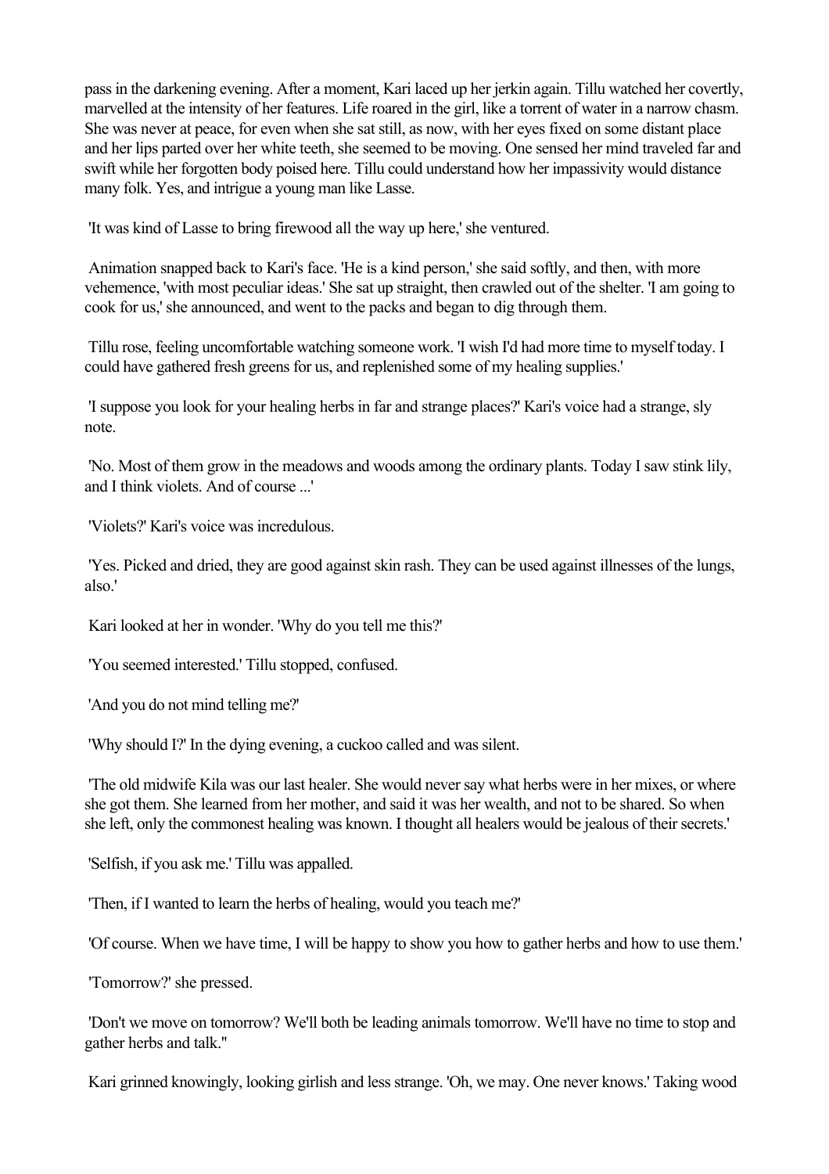pass in the darkening evening. After a moment, Kari laced up her jerkin again. Tillu watched her covertly, marvelled at the intensity of her features. Life roared in the girl, like a torrent of water in a narrow chasm. She was never at peace, for even when she sat still, as now, with her eyes fixed on some distant place and her lips parted over her white teeth, she seemed to be moving. One sensed her mind traveled far and swift while her forgotten body poised here. Tillu could understand how her impassivity would distance many folk. Yes, and intrigue a young man like Lasse.

'It was kind of Lasse to bring firewood all the way up here,' she ventured.

 Animation snapped back to Kari's face. 'He is a kind person,' she said softly, and then, with more vehemence, 'with most peculiar ideas.' She sat up straight, then crawled out of the shelter. 'I am going to cook for us,' she announced, and went to the packs and began to dig through them.

 Tillu rose, feeling uncomfortable watching someone work. 'I wish I'd had more time to myself today. I could have gathered fresh greens for us, and replenished some of my healing supplies.'

 'I suppose you look for your healing herbs in far and strange places?' Kari's voice had a strange, sly note.

 'No. Most of them grow in the meadows and woods among the ordinary plants. Today I saw stink lily, and I think violets. And of course ...

'Violets?' Kari's voice was incredulous.

 'Yes. Picked and dried, they are good against skin rash. They can be used against illnesses of the lungs, also.'

Kari looked at her in wonder. 'Why do you tell me this?'

'You seemed interested.' Tillu stopped, confused.

'And you do not mind telling me?'

'Why should I?' In the dying evening, a cuckoo called and was silent.

 'The old midwife Kila was our last healer. She would never say what herbs were in her mixes, or where she got them. She learned from her mother, and said it was her wealth, and not to be shared. So when she left, only the commonest healing was known. I thought all healers would be jealous of their secrets.'

'Selfish, if you ask me.' Tillu was appalled.

'Then, if I wanted to learn the herbs of healing, would you teach me?'

'Of course. When we have time, I will be happy to show you how to gather herbs and how to use them.'

'Tomorrow?' she pressed.

 'Don't we move on tomorrow? We'll both be leading animals tomorrow. We'll have no time to stop and gather herbs and talk.''

Kari grinned knowingly, looking girlish and less strange. 'Oh, we may. One never knows.' Taking wood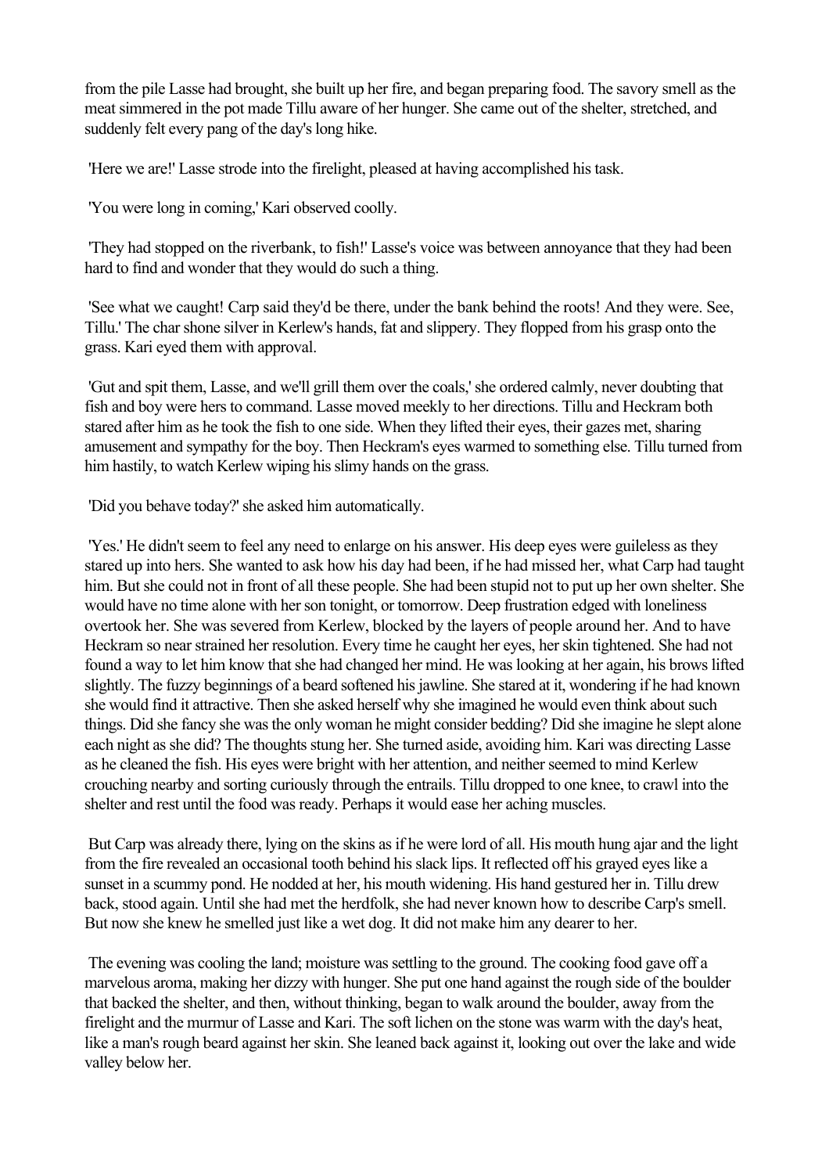from the pile Lasse had brought, she built up her fire, and began preparing food. The savory smell as the meat simmered in the pot made Tillu aware of her hunger. She came out of the shelter, stretched, and suddenly felt every pang of the day's long hike.

'Here we are!' Lasse strode into the firelight, pleased at having accomplished his task.

'You were long in coming,' Kari observed coolly.

 'They had stopped on the riverbank, to fish!' Lasse's voice was between annoyance that they had been hard to find and wonder that they would do such a thing.

 'See what we caught! Carp said they'd be there, under the bank behind the roots! And they were. See, Tillu.' The char shone silver in Kerlew's hands, fat and slippery. They flopped from his grasp onto the grass. Kari eyed them with approval.

 'Gut and spit them, Lasse, and we'll grill them over the coals,' she ordered calmly, never doubting that fish and boy were hers to command. Lasse moved meekly to her directions. Tillu and Heckram both stared after him as he took the fish to one side. When they lifted their eyes, their gazes met, sharing amusement and sympathy for the boy. Then Heckram's eyes warmed to something else. Tillu turned from him hastily, to watch Kerlew wiping his slimy hands on the grass.

'Did you behave today?' she asked him automatically.

 'Yes.' He didn't seem to feel any need to enlarge on his answer. His deep eyes were guileless as they stared up into hers. She wanted to ask how his day had been, if he had missed her, what Carp had taught him. But she could not in front of all these people. She had been stupid not to put up her own shelter. She would have no time alone with her son tonight, or tomorrow. Deep frustration edged with loneliness overtook her. She was severed from Kerlew, blocked by the layers of people around her. And to have Heckram so near strained her resolution. Every time he caught her eyes, her skin tightened. She had not found a way to let him know that she had changed her mind. He was looking at her again, his brows lifted slightly. The fuzzy beginnings of a beard softened his jawline. She stared at it, wondering if he had known she would find it attractive. Then she asked herself why she imagined he would even think about such things. Did she fancy she was the only woman he might consider bedding? Did she imagine he slept alone each night as she did? The thoughts stung her. She turned aside, avoiding him. Kari was directing Lasse as he cleaned the fish. His eyes were bright with her attention, and neither seemed to mind Kerlew crouching nearby and sorting curiously through the entrails. Tillu dropped to one knee, to crawl into the shelter and rest until the food was ready. Perhaps it would ease her aching muscles.

 But Carp was already there, lying on the skins as if he were lord of all. His mouth hung ajar and the light from the fire revealed an occasional tooth behind his slack lips. It reflected off his grayed eyes like a sunset in a scummy pond. He nodded at her, his mouth widening. His hand gestured her in. Tillu drew back, stood again. Until she had met the herdfolk, she had never known how to describe Carp's smell. But now she knew he smelled just like a wet dog. It did not make him any dearer to her.

 The evening was cooling the land; moisture was settling to the ground. The cooking food gave off a marvelous aroma, making her dizzy with hunger. She put one hand against the rough side of the boulder that backed the shelter, and then, without thinking, began to walk around the boulder, away from the firelight and the murmur of Lasse and Kari. The soft lichen on the stone was warm with the day's heat, like a man's rough beard against her skin. She leaned back against it, looking out over the lake and wide valley below her.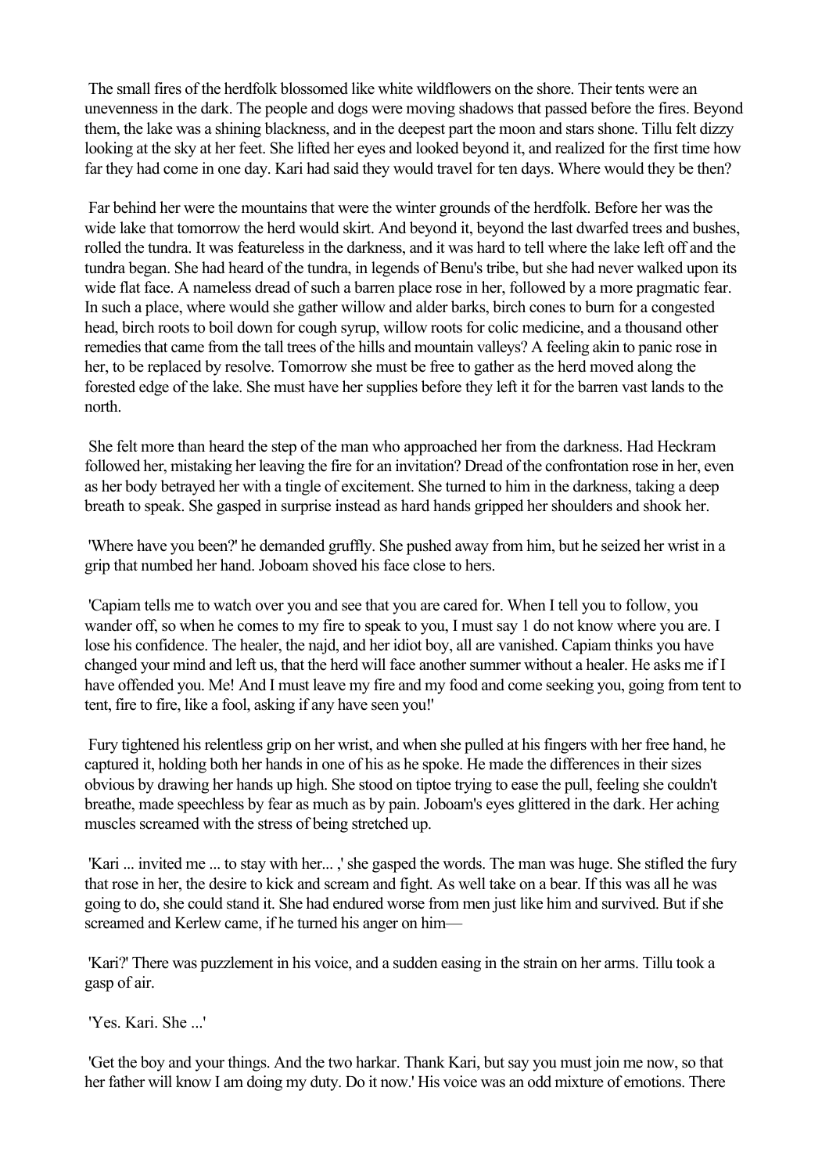The small fires of the herdfolk blossomed like white wildflowers on the shore. Their tents were an unevenness in the dark. The people and dogs were moving shadows that passed before the fires. Beyond them, the lake was a shining blackness, and in the deepest part the moon and stars shone. Tillu felt dizzy looking at the sky at her feet. She lifted her eyes and looked beyond it, and realized for the first time how far they had come in one day. Kari had said they would travel for ten days. Where would they be then?

 Far behind her were the mountains that were the winter grounds of the herdfolk. Before her was the wide lake that tomorrow the herd would skirt. And beyond it, beyond the last dwarfed trees and bushes, rolled the tundra. It was featureless in the darkness, and it was hard to tell where the lake left off and the tundra began. She had heard of the tundra, in legends of Benu's tribe, but she had never walked upon its wide flat face. A nameless dread of such a barren place rose in her, followed by a more pragmatic fear. In such a place, where would she gather willow and alder barks, birch cones to burn for a congested head, birch roots to boil down for cough syrup, willow roots for colic medicine, and a thousand other remedies that came from the tall trees of the hills and mountain valleys? A feeling akin to panic rose in her, to be replaced by resolve. Tomorrow she must be free to gather as the herd moved along the forested edge of the lake. She must have her supplies before they left it for the barren vast lands to the north.

 She felt more than heard the step of the man who approached her from the darkness. Had Heckram followed her, mistaking her leaving the fire for an invitation? Dread of the confrontation rose in her, even as her body betrayed her with a tingle of excitement. She turned to him in the darkness, taking a deep breath to speak. She gasped in surprise instead as hard hands gripped her shoulders and shook her.

 'Where have you been?' he demanded gruffly. She pushed away from him, but he seized her wrist in a grip that numbed her hand. Joboam shoved his face close to hers.

 'Capiam tells me to watch over you and see that you are cared for. When I tell you to follow, you wander off, so when he comes to my fire to speak to you, I must say 1 do not know where you are. I lose his confidence. The healer, the najd, and her idiot boy, all are vanished. Capiam thinks you have changed your mind and left us, that the herd will face another summer without a healer. He asks me if I have offended you. Me! And I must leave my fire and my food and come seeking you, going from tent to tent, fire to fire, like a fool, asking if any have seen you!'

 Fury tightened his relentless grip on her wrist, and when she pulled at his fingers with her free hand, he captured it, holding both her hands in one of his as he spoke. He made the differences in their sizes obvious by drawing her hands up high. She stood on tiptoe trying to ease the pull, feeling she couldn't breathe, made speechless by fear as much as by pain. Joboam's eyes glittered in the dark. Her aching muscles screamed with the stress of being stretched up.

 'Kari ... invited me ... to stay with her... ,' she gasped the words. The man was huge. She stifled the fury that rose in her, the desire to kick and scream and fight. As well take on a bear. If this was all he was going to do, she could stand it. She had endured worse from men just like him and survived. But if she screamed and Kerlew came, if he turned his anger on him—

 'Kari?' There was puzzlement in his voice, and a sudden easing in the strain on her arms. Tillu took a gasp of air.

'Yes. Kari. She ...'

 'Get the boy and your things. And the two harkar. Thank Kari, but say you must join me now, so that her father will know I am doing my duty. Do it now.' His voice was an odd mixture of emotions. There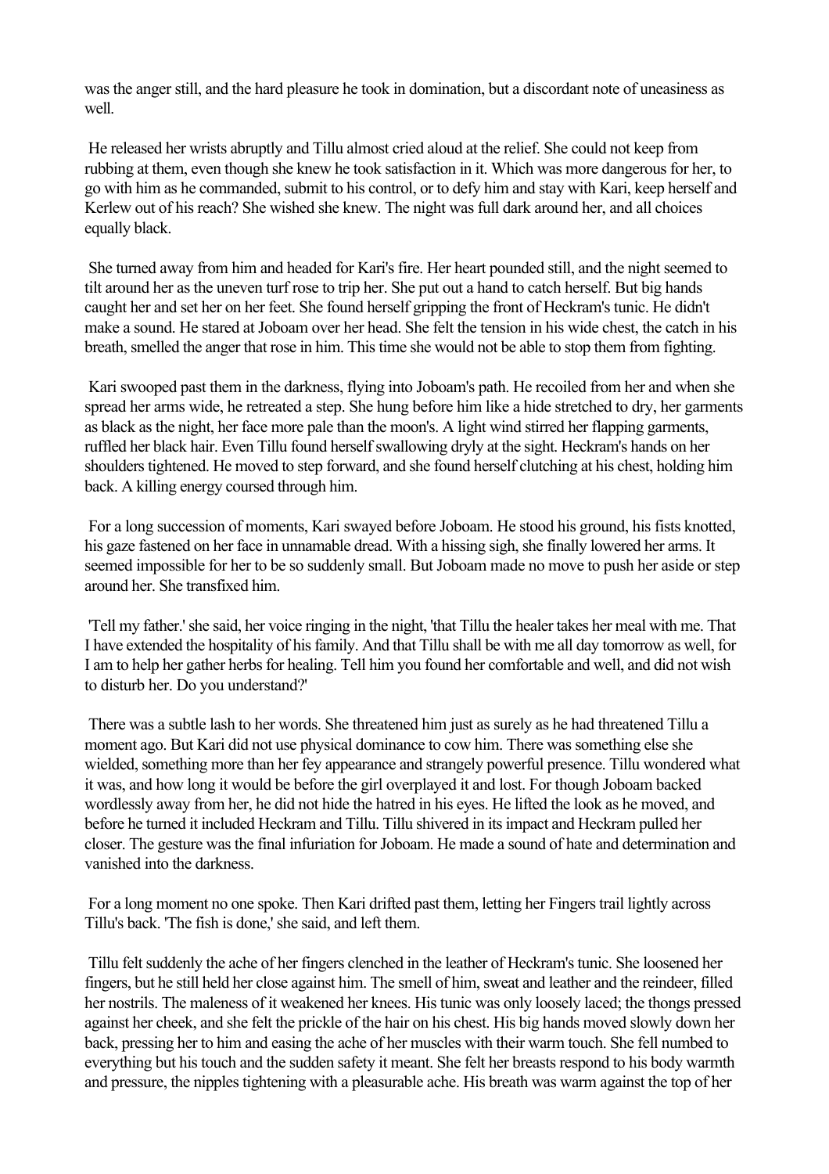was the anger still, and the hard pleasure he took in domination, but a discordant note of uneasiness as well.

 He released her wrists abruptly and Tillu almost cried aloud at the relief. She could not keep from rubbing at them, even though she knew he took satisfaction in it. Which was more dangerous for her, to go with him as he commanded, submit to his control, or to defy him and stay with Kari, keep herself and Kerlew out of his reach? She wished she knew. The night was full dark around her, and all choices equally black.

 She turned away from him and headed for Kari's fire. Her heart pounded still, and the night seemed to tilt around her as the uneven turf rose to trip her. She put out a hand to catch herself. But big hands caught her and set her on her feet. She found herself gripping the front of Heckram's tunic. He didn't make a sound. He stared at Joboam over her head. She felt the tension in his wide chest, the catch in his breath, smelled the anger that rose in him. This time she would not be able to stop them from fighting.

 Kari swooped past them in the darkness, flying into Joboam's path. He recoiled from her and when she spread her arms wide, he retreated a step. She hung before him like a hide stretched to dry, her garments as black as the night, her face more pale than the moon's. A light wind stirred her flapping garments, ruffled her black hair. Even Tillu found herself swallowing dryly at the sight. Heckram's hands on her shoulders tightened. He moved to step forward, and she found herself clutching at his chest, holding him back. A killing energy coursed through him.

 For a long succession of moments, Kari swayed before Joboam. He stood his ground, his fists knotted, his gaze fastened on her face in unnamable dread. With a hissing sigh, she finally lowered her arms. It seemed impossible for her to be so suddenly small. But Joboam made no move to push her aside or step around her. She transfixed him.

 'Tell my father.' she said, her voice ringing in the night, 'that Tillu the healer takes her meal with me. That I have extended the hospitality of his family. And that Tillu shall be with me all day tomorrow as well, for I am to help her gather herbs for healing. Tell him you found her comfortable and well, and did not wish to disturb her. Do you understand?'

 There was a subtle lash to her words. She threatened him just as surely as he had threatened Tillu a moment ago. But Kari did not use physical dominance to cow him. There was something else she wielded, something more than her fey appearance and strangely powerful presence. Tillu wondered what it was, and how long it would be before the girl overplayed it and lost. For though Joboam backed wordlessly away from her, he did not hide the hatred in his eyes. He lifted the look as he moved, and before he turned it included Heckram and Tillu. Tillu shivered in its impact and Heckram pulled her closer. The gesture was the final infuriation for Joboam. He made a sound of hate and determination and vanished into the darkness.

 For a long moment no one spoke. Then Kari drifted past them, letting her Fingers trail lightly across Tillu's back. 'The fish is done,' she said, and left them.

 Tillu felt suddenly the ache of her fingers clenched in the leather of Heckram's tunic. She loosened her fingers, but he still held her close against him. The smell of him, sweat and leather and the reindeer, filled her nostrils. The maleness of it weakened her knees. His tunic was only loosely laced; the thongs pressed against her cheek, and she felt the prickle of the hair on his chest. His big hands moved slowly down her back, pressing her to him and easing the ache of her muscles with their warm touch. She fell numbed to everything but his touch and the sudden safety it meant. She felt her breasts respond to his body warmth and pressure, the nipples tightening with a pleasurable ache. His breath was warm against the top of her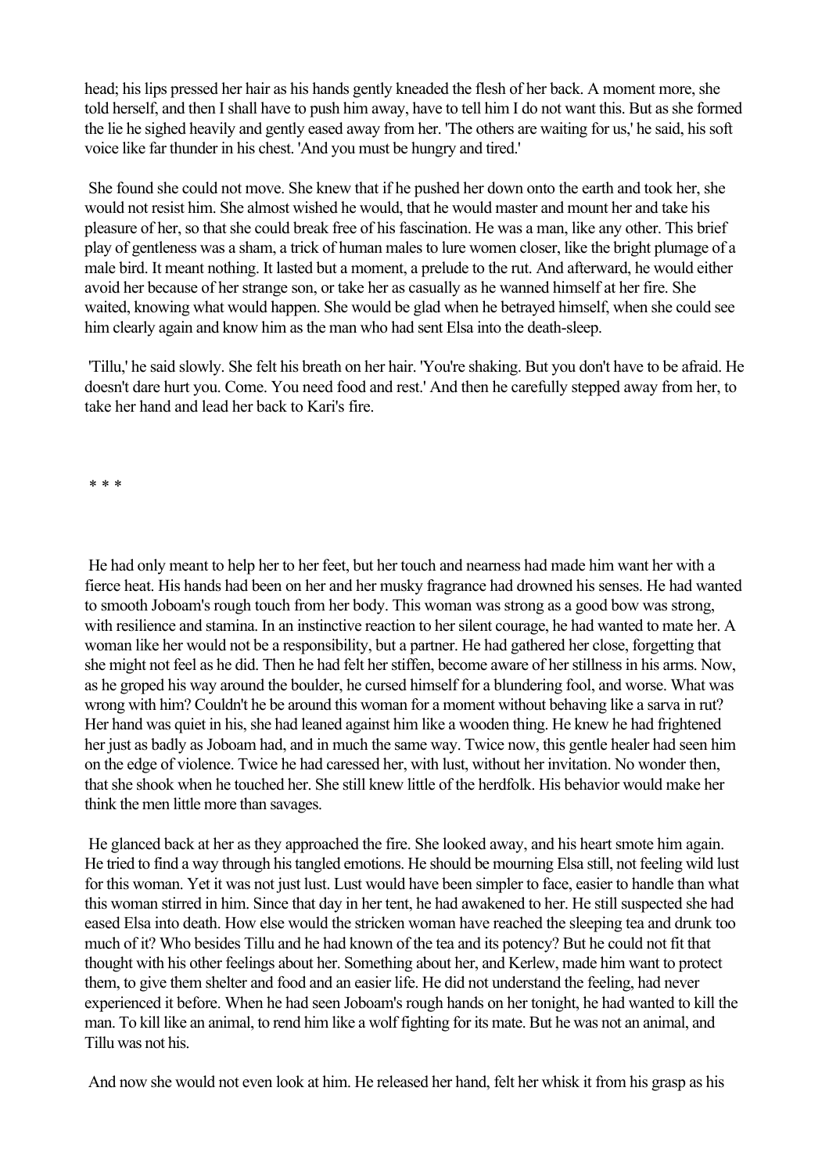head; his lips pressed her hair as his hands gently kneaded the flesh of her back. A moment more, she told herself, and then I shall have to push him away, have to tell him I do not want this. But as she formed the lie he sighed heavily and gently eased away from her. 'The others are waiting for us,' he said, his soft voice like far thunder in his chest. 'And you must be hungry and tired.'

 She found she could not move. She knew that if he pushed her down onto the earth and took her, she would not resist him. She almost wished he would, that he would master and mount her and take his pleasure of her, so that she could break free of his fascination. He was a man, like any other. This brief play of gentleness was a sham, a trick of human males to lure women closer, like the bright plumage of a male bird. It meant nothing. It lasted but a moment, a prelude to the rut. And afterward, he would either avoid her because of her strange son, or take her as casually as he wanned himself at her fire. She waited, knowing what would happen. She would be glad when he betrayed himself, when she could see him clearly again and know him as the man who had sent Elsa into the death-sleep.

 'Tillu,' he said slowly. She felt his breath on her hair. 'You're shaking. But you don't have to be afraid. He doesn't dare hurt you. Come. You need food and rest.' And then he carefully stepped away from her, to take her hand and lead her back to Kari's fire.

\* \* \*

 He had only meant to help her to her feet, but her touch and nearness had made him want her with a fierce heat. His hands had been on her and her musky fragrance had drowned his senses. He had wanted to smooth Joboam's rough touch from her body. This woman was strong as a good bow was strong, with resilience and stamina. In an instinctive reaction to her silent courage, he had wanted to mate her. A woman like her would not be a responsibility, but a partner. He had gathered her close, forgetting that she might not feel as he did. Then he had felt her stiffen, become aware of her stillness in his arms. Now, as he groped his way around the boulder, he cursed himself for a blundering fool, and worse. What was wrong with him? Couldn't he be around this woman for a moment without behaving like a sarva in rut? Her hand was quiet in his, she had leaned against him like a wooden thing. He knew he had frightened her just as badly as Joboam had, and in much the same way. Twice now, this gentle healer had seen him on the edge of violence. Twice he had caressed her, with lust, without her invitation. No wonder then, that she shook when he touched her. She still knew little of the herdfolk. His behavior would make her think the men little more than savages.

 He glanced back at her as they approached the fire. She looked away, and his heart smote him again. He tried to find a way through his tangled emotions. He should be mourning Elsa still, not feeling wild lust for this woman. Yet it was not just lust. Lust would have been simpler to face, easier to handle than what this woman stirred in him. Since that day in her tent, he had awakened to her. He still suspected she had eased Elsa into death. How else would the stricken woman have reached the sleeping tea and drunk too much of it? Who besides Tillu and he had known of the tea and its potency? But he could not fit that thought with his other feelings about her. Something about her, and Kerlew, made him want to protect them, to give them shelter and food and an easier life. He did not understand the feeling, had never experienced it before. When he had seen Joboam's rough hands on her tonight, he had wanted to kill the man. To kill like an animal, to rend him like a wolf fighting for its mate. But he was not an animal, and Tillu was not his.

And now she would not even look at him. He released her hand, felt her whisk it from his grasp as his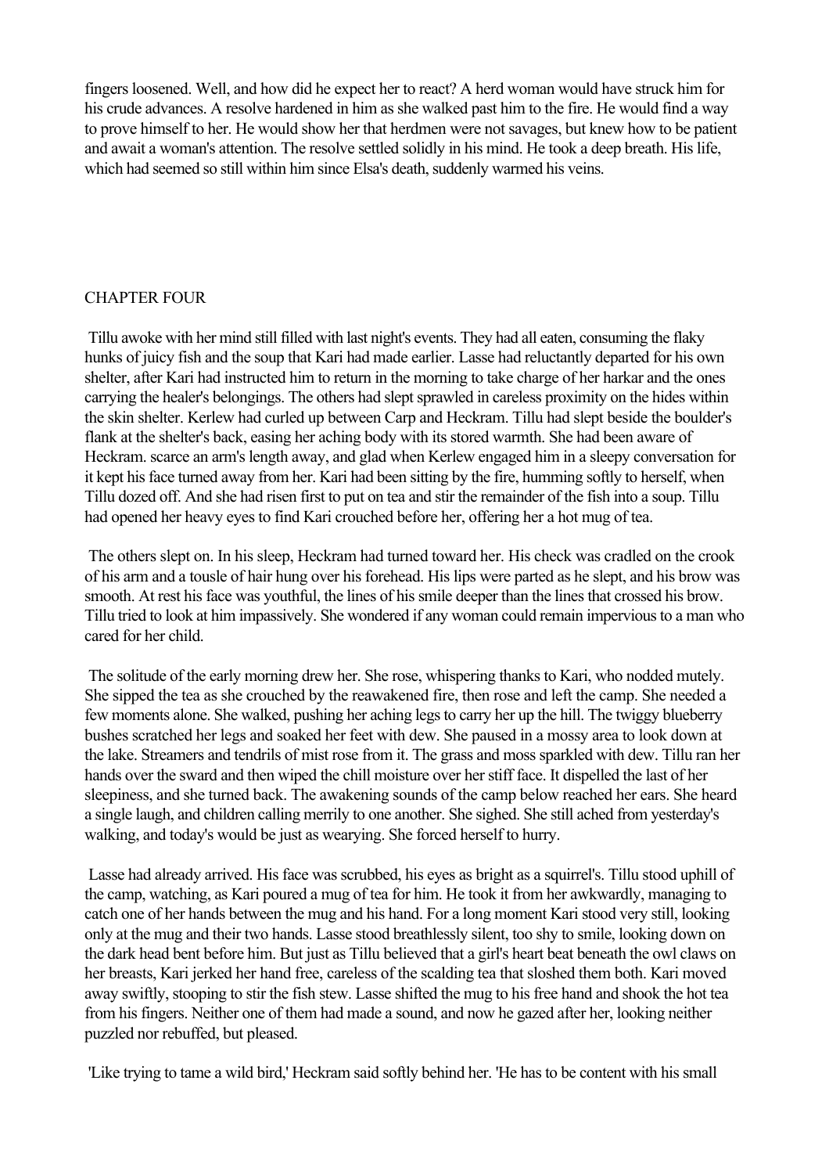fingers loosened. Well, and how did he expect her to react? A herd woman would have struck him for his crude advances. A resolve hardened in him as she walked past him to the fire. He would find a way to prove himself to her. He would show her that herdmen were not savages, but knew how to be patient and await a woman's attention. The resolve settled solidly in his mind. He took a deep breath. His life, which had seemed so still within him since Elsa's death, suddenly warmed his veins.

#### CHAPTER FOUR

 Tillu awoke with her mind still filled with last night's events. They had all eaten, consuming the flaky hunks of juicy fish and the soup that Kari had made earlier. Lasse had reluctantly departed for his own shelter, after Kari had instructed him to return in the morning to take charge of her harkar and the ones carrying the healer's belongings. The others had slept sprawled in careless proximity on the hides within the skin shelter. Kerlew had curled up between Carp and Heckram. Tillu had slept beside the boulder's flank at the shelter's back, easing her aching body with its stored warmth. She had been aware of Heckram. scarce an arm's length away, and glad when Kerlew engaged him in a sleepy conversation for it kept his face turned away from her. Kari had been sitting by the fire, humming softly to herself, when Tillu dozed off. And she had risen first to put on tea and stir the remainder of the fish into a soup. Tillu had opened her heavy eyes to find Kari crouched before her, offering her a hot mug of tea.

 The others slept on. In his sleep, Heckram had turned toward her. His check was cradled on the crook of his arm and a tousle of hair hung over his forehead. His lips were parted as he slept, and his brow was smooth. At rest his face was youthful, the lines of his smile deeper than the lines that crossed his brow. Tillu tried to look at him impassively. She wondered if any woman could remain impervious to a man who cared for her child.

 The solitude of the early morning drew her. She rose, whispering thanks to Kari, who nodded mutely. She sipped the tea as she crouched by the reawakened fire, then rose and left the camp. She needed a few moments alone. She walked, pushing her aching legs to carry her up the hill. The twiggy blueberry bushes scratched her legs and soaked her feet with dew. She paused in a mossy area to look down at the lake. Streamers and tendrils of mist rose from it. The grass and moss sparkled with dew. Tillu ran her hands over the sward and then wiped the chill moisture over her stiff face. It dispelled the last of her sleepiness, and she turned back. The awakening sounds of the camp below reached her ears. She heard a single laugh, and children calling merrily to one another. She sighed. She still ached from yesterday's walking, and today's would be just as wearying. She forced herself to hurry.

 Lasse had already arrived. His face was scrubbed, his eyes as bright as a squirrel's. Tillu stood uphill of the camp, watching, as Kari poured a mug of tea for him. He took it from her awkwardly, managing to catch one of her hands between the mug and his hand. For a long moment Kari stood very still, looking only at the mug and their two hands. Lasse stood breathlessly silent, too shy to smile, looking down on the dark head bent before him. But just as Tillu believed that a girl's heart beat beneath the owl claws on her breasts, Kari jerked her hand free, careless of the scalding tea that sloshed them both. Kari moved away swiftly, stooping to stir the fish stew. Lasse shifted the mug to his free hand and shook the hot tea from his fingers. Neither one of them had made a sound, and now he gazed after her, looking neither puzzled nor rebuffed, but pleased.

'Like trying to tame a wild bird,' Heckram said softly behind her. 'He has to be content with his small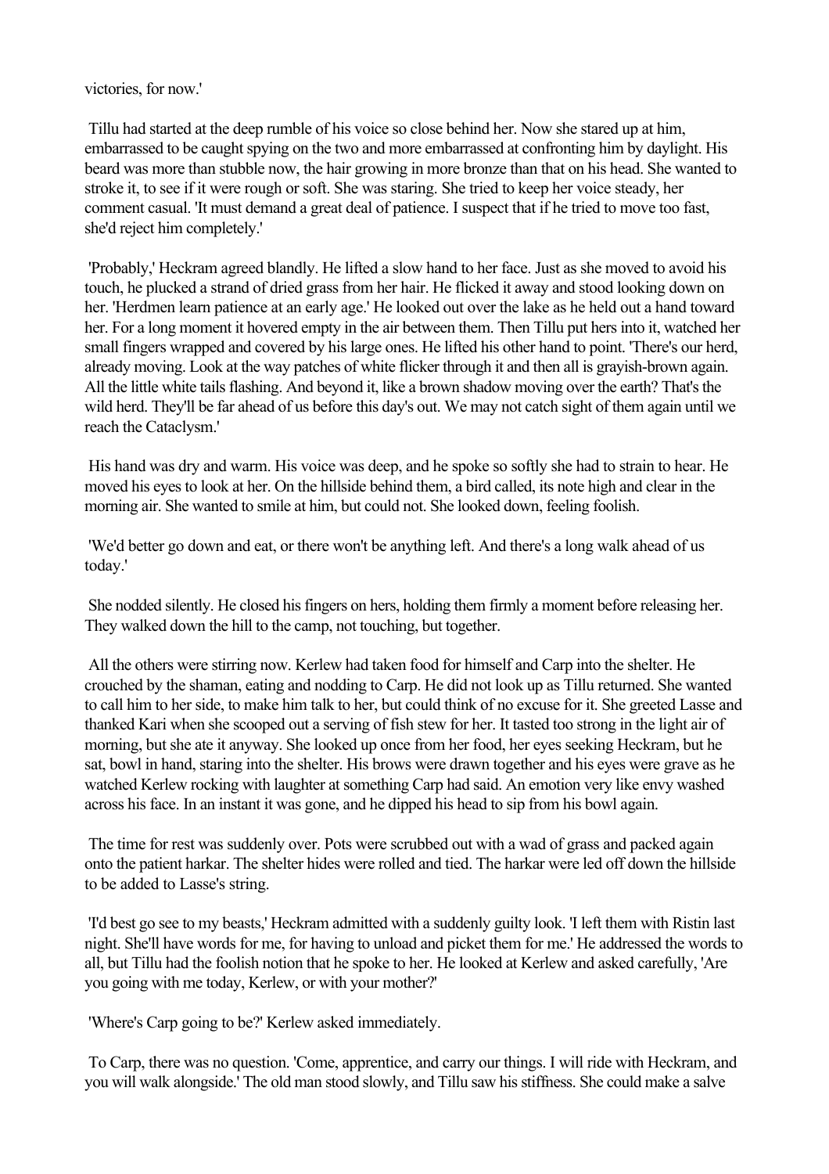victories, for now.'

 Tillu had started at the deep rumble of his voice so close behind her. Now she stared up at him, embarrassed to be caught spying on the two and more embarrassed at confronting him by daylight. His beard was more than stubble now, the hair growing in more bronze than that on his head. She wanted to stroke it, to see if it were rough or soft. She was staring. She tried to keep her voice steady, her comment casual. 'It must demand a great deal of patience. I suspect that if he tried to move too fast, she'd reject him completely.'

 'Probably,' Heckram agreed blandly. He lifted a slow hand to her face. Just as she moved to avoid his touch, he plucked a strand of dried grass from her hair. He flicked it away and stood looking down on her. 'Herdmen learn patience at an early age.' He looked out over the lake as he held out a hand toward her. For a long moment it hovered empty in the air between them. Then Tillu put hers into it, watched her small fingers wrapped and covered by his large ones. He lifted his other hand to point. 'There's our herd, already moving. Look at the way patches of white flicker through it and then all is grayish-brown again. All the little white tails flashing. And beyond it, like a brown shadow moving over the earth? That's the wild herd. They'll be far ahead of us before this day's out. We may not catch sight of them again until we reach the Cataclysm.'

 His hand was dry and warm. His voice was deep, and he spoke so softly she had to strain to hear. He moved his eyes to look at her. On the hillside behind them, a bird called, its note high and clear in the morning air. She wanted to smile at him, but could not. She looked down, feeling foolish.

 'We'd better go down and eat, or there won't be anything left. And there's a long walk ahead of us today.'

 She nodded silently. He closed his fingers on hers, holding them firmly a moment before releasing her. They walked down the hill to the camp, not touching, but together.

 All the others were stirring now. Kerlew had taken food for himself and Carp into the shelter. He crouched by the shaman, eating and nodding to Carp. He did not look up as Tillu returned. She wanted to call him to her side, to make him talk to her, but could think of no excuse for it. She greeted Lasse and thanked Kari when she scooped out a serving of fish stew for her. It tasted too strong in the light air of morning, but she ate it anyway. She looked up once from her food, her eyes seeking Heckram, but he sat, bowl in hand, staring into the shelter. His brows were drawn together and his eyes were grave as he watched Kerlew rocking with laughter at something Carp had said. An emotion very like envy washed across his face. In an instant it was gone, and he dipped his head to sip from his bowl again.

 The time for rest was suddenly over. Pots were scrubbed out with a wad of grass and packed again onto the patient harkar. The shelter hides were rolled and tied. The harkar were led off down the hillside to be added to Lasse's string.

 'I'd best go see to my beasts,' Heckram admitted with a suddenly guilty look. 'I left them with Ristin last night. She'll have words for me, for having to unload and picket them for me.' He addressed the words to all, but Tillu had the foolish notion that he spoke to her. He looked at Kerlew and asked carefully, 'Are you going with me today, Kerlew, or with your mother?'

'Where's Carp going to be?' Kerlew asked immediately.

 To Carp, there was no question. 'Come, apprentice, and carry our things. I will ride with Heckram, and you will walk alongside.' The old man stood slowly, and Tillu saw his stiffness. She could make a salve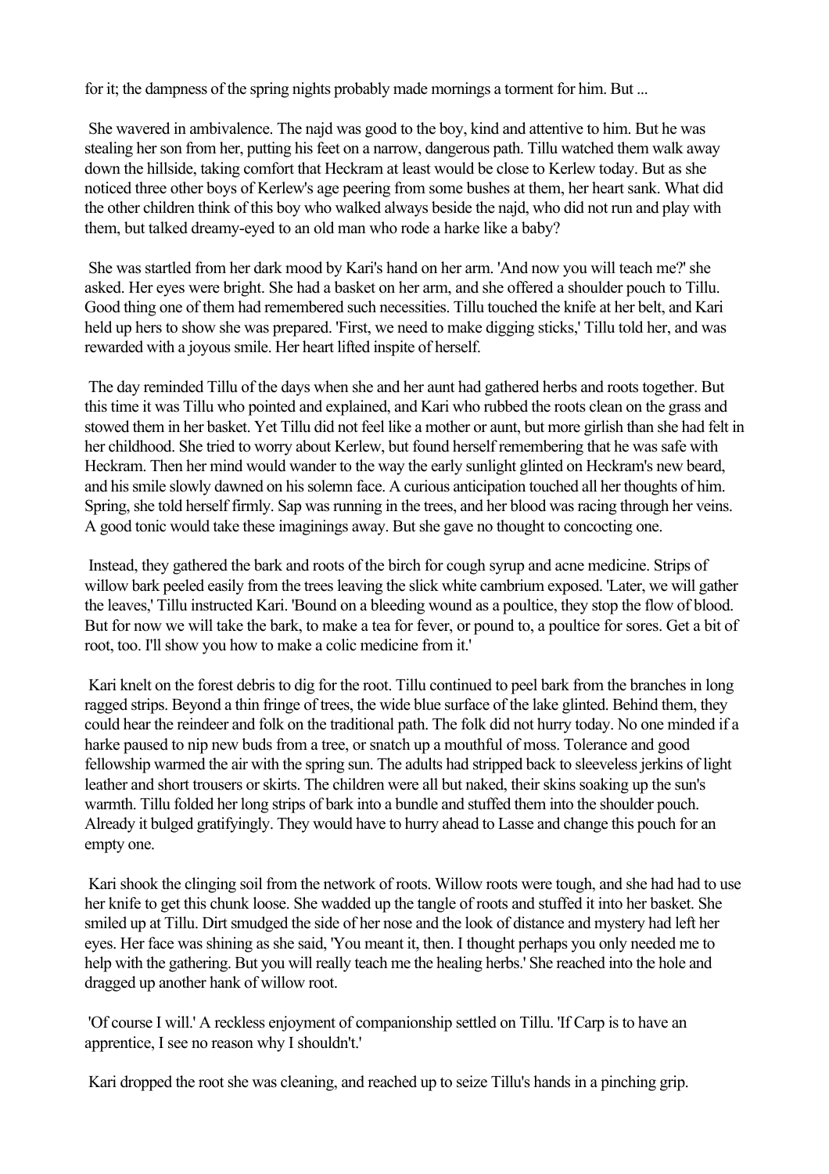for it; the dampness of the spring nights probably made mornings a torment for him. But ...

 She wavered in ambivalence. The najd was good to the boy, kind and attentive to him. But he was stealing her son from her, putting his feet on a narrow, dangerous path. Tillu watched them walk away down the hillside, taking comfort that Heckram at least would be close to Kerlew today. But as she noticed three other boys of Kerlew's age peering from some bushes at them, her heart sank. What did the other children think of this boy who walked always beside the najd, who did not run and play with them, but talked dreamy-eyed to an old man who rode a harke like a baby?

 She was startled from her dark mood by Kari's hand on her arm. 'And now you will teach me?' she asked. Her eyes were bright. She had a basket on her arm, and she offered a shoulder pouch to Tillu. Good thing one of them had remembered such necessities. Tillu touched the knife at her belt, and Kari held up hers to show she was prepared. 'First, we need to make digging sticks,' Tillu told her, and was rewarded with a joyous smile. Her heart lifted inspite of herself.

 The day reminded Tillu of the days when she and her aunt had gathered herbs and roots together. But this time it was Tillu who pointed and explained, and Kari who rubbed the roots clean on the grass and stowed them in her basket. Yet Tillu did not feel like a mother or aunt, but more girlish than she had felt in her childhood. She tried to worry about Kerlew, but found herself remembering that he was safe with Heckram. Then her mind would wander to the way the early sunlight glinted on Heckram's new beard, and his smile slowly dawned on his solemn face. A curious anticipation touched all her thoughts of him. Spring, she told herself firmly. Sap was running in the trees, and her blood was racing through her veins. A good tonic would take these imaginings away. But she gave no thought to concocting one.

 Instead, they gathered the bark and roots of the birch for cough syrup and acne medicine. Strips of willow bark peeled easily from the trees leaving the slick white cambrium exposed. 'Later, we will gather the leaves,' Tillu instructed Kari. 'Bound on a bleeding wound as a poultice, they stop the flow of blood. But for now we will take the bark, to make a tea for fever, or pound to, a poultice for sores. Get a bit of root, too. I'll show you how to make a colic medicine from it.'

 Kari knelt on the forest debris to dig for the root. Tillu continued to peel bark from the branches in long ragged strips. Beyond a thin fringe of trees, the wide blue surface of the lake glinted. Behind them, they could hear the reindeer and folk on the traditional path. The folk did not hurry today. No one minded if a harke paused to nip new buds from a tree, or snatch up a mouthful of moss. Tolerance and good fellowship warmed the air with the spring sun. The adults had stripped back to sleeveless jerkins of light leather and short trousers or skirts. The children were all but naked, their skins soaking up the sun's warmth. Tillu folded her long strips of bark into a bundle and stuffed them into the shoulder pouch. Already it bulged gratifyingly. They would have to hurry ahead to Lasse and change this pouch for an empty one.

 Kari shook the clinging soil from the network of roots. Willow roots were tough, and she had had to use her knife to get this chunk loose. She wadded up the tangle of roots and stuffed it into her basket. She smiled up at Tillu. Dirt smudged the side of her nose and the look of distance and mystery had left her eyes. Her face was shining as she said, 'You meant it, then. I thought perhaps you only needed me to help with the gathering. But you will really teach me the healing herbs.' She reached into the hole and dragged up another hank of willow root.

 'Of course I will.' A reckless enjoyment of companionship settled on Tillu. 'If Carp is to have an apprentice, I see no reason why I shouldn't.'

Kari dropped the root she was cleaning, and reached up to seize Tillu's hands in a pinching grip.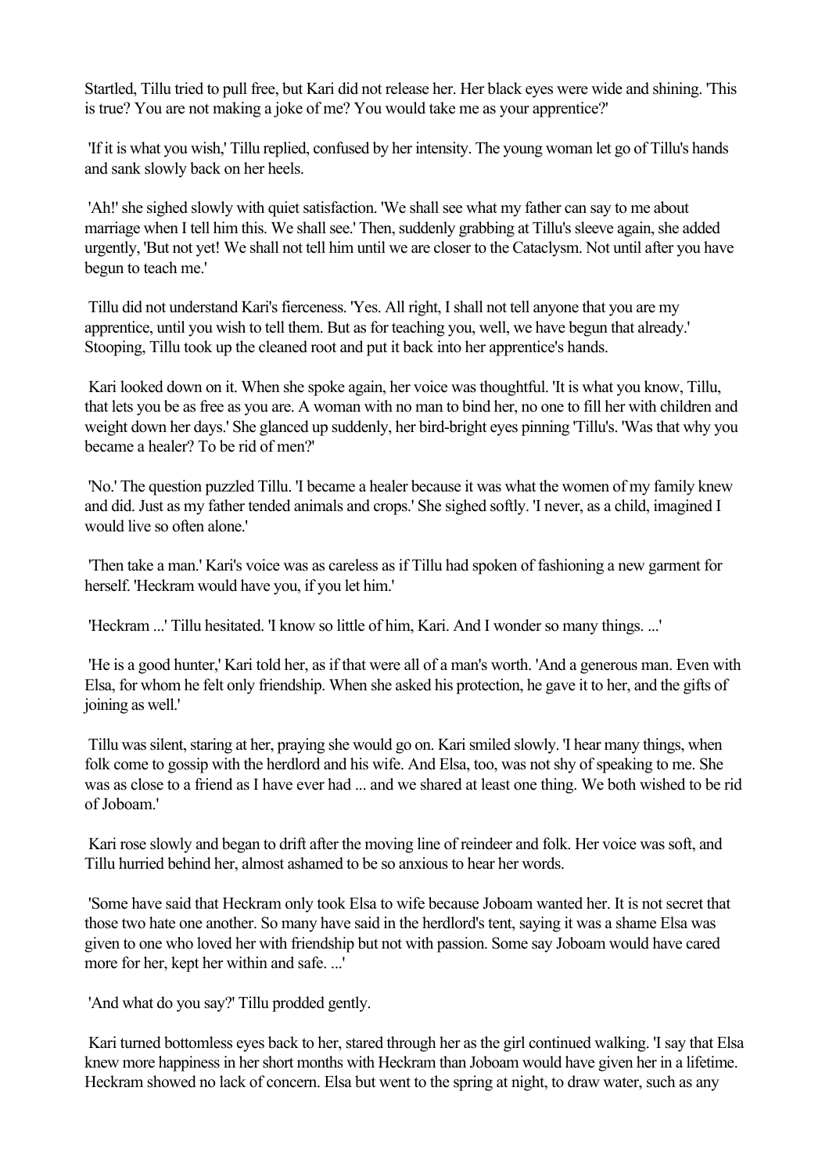Startled, Tillu tried to pull free, but Kari did not release her. Her black eyes were wide and shining. 'This is true? You are not making a joke of me? You would take me as your apprentice?'

 'If it is what you wish,' Tillu replied, confused by her intensity. The young woman let go of Tillu's hands and sank slowly back on her heels.

 'Ah!' she sighed slowly with quiet satisfaction. 'We shall see what my father can say to me about marriage when I tell him this. We shall see.' Then, suddenly grabbing at Tillu's sleeve again, she added urgently, 'But not yet! We shall not tell him until we are closer to the Cataclysm. Not until after you have begun to teach me.'

 Tillu did not understand Kari's fierceness. 'Yes. All right, I shall not tell anyone that you are my apprentice, until you wish to tell them. But as for teaching you, well, we have begun that already.' Stooping, Tillu took up the cleaned root and put it back into her apprentice's hands.

 Kari looked down on it. When she spoke again, her voice was thoughtful. 'It is what you know, Tillu, that lets you be as free as you are. A woman with no man to bind her, no one to fill her with children and weight down her days.' She glanced up suddenly, her bird-bright eyes pinning 'Tillu's. 'Was that why you became a healer? To be rid of men?'

 'No.' The question puzzled Tillu. 'I became a healer because it was what the women of my family knew and did. Just as my father tended animals and crops.' She sighed softly. 'I never, as a child, imagined I would live so often alone.'

 'Then take a man.' Kari's voice was as careless as if Tillu had spoken of fashioning a new garment for herself. 'Heckram would have you, if you let him.'

'Heckram ...' Tillu hesitated. 'I know so little of him, Kari. And I wonder so many things. ...'

 'He is a good hunter,' Kari told her, as if that were all of a man's worth. 'And a generous man. Even with Elsa, for whom he felt only friendship. When she asked his protection, he gave it to her, and the gifts of joining as well.'

 Tillu was silent, staring at her, praying she would go on. Kari smiled slowly. 'I hear many things, when folk come to gossip with the herdlord and his wife. And Elsa, too, was not shy of speaking to me. She was as close to a friend as I have ever had ... and we shared at least one thing. We both wished to be rid of Joboam.'

 Kari rose slowly and began to drift after the moving line of reindeer and folk. Her voice was soft, and Tillu hurried behind her, almost ashamed to be so anxious to hear her words.

 'Some have said that Heckram only took Elsa to wife because Joboam wanted her. It is not secret that those two hate one another. So many have said in the herdlord's tent, saying it was a shame Elsa was given to one who loved her with friendship but not with passion. Some say Joboam would have cared more for her, kept her within and safe. ...'

'And what do you say?' Tillu prodded gently.

 Kari turned bottomless eyes back to her, stared through her as the girl continued walking. 'I say that Elsa knew more happiness in her short months with Heckram than Joboam would have given her in a lifetime. Heckram showed no lack of concern. Elsa but went to the spring at night, to draw water, such as any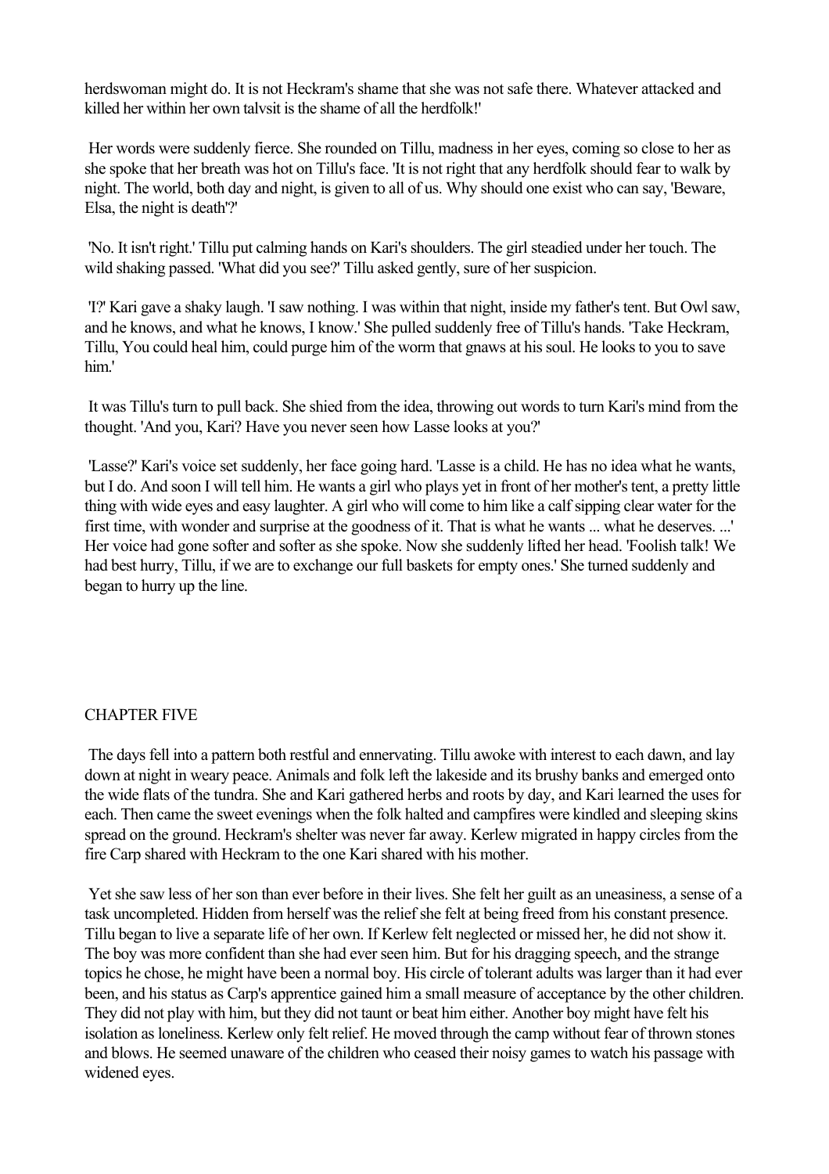herdswoman might do. It is not Heckram's shame that she was not safe there. Whatever attacked and killed her within her own talvsit is the shame of all the herdfolk!'

 Her words were suddenly fierce. She rounded on Tillu, madness in her eyes, coming so close to her as she spoke that her breath was hot on Tillu's face. 'It is not right that any herdfolk should fear to walk by night. The world, both day and night, is given to all of us. Why should one exist who can say, 'Beware, Elsa, the night is death'?'

 'No. It isn't right.' Tillu put calming hands on Kari's shoulders. The girl steadied under her touch. The wild shaking passed. 'What did you see?' Tillu asked gently, sure of her suspicion.

 'I?' Kari gave a shaky laugh. 'I saw nothing. I was within that night, inside my father's tent. But Owl saw, and he knows, and what he knows, I know.' She pulled suddenly free of Tillu's hands. 'Take Heckram, Tillu, You could heal him, could purge him of the worm that gnaws at his soul. He looks to you to save him.'

 It was Tillu's turn to pull back. She shied from the idea, throwing out words to turn Kari's mind from the thought. 'And you, Kari? Have you never seen how Lasse looks at you?'

 'Lasse?' Kari's voice set suddenly, her face going hard. 'Lasse is a child. He has no idea what he wants, but I do. And soon I will tell him. He wants a girl who plays yet in front of her mother's tent, a pretty little thing with wide eyes and easy laughter. A girl who will come to him like a calf sipping clear water for the first time, with wonder and surprise at the goodness of it. That is what he wants ... what he deserves. ...' Her voice had gone softer and softer as she spoke. Now she suddenly lifted her head. 'Foolish talk! We had best hurry, Tillu, if we are to exchange our full baskets for empty ones.' She turned suddenly and began to hurry up the line.

#### CHAPTER FIVE

 The days fell into a pattern both restful and ennervating. Tillu awoke with interest to each dawn, and lay down at night in weary peace. Animals and folk left the lakeside and its brushy banks and emerged onto the wide flats of the tundra. She and Kari gathered herbs and roots by day, and Kari learned the uses for each. Then came the sweet evenings when the folk halted and campfires were kindled and sleeping skins spread on the ground. Heckram's shelter was never far away. Kerlew migrated in happy circles from the fire Carp shared with Heckram to the one Kari shared with his mother.

 Yet she saw less of her son than ever before in their lives. She felt her guilt as an uneasiness, a sense of a task uncompleted. Hidden from herself was the relief she felt at being freed from his constant presence. Tillu began to live a separate life of her own. If Kerlew felt neglected or missed her, he did not show it. The boy was more confident than she had ever seen him. But for his dragging speech, and the strange topics he chose, he might have been a normal boy. His circle of tolerant adults was larger than it had ever been, and his status as Carp's apprentice gained him a small measure of acceptance by the other children. They did not play with him, but they did not taunt or beat him either. Another boy might have felt his isolation as loneliness. Kerlew only felt relief. He moved through the camp without fear of thrown stones and blows. He seemed unaware of the children who ceased their noisy games to watch his passage with widened eyes.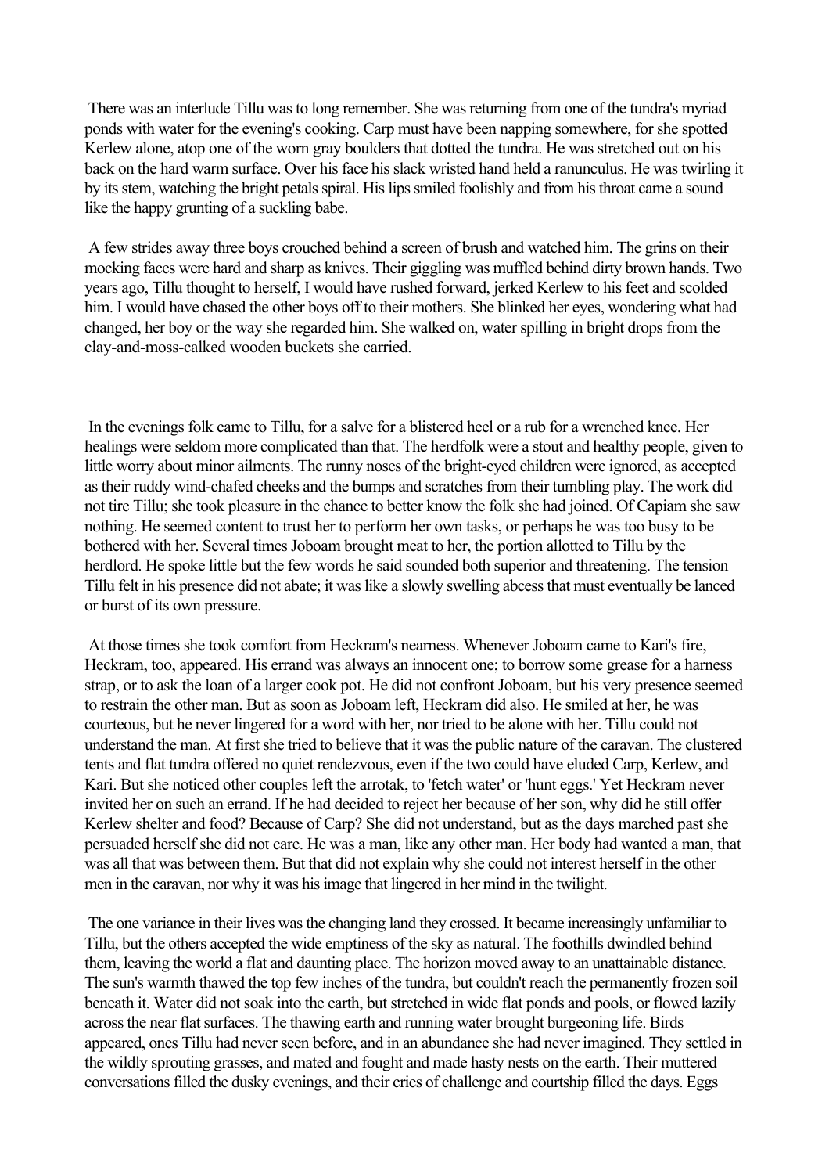There was an interlude Tillu was to long remember. She was returning from one of the tundra's myriad ponds with water for the evening's cooking. Carp must have been napping somewhere, for she spotted Kerlew alone, atop one of the worn gray boulders that dotted the tundra. He was stretched out on his back on the hard warm surface. Over his face his slack wristed hand held a ranunculus. He was twirling it by its stem, watching the bright petals spiral. His lips smiled foolishly and from his throat came a sound like the happy grunting of a suckling babe.

 A few strides away three boys crouched behind a screen of brush and watched him. The grins on their mocking faces were hard and sharp as knives. Their giggling was muffled behind dirty brown hands. Two years ago, Tillu thought to herself, I would have rushed forward, jerked Kerlew to his feet and scolded him. I would have chased the other boys off to their mothers. She blinked her eyes, wondering what had changed, her boy or the way she regarded him. She walked on, water spilling in bright drops from the clay-and-moss-calked wooden buckets she carried.

 In the evenings folk came to Tillu, for a salve for a blistered heel or a rub for a wrenched knee. Her healings were seldom more complicated than that. The herdfolk were a stout and healthy people, given to little worry about minor ailments. The runny noses of the bright-eyed children were ignored, as accepted as their ruddy wind-chafed cheeks and the bumps and scratches from their tumbling play. The work did not tire Tillu; she took pleasure in the chance to better know the folk she had joined. Of Capiam she saw nothing. He seemed content to trust her to perform her own tasks, or perhaps he was too busy to be bothered with her. Several times Joboam brought meat to her, the portion allotted to Tillu by the herdlord. He spoke little but the few words he said sounded both superior and threatening. The tension Tillu felt in his presence did not abate; it was like a slowly swelling abcess that must eventually be lanced or burst of its own pressure.

 At those times she took comfort from Heckram's nearness. Whenever Joboam came to Kari's fire, Heckram, too, appeared. His errand was always an innocent one; to borrow some grease for a harness strap, or to ask the loan of a larger cook pot. He did not confront Joboam, but his very presence seemed to restrain the other man. But as soon as Joboam left, Heckram did also. He smiled at her, he was courteous, but he never lingered for a word with her, nor tried to be alone with her. Tillu could not understand the man. At first she tried to believe that it was the public nature of the caravan. The clustered tents and flat tundra offered no quiet rendezvous, even if the two could have eluded Carp, Kerlew, and Kari. But she noticed other couples left the arrotak, to 'fetch water' or 'hunt eggs.' Yet Heckram never invited her on such an errand. If he had decided to reject her because of her son, why did he still offer Kerlew shelter and food? Because of Carp? She did not understand, but as the days marched past she persuaded herself she did not care. He was a man, like any other man. Her body had wanted a man, that was all that was between them. But that did not explain why she could not interest herself in the other men in the caravan, nor why it was his image that lingered in her mind in the twilight.

 The one variance in their lives was the changing land they crossed. It became increasingly unfamiliar to Tillu, but the others accepted the wide emptiness of the sky as natural. The foothills dwindled behind them, leaving the world a flat and daunting place. The horizon moved away to an unattainable distance. The sun's warmth thawed the top few inches of the tundra, but couldn't reach the permanently frozen soil beneath it. Water did not soak into the earth, but stretched in wide flat ponds and pools, or flowed lazily across the near flat surfaces. The thawing earth and running water brought burgeoning life. Birds appeared, ones Tillu had never seen before, and in an abundance she had never imagined. They settled in the wildly sprouting grasses, and mated and fought and made hasty nests on the earth. Their muttered conversations filled the dusky evenings, and their cries of challenge and courtship filled the days. Eggs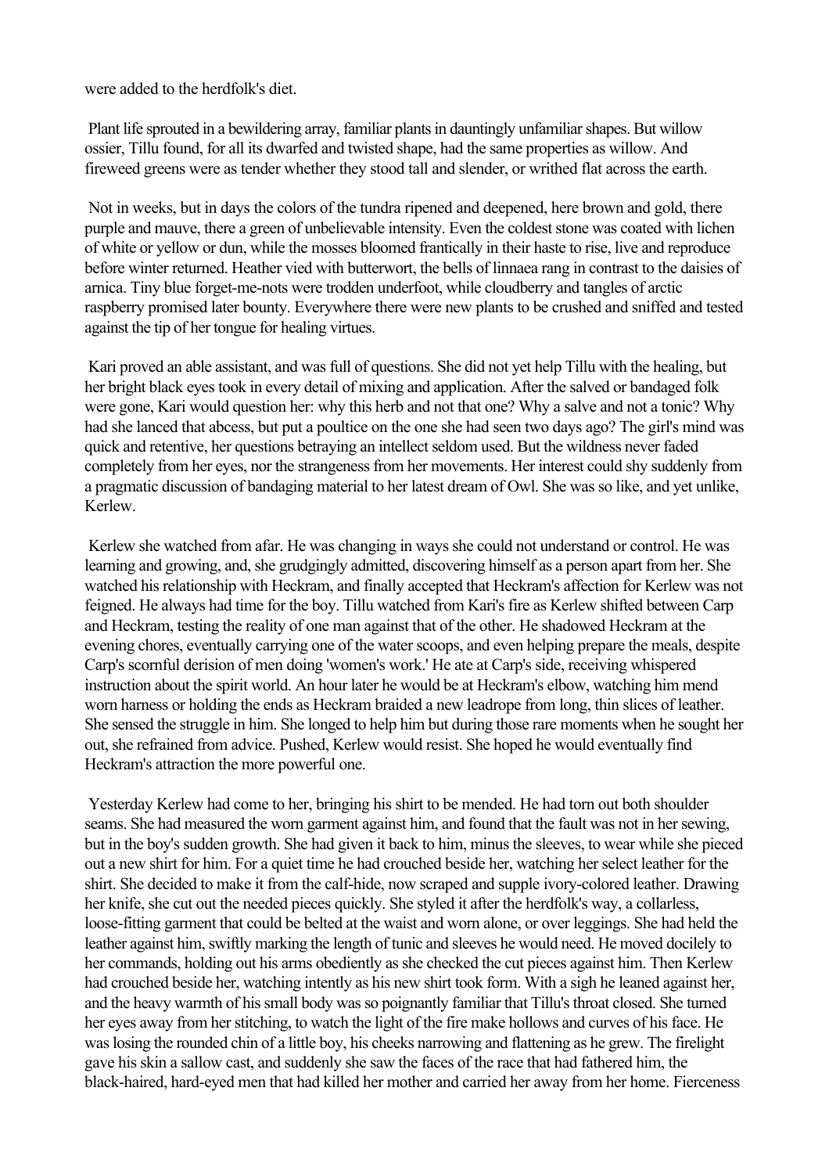were added to the herdfolk's diet.

 Plant life sprouted in a bewildering array, familiar plants in dauntingly unfamiliar shapes. But willow ossier, Tillu found, for all its dwarfed and twisted shape, had the same properties as willow. And fireweed greens were as tender whether they stood tall and slender, or writhed flat across the earth.

 Not in weeks, but in days the colors of the tundra ripened and deepened, here brown and gold, there purple and mauve, there a green of unbelievable intensity. Even the coldest stone was coated with lichen of white or yellow or dun, while the mosses bloomed frantically in their haste to rise, live and reproduce before winter returned. Heather vied with butterwort, the bells of linnaea rang in contrast to the daisies of arnica. Tiny blue forget-me-nots were trodden underfoot, while cloudberry and tangles of arctic raspberry promised later bounty. Everywhere there were new plants to be crushed and sniffed and tested against the tip of her tongue for healing virtues.

 Kari proved an able assistant, and was full of questions. She did not yet help Tillu with the healing, but her bright black eyes took in every detail of mixing and application. After the salved or bandaged folk were gone, Kari would question her: why this herb and not that one? Why a salve and not a tonic? Why had she lanced that abcess, but put a poultice on the one she had seen two days ago? The girl's mind was quick and retentive, her questions betraying an intellect seldom used. But the wildness never faded completely from her eyes, nor the strangeness from her movements. Her interest could shy suddenly from a pragmatic discussion of bandaging material to her latest dream of Owl. She was so like, and yet unlike, Kerlew.

 Kerlew she watched from afar. He was changing in ways she could not understand or control. He was learning and growing, and, she grudgingly admitted, discovering himself as a person apart from her. She watched his relationship with Heckram, and finally accepted that Heckram's affection for Kerlew was not feigned. He always had time for the boy. Tillu watched from Kari's fire as Kerlew shifted between Carp and Heckram, testing the reality of one man against that of the other. He shadowed Heckram at the evening chores, eventually carrying one of the water scoops, and even helping prepare the meals, despite Carp's scornful derision of men doing 'women's work.' He ate at Carp's side, receiving whispered instruction about the spirit world. An hour later he would be at Heckram's elbow, watching him mend worn harness or holding the ends as Heckram braided a new leadrope from long, thin slices of leather. She sensed the struggle in him. She longed to help him but during those rare moments when he sought her out, she refrained from advice. Pushed, Kerlew would resist. She hoped he would eventually find Heckram's attraction the more powerful one.

 Yesterday Kerlew had come to her, bringing his shirt to be mended. He had torn out both shoulder seams. She had measured the worn garment against him, and found that the fault was not in her sewing, but in the boy's sudden growth. She had given it back to him, minus the sleeves, to wear while she pieced out a new shirt for him. For a quiet time he had crouched beside her, watching her select leather for the shirt. She decided to make it from the calf-hide, now scraped and supple ivory-colored leather. Drawing her knife, she cut out the needed pieces quickly. She styled it after the herdfolk's way, a collarless, loose-fitting garment that could be belted at the waist and worn alone, or over leggings. She had held the leather against him, swiftly marking the length of tunic and sleeves he would need. He moved docilely to her commands, holding out his arms obediently as she checked the cut pieces against him. Then Kerlew had crouched beside her, watching intently as his new shirt took form. With a sigh he leaned against her, and the heavy warmth of his small body was so poignantly familiar that Tillu's throat closed. She turned her eyes away from her stitching, to watch the light of the fire make hollows and curves of his face. He was losing the rounded chin of a little boy, his cheeks narrowing and flattening as he grew. The firelight gave his skin a sallow cast, and suddenly she saw the faces of the race that had fathered him, the black-haired, hard-eyed men that had killed her mother and carried her away from her home. Fierceness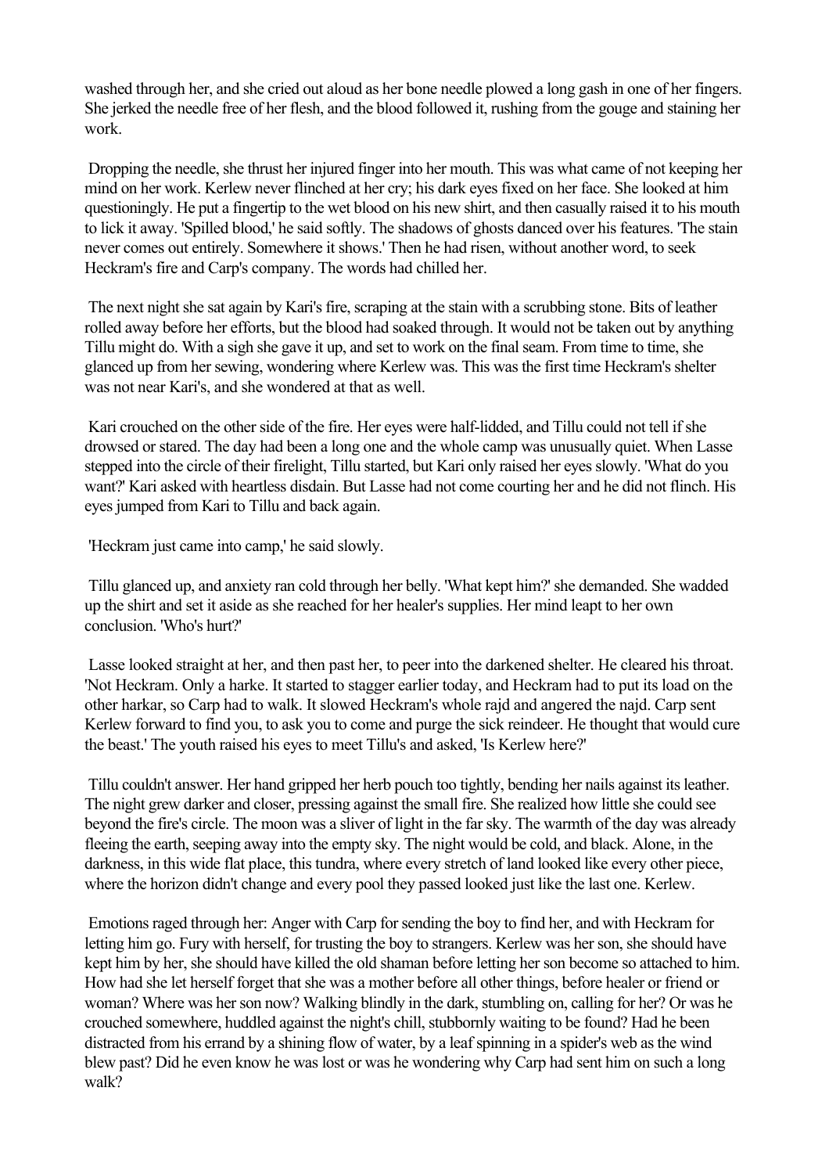washed through her, and she cried out aloud as her bone needle plowed a long gash in one of her fingers. She jerked the needle free of her flesh, and the blood followed it, rushing from the gouge and staining her work.

 Dropping the needle, she thrust her injured finger into her mouth. This was what came of not keeping her mind on her work. Kerlew never flinched at her cry; his dark eyes fixed on her face. She looked at him questioningly. He put a fingertip to the wet blood on his new shirt, and then casually raised it to his mouth to lick it away. 'Spilled blood,' he said softly. The shadows of ghosts danced over his features. 'The stain never comes out entirely. Somewhere it shows.' Then he had risen, without another word, to seek Heckram's fire and Carp's company. The words had chilled her.

 The next night she sat again by Kari's fire, scraping at the stain with a scrubbing stone. Bits of leather rolled away before her efforts, but the blood had soaked through. It would not be taken out by anything Tillu might do. With a sigh she gave it up, and set to work on the final seam. From time to time, she glanced up from her sewing, wondering where Kerlew was. This was the first time Heckram's shelter was not near Kari's, and she wondered at that as well.

 Kari crouched on the other side of the fire. Her eyes were half-lidded, and Tillu could not tell if she drowsed or stared. The day had been a long one and the whole camp was unusually quiet. When Lasse stepped into the circle of their firelight, Tillu started, but Kari only raised her eyes slowly. 'What do you want?' Kari asked with heartless disdain. But Lasse had not come courting her and he did not flinch. His eyes jumped from Kari to Tillu and back again.

'Heckram just came into camp,' he said slowly.

 Tillu glanced up, and anxiety ran cold through her belly. 'What kept him?' she demanded. She wadded up the shirt and set it aside as she reached for her healer's supplies. Her mind leapt to her own conclusion. 'Who's hurt?'

 Lasse looked straight at her, and then past her, to peer into the darkened shelter. He cleared his throat. 'Not Heckram. Only a harke. It started to stagger earlier today, and Heckram had to put its load on the other harkar, so Carp had to walk. It slowed Heckram's whole rajd and angered the najd. Carp sent Kerlew forward to find you, to ask you to come and purge the sick reindeer. He thought that would cure the beast.' The youth raised his eyes to meet Tillu's and asked, 'Is Kerlew here?'

 Tillu couldn't answer. Her hand gripped her herb pouch too tightly, bending her nails against its leather. The night grew darker and closer, pressing against the small fire. She realized how little she could see beyond the fire's circle. The moon was a sliver of light in the far sky. The warmth of the day was already fleeing the earth, seeping away into the empty sky. The night would be cold, and black. Alone, in the darkness, in this wide flat place, this tundra, where every stretch of land looked like every other piece, where the horizon didn't change and every pool they passed looked just like the last one. Kerlew.

 Emotions raged through her: Anger with Carp for sending the boy to find her, and with Heckram for letting him go. Fury with herself, for trusting the boy to strangers. Kerlew was her son, she should have kept him by her, she should have killed the old shaman before letting her son become so attached to him. How had she let herself forget that she was a mother before all other things, before healer or friend or woman? Where was her son now? Walking blindly in the dark, stumbling on, calling for her? Or was he crouched somewhere, huddled against the night's chill, stubbornly waiting to be found? Had he been distracted from his errand by a shining flow of water, by a leaf spinning in a spider's web as the wind blew past? Did he even know he was lost or was he wondering why Carp had sent him on such a long walk?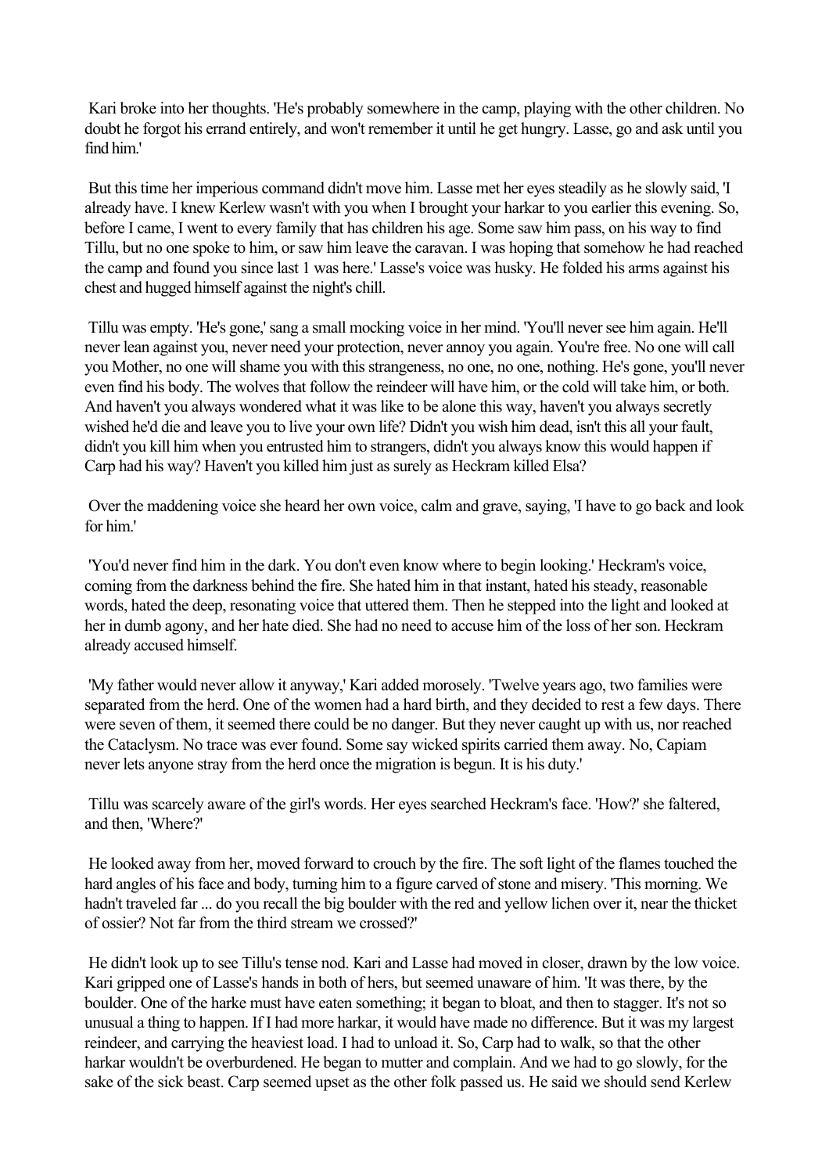Kari broke into her thoughts. 'He's probably somewhere in the camp, playing with the other children. No doubt he forgot his errand entirely, and won't remember it until he get hungry. Lasse, go and ask until you find him.'

 But this time her imperious command didn't move him. Lasse met her eyes steadily as he slowly said, 'I already have. I knew Kerlew wasn't with you when I brought your harkar to you earlier this evening. So, before I came, I went to every family that has children his age. Some saw him pass, on his way to find Tillu, but no one spoke to him, or saw him leave the caravan. I was hoping that somehow he had reached the camp and found you since last 1 was here.' Lasse's voice was husky. He folded his arms against his chest and hugged himself against the night's chill.

 Tillu was empty. 'He's gone,' sang a small mocking voice in her mind. 'You'll never see him again. He'll never lean against you, never need your protection, never annoy you again. You're free. No one will call you Mother, no one will shame you with this strangeness, no one, no one, nothing. He's gone, you'll never even find his body. The wolves that follow the reindeer will have him, or the cold will take him, or both. And haven't you always wondered what it was like to be alone this way, haven't you always secretly wished he'd die and leave you to live your own life? Didn't you wish him dead, isn't this all your fault, didn't you kill him when you entrusted him to strangers, didn't you always know this would happen if Carp had his way? Haven't you killed him just as surely as Heckram killed Elsa?

 Over the maddening voice she heard her own voice, calm and grave, saying, 'I have to go back and look for him!

 'You'd never find him in the dark. You don't even know where to begin looking.' Heckram's voice, coming from the darkness behind the fire. She hated him in that instant, hated his steady, reasonable words, hated the deep, resonating voice that uttered them. Then he stepped into the light and looked at her in dumb agony, and her hate died. She had no need to accuse him of the loss of her son. Heckram already accused himself.

 'My father would never allow it anyway,' Kari added morosely. 'Twelve years ago, two families were separated from the herd. One of the women had a hard birth, and they decided to rest a few days. There were seven of them, it seemed there could be no danger. But they never caught up with us, nor reached the Cataclysm. No trace was ever found. Some say wicked spirits carried them away. No, Capiam never lets anyone stray from the herd once the migration is begun. It is his duty.'

 Tillu was scarcely aware of the girl's words. Her eyes searched Heckram's face. 'How?' she faltered, and then, 'Where?'

 He looked away from her, moved forward to crouch by the fire. The soft light of the flames touched the hard angles of his face and body, turning him to a figure carved of stone and misery. 'This morning. We hadn't traveled far ... do you recall the big boulder with the red and yellow lichen over it, near the thicket of ossier? Not far from the third stream we crossed?'

 He didn't look up to see Tillu's tense nod. Kari and Lasse had moved in closer, drawn by the low voice. Kari gripped one of Lasse's hands in both of hers, but seemed unaware of him. 'It was there, by the boulder. One of the harke must have eaten something; it began to bloat, and then to stagger. It's not so unusual a thing to happen. If I had more harkar, it would have made no difference. But it was my largest reindeer, and carrying the heaviest load. I had to unload it. So, Carp had to walk, so that the other harkar wouldn't be overburdened. He began to mutter and complain. And we had to go slowly, for the sake of the sick beast. Carp seemed upset as the other folk passed us. He said we should send Kerlew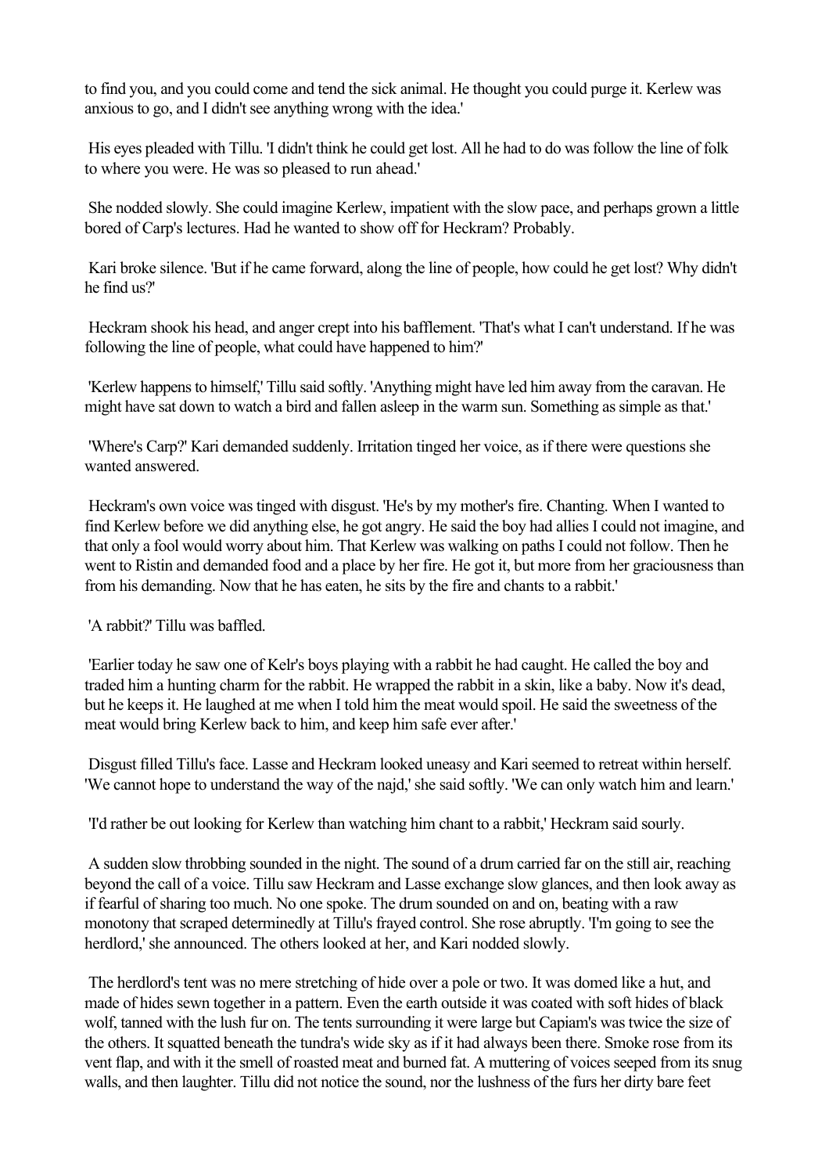to find you, and you could come and tend the sick animal. He thought you could purge it. Kerlew was anxious to go, and I didn't see anything wrong with the idea.'

 His eyes pleaded with Tillu. 'I didn't think he could get lost. All he had to do was follow the line of folk to where you were. He was so pleased to run ahead.'

 She nodded slowly. She could imagine Kerlew, impatient with the slow pace, and perhaps grown a little bored of Carp's lectures. Had he wanted to show off for Heckram? Probably.

 Kari broke silence. 'But if he came forward, along the line of people, how could he get lost? Why didn't he find us?'

 Heckram shook his head, and anger crept into his bafflement. 'That's what I can't understand. If he was following the line of people, what could have happened to him?'

 'Kerlew happens to himself,' Tillu said softly. 'Anything might have led him away from the caravan. He might have sat down to watch a bird and fallen asleep in the warm sun. Something as simple as that.'

 'Where's Carp?' Kari demanded suddenly. Irritation tinged her voice, as if there were questions she wanted answered.

 Heckram's own voice was tinged with disgust. 'He's by my mother's fire. Chanting. When I wanted to find Kerlew before we did anything else, he got angry. He said the boy had allies I could not imagine, and that only a fool would worry about him. That Kerlew was walking on paths I could not follow. Then he went to Ristin and demanded food and a place by her fire. He got it, but more from her graciousness than from his demanding. Now that he has eaten, he sits by the fire and chants to a rabbit.'

'A rabbit?' Tillu was baffled.

 'Earlier today he saw one of Kelr's boys playing with a rabbit he had caught. He called the boy and traded him a hunting charm for the rabbit. He wrapped the rabbit in a skin, like a baby. Now it's dead, but he keeps it. He laughed at me when I told him the meat would spoil. He said the sweetness of the meat would bring Kerlew back to him, and keep him safe ever after.'

 Disgust filled Tillu's face. Lasse and Heckram looked uneasy and Kari seemed to retreat within herself. 'We cannot hope to understand the way of the najd,' she said softly. 'We can only watch him and learn.'

'I'd rather be out looking for Kerlew than watching him chant to a rabbit,' Heckram said sourly.

 A sudden slow throbbing sounded in the night. The sound of a drum carried far on the still air, reaching beyond the call of a voice. Tillu saw Heckram and Lasse exchange slow glances, and then look away as if fearful of sharing too much. No one spoke. The drum sounded on and on, beating with a raw monotony that scraped determinedly at Tillu's frayed control. She rose abruptly. 'I'm going to see the herdlord,' she announced. The others looked at her, and Kari nodded slowly.

 The herdlord's tent was no mere stretching of hide over a pole or two. It was domed like a hut, and made of hides sewn together in a pattern. Even the earth outside it was coated with soft hides of black wolf, tanned with the lush fur on. The tents surrounding it were large but Capiam's was twice the size of the others. It squatted beneath the tundra's wide sky as if it had always been there. Smoke rose from its vent flap, and with it the smell of roasted meat and burned fat. A muttering of voices seeped from its snug walls, and then laughter. Tillu did not notice the sound, nor the lushness of the furs her dirty bare feet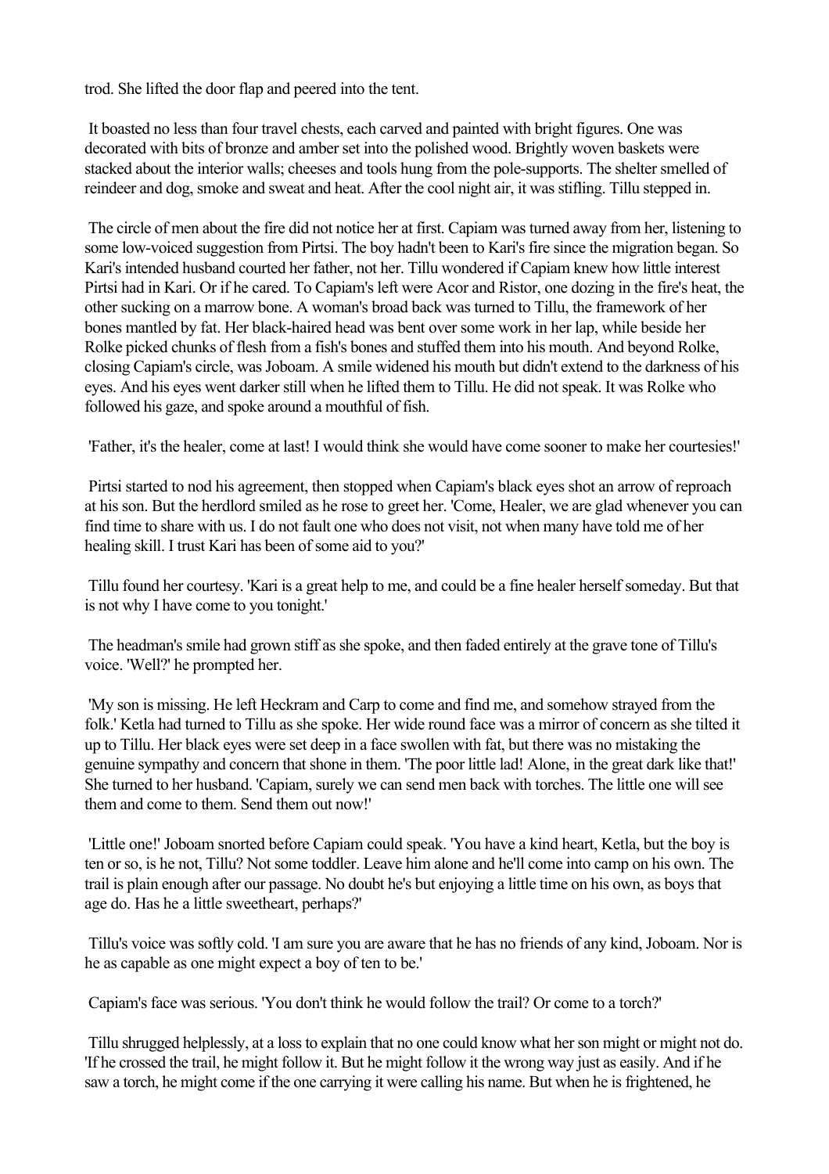trod. She lifted the door flap and peered into the tent.

 It boasted no less than four travel chests, each carved and painted with bright figures. One was decorated with bits of bronze and amber set into the polished wood. Brightly woven baskets were stacked about the interior walls; cheeses and tools hung from the pole-supports. The shelter smelled of reindeer and dog, smoke and sweat and heat. After the cool night air, it was stifling. Tillu stepped in.

 The circle of men about the fire did not notice her at first. Capiam was turned away from her, listening to some low-voiced suggestion from Pirtsi. The boy hadn't been to Kari's fire since the migration began. So Kari's intended husband courted her father, not her. Tillu wondered if Capiam knew how little interest Pirtsi had in Kari. Or if he cared. To Capiam's left were Acor and Ristor, one dozing in the fire's heat, the other sucking on a marrow bone. A woman's broad back was turned to Tillu, the framework of her bones mantled by fat. Her black-haired head was bent over some work in her lap, while beside her Rolke picked chunks of flesh from a fish's bones and stuffed them into his mouth. And beyond Rolke, closing Capiam's circle, was Joboam. A smile widened his mouth but didn't extend to the darkness of his eyes. And his eyes went darker still when he lifted them to Tillu. He did not speak. It was Rolke who followed his gaze, and spoke around a mouthful of fish.

'Father, it's the healer, come at last! I would think she would have come sooner to make her courtesies!'

 Pirtsi started to nod his agreement, then stopped when Capiam's black eyes shot an arrow of reproach at his son. But the herdlord smiled as he rose to greet her. 'Come, Healer, we are glad whenever you can find time to share with us. I do not fault one who does not visit, not when many have told me of her healing skill. I trust Kari has been of some aid to you?'

 Tillu found her courtesy. 'Kari is a great help to me, and could be a fine healer herself someday. But that is not why I have come to you tonight.'

 The headman's smile had grown stiff as she spoke, and then faded entirely at the grave tone of Tillu's voice. 'Well?' he prompted her.

 'My son is missing. He left Heckram and Carp to come and find me, and somehow strayed from the folk.' Ketla had turned to Tillu as she spoke. Her wide round face was a mirror of concern as she tilted it up to Tillu. Her black eyes were set deep in a face swollen with fat, but there was no mistaking the genuine sympathy and concern that shone in them. 'The poor little lad! Alone, in the great dark like that!' She turned to her husband. 'Capiam, surely we can send men back with torches. The little one will see them and come to them. Send them out now!'

 'Little one!' Joboam snorted before Capiam could speak. 'You have a kind heart, Ketla, but the boy is ten or so, is he not, Tillu? Not some toddler. Leave him alone and he'll come into camp on his own. The trail is plain enough after our passage. No doubt he's but enjoying a little time on his own, as boys that age do. Has he a little sweetheart, perhaps?'

 Tillu's voice was softly cold. 'I am sure you are aware that he has no friends of any kind, Joboam. Nor is he as capable as one might expect a boy of ten to be.'

Capiam's face was serious. 'You don't think he would follow the trail? Or come to a torch?'

 Tillu shrugged helplessly, at a loss to explain that no one could know what her son might or might not do. 'If he crossed the trail, he might follow it. But he might follow it the wrong way just as easily. And if he saw a torch, he might come if the one carrying it were calling his name. But when he is frightened, he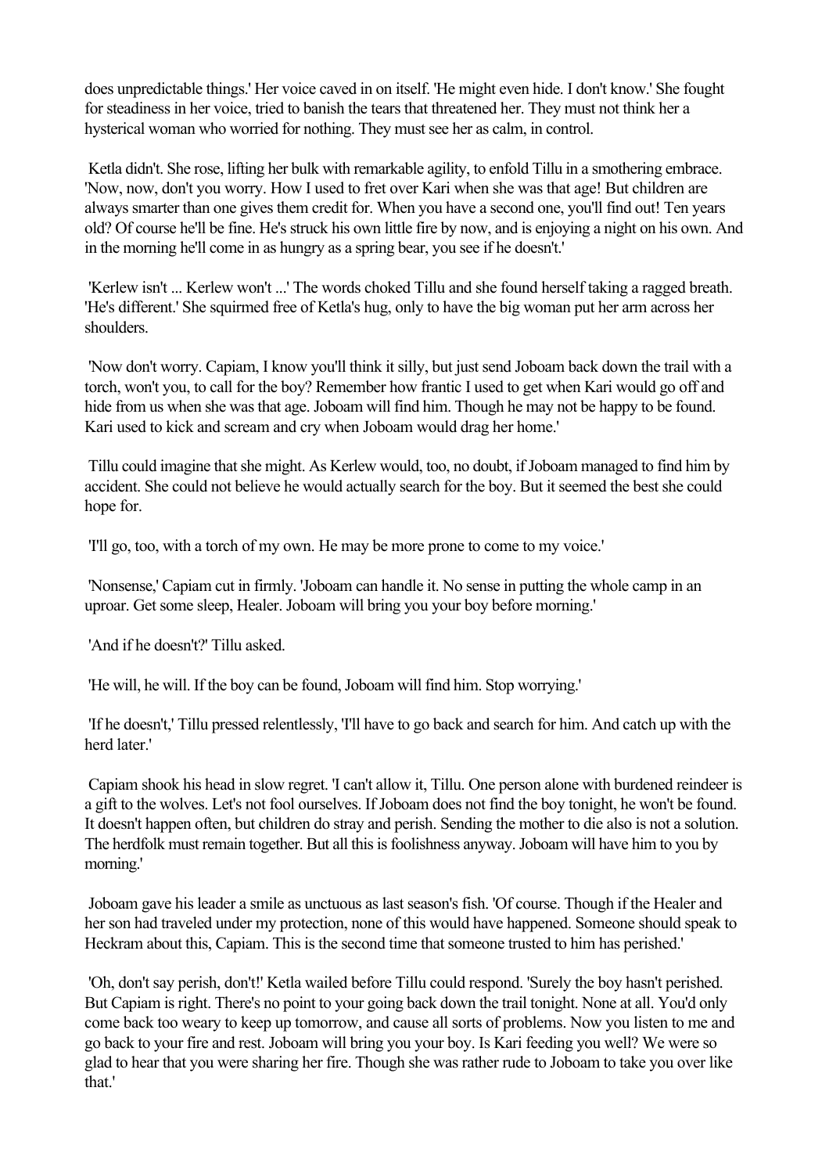does unpredictable things.' Her voice caved in on itself. 'He might even hide. I don't know.' She fought for steadiness in her voice, tried to banish the tears that threatened her. They must not think her a hysterical woman who worried for nothing. They must see her as calm, in control.

 Ketla didn't. She rose, lifting her bulk with remarkable agility, to enfold Tillu in a smothering embrace. 'Now, now, don't you worry. How I used to fret over Kari when she was that age! But children are always smarter than one gives them credit for. When you have a second one, you'll find out! Ten years old? Of course he'll be fine. He's struck his own little fire by now, and is enjoying a night on his own. And in the morning he'll come in as hungry as a spring bear, you see if he doesn't.'

 'Kerlew isn't ... Kerlew won't ...' The words choked Tillu and she found herself taking a ragged breath. 'He's different.' She squirmed free of Ketla's hug, only to have the big woman put her arm across her shoulders.

 'Now don't worry. Capiam, I know you'll think it silly, but just send Joboam back down the trail with a torch, won't you, to call for the boy? Remember how frantic I used to get when Kari would go off and hide from us when she was that age. Joboam will find him. Though he may not be happy to be found. Kari used to kick and scream and cry when Joboam would drag her home.'

 Tillu could imagine that she might. As Kerlew would, too, no doubt, if Joboam managed to find him by accident. She could not believe he would actually search for the boy. But it seemed the best she could hope for.

'I'll go, too, with a torch of my own. He may be more prone to come to my voice.'

 'Nonsense,' Capiam cut in firmly. 'Joboam can handle it. No sense in putting the whole camp in an uproar. Get some sleep, Healer. Joboam will bring you your boy before morning.'

'And if he doesn't?' Tillu asked.

'He will, he will. If the boy can be found, Joboam will find him. Stop worrying.'

 'If he doesn't,' Tillu pressed relentlessly, 'I'll have to go back and search for him. And catch up with the herd later<sup>'</sup>

 Capiam shook his head in slow regret. 'I can't allow it, Tillu. One person alone with burdened reindeer is a gift to the wolves. Let's not fool ourselves. If Joboam does not find the boy tonight, he won't be found. It doesn't happen often, but children do stray and perish. Sending the mother to die also is not a solution. The herdfolk must remain together. But all this is foolishness anyway. Joboam will have him to you by morning.'

 Joboam gave his leader a smile as unctuous as last season's fish. 'Of course. Though if the Healer and her son had traveled under my protection, none of this would have happened. Someone should speak to Heckram about this, Capiam. This is the second time that someone trusted to him has perished.'

 'Oh, don't say perish, don't!' Ketla wailed before Tillu could respond. 'Surely the boy hasn't perished. But Capiam is right. There's no point to your going back down the trail tonight. None at all. You'd only come back too weary to keep up tomorrow, and cause all sorts of problems. Now you listen to me and go back to your fire and rest. Joboam will bring you your boy. Is Kari feeding you well? We were so glad to hear that you were sharing her fire. Though she was rather rude to Joboam to take you over like that.'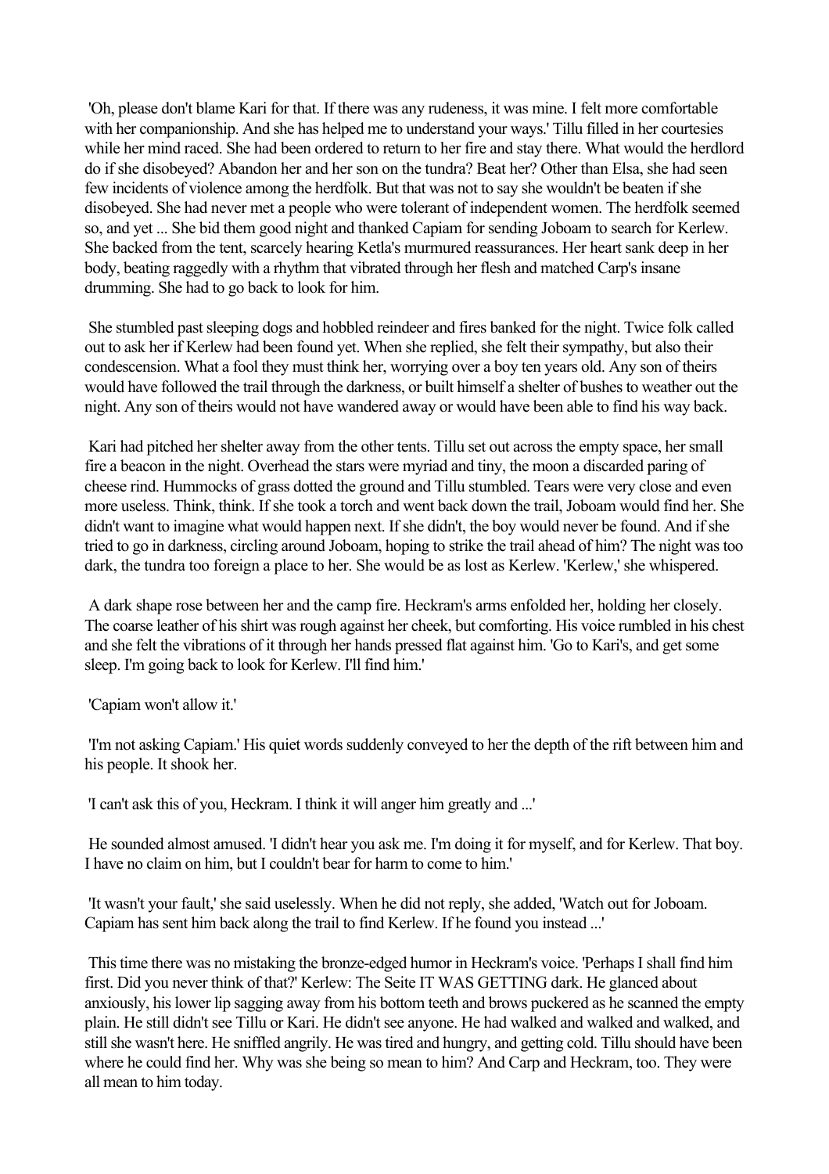'Oh, please don't blame Kari for that. If there was any rudeness, it was mine. I felt more comfortable with her companionship. And she has helped me to understand your ways.' Tillu filled in her courtesies while her mind raced. She had been ordered to return to her fire and stay there. What would the herdlord do if she disobeyed? Abandon her and her son on the tundra? Beat her? Other than Elsa, she had seen few incidents of violence among the herdfolk. But that was not to say she wouldn't be beaten if she disobeyed. She had never met a people who were tolerant of independent women. The herdfolk seemed so, and yet ... She bid them good night and thanked Capiam for sending Joboam to search for Kerlew. She backed from the tent, scarcely hearing Ketla's murmured reassurances. Her heart sank deep in her body, beating raggedly with a rhythm that vibrated through her flesh and matched Carp's insane drumming. She had to go back to look for him.

 She stumbled past sleeping dogs and hobbled reindeer and fires banked for the night. Twice folk called out to ask her if Kerlew had been found yet. When she replied, she felt their sympathy, but also their condescension. What a fool they must think her, worrying over a boy ten years old. Any son of theirs would have followed the trail through the darkness, or built himself a shelter of bushes to weather out the night. Any son of theirs would not have wandered away or would have been able to find his way back.

 Kari had pitched her shelter away from the other tents. Tillu set out across the empty space, her small fire a beacon in the night. Overhead the stars were myriad and tiny, the moon a discarded paring of cheese rind. Hummocks of grass dotted the ground and Tillu stumbled. Tears were very close and even more useless. Think, think. If she took a torch and went back down the trail, Joboam would find her. She didn't want to imagine what would happen next. If she didn't, the boy would never be found. And if she tried to go in darkness, circling around Joboam, hoping to strike the trail ahead of him? The night was too dark, the tundra too foreign a place to her. She would be as lost as Kerlew. 'Kerlew,' she whispered.

 A dark shape rose between her and the camp fire. Heckram's arms enfolded her, holding her closely. The coarse leather of his shirt was rough against her cheek, but comforting. His voice rumbled in his chest and she felt the vibrations of it through her hands pressed flat against him. 'Go to Kari's, and get some sleep. I'm going back to look for Kerlew. I'll find him.'

'Capiam won't allow it.'

 'I'm not asking Capiam.' His quiet words suddenly conveyed to her the depth of the rift between him and his people. It shook her.

'I can't ask this of you, Heckram. I think it will anger him greatly and ...'

 He sounded almost amused. 'I didn't hear you ask me. I'm doing it for myself, and for Kerlew. That boy. I have no claim on him, but I couldn't bear for harm to come to him.'

 'It wasn't your fault,' she said uselessly. When he did not reply, she added, 'Watch out for Joboam. Capiam has sent him back along the trail to find Kerlew. If he found you instead ...'

 This time there was no mistaking the bronze-edged humor in Heckram's voice. 'Perhaps I shall find him first. Did you never think of that?' Kerlew: The Seite IT WAS GETTING dark. He glanced about anxiously, his lower lip sagging away from his bottom teeth and brows puckered as he scanned the empty plain. He still didn't see Tillu or Kari. He didn't see anyone. He had walked and walked and walked, and still she wasn't here. He sniffled angrily. He was tired and hungry, and getting cold. Tillu should have been where he could find her. Why was she being so mean to him? And Carp and Heckram, too. They were all mean to him today.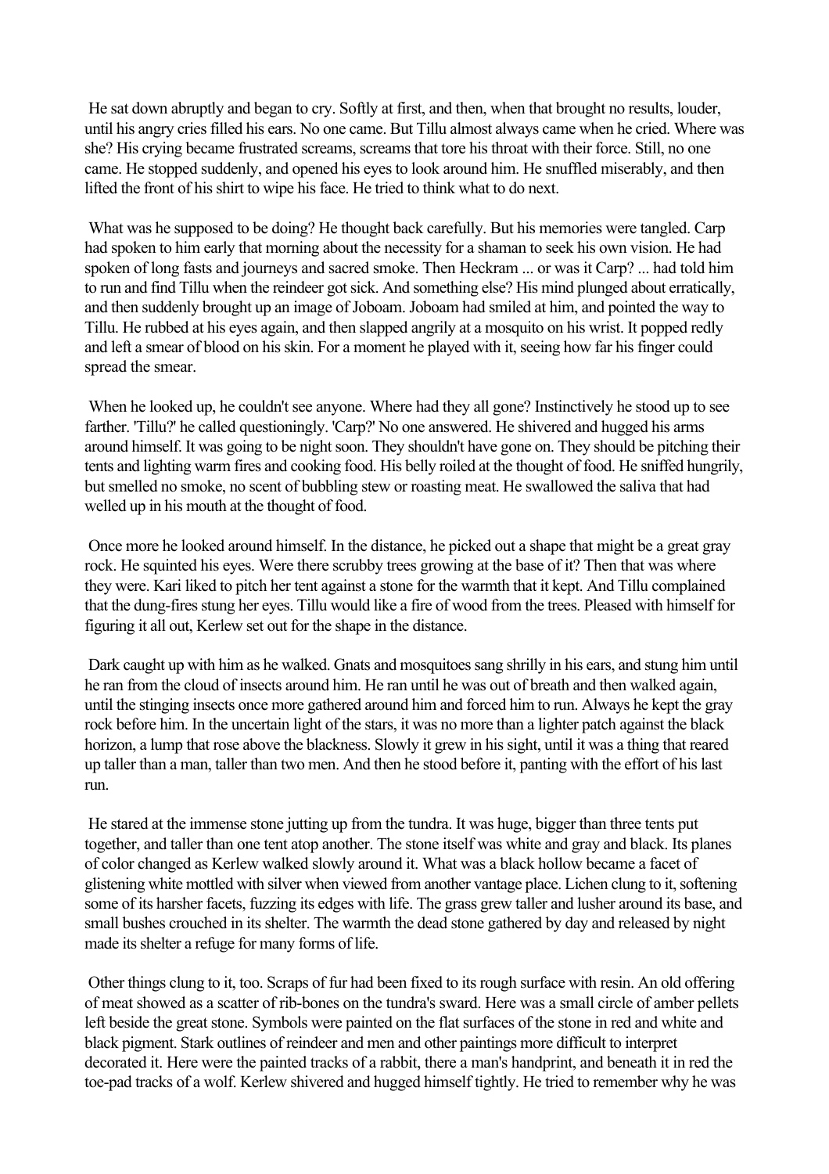He sat down abruptly and began to cry. Softly at first, and then, when that brought no results, louder, until his angry cries filled his ears. No one came. But Tillu almost always came when he cried. Where was she? His crying became frustrated screams, screams that tore his throat with their force. Still, no one came. He stopped suddenly, and opened his eyes to look around him. He snuffled miserably, and then lifted the front of his shirt to wipe his face. He tried to think what to do next.

 What was he supposed to be doing? He thought back carefully. But his memories were tangled. Carp had spoken to him early that morning about the necessity for a shaman to seek his own vision. He had spoken of long fasts and journeys and sacred smoke. Then Heckram ... or was it Carp? ... had told him to run and find Tillu when the reindeer got sick. And something else? His mind plunged about erratically, and then suddenly brought up an image of Joboam. Joboam had smiled at him, and pointed the way to Tillu. He rubbed at his eyes again, and then slapped angrily at a mosquito on his wrist. It popped redly and left a smear of blood on his skin. For a moment he played with it, seeing how far his finger could spread the smear.

When he looked up, he couldn't see anyone. Where had they all gone? Instinctively he stood up to see farther. 'Tillu?' he called questioningly. 'Carp?' No one answered. He shivered and hugged his arms around himself. It was going to be night soon. They shouldn't have gone on. They should be pitching their tents and lighting warm fires and cooking food. His belly roiled at the thought of food. He sniffed hungrily, but smelled no smoke, no scent of bubbling stew or roasting meat. He swallowed the saliva that had welled up in his mouth at the thought of food.

 Once more he looked around himself. In the distance, he picked out a shape that might be a great gray rock. He squinted his eyes. Were there scrubby trees growing at the base of it? Then that was where they were. Kari liked to pitch her tent against a stone for the warmth that it kept. And Tillu complained that the dung-fires stung her eyes. Tillu would like a fire of wood from the trees. Pleased with himself for figuring it all out, Kerlew set out for the shape in the distance.

 Dark caught up with him as he walked. Gnats and mosquitoes sang shrilly in his ears, and stung him until he ran from the cloud of insects around him. He ran until he was out of breath and then walked again, until the stinging insects once more gathered around him and forced him to run. Always he kept the gray rock before him. In the uncertain light of the stars, it was no more than a lighter patch against the black horizon, a lump that rose above the blackness. Slowly it grew in his sight, until it was a thing that reared up taller than a man, taller than two men. And then he stood before it, panting with the effort of his last run.

 He stared at the immense stone jutting up from the tundra. It was huge, bigger than three tents put together, and taller than one tent atop another. The stone itself was white and gray and black. Its planes of color changed as Kerlew walked slowly around it. What was a black hollow became a facet of glistening white mottled with silver when viewed from another vantage place. Lichen clung to it, softening some of its harsher facets, fuzzing its edges with life. The grass grew taller and lusher around its base, and small bushes crouched in its shelter. The warmth the dead stone gathered by day and released by night made its shelter a refuge for many forms of life.

 Other things clung to it, too. Scraps of fur had been fixed to its rough surface with resin. An old offering of meat showed as a scatter of rib-bones on the tundra's sward. Here was a small circle of amber pellets left beside the great stone. Symbols were painted on the flat surfaces of the stone in red and white and black pigment. Stark outlines of reindeer and men and other paintings more difficult to interpret decorated it. Here were the painted tracks of a rabbit, there a man's handprint, and beneath it in red the toe-pad tracks of a wolf. Kerlew shivered and hugged himself tightly. He tried to remember why he was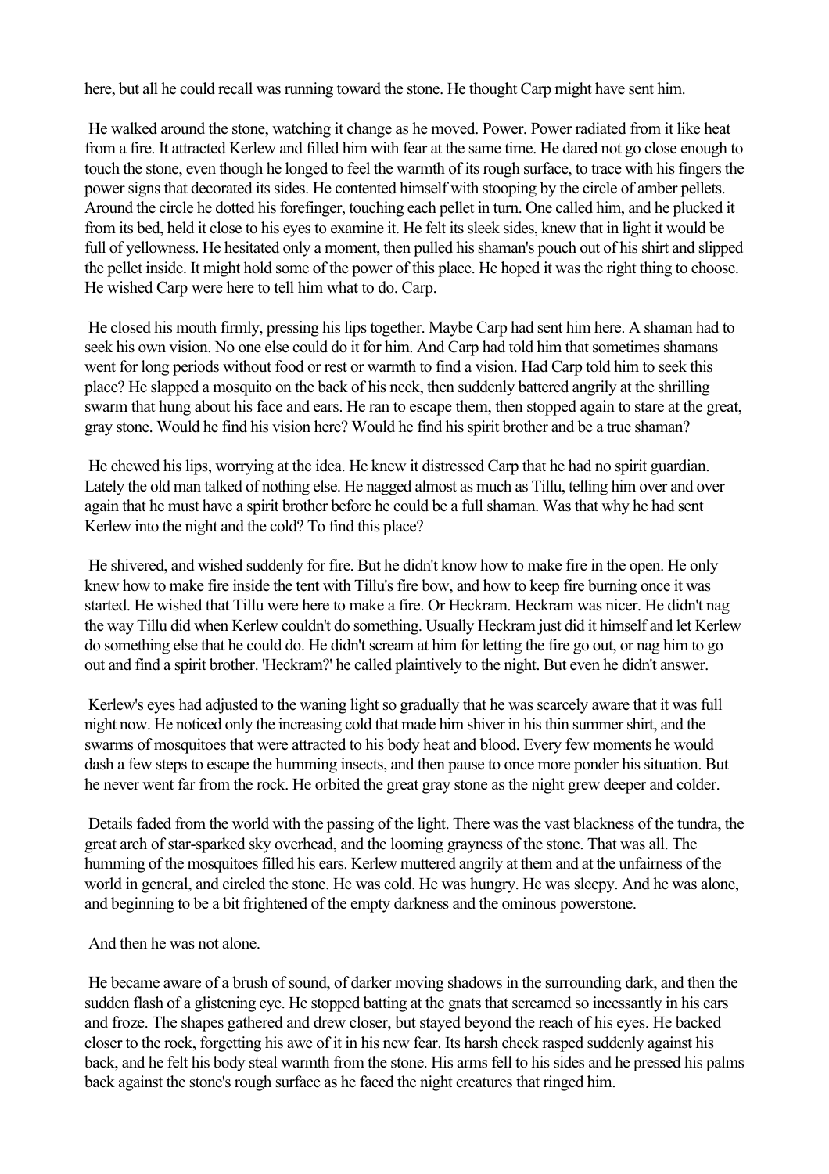here, but all he could recall was running toward the stone. He thought Carp might have sent him.

 He walked around the stone, watching it change as he moved. Power. Power radiated from it like heat from a fire. It attracted Kerlew and filled him with fear at the same time. He dared not go close enough to touch the stone, even though he longed to feel the warmth of its rough surface, to trace with his fingers the power signs that decorated its sides. He contented himself with stooping by the circle of amber pellets. Around the circle he dotted his forefinger, touching each pellet in turn. One called him, and he plucked it from its bed, held it close to his eyes to examine it. He felt its sleek sides, knew that in light it would be full of yellowness. He hesitated only a moment, then pulled his shaman's pouch out of his shirt and slipped the pellet inside. It might hold some of the power of this place. He hoped it was the right thing to choose. He wished Carp were here to tell him what to do. Carp.

 He closed his mouth firmly, pressing his lips together. Maybe Carp had sent him here. A shaman had to seek his own vision. No one else could do it for him. And Carp had told him that sometimes shamans went for long periods without food or rest or warmth to find a vision. Had Carp told him to seek this place? He slapped a mosquito on the back of his neck, then suddenly battered angrily at the shrilling swarm that hung about his face and ears. He ran to escape them, then stopped again to stare at the great, gray stone. Would he find his vision here? Would he find his spirit brother and be a true shaman?

 He chewed his lips, worrying at the idea. He knew it distressed Carp that he had no spirit guardian. Lately the old man talked of nothing else. He nagged almost as much as Tillu, telling him over and over again that he must have a spirit brother before he could be a full shaman. Was that why he had sent Kerlew into the night and the cold? To find this place?

 He shivered, and wished suddenly for fire. But he didn't know how to make fire in the open. He only knew how to make fire inside the tent with Tillu's fire bow, and how to keep fire burning once it was started. He wished that Tillu were here to make a fire. Or Heckram. Heckram was nicer. He didn't nag the way Tillu did when Kerlew couldn't do something. Usually Heckram just did it himself and let Kerlew do something else that he could do. He didn't scream at him for letting the fire go out, or nag him to go out and find a spirit brother. 'Heckram?' he called plaintively to the night. But even he didn't answer.

 Kerlew's eyes had adjusted to the waning light so gradually that he was scarcely aware that it was full night now. He noticed only the increasing cold that made him shiver in his thin summer shirt, and the swarms of mosquitoes that were attracted to his body heat and blood. Every few moments he would dash a few steps to escape the humming insects, and then pause to once more ponder his situation. But he never went far from the rock. He orbited the great gray stone as the night grew deeper and colder.

 Details faded from the world with the passing of the light. There was the vast blackness of the tundra, the great arch of star-sparked sky overhead, and the looming grayness of the stone. That was all. The humming of the mosquitoes filled his ears. Kerlew muttered angrily at them and at the unfairness of the world in general, and circled the stone. He was cold. He was hungry. He was sleepy. And he was alone, and beginning to be a bit frightened of the empty darkness and the ominous powerstone.

And then he was not alone.

 He became aware of a brush of sound, of darker moving shadows in the surrounding dark, and then the sudden flash of a glistening eye. He stopped batting at the gnats that screamed so incessantly in his ears and froze. The shapes gathered and drew closer, but stayed beyond the reach of his eyes. He backed closer to the rock, forgetting his awe of it in his new fear. Its harsh cheek rasped suddenly against his back, and he felt his body steal warmth from the stone. His arms fell to his sides and he pressed his palms back against the stone's rough surface as he faced the night creatures that ringed him.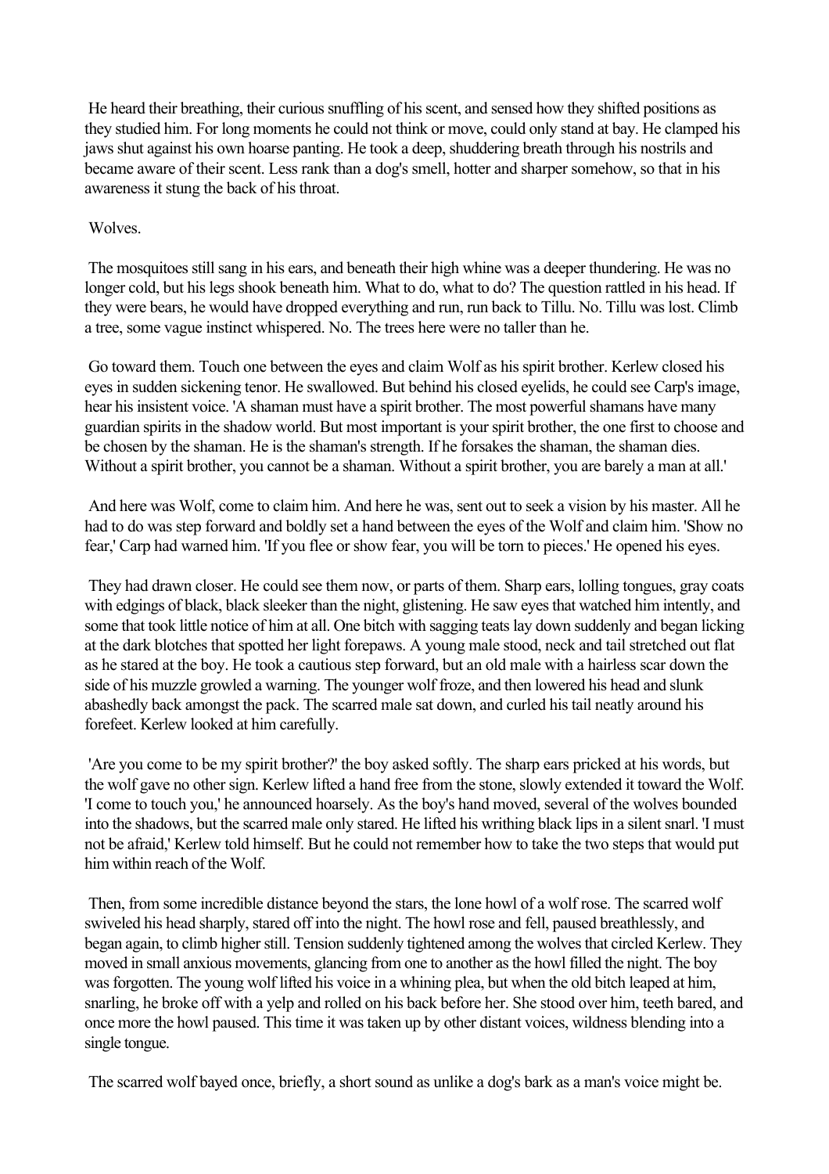He heard their breathing, their curious snuffling of his scent, and sensed how they shifted positions as they studied him. For long moments he could not think or move, could only stand at bay. He clamped his jaws shut against his own hoarse panting. He took a deep, shuddering breath through his nostrils and became aware of their scent. Less rank than a dog's smell, hotter and sharper somehow, so that in his awareness it stung the back of his throat.

### **Wolves**

 The mosquitoes still sang in his ears, and beneath their high whine was a deeper thundering. He was no longer cold, but his legs shook beneath him. What to do, what to do? The question rattled in his head. If they were bears, he would have dropped everything and run, run back to Tillu. No. Tillu was lost. Climb a tree, some vague instinct whispered. No. The trees here were no taller than he.

 Go toward them. Touch one between the eyes and claim Wolf as his spirit brother. Kerlew closed his eyes in sudden sickening tenor. He swallowed. But behind his closed eyelids, he could see Carp's image, hear his insistent voice. 'A shaman must have a spirit brother. The most powerful shamans have many guardian spirits in the shadow world. But most important is your spirit brother, the one first to choose and be chosen by the shaman. He is the shaman's strength. If he forsakes the shaman, the shaman dies. Without a spirit brother, you cannot be a shaman. Without a spirit brother, you are barely a man at all.'

 And here was Wolf, come to claim him. And here he was, sent out to seek a vision by his master. All he had to do was step forward and boldly set a hand between the eyes of the Wolf and claim him. 'Show no fear,' Carp had warned him. 'If you flee or show fear, you will be torn to pieces.' He opened his eyes.

 They had drawn closer. He could see them now, or parts of them. Sharp ears, lolling tongues, gray coats with edgings of black, black sleeker than the night, glistening. He saw eyes that watched him intently, and some that took little notice of him at all. One bitch with sagging teats lay down suddenly and began licking at the dark blotches that spotted her light forepaws. A young male stood, neck and tail stretched out flat as he stared at the boy. He took a cautious step forward, but an old male with a hairless scar down the side of his muzzle growled a warning. The younger wolf froze, and then lowered his head and slunk abashedly back amongst the pack. The scarred male sat down, and curled his tail neatly around his forefeet. Kerlew looked at him carefully.

 'Are you come to be my spirit brother?' the boy asked softly. The sharp ears pricked at his words, but the wolf gave no other sign. Kerlew lifted a hand free from the stone, slowly extended it toward the Wolf. 'I come to touch you,' he announced hoarsely. As the boy's hand moved, several of the wolves bounded into the shadows, but the scarred male only stared. He lifted his writhing black lips in a silent snarl. 'I must not be afraid,' Kerlew told himself. But he could not remember how to take the two steps that would put him within reach of the Wolf.

 Then, from some incredible distance beyond the stars, the lone howl of a wolf rose. The scarred wolf swiveled his head sharply, stared off into the night. The howl rose and fell, paused breathlessly, and began again, to climb higher still. Tension suddenly tightened among the wolves that circled Kerlew. They moved in small anxious movements, glancing from one to another as the howl filled the night. The boy was forgotten. The young wolf lifted his voice in a whining plea, but when the old bitch leaped at him, snarling, he broke off with a yelp and rolled on his back before her. She stood over him, teeth bared, and once more the howl paused. This time it was taken up by other distant voices, wildness blending into a single tongue.

The scarred wolf bayed once, briefly, a short sound as unlike a dog's bark as a man's voice might be.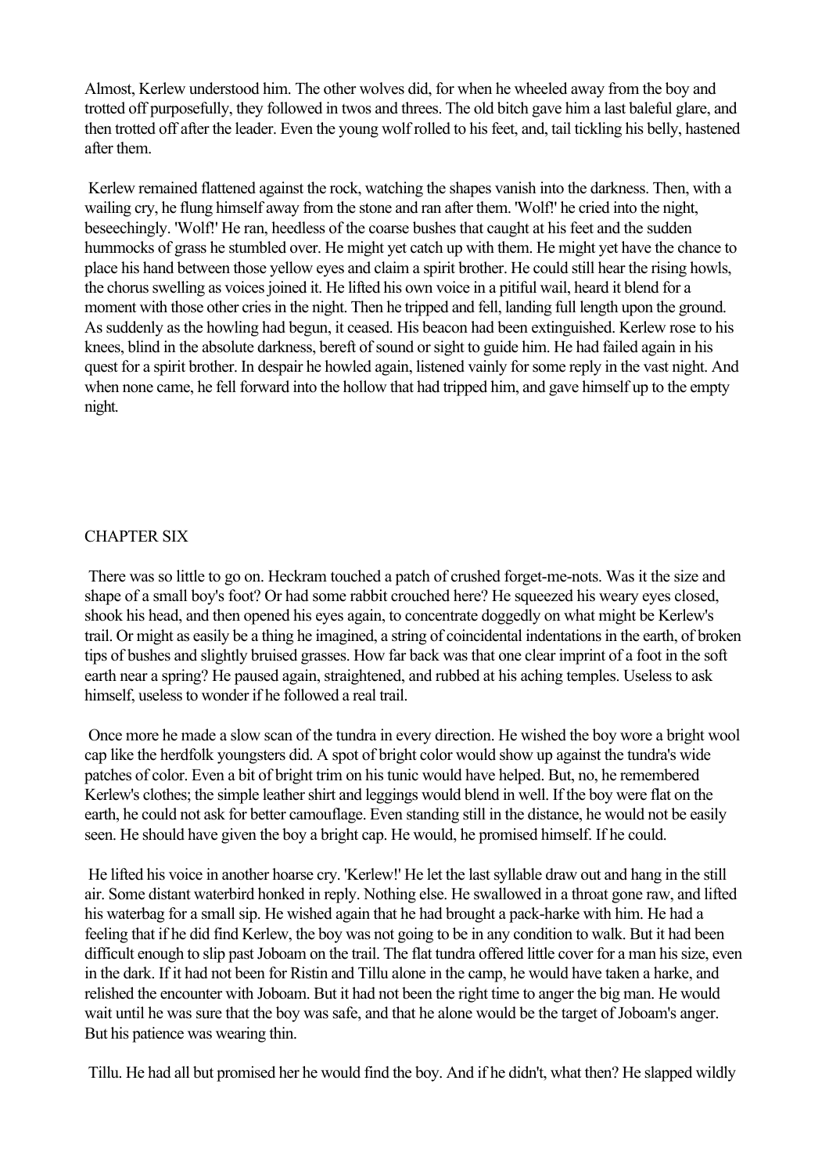Almost, Kerlew understood him. The other wolves did, for when he wheeled away from the boy and trotted off purposefully, they followed in twos and threes. The old bitch gave him a last baleful glare, and then trotted off after the leader. Even the young wolf rolled to his feet, and, tail tickling his belly, hastened after them.

 Kerlew remained flattened against the rock, watching the shapes vanish into the darkness. Then, with a wailing cry, he flung himself away from the stone and ran after them. 'Wolf!' he cried into the night, beseechingly. 'Wolf!' He ran, heedless of the coarse bushes that caught at his feet and the sudden hummocks of grass he stumbled over. He might yet catch up with them. He might yet have the chance to place his hand between those yellow eyes and claim a spirit brother. He could still hear the rising howls, the chorus swelling as voices joined it. He lifted his own voice in a pitiful wail, heard it blend for a moment with those other cries in the night. Then he tripped and fell, landing full length upon the ground. As suddenly as the howling had begun, it ceased. His beacon had been extinguished. Kerlew rose to his knees, blind in the absolute darkness, bereft of sound or sight to guide him. He had failed again in his quest for a spirit brother. In despair he howled again, listened vainly for some reply in the vast night. And when none came, he fell forward into the hollow that had tripped him, and gave himself up to the empty night.

#### CHAPTER SIX

 There was so little to go on. Heckram touched a patch of crushed forget-me-nots. Was it the size and shape of a small boy's foot? Or had some rabbit crouched here? He squeezed his weary eyes closed, shook his head, and then opened his eyes again, to concentrate doggedly on what might be Kerlew's trail. Or might as easily be a thing he imagined, a string of coincidental indentations in the earth, of broken tips of bushes and slightly bruised grasses. How far back was that one clear imprint of a foot in the soft earth near a spring? He paused again, straightened, and rubbed at his aching temples. Useless to ask himself, useless to wonder if he followed a real trail.

 Once more he made a slow scan of the tundra in every direction. He wished the boy wore a bright wool cap like the herdfolk youngsters did. A spot of bright color would show up against the tundra's wide patches of color. Even a bit of bright trim on his tunic would have helped. But, no, he remembered Kerlew's clothes; the simple leather shirt and leggings would blend in well. If the boy were flat on the earth, he could not ask for better camouflage. Even standing still in the distance, he would not be easily seen. He should have given the boy a bright cap. He would, he promised himself. If he could.

 He lifted his voice in another hoarse cry. 'Kerlew!' He let the last syllable draw out and hang in the still air. Some distant waterbird honked in reply. Nothing else. He swallowed in a throat gone raw, and lifted his waterbag for a small sip. He wished again that he had brought a pack-harke with him. He had a feeling that if he did find Kerlew, the boy was not going to be in any condition to walk. But it had been difficult enough to slip past Joboam on the trail. The flat tundra offered little cover for a man his size, even in the dark. If it had not been for Ristin and Tillu alone in the camp, he would have taken a harke, and relished the encounter with Joboam. But it had not been the right time to anger the big man. He would wait until he was sure that the boy was safe, and that he alone would be the target of Joboam's anger. But his patience was wearing thin.

Tillu. He had all but promised her he would find the boy. And if he didn't, what then? He slapped wildly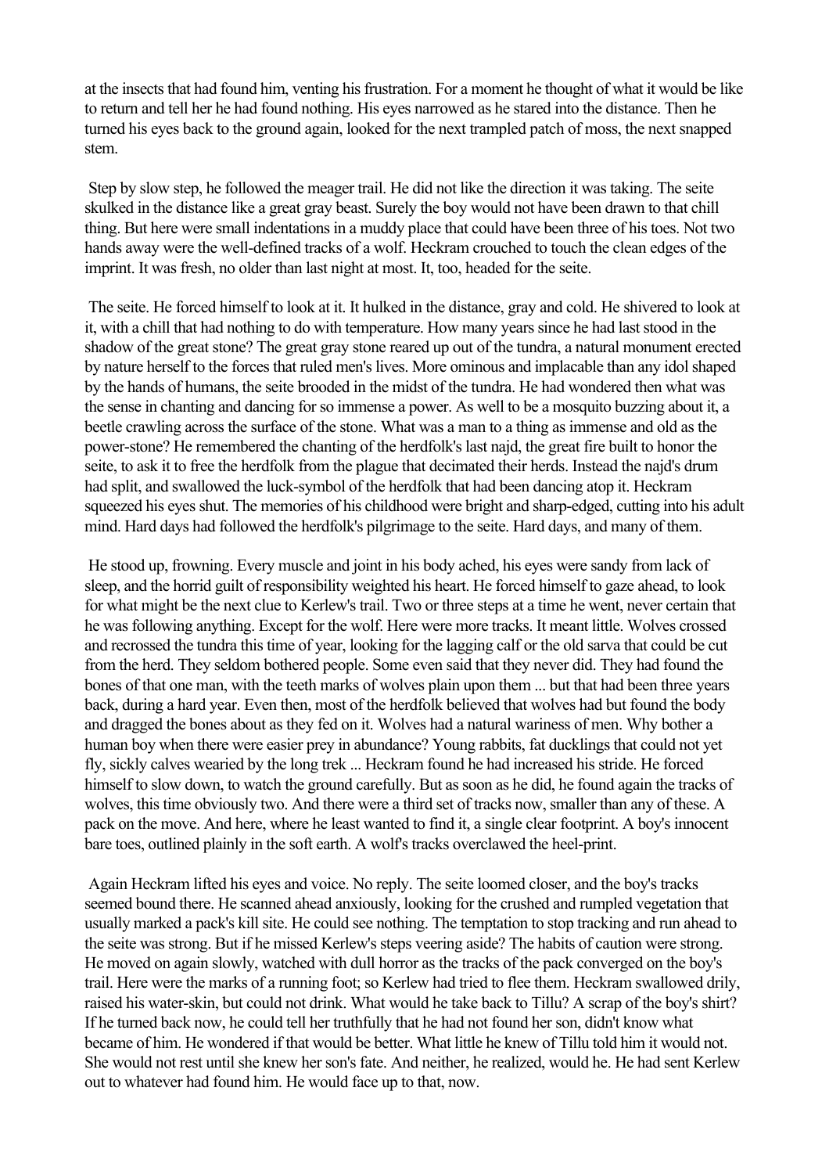at the insects that had found him, venting his frustration. For a moment he thought of what it would be like to return and tell her he had found nothing. His eyes narrowed as he stared into the distance. Then he turned his eyes back to the ground again, looked for the next trampled patch of moss, the next snapped stem.

 Step by slow step, he followed the meager trail. He did not like the direction it was taking. The seite skulked in the distance like a great gray beast. Surely the boy would not have been drawn to that chill thing. But here were small indentations in a muddy place that could have been three of his toes. Not two hands away were the well-defined tracks of a wolf. Heckram crouched to touch the clean edges of the imprint. It was fresh, no older than last night at most. It, too, headed for the seite.

 The seite. He forced himself to look at it. It hulked in the distance, gray and cold. He shivered to look at it, with a chill that had nothing to do with temperature. How many years since he had last stood in the shadow of the great stone? The great gray stone reared up out of the tundra, a natural monument erected by nature herself to the forces that ruled men's lives. More ominous and implacable than any idol shaped by the hands of humans, the seite brooded in the midst of the tundra. He had wondered then what was the sense in chanting and dancing for so immense a power. As well to be a mosquito buzzing about it, a beetle crawling across the surface of the stone. What was a man to a thing as immense and old as the power-stone? He remembered the chanting of the herdfolk's last najd, the great fire built to honor the seite, to ask it to free the herdfolk from the plague that decimated their herds. Instead the najd's drum had split, and swallowed the luck-symbol of the herdfolk that had been dancing atop it. Heckram squeezed his eyes shut. The memories of his childhood were bright and sharp-edged, cutting into his adult mind. Hard days had followed the herdfolk's pilgrimage to the seite. Hard days, and many of them.

 He stood up, frowning. Every muscle and joint in his body ached, his eyes were sandy from lack of sleep, and the horrid guilt of responsibility weighted his heart. He forced himself to gaze ahead, to look for what might be the next clue to Kerlew's trail. Two or three steps at a time he went, never certain that he was following anything. Except for the wolf. Here were more tracks. It meant little. Wolves crossed and recrossed the tundra this time of year, looking for the lagging calf or the old sarva that could be cut from the herd. They seldom bothered people. Some even said that they never did. They had found the bones of that one man, with the teeth marks of wolves plain upon them ... but that had been three years back, during a hard year. Even then, most of the herdfolk believed that wolves had but found the body and dragged the bones about as they fed on it. Wolves had a natural wariness of men. Why bother a human boy when there were easier prey in abundance? Young rabbits, fat ducklings that could not yet fly, sickly calves wearied by the long trek ... Heckram found he had increased his stride. He forced himself to slow down, to watch the ground carefully. But as soon as he did, he found again the tracks of wolves, this time obviously two. And there were a third set of tracks now, smaller than any of these. A pack on the move. And here, where he least wanted to find it, a single clear footprint. A boy's innocent bare toes, outlined plainly in the soft earth. A wolf's tracks overclawed the heel-print.

 Again Heckram lifted his eyes and voice. No reply. The seite loomed closer, and the boy's tracks seemed bound there. He scanned ahead anxiously, looking for the crushed and rumpled vegetation that usually marked a pack's kill site. He could see nothing. The temptation to stop tracking and run ahead to the seite was strong. But if he missed Kerlew's steps veering aside? The habits of caution were strong. He moved on again slowly, watched with dull horror as the tracks of the pack converged on the boy's trail. Here were the marks of a running foot; so Kerlew had tried to flee them. Heckram swallowed drily, raised his water-skin, but could not drink. What would he take back to Tillu? A scrap of the boy's shirt? If he turned back now, he could tell her truthfully that he had not found her son, didn't know what became of him. He wondered if that would be better. What little he knew of Tillu told him it would not. She would not rest until she knew her son's fate. And neither, he realized, would he. He had sent Kerlew out to whatever had found him. He would face up to that, now.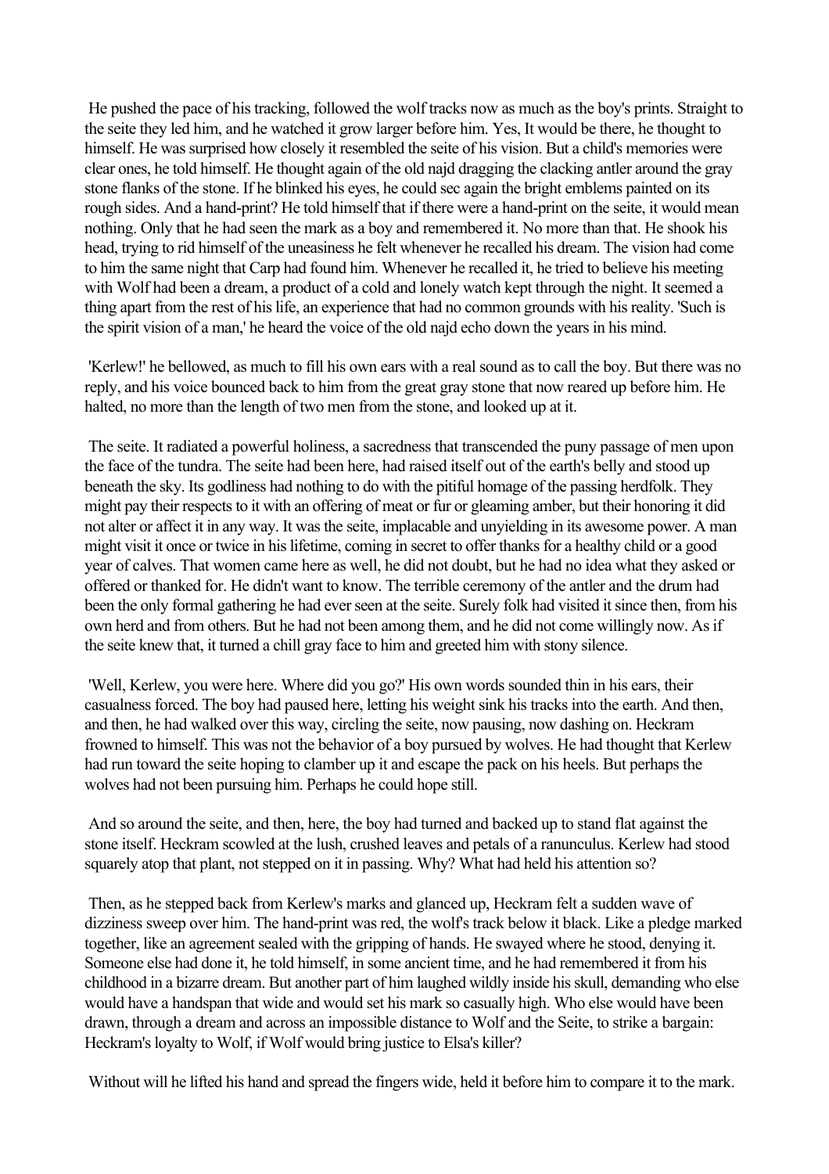He pushed the pace of his tracking, followed the wolf tracks now as much as the boy's prints. Straight to the seite they led him, and he watched it grow larger before him. Yes, It would be there, he thought to himself. He was surprised how closely it resembled the seite of his vision. But a child's memories were clear ones, he told himself. He thought again of the old najd dragging the clacking antler around the gray stone flanks of the stone. If he blinked his eyes, he could sec again the bright emblems painted on its rough sides. And a hand-print? He told himself that if there were a hand-print on the seite, it would mean nothing. Only that he had seen the mark as a boy and remembered it. No more than that. He shook his head, trying to rid himself of the uneasiness he felt whenever he recalled his dream. The vision had come to him the same night that Carp had found him. Whenever he recalled it, he tried to believe his meeting with Wolf had been a dream, a product of a cold and lonely watch kept through the night. It seemed a thing apart from the rest of his life, an experience that had no common grounds with his reality. 'Such is the spirit vision of a man,' he heard the voice of the old najd echo down the years in his mind.

 'Kerlew!' he bellowed, as much to fill his own ears with a real sound as to call the boy. But there was no reply, and his voice bounced back to him from the great gray stone that now reared up before him. He halted, no more than the length of two men from the stone, and looked up at it.

 The seite. It radiated a powerful holiness, a sacredness that transcended the puny passage of men upon the face of the tundra. The seite had been here, had raised itself out of the earth's belly and stood up beneath the sky. Its godliness had nothing to do with the pitiful homage of the passing herdfolk. They might pay their respects to it with an offering of meat or fur or gleaming amber, but their honoring it did not alter or affect it in any way. It was the seite, implacable and unyielding in its awesome power. A man might visit it once or twice in his lifetime, coming in secret to offer thanks for a healthy child or a good year of calves. That women came here as well, he did not doubt, but he had no idea what they asked or offered or thanked for. He didn't want to know. The terrible ceremony of the antler and the drum had been the only formal gathering he had ever seen at the seite. Surely folk had visited it since then, from his own herd and from others. But he had not been among them, and he did not come willingly now. As if the seite knew that, it turned a chill gray face to him and greeted him with stony silence.

 'Well, Kerlew, you were here. Where did you go?' His own words sounded thin in his ears, their casualness forced. The boy had paused here, letting his weight sink his tracks into the earth. And then, and then, he had walked over this way, circling the seite, now pausing, now dashing on. Heckram frowned to himself. This was not the behavior of a boy pursued by wolves. He had thought that Kerlew had run toward the seite hoping to clamber up it and escape the pack on his heels. But perhaps the wolves had not been pursuing him. Perhaps he could hope still.

 And so around the seite, and then, here, the boy had turned and backed up to stand flat against the stone itself. Heckram scowled at the lush, crushed leaves and petals of a ranunculus. Kerlew had stood squarely atop that plant, not stepped on it in passing. Why? What had held his attention so?

 Then, as he stepped back from Kerlew's marks and glanced up, Heckram felt a sudden wave of dizziness sweep over him. The hand-print was red, the wolf's track below it black. Like a pledge marked together, like an agreement sealed with the gripping of hands. He swayed where he stood, denying it. Someone else had done it, he told himself, in some ancient time, and he had remembered it from his childhood in a bizarre dream. But another part of him laughed wildly inside his skull, demanding who else would have a handspan that wide and would set his mark so casually high. Who else would have been drawn, through a dream and across an impossible distance to Wolf and the Seite, to strike a bargain: Heckram's loyalty to Wolf, if Wolf would bring justice to Elsa's killer?

Without will he lifted his hand and spread the fingers wide, held it before him to compare it to the mark.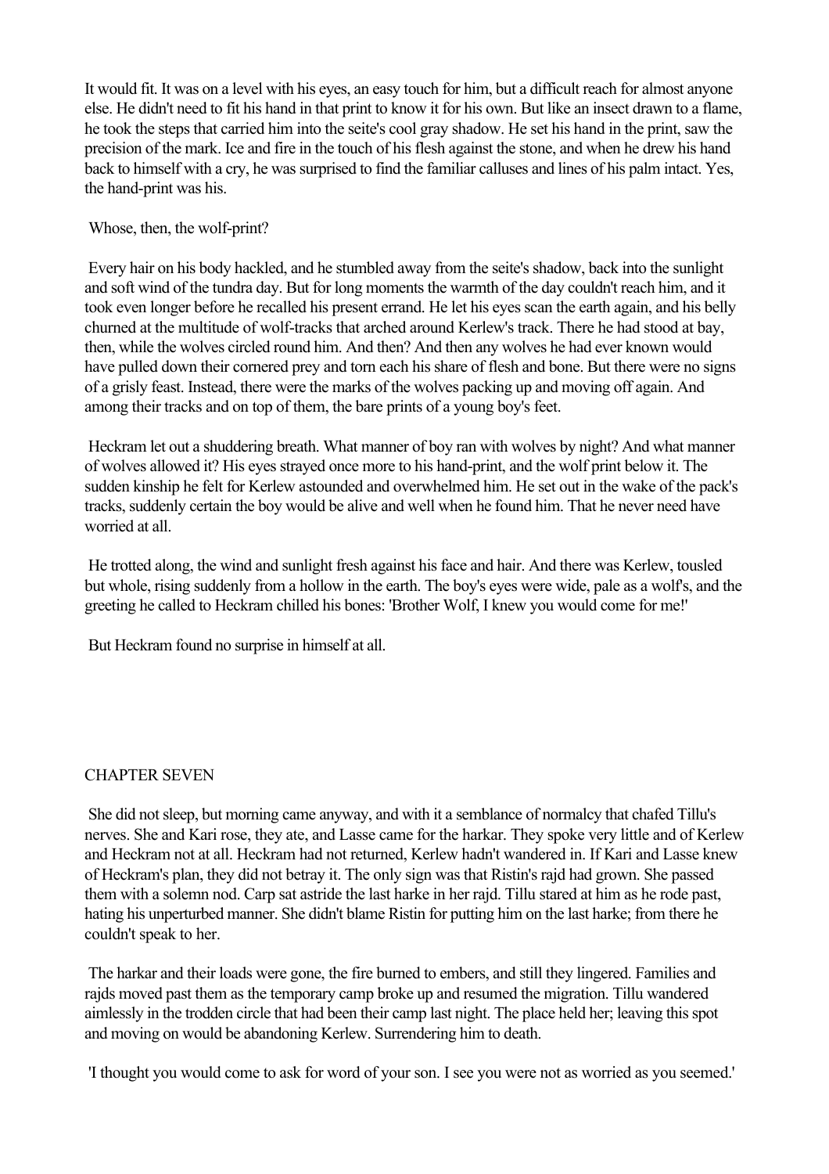It would fit. It was on a level with his eyes, an easy touch for him, but a difficult reach for almost anyone else. He didn't need to fit his hand in that print to know it for his own. But like an insect drawn to a flame, he took the steps that carried him into the seite's cool gray shadow. He set his hand in the print, saw the precision of the mark. Ice and fire in the touch of his flesh against the stone, and when he drew his hand back to himself with a cry, he was surprised to find the familiar calluses and lines of his palm intact. Yes, the hand-print was his.

Whose, then, the wolf-print?

 Every hair on his body hackled, and he stumbled away from the seite's shadow, back into the sunlight and soft wind of the tundra day. But for long moments the warmth of the day couldn't reach him, and it took even longer before he recalled his present errand. He let his eyes scan the earth again, and his belly churned at the multitude of wolf-tracks that arched around Kerlew's track. There he had stood at bay, then, while the wolves circled round him. And then? And then any wolves he had ever known would have pulled down their cornered prey and torn each his share of flesh and bone. But there were no signs of a grisly feast. Instead, there were the marks of the wolves packing up and moving off again. And among their tracks and on top of them, the bare prints of a young boy's feet.

 Heckram let out a shuddering breath. What manner of boy ran with wolves by night? And what manner of wolves allowed it? His eyes strayed once more to his hand-print, and the wolf print below it. The sudden kinship he felt for Kerlew astounded and overwhelmed him. He set out in the wake of the pack's tracks, suddenly certain the boy would be alive and well when he found him. That he never need have worried at all

 He trotted along, the wind and sunlight fresh against his face and hair. And there was Kerlew, tousled but whole, rising suddenly from a hollow in the earth. The boy's eyes were wide, pale as a wolf's, and the greeting he called to Heckram chilled his bones: 'Brother Wolf, I knew you would come for me!'

But Heckram found no surprise in himself at all.

#### CHAPTER SEVEN

 She did not sleep, but morning came anyway, and with it a semblance of normalcy that chafed Tillu's nerves. She and Kari rose, they ate, and Lasse came for the harkar. They spoke very little and of Kerlew and Heckram not at all. Heckram had not returned, Kerlew hadn't wandered in. If Kari and Lasse knew of Heckram's plan, they did not betray it. The only sign was that Ristin's rajd had grown. She passed them with a solemn nod. Carp sat astride the last harke in her rajd. Tillu stared at him as he rode past, hating his unperturbed manner. She didn't blame Ristin for putting him on the last harke; from there he couldn't speak to her.

 The harkar and their loads were gone, the fire burned to embers, and still they lingered. Families and rajds moved past them as the temporary camp broke up and resumed the migration. Tillu wandered aimlessly in the trodden circle that had been their camp last night. The place held her; leaving this spot and moving on would be abandoning Kerlew. Surrendering him to death.

'I thought you would come to ask for word of your son. I see you were not as worried as you seemed.'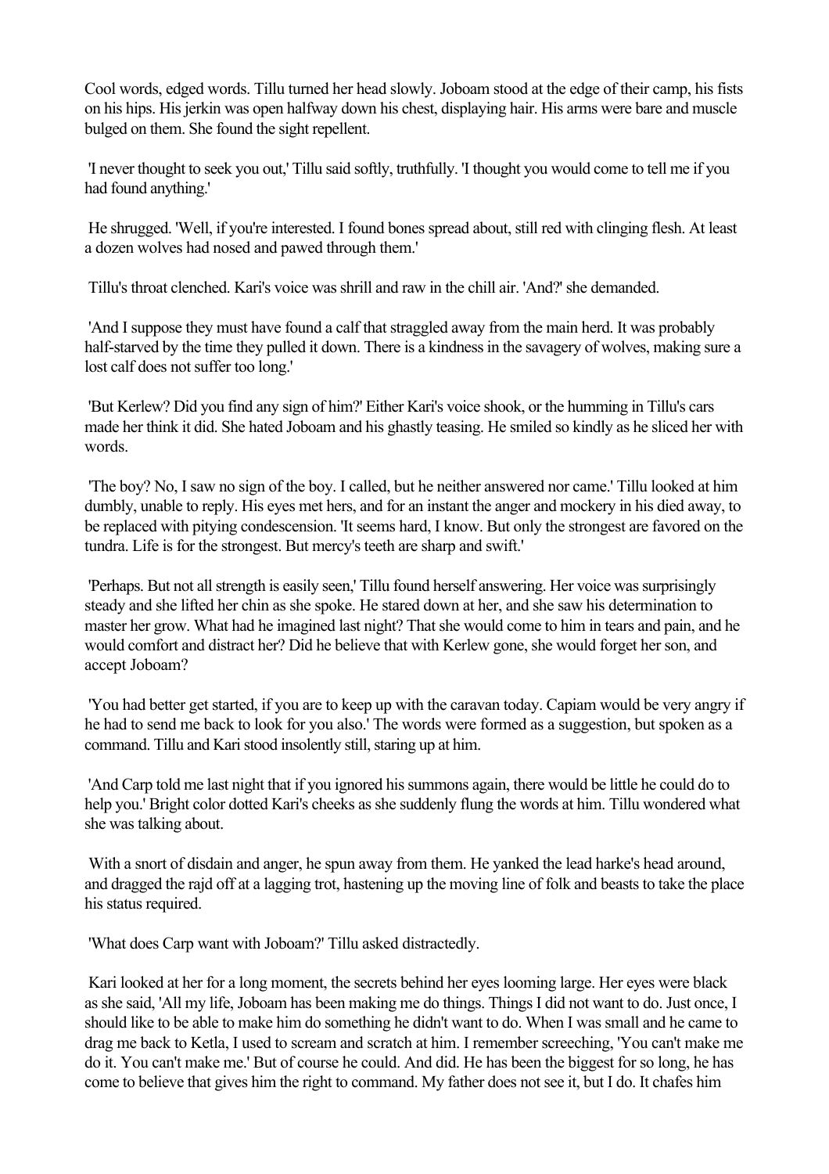Cool words, edged words. Tillu turned her head slowly. Joboam stood at the edge of their camp, his fists on his hips. His jerkin was open halfway down his chest, displaying hair. His arms were bare and muscle bulged on them. She found the sight repellent.

 'I never thought to seek you out,' Tillu said softly, truthfully. 'I thought you would come to tell me if you had found anything.'

 He shrugged. 'Well, if you're interested. I found bones spread about, still red with clinging flesh. At least a dozen wolves had nosed and pawed through them.'

Tillu's throat clenched. Kari's voice was shrill and raw in the chill air. 'And?' she demanded.

 'And I suppose they must have found a calf that straggled away from the main herd. It was probably half-starved by the time they pulled it down. There is a kindness in the savagery of wolves, making sure a lost calf does not suffer too long.'

 'But Kerlew? Did you find any sign of him?' Either Kari's voice shook, or the humming in Tillu's cars made her think it did. She hated Joboam and his ghastly teasing. He smiled so kindly as he sliced her with words.

 'The boy? No, I saw no sign of the boy. I called, but he neither answered nor came.' Tillu looked at him dumbly, unable to reply. His eyes met hers, and for an instant the anger and mockery in his died away, to be replaced with pitying condescension. 'It seems hard, I know. But only the strongest are favored on the tundra. Life is for the strongest. But mercy's teeth are sharp and swift.'

 'Perhaps. But not all strength is easily seen,' Tillu found herself answering. Her voice was surprisingly steady and she lifted her chin as she spoke. He stared down at her, and she saw his determination to master her grow. What had he imagined last night? That she would come to him in tears and pain, and he would comfort and distract her? Did he believe that with Kerlew gone, she would forget her son, and accept Joboam?

 'You had better get started, if you are to keep up with the caravan today. Capiam would be very angry if he had to send me back to look for you also.' The words were formed as a suggestion, but spoken as a command. Tillu and Kari stood insolently still, staring up at him.

 'And Carp told me last night that if you ignored his summons again, there would be little he could do to help you.' Bright color dotted Kari's cheeks as she suddenly flung the words at him. Tillu wondered what she was talking about.

 With a snort of disdain and anger, he spun away from them. He yanked the lead harke's head around, and dragged the rajd off at a lagging trot, hastening up the moving line of folk and beasts to take the place his status required.

'What does Carp want with Joboam?' Tillu asked distractedly.

 Kari looked at her for a long moment, the secrets behind her eyes looming large. Her eyes were black as she said, 'All my life, Joboam has been making me do things. Things I did not want to do. Just once, I should like to be able to make him do something he didn't want to do. When I was small and he came to drag me back to Ketla, I used to scream and scratch at him. I remember screeching, 'You can't make me do it. You can't make me.' But of course he could. And did. He has been the biggest for so long, he has come to believe that gives him the right to command. My father does not see it, but I do. It chafes him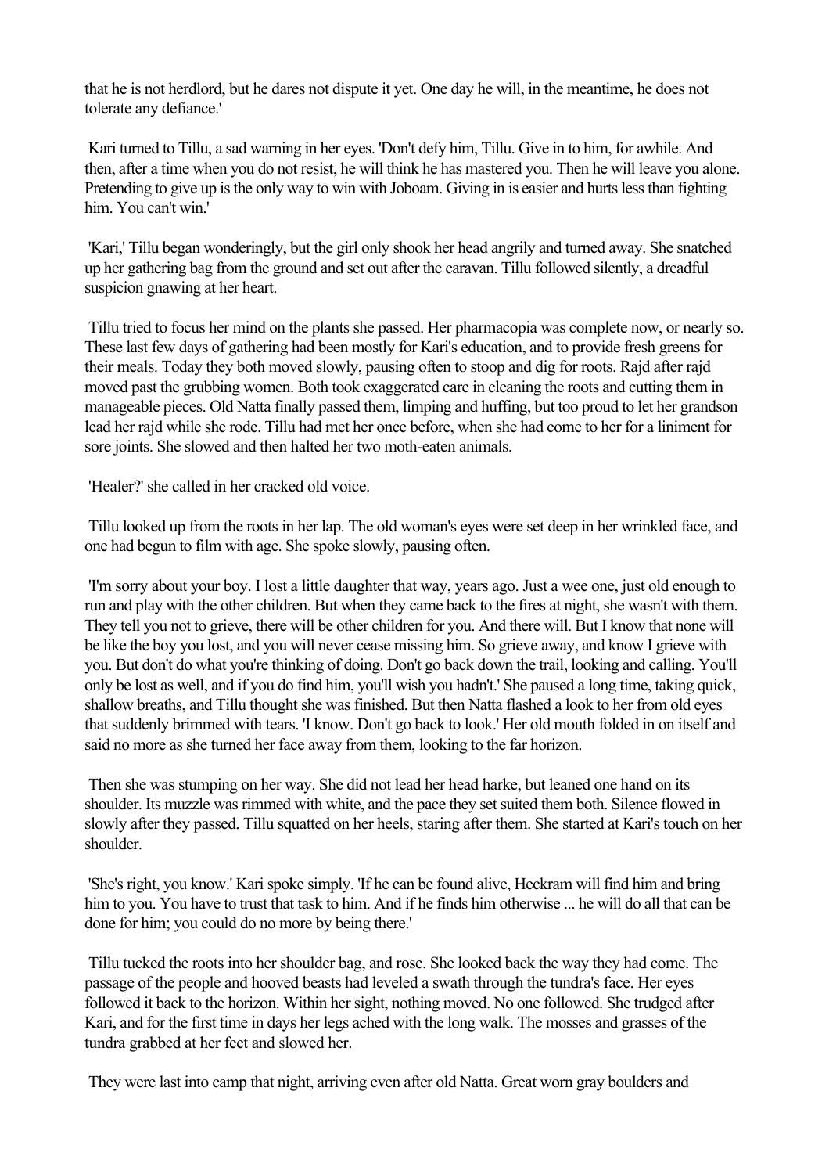that he is not herdlord, but he dares not dispute it yet. One day he will, in the meantime, he does not tolerate any defiance.'

 Kari turned to Tillu, a sad warning in her eyes. 'Don't defy him, Tillu. Give in to him, for awhile. And then, after a time when you do not resist, he will think he has mastered you. Then he will leave you alone. Pretending to give up is the only way to win with Joboam. Giving in is easier and hurts less than fighting him. You can't win.'

 'Kari,' Tillu began wonderingly, but the girl only shook her head angrily and turned away. She snatched up her gathering bag from the ground and set out after the caravan. Tillu followed silently, a dreadful suspicion gnawing at her heart.

 Tillu tried to focus her mind on the plants she passed. Her pharmacopia was complete now, or nearly so. These last few days of gathering had been mostly for Kari's education, and to provide fresh greens for their meals. Today they both moved slowly, pausing often to stoop and dig for roots. Rajd after rajd moved past the grubbing women. Both took exaggerated care in cleaning the roots and cutting them in manageable pieces. Old Natta finally passed them, limping and huffing, but too proud to let her grandson lead her rajd while she rode. Tillu had met her once before, when she had come to her for a liniment for sore joints. She slowed and then halted her two moth-eaten animals.

'Healer?' she called in her cracked old voice.

 Tillu looked up from the roots in her lap. The old woman's eyes were set deep in her wrinkled face, and one had begun to film with age. She spoke slowly, pausing often.

 'I'm sorry about your boy. I lost a little daughter that way, years ago. Just a wee one, just old enough to run and play with the other children. But when they came back to the fires at night, she wasn't with them. They tell you not to grieve, there will be other children for you. And there will. But I know that none will be like the boy you lost, and you will never cease missing him. So grieve away, and know I grieve with you. But don't do what you're thinking of doing. Don't go back down the trail, looking and calling. You'll only be lost as well, and if you do find him, you'll wish you hadn't.' She paused a long time, taking quick, shallow breaths, and Tillu thought she was finished. But then Natta flashed a look to her from old eyes that suddenly brimmed with tears. 'I know. Don't go back to look.' Her old mouth folded in on itself and said no more as she turned her face away from them, looking to the far horizon.

 Then she was stumping on her way. She did not lead her head harke, but leaned one hand on its shoulder. Its muzzle was rimmed with white, and the pace they set suited them both. Silence flowed in slowly after they passed. Tillu squatted on her heels, staring after them. She started at Kari's touch on her shoulder.

 'She's right, you know.' Kari spoke simply. 'If he can be found alive, Heckram will find him and bring him to you. You have to trust that task to him. And if he finds him otherwise ... he will do all that can be done for him; you could do no more by being there.'

 Tillu tucked the roots into her shoulder bag, and rose. She looked back the way they had come. The passage of the people and hooved beasts had leveled a swath through the tundra's face. Her eyes followed it back to the horizon. Within her sight, nothing moved. No one followed. She trudged after Kari, and for the first time in days her legs ached with the long walk. The mosses and grasses of the tundra grabbed at her feet and slowed her.

They were last into camp that night, arriving even after old Natta. Great worn gray boulders and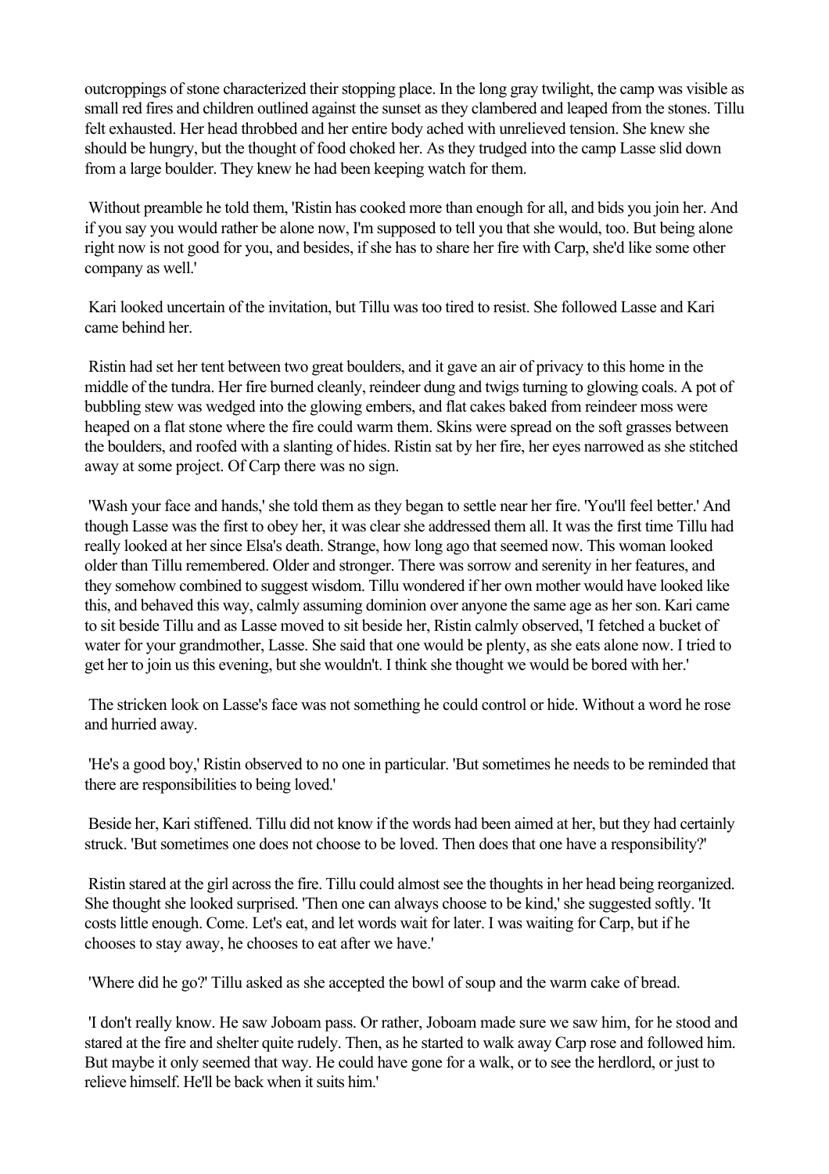outcroppings of stone characterized their stopping place. In the long gray twilight, the camp was visible as small red fires and children outlined against the sunset as they clambered and leaped from the stones. Tillu felt exhausted. Her head throbbed and her entire body ached with unrelieved tension. She knew she should be hungry, but the thought of food choked her. As they trudged into the camp Lasse slid down from a large boulder. They knew he had been keeping watch for them.

 Without preamble he told them, 'Ristin has cooked more than enough for all, and bids you join her. And if you say you would rather be alone now, I'm supposed to tell you that she would, too. But being alone right now is not good for you, and besides, if she has to share her fire with Carp, she'd like some other company as well.'

 Kari looked uncertain of the invitation, but Tillu was too tired to resist. She followed Lasse and Kari came behind her.

 Ristin had set her tent between two great boulders, and it gave an air of privacy to this home in the middle of the tundra. Her fire burned cleanly, reindeer dung and twigs turning to glowing coals. A pot of bubbling stew was wedged into the glowing embers, and flat cakes baked from reindeer moss were heaped on a flat stone where the fire could warm them. Skins were spread on the soft grasses between the boulders, and roofed with a slanting of hides. Ristin sat by her fire, her eyes narrowed as she stitched away at some project. Of Carp there was no sign.

 'Wash your face and hands,' she told them as they began to settle near her fire. 'You'll feel better.' And though Lasse was the first to obey her, it was clear she addressed them all. It was the first time Tillu had really looked at her since Elsa's death. Strange, how long ago that seemed now. This woman looked older than Tillu remembered. Older and stronger. There was sorrow and serenity in her features, and they somehow combined to suggest wisdom. Tillu wondered if her own mother would have looked like this, and behaved this way, calmly assuming dominion over anyone the same age as her son. Kari came to sit beside Tillu and as Lasse moved to sit beside her, Ristin calmly observed, 'I fetched a bucket of water for your grandmother, Lasse. She said that one would be plenty, as she eats alone now. I tried to get her to join us this evening, but she wouldn't. I think she thought we would be bored with her.'

 The stricken look on Lasse's face was not something he could control or hide. Without a word he rose and hurried away.

 'He's a good boy,' Ristin observed to no one in particular. 'But sometimes he needs to be reminded that there are responsibilities to being loved.'

 Beside her, Kari stiffened. Tillu did not know if the words had been aimed at her, but they had certainly struck. 'But sometimes one does not choose to be loved. Then does that one have a responsibility?'

 Ristin stared at the girl across the fire. Tillu could almost see the thoughts in her head being reorganized. She thought she looked surprised. 'Then one can always choose to be kind,' she suggested softly. 'It costs little enough. Come. Let's eat, and let words wait for later. I was waiting for Carp, but if he chooses to stay away, he chooses to eat after we have.'

'Where did he go?' Tillu asked as she accepted the bowl of soup and the warm cake of bread.

 'I don't really know. He saw Joboam pass. Or rather, Joboam made sure we saw him, for he stood and stared at the fire and shelter quite rudely. Then, as he started to walk away Carp rose and followed him. But maybe it only seemed that way. He could have gone for a walk, or to see the herdlord, or just to relieve himself. He'll be back when it suits him.'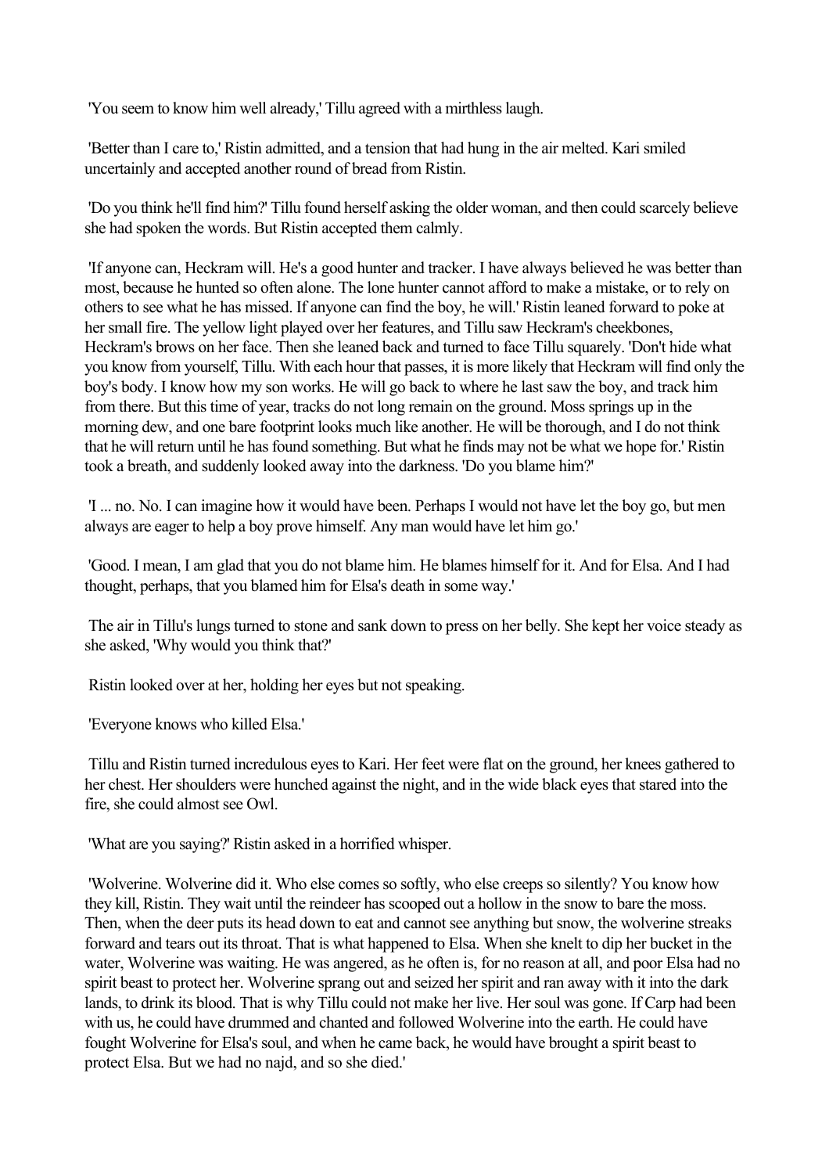'You seem to know him well already,' Tillu agreed with a mirthless laugh.

 'Better than I care to,' Ristin admitted, and a tension that had hung in the air melted. Kari smiled uncertainly and accepted another round of bread from Ristin.

 'Do you think he'll find him?' Tillu found herself asking the older woman, and then could scarcely believe she had spoken the words. But Ristin accepted them calmly.

 'If anyone can, Heckram will. He's a good hunter and tracker. I have always believed he was better than most, because he hunted so often alone. The lone hunter cannot afford to make a mistake, or to rely on others to see what he has missed. If anyone can find the boy, he will.' Ristin leaned forward to poke at her small fire. The yellow light played over her features, and Tillu saw Heckram's cheekbones, Heckram's brows on her face. Then she leaned back and turned to face Tillu squarely. 'Don't hide what you know from yourself, Tillu. With each hour that passes, it is more likely that Heckram will find only the boy's body. I know how my son works. He will go back to where he last saw the boy, and track him from there. But this time of year, tracks do not long remain on the ground. Moss springs up in the morning dew, and one bare footprint looks much like another. He will be thorough, and I do not think that he will return until he has found something. But what he finds may not be what we hope for.' Ristin took a breath, and suddenly looked away into the darkness. 'Do you blame him?'

 'I ... no. No. I can imagine how it would have been. Perhaps I would not have let the boy go, but men always are eager to help a boy prove himself. Any man would have let him go.'

 'Good. I mean, I am glad that you do not blame him. He blames himself for it. And for Elsa. And I had thought, perhaps, that you blamed him for Elsa's death in some way.'

 The air in Tillu's lungs turned to stone and sank down to press on her belly. She kept her voice steady as she asked, 'Why would you think that?'

Ristin looked over at her, holding her eyes but not speaking.

'Everyone knows who killed Elsa.'

 Tillu and Ristin turned incredulous eyes to Kari. Her feet were flat on the ground, her knees gathered to her chest. Her shoulders were hunched against the night, and in the wide black eyes that stared into the fire, she could almost see Owl.

'What are you saying?' Ristin asked in a horrified whisper.

 'Wolverine. Wolverine did it. Who else comes so softly, who else creeps so silently? You know how they kill, Ristin. They wait until the reindeer has scooped out a hollow in the snow to bare the moss. Then, when the deer puts its head down to eat and cannot see anything but snow, the wolverine streaks forward and tears out its throat. That is what happened to Elsa. When she knelt to dip her bucket in the water, Wolverine was waiting. He was angered, as he often is, for no reason at all, and poor Elsa had no spirit beast to protect her. Wolverine sprang out and seized her spirit and ran away with it into the dark lands, to drink its blood. That is why Tillu could not make her live. Her soul was gone. If Carp had been with us, he could have drummed and chanted and followed Wolverine into the earth. He could have fought Wolverine for Elsa's soul, and when he came back, he would have brought a spirit beast to protect Elsa. But we had no najd, and so she died.'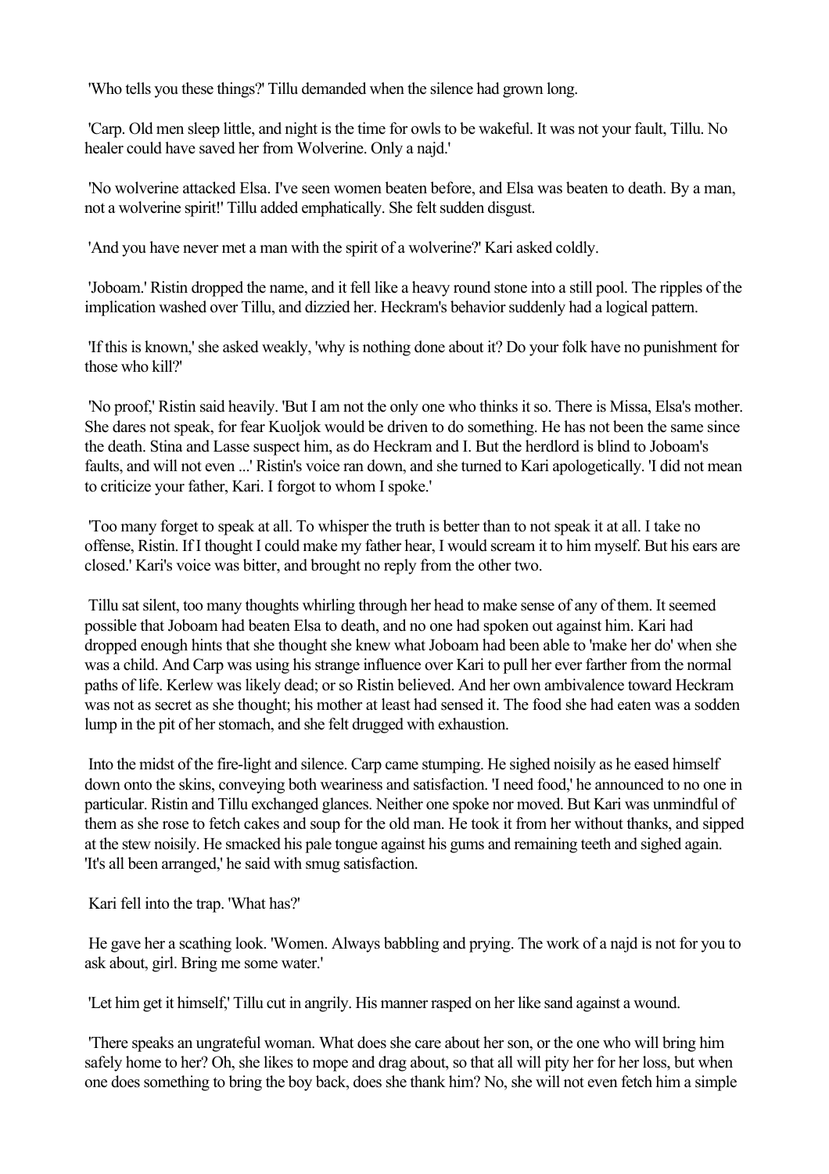'Who tells you these things?' Tillu demanded when the silence had grown long.

 'Carp. Old men sleep little, and night is the time for owls to be wakeful. It was not your fault, Tillu. No healer could have saved her from Wolverine. Only a najd.'

 'No wolverine attacked Elsa. I've seen women beaten before, and Elsa was beaten to death. By a man, not a wolverine spirit!' Tillu added emphatically. She felt sudden disgust.

'And you have never met a man with the spirit of a wolverine?' Kari asked coldly.

 'Joboam.' Ristin dropped the name, and it fell like a heavy round stone into a still pool. The ripples of the implication washed over Tillu, and dizzied her. Heckram's behavior suddenly had a logical pattern.

 'If this is known,' she asked weakly, 'why is nothing done about it? Do your folk have no punishment for those who kill?'

 'No proof,' Ristin said heavily. 'But I am not the only one who thinks it so. There is Missa, Elsa's mother. She dares not speak, for fear Kuoljok would be driven to do something. He has not been the same since the death. Stina and Lasse suspect him, as do Heckram and I. But the herdlord is blind to Joboam's faults, and will not even ...' Ristin's voice ran down, and she turned to Kari apologetically. 'I did not mean to criticize your father, Kari. I forgot to whom I spoke.'

 'Too many forget to speak at all. To whisper the truth is better than to not speak it at all. I take no offense, Ristin. If I thought I could make my father hear, I would scream it to him myself. But his ears are closed.' Kari's voice was bitter, and brought no reply from the other two.

 Tillu sat silent, too many thoughts whirling through her head to make sense of any of them. It seemed possible that Joboam had beaten Elsa to death, and no one had spoken out against him. Kari had dropped enough hints that she thought she knew what Joboam had been able to 'make her do' when she was a child. And Carp was using his strange influence over Kari to pull her ever farther from the normal paths of life. Kerlew was likely dead; or so Ristin believed. And her own ambivalence toward Heckram was not as secret as she thought; his mother at least had sensed it. The food she had eaten was a sodden lump in the pit of her stomach, and she felt drugged with exhaustion.

 Into the midst of the fire-light and silence. Carp came stumping. He sighed noisily as he eased himself down onto the skins, conveying both weariness and satisfaction. 'I need food,' he announced to no one in particular. Ristin and Tillu exchanged glances. Neither one spoke nor moved. But Kari was unmindful of them as she rose to fetch cakes and soup for the old man. He took it from her without thanks, and sipped at the stew noisily. He smacked his pale tongue against his gums and remaining teeth and sighed again. 'It's all been arranged,' he said with smug satisfaction.

Kari fell into the trap. 'What has?'

 He gave her a scathing look. 'Women. Always babbling and prying. The work of a najd is not for you to ask about, girl. Bring me some water.'

'Let him get it himself,' Tillu cut in angrily. His manner rasped on her like sand against a wound.

 'There speaks an ungrateful woman. What does she care about her son, or the one who will bring him safely home to her? Oh, she likes to mope and drag about, so that all will pity her for her loss, but when one does something to bring the boy back, does she thank him? No, she will not even fetch him a simple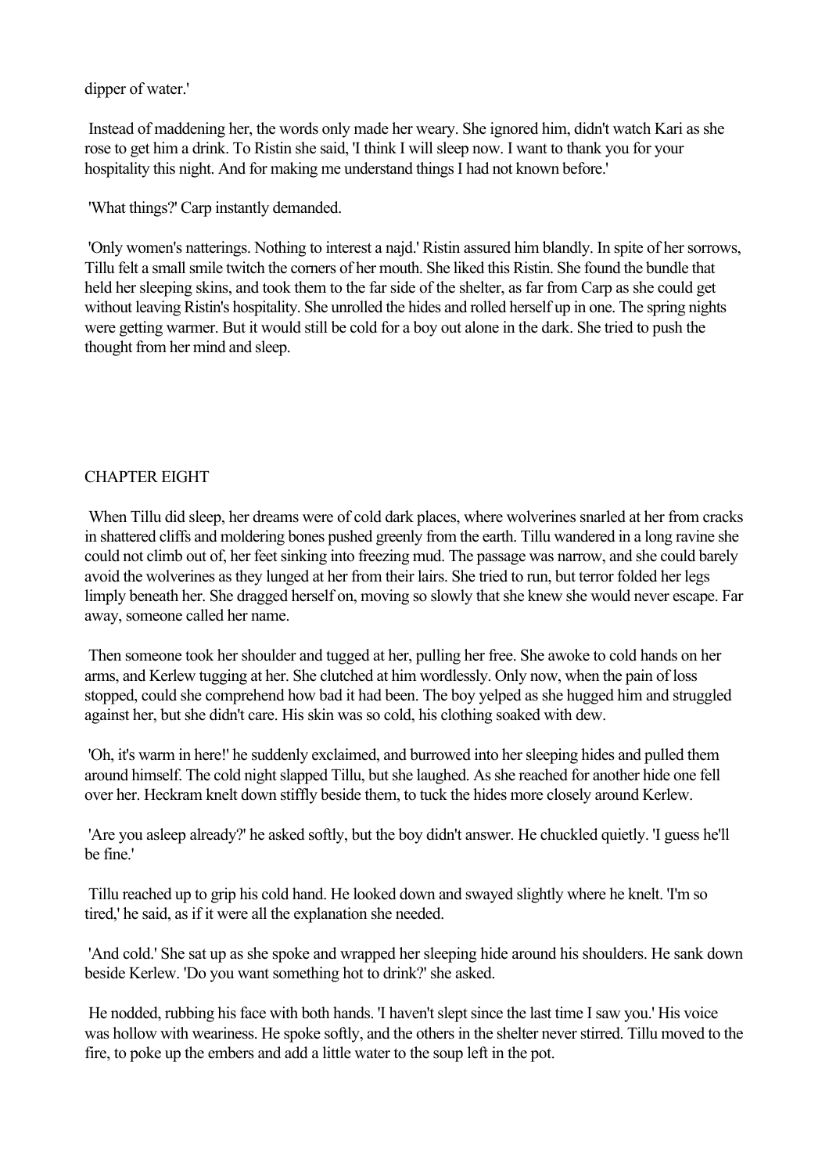dipper of water.'

 Instead of maddening her, the words only made her weary. She ignored him, didn't watch Kari as she rose to get him a drink. To Ristin she said, 'I think I will sleep now. I want to thank you for your hospitality this night. And for making me understand things I had not known before.'

'What things?' Carp instantly demanded.

 'Only women's natterings. Nothing to interest a najd.' Ristin assured him blandly. In spite of her sorrows, Tillu felt a small smile twitch the corners of her mouth. She liked this Ristin. She found the bundle that held her sleeping skins, and took them to the far side of the shelter, as far from Carp as she could get without leaving Ristin's hospitality. She unrolled the hides and rolled herself up in one. The spring nights were getting warmer. But it would still be cold for a boy out alone in the dark. She tried to push the thought from her mind and sleep.

# CHAPTER EIGHT

 When Tillu did sleep, her dreams were of cold dark places, where wolverines snarled at her from cracks in shattered cliffs and moldering bones pushed greenly from the earth. Tillu wandered in a long ravine she could not climb out of, her feet sinking into freezing mud. The passage was narrow, and she could barely avoid the wolverines as they lunged at her from their lairs. She tried to run, but terror folded her legs limply beneath her. She dragged herself on, moving so slowly that she knew she would never escape. Far away, someone called her name.

 Then someone took her shoulder and tugged at her, pulling her free. She awoke to cold hands on her arms, and Kerlew tugging at her. She clutched at him wordlessly. Only now, when the pain of loss stopped, could she comprehend how bad it had been. The boy yelped as she hugged him and struggled against her, but she didn't care. His skin was so cold, his clothing soaked with dew.

 'Oh, it's warm in here!' he suddenly exclaimed, and burrowed into her sleeping hides and pulled them around himself. The cold night slapped Tillu, but she laughed. As she reached for another hide one fell over her. Heckram knelt down stiffly beside them, to tuck the hides more closely around Kerlew.

 'Are you asleep already?' he asked softly, but the boy didn't answer. He chuckled quietly. 'I guess he'll be fine.'

 Tillu reached up to grip his cold hand. He looked down and swayed slightly where he knelt. 'I'm so tired,' he said, as if it were all the explanation she needed.

 'And cold.' She sat up as she spoke and wrapped her sleeping hide around his shoulders. He sank down beside Kerlew. 'Do you want something hot to drink?' she asked.

 He nodded, rubbing his face with both hands. 'I haven't slept since the last time I saw you.' His voice was hollow with weariness. He spoke softly, and the others in the shelter never stirred. Tillu moved to the fire, to poke up the embers and add a little water to the soup left in the pot.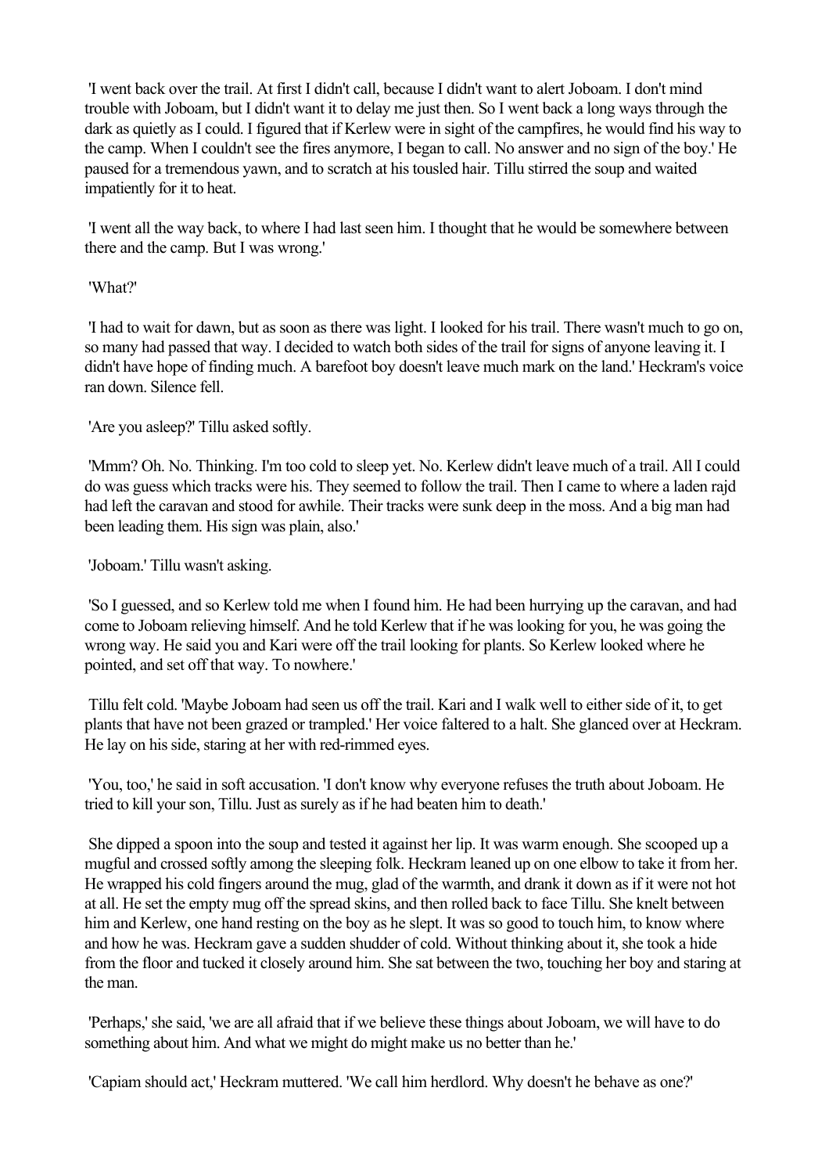'I went back over the trail. At first I didn't call, because I didn't want to alert Joboam. I don't mind trouble with Joboam, but I didn't want it to delay me just then. So I went back a long ways through the dark as quietly as I could. I figured that if Kerlew were in sight of the campfires, he would find his way to the camp. When I couldn't see the fires anymore, I began to call. No answer and no sign of the boy.' He paused for a tremendous yawn, and to scratch at his tousled hair. Tillu stirred the soup and waited impatiently for it to heat.

 'I went all the way back, to where I had last seen him. I thought that he would be somewhere between there and the camp. But I was wrong.'

### 'What?'

 'I had to wait for dawn, but as soon as there was light. I looked for his trail. There wasn't much to go on, so many had passed that way. I decided to watch both sides of the trail for signs of anyone leaving it. I didn't have hope of finding much. A barefoot boy doesn't leave much mark on the land.' Heckram's voice ran down. Silence fell.

'Are you asleep?' Tillu asked softly.

 'Mmm? Oh. No. Thinking. I'm too cold to sleep yet. No. Kerlew didn't leave much of a trail. All I could do was guess which tracks were his. They seemed to follow the trail. Then I came to where a laden rajd had left the caravan and stood for awhile. Their tracks were sunk deep in the moss. And a big man had been leading them. His sign was plain, also.'

'Joboam.' Tillu wasn't asking.

 'So I guessed, and so Kerlew told me when I found him. He had been hurrying up the caravan, and had come to Joboam relieving himself. And he told Kerlew that if he was looking for you, he was going the wrong way. He said you and Kari were off the trail looking for plants. So Kerlew looked where he pointed, and set off that way. To nowhere.'

 Tillu felt cold. 'Maybe Joboam had seen us off the trail. Kari and I walk well to either side of it, to get plants that have not been grazed or trampled.' Her voice faltered to a halt. She glanced over at Heckram. He lay on his side, staring at her with red-rimmed eyes.

 'You, too,' he said in soft accusation. 'I don't know why everyone refuses the truth about Joboam. He tried to kill your son, Tillu. Just as surely as if he had beaten him to death.'

 She dipped a spoon into the soup and tested it against her lip. It was warm enough. She scooped up a mugful and crossed softly among the sleeping folk. Heckram leaned up on one elbow to take it from her. He wrapped his cold fingers around the mug, glad of the warmth, and drank it down as if it were not hot at all. He set the empty mug off the spread skins, and then rolled back to face Tillu. She knelt between him and Kerlew, one hand resting on the boy as he slept. It was so good to touch him, to know where and how he was. Heckram gave a sudden shudder of cold. Without thinking about it, she took a hide from the floor and tucked it closely around him. She sat between the two, touching her boy and staring at the man.

 'Perhaps,' she said, 'we are all afraid that if we believe these things about Joboam, we will have to do something about him. And what we might do might make us no better than he.'

'Capiam should act,' Heckram muttered. 'We call him herdlord. Why doesn't he behave as one?'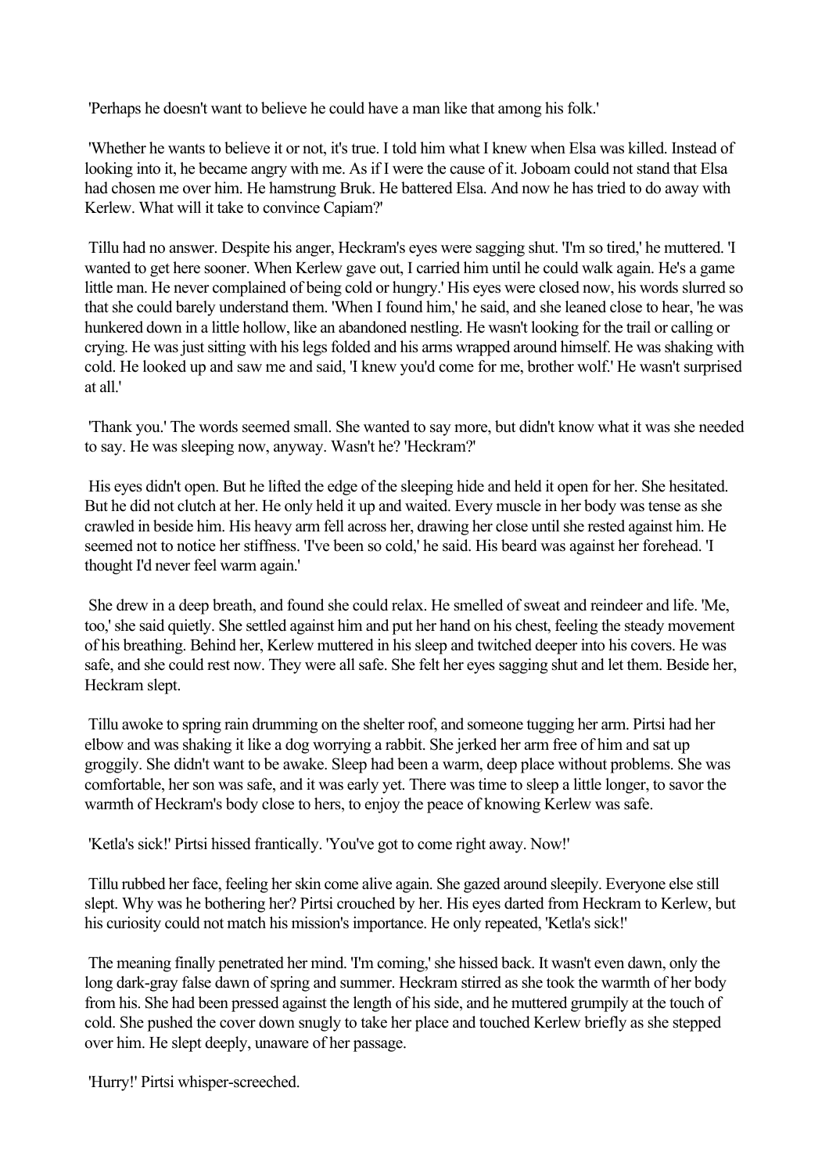'Perhaps he doesn't want to believe he could have a man like that among his folk.'

 'Whether he wants to believe it or not, it's true. I told him what I knew when Elsa was killed. Instead of looking into it, he became angry with me. As if I were the cause of it. Joboam could not stand that Elsa had chosen me over him. He hamstrung Bruk. He battered Elsa. And now he has tried to do away with Kerlew. What will it take to convince Capiam?'

 Tillu had no answer. Despite his anger, Heckram's eyes were sagging shut. 'I'm so tired,' he muttered. 'I wanted to get here sooner. When Kerlew gave out, I carried him until he could walk again. He's a game little man. He never complained of being cold or hungry.' His eyes were closed now, his words slurred so that she could barely understand them. 'When I found him,' he said, and she leaned close to hear, 'he was hunkered down in a little hollow, like an abandoned nestling. He wasn't looking for the trail or calling or crying. He was just sitting with his legs folded and his arms wrapped around himself. He was shaking with cold. He looked up and saw me and said, 'I knew you'd come for me, brother wolf.' He wasn't surprised at all.'

 'Thank you.' The words seemed small. She wanted to say more, but didn't know what it was she needed to say. He was sleeping now, anyway. Wasn't he? 'Heckram?'

 His eyes didn't open. But he lifted the edge of the sleeping hide and held it open for her. She hesitated. But he did not clutch at her. He only held it up and waited. Every muscle in her body was tense as she crawled in beside him. His heavy arm fell across her, drawing her close until she rested against him. He seemed not to notice her stiffness. 'I've been so cold,' he said. His beard was against her forehead. 'I thought I'd never feel warm again.'

 She drew in a deep breath, and found she could relax. He smelled of sweat and reindeer and life. 'Me, too,' she said quietly. She settled against him and put her hand on his chest, feeling the steady movement of his breathing. Behind her, Kerlew muttered in his sleep and twitched deeper into his covers. He was safe, and she could rest now. They were all safe. She felt her eyes sagging shut and let them. Beside her, Heckram slept.

 Tillu awoke to spring rain drumming on the shelter roof, and someone tugging her arm. Pirtsi had her elbow and was shaking it like a dog worrying a rabbit. She jerked her arm free of him and sat up groggily. She didn't want to be awake. Sleep had been a warm, deep place without problems. She was comfortable, her son was safe, and it was early yet. There was time to sleep a little longer, to savor the warmth of Heckram's body close to hers, to enjoy the peace of knowing Kerlew was safe.

'Ketla's sick!' Pirtsi hissed frantically. 'You've got to come right away. Now!'

 Tillu rubbed her face, feeling her skin come alive again. She gazed around sleepily. Everyone else still slept. Why was he bothering her? Pirtsi crouched by her. His eyes darted from Heckram to Kerlew, but his curiosity could not match his mission's importance. He only repeated, 'Ketla's sick!'

 The meaning finally penetrated her mind. 'I'm coming,' she hissed back. It wasn't even dawn, only the long dark-gray false dawn of spring and summer. Heckram stirred as she took the warmth of her body from his. She had been pressed against the length of his side, and he muttered grumpily at the touch of cold. She pushed the cover down snugly to take her place and touched Kerlew briefly as she stepped over him. He slept deeply, unaware of her passage.

'Hurry!' Pirtsi whisper-screeched.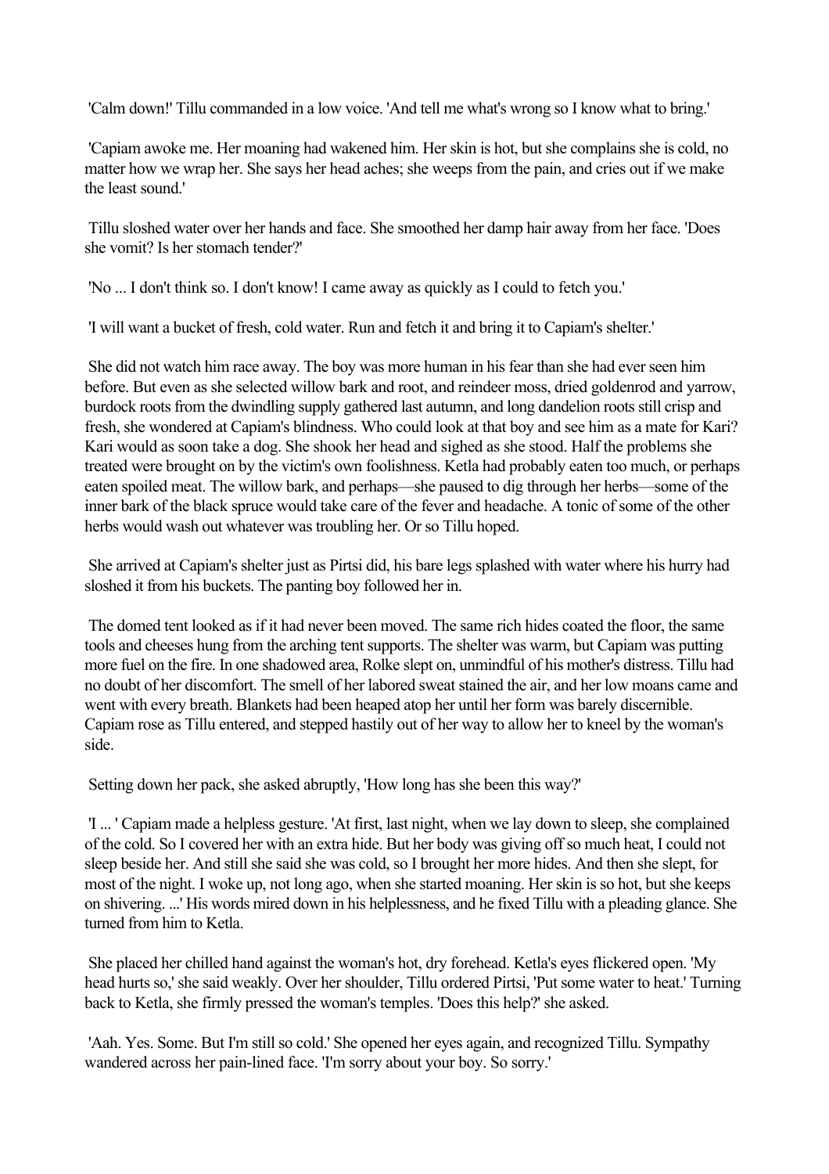'Calm down!' Tillu commanded in a low voice. 'And tell me what's wrong so I know what to bring.'

 'Capiam awoke me. Her moaning had wakened him. Her skin is hot, but she complains she is cold, no matter how we wrap her. She says her head aches; she weeps from the pain, and cries out if we make the least sound.'

 Tillu sloshed water over her hands and face. She smoothed her damp hair away from her face. 'Does she vomit? Is her stomach tender?'

'No ... I don't think so. I don't know! I came away as quickly as I could to fetch you.'

'I will want a bucket of fresh, cold water. Run and fetch it and bring it to Capiam's shelter.'

 She did not watch him race away. The boy was more human in his fear than she had ever seen him before. But even as she selected willow bark and root, and reindeer moss, dried goldenrod and yarrow, burdock roots from the dwindling supply gathered last autumn, and long dandelion roots still crisp and fresh, she wondered at Capiam's blindness. Who could look at that boy and see him as a mate for Kari? Kari would as soon take a dog. She shook her head and sighed as she stood. Half the problems she treated were brought on by the victim's own foolishness. Ketla had probably eaten too much, or perhaps eaten spoiled meat. The willow bark, and perhaps—she paused to dig through her herbs—some of the inner bark of the black spruce would take care of the fever and headache. A tonic of some of the other herbs would wash out whatever was troubling her. Or so Tillu hoped.

 She arrived at Capiam's shelter just as Pirtsi did, his bare legs splashed with water where his hurry had sloshed it from his buckets. The panting boy followed her in.

 The domed tent looked as if it had never been moved. The same rich hides coated the floor, the same tools and cheeses hung from the arching tent supports. The shelter was warm, but Capiam was putting more fuel on the fire. In one shadowed area, Rolke slept on, unmindful of his mother's distress. Tillu had no doubt of her discomfort. The smell of her labored sweat stained the air, and her low moans came and went with every breath. Blankets had been heaped atop her until her form was barely discernible. Capiam rose as Tillu entered, and stepped hastily out of her way to allow her to kneel by the woman's side.

Setting down her pack, she asked abruptly, 'How long has she been this way?'

 'I ... ' Capiam made a helpless gesture. 'At first, last night, when we lay down to sleep, she complained of the cold. So I covered her with an extra hide. But her body was giving off so much heat, I could not sleep beside her. And still she said she was cold, so I brought her more hides. And then she slept, for most of the night. I woke up, not long ago, when she started moaning. Her skin is so hot, but she keeps on shivering. ...' His words mired down in his helplessness, and he fixed Tillu with a pleading glance. She turned from him to Ketla.

 She placed her chilled hand against the woman's hot, dry forehead. Ketla's eyes flickered open. 'My head hurts so,' she said weakly. Over her shoulder, Tillu ordered Pirtsi, 'Put some water to heat.' Turning back to Ketla, she firmly pressed the woman's temples. 'Does this help?' she asked.

 'Aah. Yes. Some. But I'm still so cold.' She opened her eyes again, and recognized Tillu. Sympathy wandered across her pain-lined face. 'I'm sorry about your boy. So sorry.'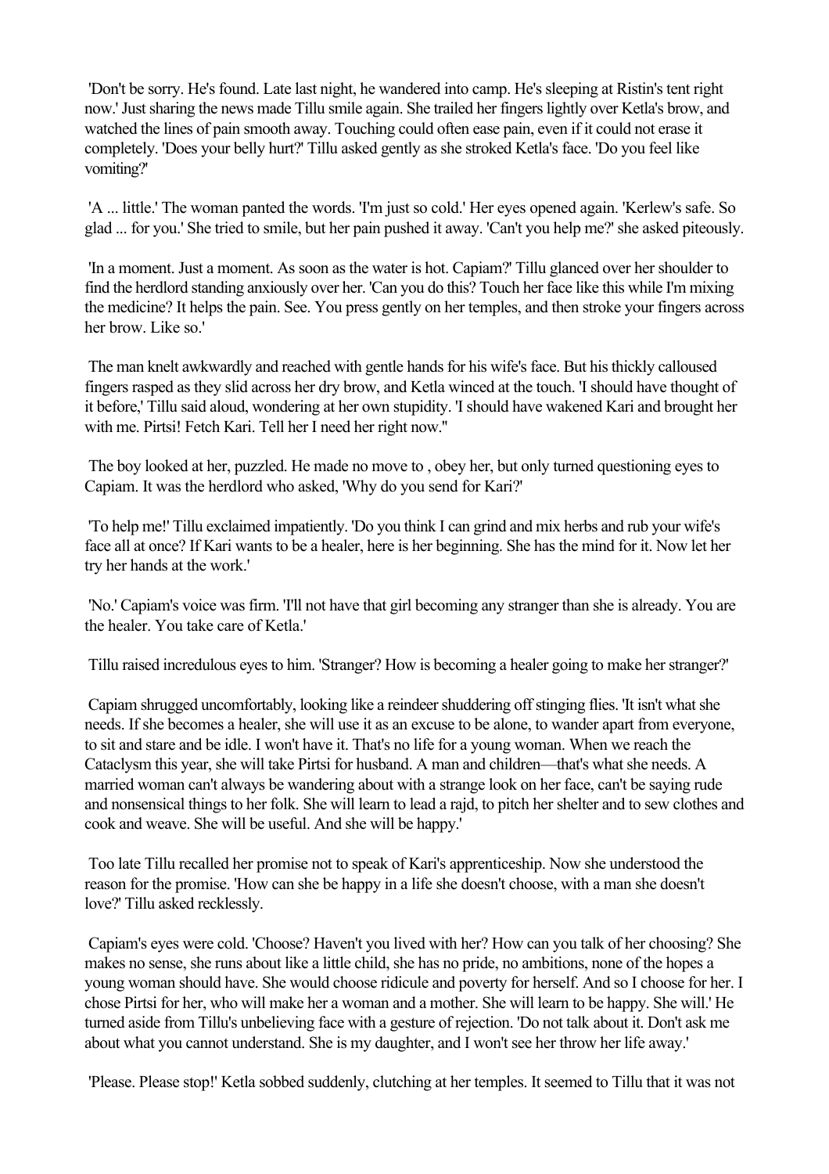'Don't be sorry. He's found. Late last night, he wandered into camp. He's sleeping at Ristin's tent right now.' Just sharing the news made Tillu smile again. She trailed her fingers lightly over Ketla's brow, and watched the lines of pain smooth away. Touching could often ease pain, even if it could not erase it completely. 'Does your belly hurt?' Tillu asked gently as she stroked Ketla's face. 'Do you feel like vomiting?'

 'A ... little.' The woman panted the words. 'I'm just so cold.' Her eyes opened again. 'Kerlew's safe. So glad ... for you.' She tried to smile, but her pain pushed it away. 'Can't you help me?' she asked piteously.

 'In a moment. Just a moment. As soon as the water is hot. Capiam?' Tillu glanced over her shoulder to find the herdlord standing anxiously over her. 'Can you do this? Touch her face like this while I'm mixing the medicine? It helps the pain. See. You press gently on her temples, and then stroke your fingers across her brow. Like so.'

 The man knelt awkwardly and reached with gentle hands for his wife's face. But his thickly calloused fingers rasped as they slid across her dry brow, and Ketla winced at the touch. 'I should have thought of it before,' Tillu said aloud, wondering at her own stupidity. 'I should have wakened Kari and brought her with me. Pirtsi! Fetch Kari. Tell her I need her right now.''

 The boy looked at her, puzzled. He made no move to , obey her, but only turned questioning eyes to Capiam. It was the herdlord who asked, 'Why do you send for Kari?'

 'To help me!' Tillu exclaimed impatiently. 'Do you think I can grind and mix herbs and rub your wife's face all at once? If Kari wants to be a healer, here is her beginning. She has the mind for it. Now let her try her hands at the work.'

 'No.' Capiam's voice was firm. 'I'll not have that girl becoming any stranger than she is already. You are the healer. You take care of Ketla.'

Tillu raised incredulous eyes to him. 'Stranger? How is becoming a healer going to make her stranger?'

 Capiam shrugged uncomfortably, looking like a reindeer shuddering off stinging flies. 'It isn't what she needs. If she becomes a healer, she will use it as an excuse to be alone, to wander apart from everyone, to sit and stare and be idle. I won't have it. That's no life for a young woman. When we reach the Cataclysm this year, she will take Pirtsi for husband. A man and children—that's what she needs. A married woman can't always be wandering about with a strange look on her face, can't be saying rude and nonsensical things to her folk. She will learn to lead a rajd, to pitch her shelter and to sew clothes and cook and weave. She will be useful. And she will be happy.'

 Too late Tillu recalled her promise not to speak of Kari's apprenticeship. Now she understood the reason for the promise. 'How can she be happy in a life she doesn't choose, with a man she doesn't love?' Tillu asked recklessly.

 Capiam's eyes were cold. 'Choose? Haven't you lived with her? How can you talk of her choosing? She makes no sense, she runs about like a little child, she has no pride, no ambitions, none of the hopes a young woman should have. She would choose ridicule and poverty for herself. And so I choose for her. I chose Pirtsi for her, who will make her a woman and a mother. She will learn to be happy. She will.' He turned aside from Tillu's unbelieving face with a gesture of rejection. 'Do not talk about it. Don't ask me about what you cannot understand. She is my daughter, and I won't see her throw her life away.'

'Please. Please stop!' Ketla sobbed suddenly, clutching at her temples. It seemed to Tillu that it was not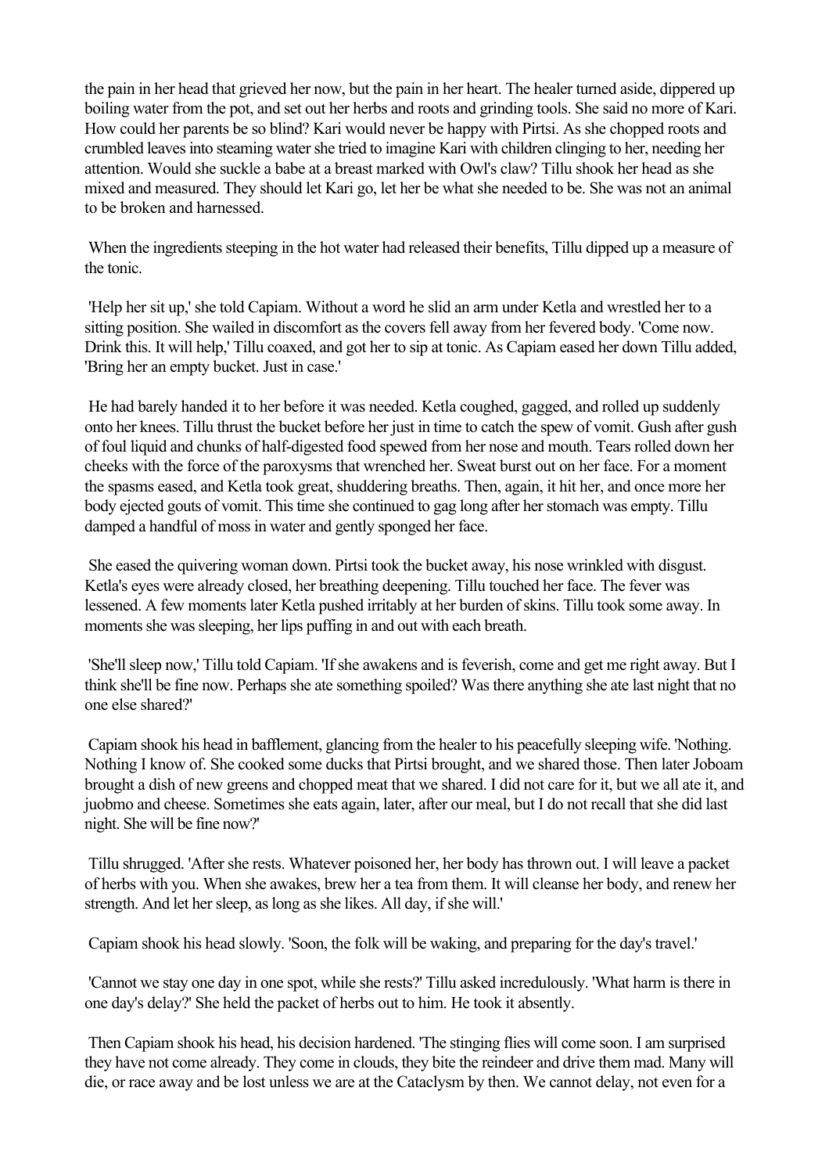the pain in her head that grieved her now, but the pain in her heart. The healer turned aside, dippered up boiling water from the pot, and set out her herbs and roots and grinding tools. She said no more of Kari. How could her parents be so blind? Kari would never be happy with Pirtsi. As she chopped roots and crumbled leaves into steaming water she tried to imagine Kari with children clinging to her, needing her attention. Would she suckle a babe at a breast marked with Owl's claw? Tillu shook her head as she mixed and measured. They should let Kari go, let her be what she needed to be. She was not an animal to be broken and harnessed.

 When the ingredients steeping in the hot water had released their benefits, Tillu dipped up a measure of the tonic.

 'Help her sit up,' she told Capiam. Without a word he slid an arm under Ketla and wrestled her to a sitting position. She wailed in discomfort as the covers fell away from her fevered body. 'Come now. Drink this. It will help,' Tillu coaxed, and got her to sip at tonic. As Capiam eased her down Tillu added, 'Bring her an empty bucket. Just in case.'

 He had barely handed it to her before it was needed. Ketla coughed, gagged, and rolled up suddenly onto her knees. Tillu thrust the bucket before her just in time to catch the spew of vomit. Gush after gush of foul liquid and chunks of half-digested food spewed from her nose and mouth. Tears rolled down her cheeks with the force of the paroxysms that wrenched her. Sweat burst out on her face. For a moment the spasms eased, and Ketla took great, shuddering breaths. Then, again, it hit her, and once more her body ejected gouts of vomit. This time she continued to gag long after her stomach was empty. Tillu damped a handful of moss in water and gently sponged her face.

 She eased the quivering woman down. Pirtsi took the bucket away, his nose wrinkled with disgust. Ketla's eyes were already closed, her breathing deepening. Tillu touched her face. The fever was lessened. A few moments later Ketla pushed irritably at her burden of skins. Tillu took some away. In moments she was sleeping, her lips puffing in and out with each breath.

 'She'll sleep now,' Tillu told Capiam. 'If she awakens and is feverish, come and get me right away. But I think she'll be fine now. Perhaps she ate something spoiled? Was there anything she ate last night that no one else shared?'

 Capiam shook his head in bafflement, glancing from the healer to his peacefully sleeping wife. 'Nothing. Nothing I know of. She cooked some ducks that Pirtsi brought, and we shared those. Then later Joboam brought a dish of new greens and chopped meat that we shared. I did not care for it, but we all ate it, and juobmo and cheese. Sometimes she eats again, later, after our meal, but I do not recall that she did last night. She will be fine now?'

 Tillu shrugged. 'After she rests. Whatever poisoned her, her body has thrown out. I will leave a packet of herbs with you. When she awakes, brew her a tea from them. It will cleanse her body, and renew her strength. And let her sleep, as long as she likes. All day, if she will.'

Capiam shook his head slowly. 'Soon, the folk will be waking, and preparing for the day's travel.'

 'Cannot we stay one day in one spot, while she rests?' Tillu asked incredulously. 'What harm is there in one day's delay?' She held the packet of herbs out to him. He took it absently.

 Then Capiam shook his head, his decision hardened. 'The stinging flies will come soon. I am surprised they have not come already. They come in clouds, they bite the reindeer and drive them mad. Many will die, or race away and be lost unless we are at the Cataclysm by then. We cannot delay, not even for a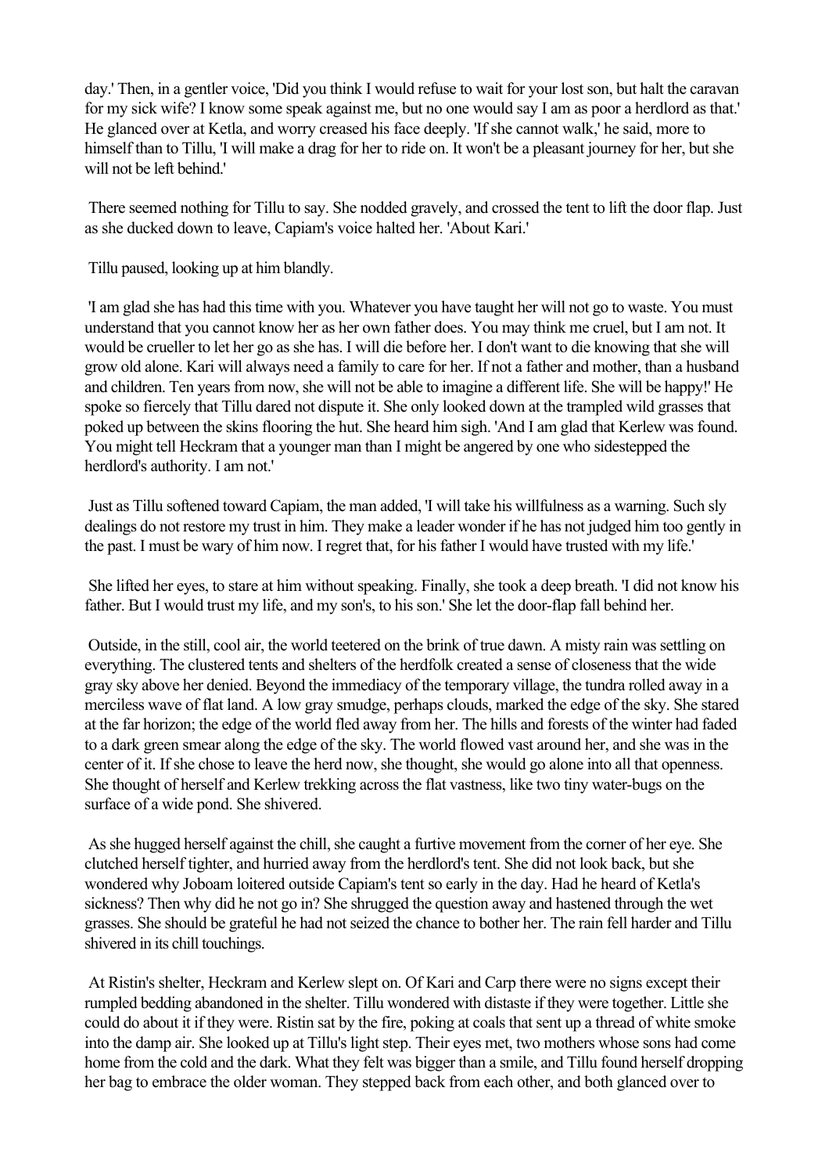day.' Then, in a gentler voice, 'Did you think I would refuse to wait for your lost son, but halt the caravan for my sick wife? I know some speak against me, but no one would say I am as poor a herdlord as that.' He glanced over at Ketla, and worry creased his face deeply. 'If she cannot walk,' he said, more to himself than to Tillu, 'I will make a drag for her to ride on. It won't be a pleasant journey for her, but she will not be left behind.'

 There seemed nothing for Tillu to say. She nodded gravely, and crossed the tent to lift the door flap. Just as she ducked down to leave, Capiam's voice halted her. 'About Kari.'

Tillu paused, looking up at him blandly.

 'I am glad she has had this time with you. Whatever you have taught her will not go to waste. You must understand that you cannot know her as her own father does. You may think me cruel, but I am not. It would be crueller to let her go as she has. I will die before her. I don't want to die knowing that she will grow old alone. Kari will always need a family to care for her. If not a father and mother, than a husband and children. Ten years from now, she will not be able to imagine a different life. She will be happy!' He spoke so fiercely that Tillu dared not dispute it. She only looked down at the trampled wild grasses that poked up between the skins flooring the hut. She heard him sigh. 'And I am glad that Kerlew was found. You might tell Heckram that a younger man than I might be angered by one who sidestepped the herdlord's authority. I am not.'

 Just as Tillu softened toward Capiam, the man added, 'I will take his willfulness as a warning. Such sly dealings do not restore my trust in him. They make a leader wonder if he has not judged him too gently in the past. I must be wary of him now. I regret that, for his father I would have trusted with my life.'

 She lifted her eyes, to stare at him without speaking. Finally, she took a deep breath. 'I did not know his father. But I would trust my life, and my son's, to his son.' She let the door-flap fall behind her.

 Outside, in the still, cool air, the world teetered on the brink of true dawn. A misty rain was settling on everything. The clustered tents and shelters of the herdfolk created a sense of closeness that the wide gray sky above her denied. Beyond the immediacy of the temporary village, the tundra rolled away in a merciless wave of flat land. A low gray smudge, perhaps clouds, marked the edge of the sky. She stared at the far horizon; the edge of the world fled away from her. The hills and forests of the winter had faded to a dark green smear along the edge of the sky. The world flowed vast around her, and she was in the center of it. If she chose to leave the herd now, she thought, she would go alone into all that openness. She thought of herself and Kerlew trekking across the flat vastness, like two tiny water-bugs on the surface of a wide pond. She shivered.

 As she hugged herself against the chill, she caught a furtive movement from the corner of her eye. She clutched herself tighter, and hurried away from the herdlord's tent. She did not look back, but she wondered why Joboam loitered outside Capiam's tent so early in the day. Had he heard of Ketla's sickness? Then why did he not go in? She shrugged the question away and hastened through the wet grasses. She should be grateful he had not seized the chance to bother her. The rain fell harder and Tillu shivered in its chill touchings.

 At Ristin's shelter, Heckram and Kerlew slept on. Of Kari and Carp there were no signs except their rumpled bedding abandoned in the shelter. Tillu wondered with distaste if they were together. Little she could do about it if they were. Ristin sat by the fire, poking at coals that sent up a thread of white smoke into the damp air. She looked up at Tillu's light step. Their eyes met, two mothers whose sons had come home from the cold and the dark. What they felt was bigger than a smile, and Tillu found herself dropping her bag to embrace the older woman. They stepped back from each other, and both glanced over to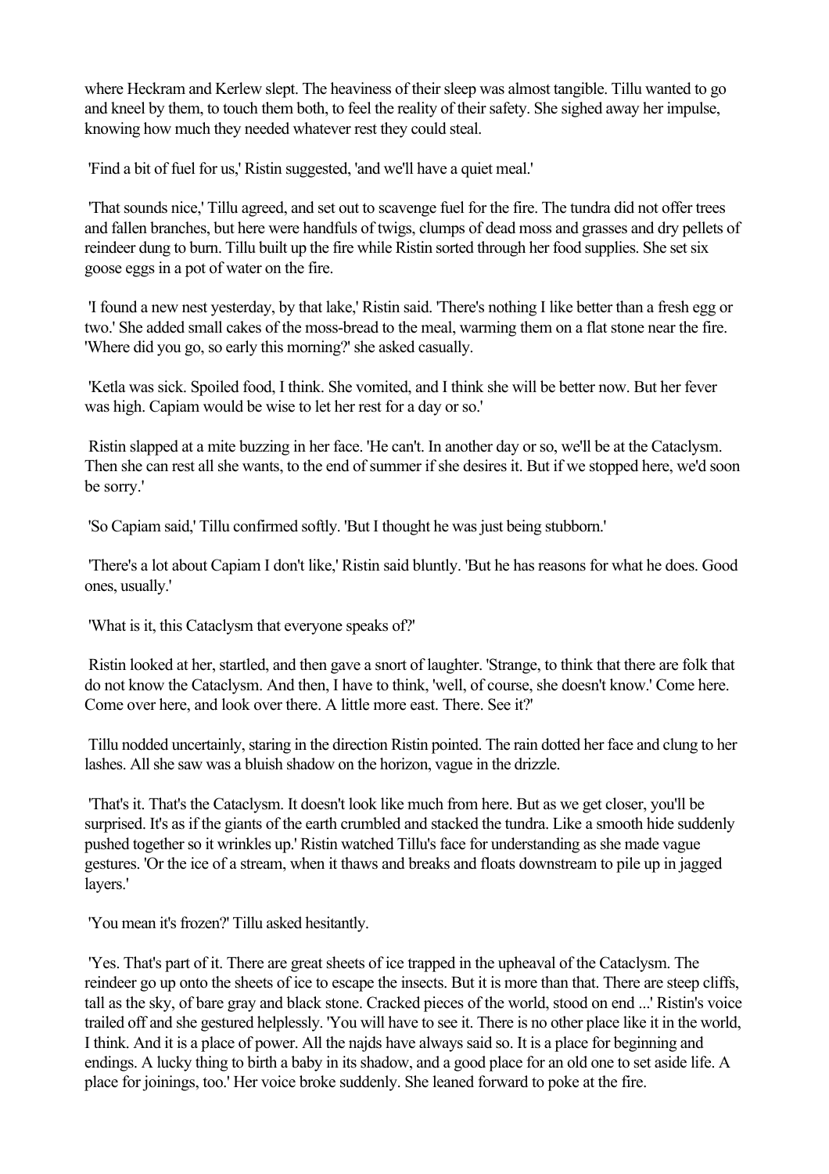where Heckram and Kerlew slept. The heaviness of their sleep was almost tangible. Tillu wanted to go and kneel by them, to touch them both, to feel the reality of their safety. She sighed away her impulse, knowing how much they needed whatever rest they could steal.

'Find a bit of fuel for us,' Ristin suggested, 'and we'll have a quiet meal.'

 'That sounds nice,' Tillu agreed, and set out to scavenge fuel for the fire. The tundra did not offer trees and fallen branches, but here were handfuls of twigs, clumps of dead moss and grasses and dry pellets of reindeer dung to burn. Tillu built up the fire while Ristin sorted through her food supplies. She set six goose eggs in a pot of water on the fire.

 'I found a new nest yesterday, by that lake,' Ristin said. 'There's nothing I like better than a fresh egg or two.' She added small cakes of the moss-bread to the meal, warming them on a flat stone near the fire. 'Where did you go, so early this morning?' she asked casually.

 'Ketla was sick. Spoiled food, I think. She vomited, and I think she will be better now. But her fever was high. Capiam would be wise to let her rest for a day or so.'

 Ristin slapped at a mite buzzing in her face. 'He can't. In another day or so, we'll be at the Cataclysm. Then she can rest all she wants, to the end of summer if she desires it. But if we stopped here, we'd soon be sorry.'

'So Capiam said,' Tillu confirmed softly. 'But I thought he was just being stubborn.'

 'There's a lot about Capiam I don't like,' Ristin said bluntly. 'But he has reasons for what he does. Good ones, usually.'

'What is it, this Cataclysm that everyone speaks of?'

 Ristin looked at her, startled, and then gave a snort of laughter. 'Strange, to think that there are folk that do not know the Cataclysm. And then, I have to think, 'well, of course, she doesn't know.' Come here. Come over here, and look over there. A little more east. There. See it?'

 Tillu nodded uncertainly, staring in the direction Ristin pointed. The rain dotted her face and clung to her lashes. All she saw was a bluish shadow on the horizon, vague in the drizzle.

 'That's it. That's the Cataclysm. It doesn't look like much from here. But as we get closer, you'll be surprised. It's as if the giants of the earth crumbled and stacked the tundra. Like a smooth hide suddenly pushed together so it wrinkles up.' Ristin watched Tillu's face for understanding as she made vague gestures. 'Or the ice of a stream, when it thaws and breaks and floats downstream to pile up in jagged layers.'

'You mean it's frozen?' Tillu asked hesitantly.

 'Yes. That's part of it. There are great sheets of ice trapped in the upheaval of the Cataclysm. The reindeer go up onto the sheets of ice to escape the insects. But it is more than that. There are steep cliffs, tall as the sky, of bare gray and black stone. Cracked pieces of the world, stood on end ...' Ristin's voice trailed off and she gestured helplessly. 'You will have to see it. There is no other place like it in the world, I think. And it is a place of power. All the najds have always said so. It is a place for beginning and endings. A lucky thing to birth a baby in its shadow, and a good place for an old one to set aside life. A place for joinings, too.' Her voice broke suddenly. She leaned forward to poke at the fire.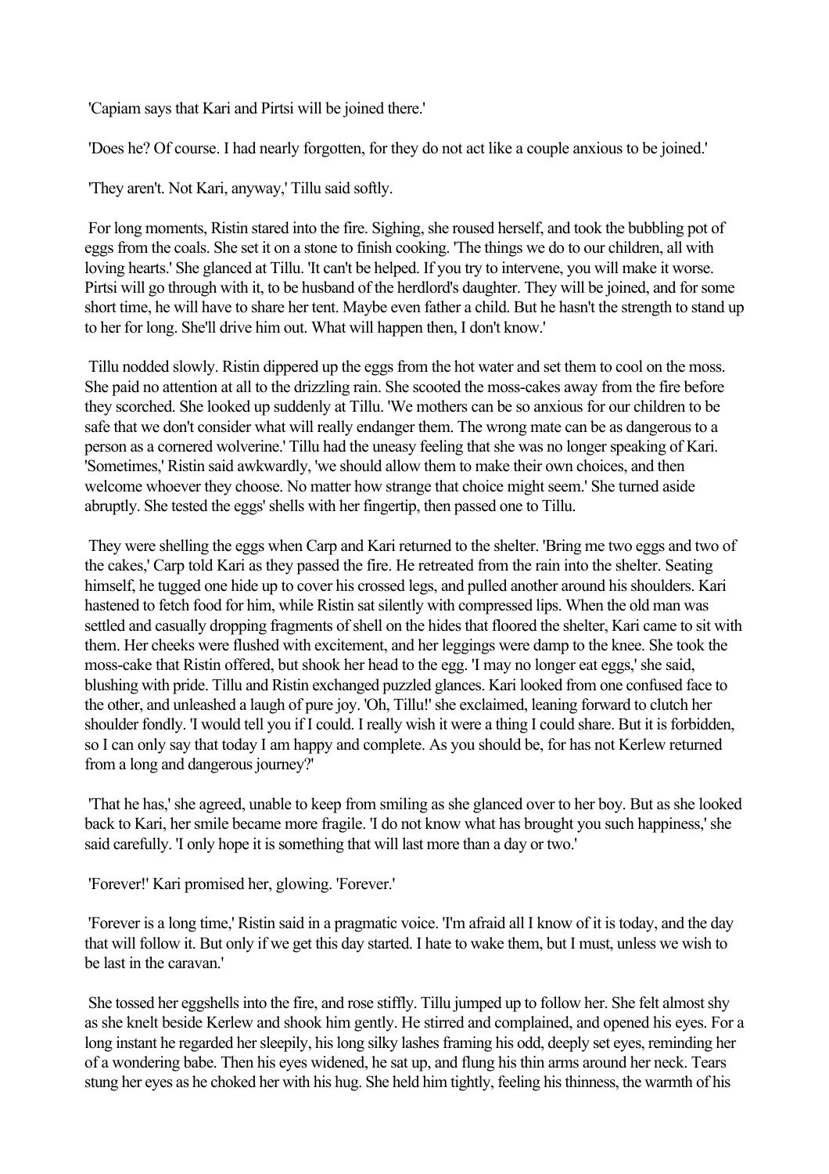'Capiam says that Kari and Pirtsi will be joined there.'

'Does he? Of course. I had nearly forgotten, for they do not act like a couple anxious to be joined.'

'They aren't. Not Kari, anyway,' Tillu said softly.

 For long moments, Ristin stared into the fire. Sighing, she roused herself, and took the bubbling pot of eggs from the coals. She set it on a stone to finish cooking. 'The things we do to our children, all with loving hearts.' She glanced at Tillu. 'It can't be helped. If you try to intervene, you will make it worse. Pirtsi will go through with it, to be husband of the herdlord's daughter. They will be joined, and for some short time, he will have to share her tent. Maybe even father a child. But he hasn't the strength to stand up to her for long. She'll drive him out. What will happen then, I don't know.'

 Tillu nodded slowly. Ristin dippered up the eggs from the hot water and set them to cool on the moss. She paid no attention at all to the drizzling rain. She scooted the moss-cakes away from the fire before they scorched. She looked up suddenly at Tillu. 'We mothers can be so anxious for our children to be safe that we don't consider what will really endanger them. The wrong mate can be as dangerous to a person as a cornered wolverine.' Tillu had the uneasy feeling that she was no longer speaking of Kari. 'Sometimes,' Ristin said awkwardly, 'we should allow them to make their own choices, and then welcome whoever they choose. No matter how strange that choice might seem.' She turned aside abruptly. She tested the eggs' shells with her fingertip, then passed one to Tillu.

 They were shelling the eggs when Carp and Kari returned to the shelter. 'Bring me two eggs and two of the cakes,' Carp told Kari as they passed the fire. He retreated from the rain into the shelter. Seating himself, he tugged one hide up to cover his crossed legs, and pulled another around his shoulders. Kari hastened to fetch food for him, while Ristin sat silently with compressed lips. When the old man was settled and casually dropping fragments of shell on the hides that floored the shelter. Kari came to sit with them. Her cheeks were flushed with excitement, and her leggings were damp to the knee. She took the moss-cake that Ristin offered, but shook her head to the egg. 'I may no longer eat eggs,' she said, blushing with pride. Tillu and Ristin exchanged puzzled glances. Kari looked from one confused face to the other, and unleashed a laugh of pure joy. 'Oh, Tillu!' she exclaimed, leaning forward to clutch her shoulder fondly. 'I would tell you if I could. I really wish it were a thing I could share. But it is forbidden, so I can only say that today I am happy and complete. As you should be, for has not Kerlew returned from a long and dangerous journey?'

 'That he has,' she agreed, unable to keep from smiling as she glanced over to her boy. But as she looked back to Kari, her smile became more fragile. 'I do not know what has brought you such happiness,' she said carefully. 'I only hope it is something that will last more than a day or two.'

'Forever!' Kari promised her, glowing. 'Forever.'

 'Forever is a long time,' Ristin said in a pragmatic voice. 'I'm afraid all I know of it is today, and the day that will follow it. But only if we get this day started. I hate to wake them, but I must, unless we wish to be last in the caravan.'

 She tossed her eggshells into the fire, and rose stiffly. Tillu jumped up to follow her. She felt almost shy as she knelt beside Kerlew and shook him gently. He stirred and complained, and opened his eyes. For a long instant he regarded her sleepily, his long silky lashes framing his odd, deeply set eyes, reminding her of a wondering babe. Then his eyes widened, he sat up, and flung his thin arms around her neck. Tears stung her eyes as he choked her with his hug. She held him tightly, feeling his thinness, the warmth of his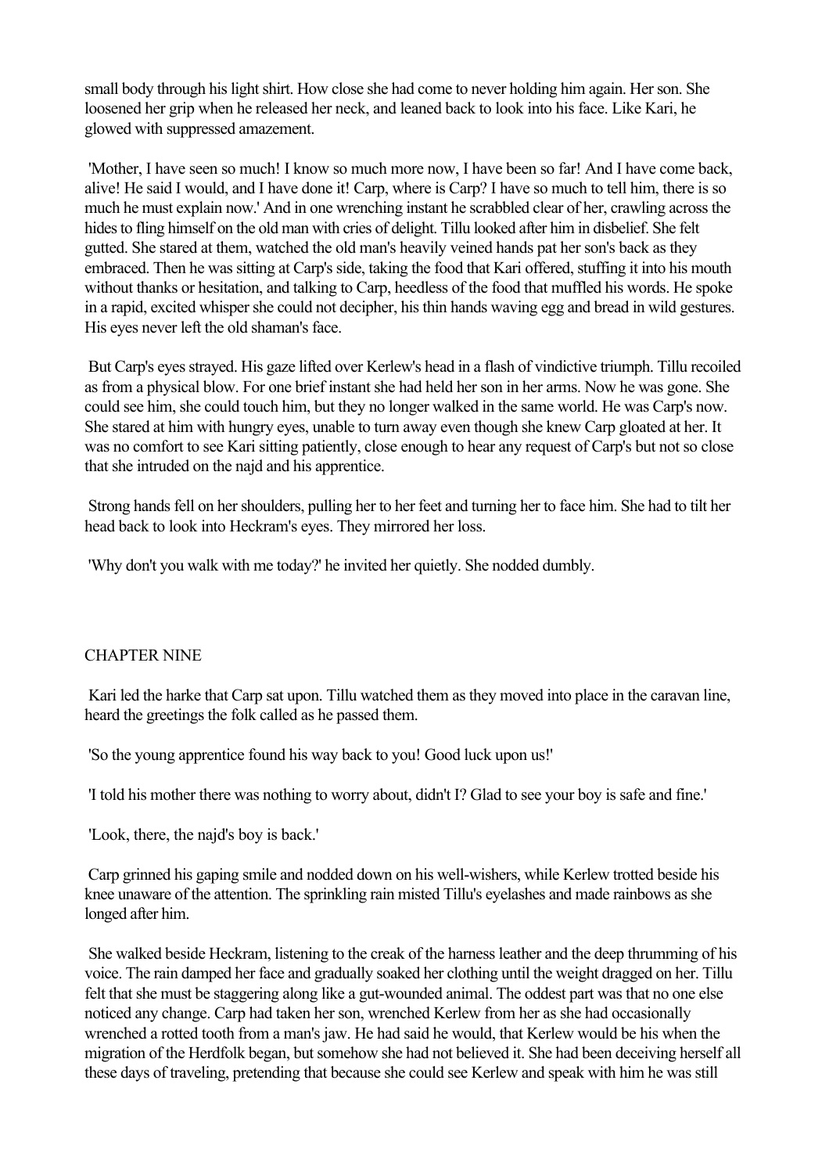small body through his light shirt. How close she had come to never holding him again. Her son. She loosened her grip when he released her neck, and leaned back to look into his face. Like Kari, he glowed with suppressed amazement.

 'Mother, I have seen so much! I know so much more now, I have been so far! And I have come back, alive! He said I would, and I have done it! Carp, where is Carp? I have so much to tell him, there is so much he must explain now.' And in one wrenching instant he scrabbled clear of her, crawling across the hides to fling himself on the old man with cries of delight. Tillu looked after him in disbelief. She felt gutted. She stared at them, watched the old man's heavily veined hands pat her son's back as they embraced. Then he was sitting at Carp's side, taking the food that Kari offered, stuffing it into his mouth without thanks or hesitation, and talking to Carp, heedless of the food that muffled his words. He spoke in a rapid, excited whisper she could not decipher, his thin hands waving egg and bread in wild gestures. His eyes never left the old shaman's face.

 But Carp's eyes strayed. His gaze lifted over Kerlew's head in a flash of vindictive triumph. Tillu recoiled as from a physical blow. For one brief instant she had held her son in her arms. Now he was gone. She could see him, she could touch him, but they no longer walked in the same world. He was Carp's now. She stared at him with hungry eyes, unable to turn away even though she knew Carp gloated at her. It was no comfort to see Kari sitting patiently, close enough to hear any request of Carp's but not so close that she intruded on the najd and his apprentice.

 Strong hands fell on her shoulders, pulling her to her feet and turning her to face him. She had to tilt her head back to look into Heckram's eyes. They mirrored her loss.

'Why don't you walk with me today?' he invited her quietly. She nodded dumbly.

# CHAPTER NINE

 Kari led the harke that Carp sat upon. Tillu watched them as they moved into place in the caravan line, heard the greetings the folk called as he passed them.

'So the young apprentice found his way back to you! Good luck upon us!'

'I told his mother there was nothing to worry about, didn't I? Glad to see your boy is safe and fine.'

'Look, there, the najd's boy is back.'

 Carp grinned his gaping smile and nodded down on his well-wishers, while Kerlew trotted beside his knee unaware of the attention. The sprinkling rain misted Tillu's eyelashes and made rainbows as she longed after him.

 She walked beside Heckram, listening to the creak of the harness leather and the deep thrumming of his voice. The rain damped her face and gradually soaked her clothing until the weight dragged on her. Tillu felt that she must be staggering along like a gut-wounded animal. The oddest part was that no one else noticed any change. Carp had taken her son, wrenched Kerlew from her as she had occasionally wrenched a rotted tooth from a man's jaw. He had said he would, that Kerlew would be his when the migration of the Herdfolk began, but somehow she had not believed it. She had been deceiving herself all these days of traveling, pretending that because she could see Kerlew and speak with him he was still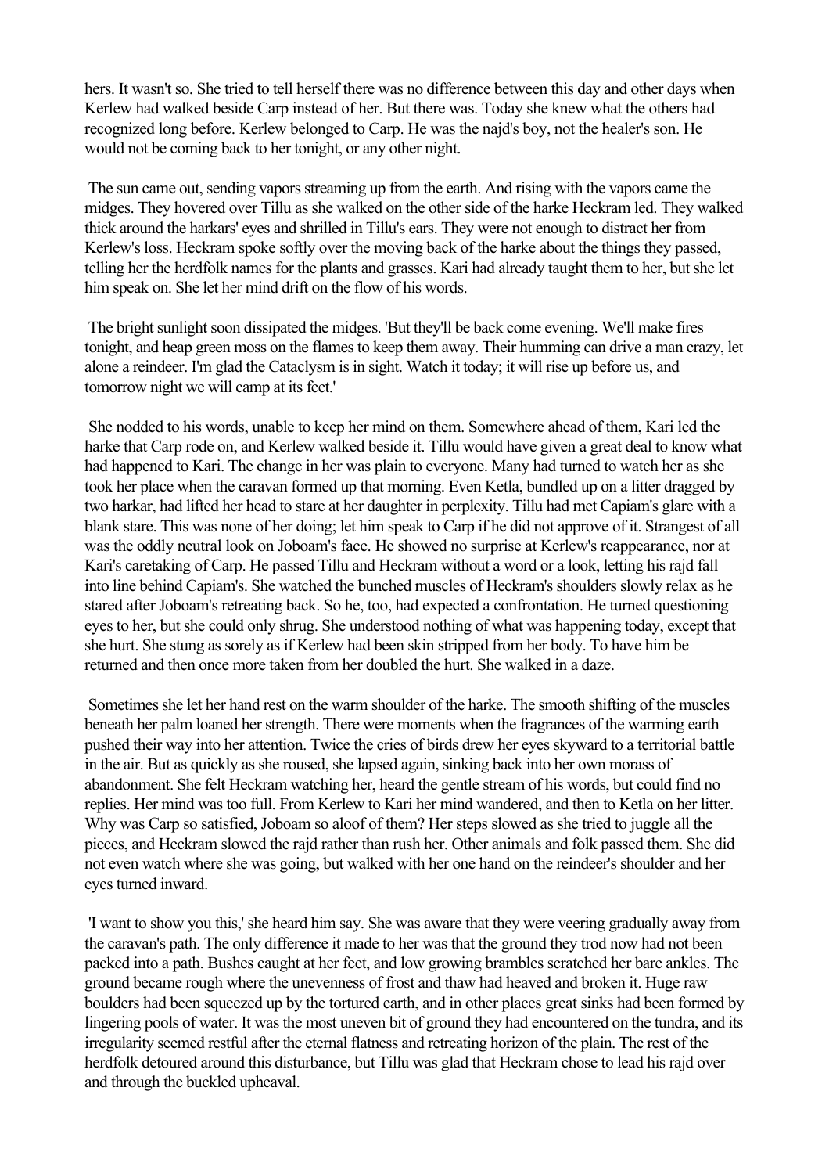hers. It wasn't so. She tried to tell herself there was no difference between this day and other days when Kerlew had walked beside Carp instead of her. But there was. Today she knew what the others had recognized long before. Kerlew belonged to Carp. He was the najd's boy, not the healer's son. He would not be coming back to her tonight, or any other night.

 The sun came out, sending vapors streaming up from the earth. And rising with the vapors came the midges. They hovered over Tillu as she walked on the other side of the harke Heckram led. They walked thick around the harkars' eyes and shrilled in Tillu's ears. They were not enough to distract her from Kerlew's loss. Heckram spoke softly over the moving back of the harke about the things they passed, telling her the herdfolk names for the plants and grasses. Kari had already taught them to her, but she let him speak on. She let her mind drift on the flow of his words.

 The bright sunlight soon dissipated the midges. 'But they'll be back come evening. We'll make fires tonight, and heap green moss on the flames to keep them away. Their humming can drive a man crazy, let alone a reindeer. I'm glad the Cataclysm is in sight. Watch it today; it will rise up before us, and tomorrow night we will camp at its feet.'

 She nodded to his words, unable to keep her mind on them. Somewhere ahead of them, Kari led the harke that Carp rode on, and Kerlew walked beside it. Tillu would have given a great deal to know what had happened to Kari. The change in her was plain to everyone. Many had turned to watch her as she took her place when the caravan formed up that morning. Even Ketla, bundled up on a litter dragged by two harkar, had lifted her head to stare at her daughter in perplexity. Tillu had met Capiam's glare with a blank stare. This was none of her doing; let him speak to Carp if he did not approve of it. Strangest of all was the oddly neutral look on Joboam's face. He showed no surprise at Kerlew's reappearance, nor at Kari's caretaking of Carp. He passed Tillu and Heckram without a word or a look, letting his rajd fall into line behind Capiam's. She watched the bunched muscles of Heckram's shoulders slowly relax as he stared after Joboam's retreating back. So he, too, had expected a confrontation. He turned questioning eyes to her, but she could only shrug. She understood nothing of what was happening today, except that she hurt. She stung as sorely as if Kerlew had been skin stripped from her body. To have him be returned and then once more taken from her doubled the hurt. She walked in a daze.

 Sometimes she let her hand rest on the warm shoulder of the harke. The smooth shifting of the muscles beneath her palm loaned her strength. There were moments when the fragrances of the warming earth pushed their way into her attention. Twice the cries of birds drew her eyes skyward to a territorial battle in the air. But as quickly as she roused, she lapsed again, sinking back into her own morass of abandonment. She felt Heckram watching her, heard the gentle stream of his words, but could find no replies. Her mind was too full. From Kerlew to Kari her mind wandered, and then to Ketla on her litter. Why was Carp so satisfied, Joboam so aloof of them? Her steps slowed as she tried to juggle all the pieces, and Heckram slowed the rajd rather than rush her. Other animals and folk passed them. She did not even watch where she was going, but walked with her one hand on the reindeer's shoulder and her eyes turned inward.

 'I want to show you this,' she heard him say. She was aware that they were veering gradually away from the caravan's path. The only difference it made to her was that the ground they trod now had not been packed into a path. Bushes caught at her feet, and low growing brambles scratched her bare ankles. The ground became rough where the unevenness of frost and thaw had heaved and broken it. Huge raw boulders had been squeezed up by the tortured earth, and in other places great sinks had been formed by lingering pools of water. It was the most uneven bit of ground they had encountered on the tundra, and its irregularity seemed restful after the eternal flatness and retreating horizon of the plain. The rest of the herdfolk detoured around this disturbance, but Tillu was glad that Heckram chose to lead his rajd over and through the buckled upheaval.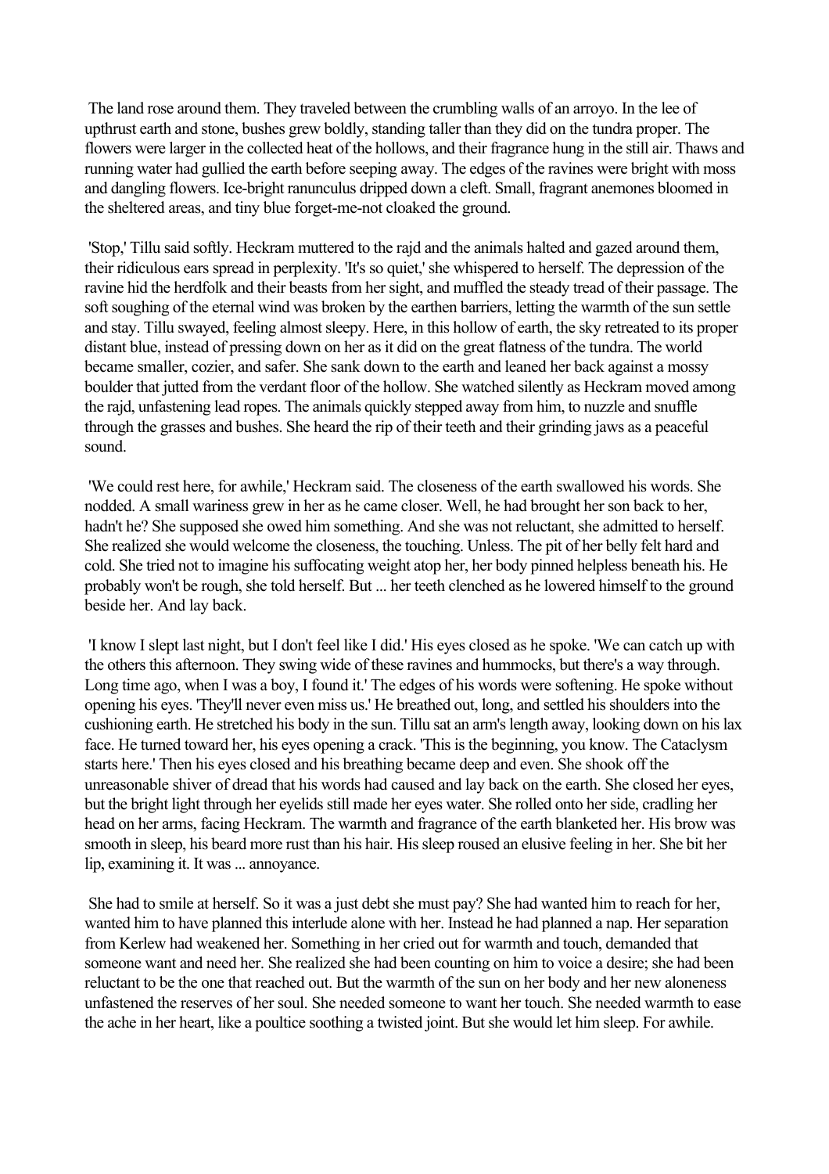The land rose around them. They traveled between the crumbling walls of an arroyo. In the lee of upthrust earth and stone, bushes grew boldly, standing taller than they did on the tundra proper. The flowers were larger in the collected heat of the hollows, and their fragrance hung in the still air. Thaws and running water had gullied the earth before seeping away. The edges of the ravines were bright with moss and dangling flowers. Ice-bright ranunculus dripped down a cleft. Small, fragrant anemones bloomed in the sheltered areas, and tiny blue forget-me-not cloaked the ground.

 'Stop,' Tillu said softly. Heckram muttered to the rajd and the animals halted and gazed around them, their ridiculous ears spread in perplexity. 'It's so quiet,' she whispered to herself. The depression of the ravine hid the herdfolk and their beasts from her sight, and muffled the steady tread of their passage. The soft soughing of the eternal wind was broken by the earthen barriers, letting the warmth of the sun settle and stay. Tillu swayed, feeling almost sleepy. Here, in this hollow of earth, the sky retreated to its proper distant blue, instead of pressing down on her as it did on the great flatness of the tundra. The world became smaller, cozier, and safer. She sank down to the earth and leaned her back against a mossy boulder that jutted from the verdant floor of the hollow. She watched silently as Heckram moved among the rajd, unfastening lead ropes. The animals quickly stepped away from him, to nuzzle and snuffle through the grasses and bushes. She heard the rip of their teeth and their grinding jaws as a peaceful sound.

 'We could rest here, for awhile,' Heckram said. The closeness of the earth swallowed his words. She nodded. A small wariness grew in her as he came closer. Well, he had brought her son back to her, hadn't he? She supposed she owed him something. And she was not reluctant, she admitted to herself. She realized she would welcome the closeness, the touching. Unless. The pit of her belly felt hard and cold. She tried not to imagine his suffocating weight atop her, her body pinned helpless beneath his. He probably won't be rough, she told herself. But ... her teeth clenched as he lowered himself to the ground beside her. And lay back.

 'I know I slept last night, but I don't feel like I did.' His eyes closed as he spoke. 'We can catch up with the others this afternoon. They swing wide of these ravines and hummocks, but there's a way through. Long time ago, when I was a boy, I found it.' The edges of his words were softening. He spoke without opening his eyes. 'They'll never even miss us.' He breathed out, long, and settled his shoulders into the cushioning earth. He stretched his body in the sun. Tillu sat an arm's length away, looking down on his lax face. He turned toward her, his eyes opening a crack. 'This is the beginning, you know. The Cataclysm starts here.' Then his eyes closed and his breathing became deep and even. She shook off the unreasonable shiver of dread that his words had caused and lay back on the earth. She closed her eyes, but the bright light through her eyelids still made her eyes water. She rolled onto her side, cradling her head on her arms, facing Heckram. The warmth and fragrance of the earth blanketed her. His brow was smooth in sleep, his beard more rust than his hair. His sleep roused an elusive feeling in her. She bit her lip, examining it. It was ... annoyance.

 She had to smile at herself. So it was a just debt she must pay? She had wanted him to reach for her, wanted him to have planned this interlude alone with her. Instead he had planned a nap. Her separation from Kerlew had weakened her. Something in her cried out for warmth and touch, demanded that someone want and need her. She realized she had been counting on him to voice a desire; she had been reluctant to be the one that reached out. But the warmth of the sun on her body and her new aloneness unfastened the reserves of her soul. She needed someone to want her touch. She needed warmth to ease the ache in her heart, like a poultice soothing a twisted joint. But she would let him sleep. For awhile.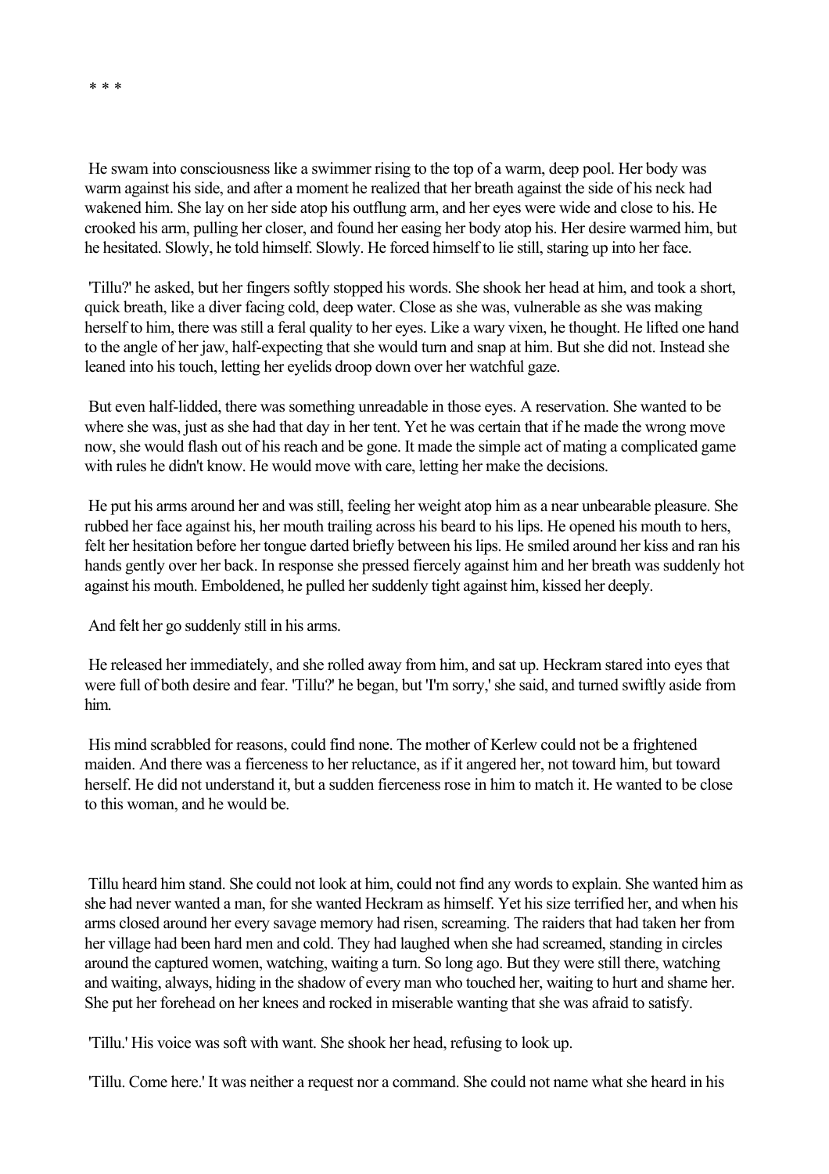He swam into consciousness like a swimmer rising to the top of a warm, deep pool. Her body was warm against his side, and after a moment he realized that her breath against the side of his neck had wakened him. She lay on her side atop his outflung arm, and her eyes were wide and close to his. He crooked his arm, pulling her closer, and found her easing her body atop his. Her desire warmed him, but he hesitated. Slowly, he told himself. Slowly. He forced himself to lie still, staring up into her face.

 'Tillu?' he asked, but her fingers softly stopped his words. She shook her head at him, and took a short, quick breath, like a diver facing cold, deep water. Close as she was, vulnerable as she was making herself to him, there was still a feral quality to her eyes. Like a wary vixen, he thought. He lifted one hand to the angle of her jaw, half-expecting that she would turn and snap at him. But she did not. Instead she leaned into his touch, letting her eyelids droop down over her watchful gaze.

 But even half-lidded, there was something unreadable in those eyes. A reservation. She wanted to be where she was, just as she had that day in her tent. Yet he was certain that if he made the wrong move now, she would flash out of his reach and be gone. It made the simple act of mating a complicated game with rules he didn't know. He would move with care, letting her make the decisions.

 He put his arms around her and was still, feeling her weight atop him as a near unbearable pleasure. She rubbed her face against his, her mouth trailing across his beard to his lips. He opened his mouth to hers, felt her hesitation before her tongue darted briefly between his lips. He smiled around her kiss and ran his hands gently over her back. In response she pressed fiercely against him and her breath was suddenly hot against his mouth. Emboldened, he pulled her suddenly tight against him, kissed her deeply.

And felt her go suddenly still in his arms.

 He released her immediately, and she rolled away from him, and sat up. Heckram stared into eyes that were full of both desire and fear. 'Tillu?' he began, but 'I'm sorry,' she said, and turned swiftly aside from him.

 His mind scrabbled for reasons, could find none. The mother of Kerlew could not be a frightened maiden. And there was a fierceness to her reluctance, as if it angered her, not toward him, but toward herself. He did not understand it, but a sudden fierceness rose in him to match it. He wanted to be close to this woman, and he would be.

 Tillu heard him stand. She could not look at him, could not find any words to explain. She wanted him as she had never wanted a man, for she wanted Heckram as himself. Yet his size terrified her, and when his arms closed around her every savage memory had risen, screaming. The raiders that had taken her from her village had been hard men and cold. They had laughed when she had screamed, standing in circles around the captured women, watching, waiting a turn. So long ago. But they were still there, watching and waiting, always, hiding in the shadow of every man who touched her, waiting to hurt and shame her. She put her forehead on her knees and rocked in miserable wanting that she was afraid to satisfy.

'Tillu.' His voice was soft with want. She shook her head, refusing to look up.

'Tillu. Come here.' It was neither a request nor a command. She could not name what she heard in his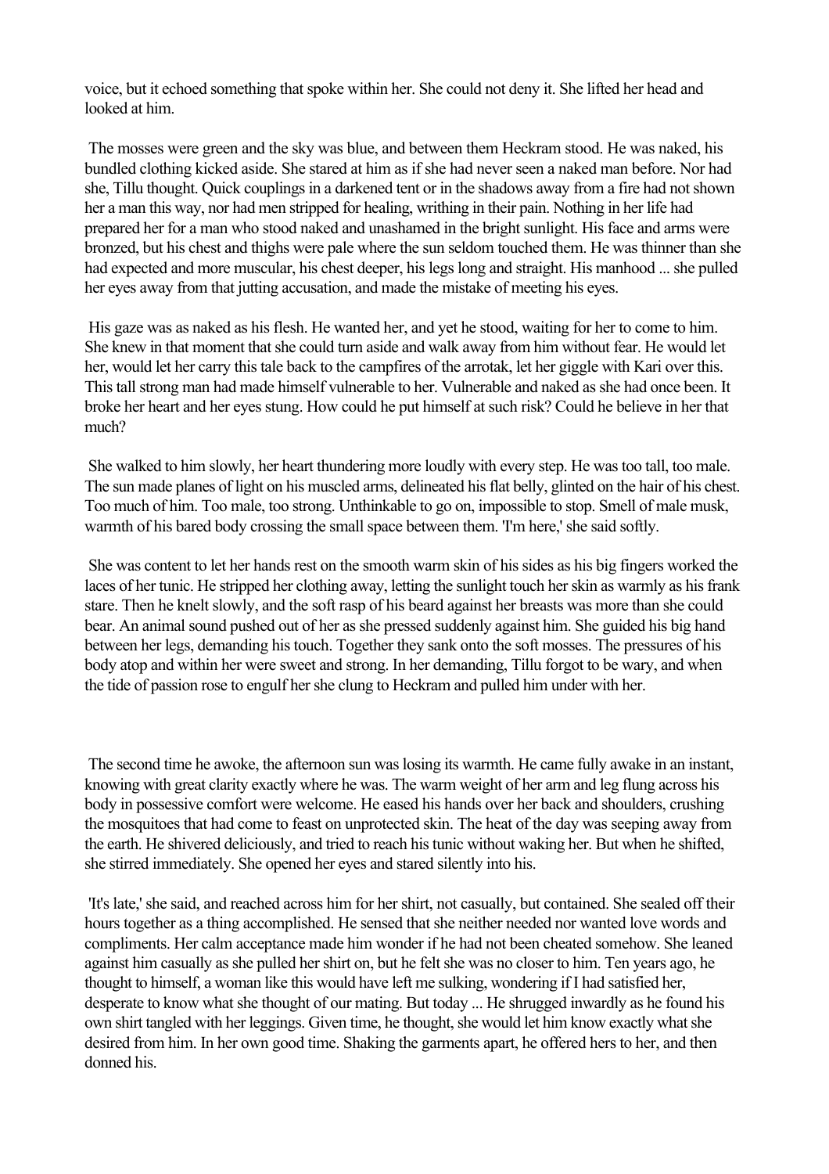voice, but it echoed something that spoke within her. She could not deny it. She lifted her head and looked at him.

 The mosses were green and the sky was blue, and between them Heckram stood. He was naked, his bundled clothing kicked aside. She stared at him as if she had never seen a naked man before. Nor had she, Tillu thought. Quick couplings in a darkened tent or in the shadows away from a fire had not shown her a man this way, nor had men stripped for healing, writhing in their pain. Nothing in her life had prepared her for a man who stood naked and unashamed in the bright sunlight. His face and arms were bronzed, but his chest and thighs were pale where the sun seldom touched them. He was thinner than she had expected and more muscular, his chest deeper, his legs long and straight. His manhood ... she pulled her eyes away from that jutting accusation, and made the mistake of meeting his eyes.

 His gaze was as naked as his flesh. He wanted her, and yet he stood, waiting for her to come to him. She knew in that moment that she could turn aside and walk away from him without fear. He would let her, would let her carry this tale back to the campfires of the arrotak, let her giggle with Kari over this. This tall strong man had made himself vulnerable to her. Vulnerable and naked as she had once been. It broke her heart and her eyes stung. How could he put himself at such risk? Could he believe in her that much?

 She walked to him slowly, her heart thundering more loudly with every step. He was too tall, too male. The sun made planes of light on his muscled arms, delineated his flat belly, glinted on the hair of his chest. Too much of him. Too male, too strong. Unthinkable to go on, impossible to stop. Smell of male musk, warmth of his bared body crossing the small space between them. 'I'm here,' she said softly.

 She was content to let her hands rest on the smooth warm skin of his sides as his big fingers worked the laces of her tunic. He stripped her clothing away, letting the sunlight touch her skin as warmly as his frank stare. Then he knelt slowly, and the soft rasp of his beard against her breasts was more than she could bear. An animal sound pushed out of her as she pressed suddenly against him. She guided his big hand between her legs, demanding his touch. Together they sank onto the soft mosses. The pressures of his body atop and within her were sweet and strong. In her demanding, Tillu forgot to be wary, and when the tide of passion rose to engulf her she clung to Heckram and pulled him under with her.

 The second time he awoke, the afternoon sun was losing its warmth. He came fully awake in an instant, knowing with great clarity exactly where he was. The warm weight of her arm and leg flung across his body in possessive comfort were welcome. He eased his hands over her back and shoulders, crushing the mosquitoes that had come to feast on unprotected skin. The heat of the day was seeping away from the earth. He shivered deliciously, and tried to reach his tunic without waking her. But when he shifted, she stirred immediately. She opened her eyes and stared silently into his.

 'It's late,' she said, and reached across him for her shirt, not casually, but contained. She sealed off their hours together as a thing accomplished. He sensed that she neither needed nor wanted love words and compliments. Her calm acceptance made him wonder if he had not been cheated somehow. She leaned against him casually as she pulled her shirt on, but he felt she was no closer to him. Ten years ago, he thought to himself, a woman like this would have left me sulking, wondering if I had satisfied her, desperate to know what she thought of our mating. But today ... He shrugged inwardly as he found his own shirt tangled with her leggings. Given time, he thought, she would let him know exactly what she desired from him. In her own good time. Shaking the garments apart, he offered hers to her, and then donned his.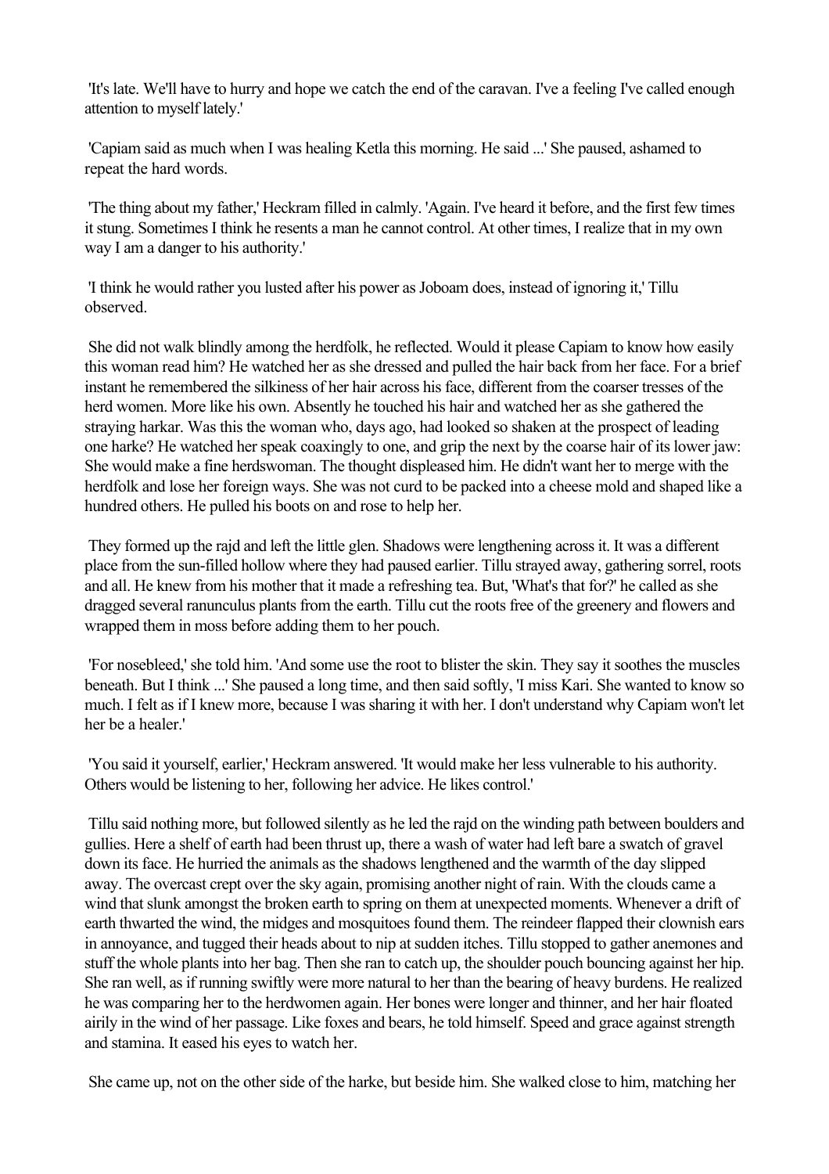'It's late. We'll have to hurry and hope we catch the end of the caravan. I've a feeling I've called enough attention to myself lately.'

 'Capiam said as much when I was healing Ketla this morning. He said ...' She paused, ashamed to repeat the hard words.

 'The thing about my father,' Heckram filled in calmly. 'Again. I've heard it before, and the first few times it stung. Sometimes I think he resents a man he cannot control. At other times, I realize that in my own way I am a danger to his authority.'

 'I think he would rather you lusted after his power as Joboam does, instead of ignoring it,' Tillu observed.

 She did not walk blindly among the herdfolk, he reflected. Would it please Capiam to know how easily this woman read him? He watched her as she dressed and pulled the hair back from her face. For a brief instant he remembered the silkiness of her hair across his face, different from the coarser tresses of the herd women. More like his own. Absently he touched his hair and watched her as she gathered the straying harkar. Was this the woman who, days ago, had looked so shaken at the prospect of leading one harke? He watched her speak coaxingly to one, and grip the next by the coarse hair of its lower jaw: She would make a fine herdswoman. The thought displeased him. He didn't want her to merge with the herdfolk and lose her foreign ways. She was not curd to be packed into a cheese mold and shaped like a hundred others. He pulled his boots on and rose to help her.

 They formed up the rajd and left the little glen. Shadows were lengthening across it. It was a different place from the sun-filled hollow where they had paused earlier. Tillu strayed away, gathering sorrel, roots and all. He knew from his mother that it made a refreshing tea. But, 'What's that for?' he called as she dragged several ranunculus plants from the earth. Tillu cut the roots free of the greenery and flowers and wrapped them in moss before adding them to her pouch.

 'For nosebleed,' she told him. 'And some use the root to blister the skin. They say it soothes the muscles beneath. But I think ...' She paused a long time, and then said softly, 'I miss Kari. She wanted to know so much. I felt as if I knew more, because I was sharing it with her. I don't understand why Capiam won't let her be a healer.'

 'You said it yourself, earlier,' Heckram answered. 'It would make her less vulnerable to his authority. Others would be listening to her, following her advice. He likes control.'

 Tillu said nothing more, but followed silently as he led the rajd on the winding path between boulders and gullies. Here a shelf of earth had been thrust up, there a wash of water had left bare a swatch of gravel down its face. He hurried the animals as the shadows lengthened and the warmth of the day slipped away. The overcast crept over the sky again, promising another night of rain. With the clouds came a wind that slunk amongst the broken earth to spring on them at unexpected moments. Whenever a drift of earth thwarted the wind, the midges and mosquitoes found them. The reindeer flapped their clownish ears in annoyance, and tugged their heads about to nip at sudden itches. Tillu stopped to gather anemones and stuff the whole plants into her bag. Then she ran to catch up, the shoulder pouch bouncing against her hip. She ran well, as if running swiftly were more natural to her than the bearing of heavy burdens. He realized he was comparing her to the herdwomen again. Her bones were longer and thinner, and her hair floated airily in the wind of her passage. Like foxes and bears, he told himself. Speed and grace against strength and stamina. It eased his eyes to watch her.

She came up, not on the other side of the harke, but beside him. She walked close to him, matching her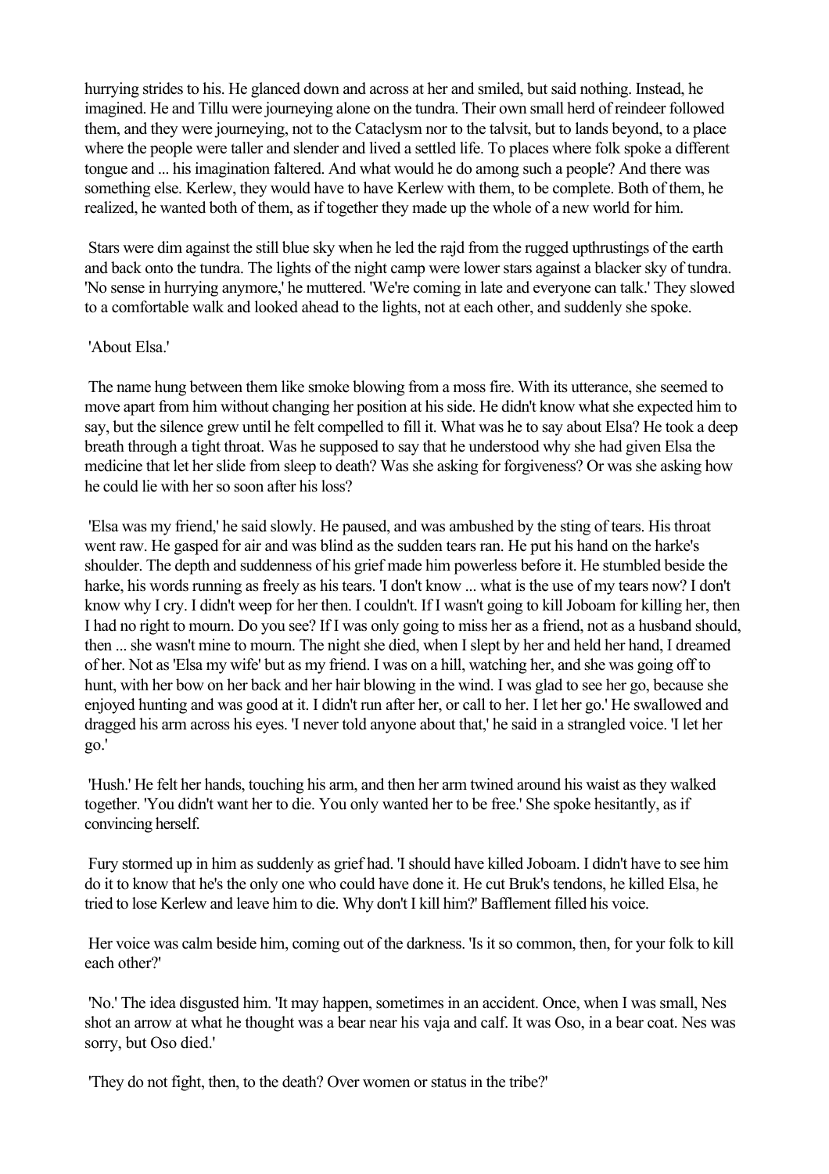hurrying strides to his. He glanced down and across at her and smiled, but said nothing. Instead, he imagined. He and Tillu were journeying alone on the tundra. Their own small herd of reindeer followed them, and they were journeying, not to the Cataclysm nor to the talvsit, but to lands beyond, to a place where the people were taller and slender and lived a settled life. To places where folk spoke a different tongue and ... his imagination faltered. And what would he do among such a people? And there was something else. Kerlew, they would have to have Kerlew with them, to be complete. Both of them, he realized, he wanted both of them, as if together they made up the whole of a new world for him.

 Stars were dim against the still blue sky when he led the rajd from the rugged upthrustings of the earth and back onto the tundra. The lights of the night camp were lower stars against a blacker sky of tundra. 'No sense in hurrying anymore,' he muttered. 'We're coming in late and everyone can talk.' They slowed to a comfortable walk and looked ahead to the lights, not at each other, and suddenly she spoke.

# 'About Elsa.'

 The name hung between them like smoke blowing from a moss fire. With its utterance, she seemed to move apart from him without changing her position at his side. He didn't know what she expected him to say, but the silence grew until he felt compelled to fill it. What was he to say about Elsa? He took a deep breath through a tight throat. Was he supposed to say that he understood why she had given Elsa the medicine that let her slide from sleep to death? Was she asking for forgiveness? Or was she asking how he could lie with her so soon after his loss?

 'Elsa was my friend,' he said slowly. He paused, and was ambushed by the sting of tears. His throat went raw. He gasped for air and was blind as the sudden tears ran. He put his hand on the harke's shoulder. The depth and suddenness of his grief made him powerless before it. He stumbled beside the harke, his words running as freely as his tears. 'I don't know ... what is the use of my tears now? I don't know why I cry. I didn't weep for her then. I couldn't. If I wasn't going to kill Joboam for killing her, then I had no right to mourn. Do you see? If I was only going to miss her as a friend, not as a husband should, then ... she wasn't mine to mourn. The night she died, when I slept by her and held her hand, I dreamed of her. Not as 'Elsa my wife' but as my friend. I was on a hill, watching her, and she was going off to hunt, with her bow on her back and her hair blowing in the wind. I was glad to see her go, because she enjoyed hunting and was good at it. I didn't run after her, or call to her. I let her go.' He swallowed and dragged his arm across his eyes. 'I never told anyone about that,' he said in a strangled voice. 'I let her go.'

 'Hush.' He felt her hands, touching his arm, and then her arm twined around his waist as they walked together. 'You didn't want her to die. You only wanted her to be free.' She spoke hesitantly, as if convincing herself.

 Fury stormed up in him as suddenly as grief had. 'I should have killed Joboam. I didn't have to see him do it to know that he's the only one who could have done it. He cut Bruk's tendons, he killed Elsa, he tried to lose Kerlew and leave him to die. Why don't I kill him?' Bafflement filled his voice.

 Her voice was calm beside him, coming out of the darkness. 'Is it so common, then, for your folk to kill each other?'

 'No.' The idea disgusted him. 'It may happen, sometimes in an accident. Once, when I was small, Nes shot an arrow at what he thought was a bear near his vaja and calf. It was Oso, in a bear coat. Nes was sorry, but Oso died.'

'They do not fight, then, to the death? Over women or status in the tribe?'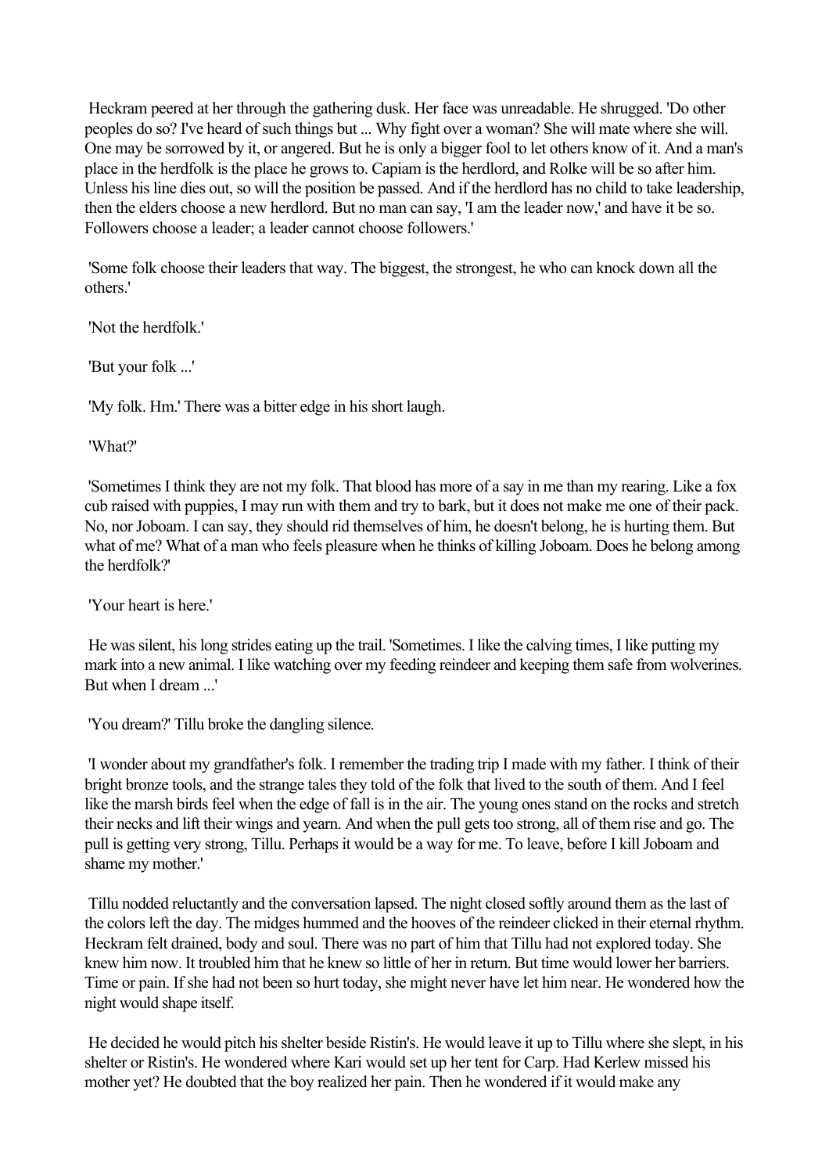Heckram peered at her through the gathering dusk. Her face was unreadable. He shrugged. 'Do other peoples do so? I've heard of such things but ... Why fight over a woman? She will mate where she will. One may be sorrowed by it, or angered. But he is only a bigger fool to let others know of it. And a man's place in the herdfolk is the place he grows to. Capiam is the herdlord, and Rolke will be so after him. Unless his line dies out, so will the position be passed. And if the herdlord has no child to take leadership, then the elders choose a new herdlord. But no man can say, 'I am the leader now,' and have it be so. Followers choose a leader; a leader cannot choose followers.'

 'Some folk choose their leaders that way. The biggest, the strongest, he who can knock down all the others.'

'Not the herdfolk.'

'But your folk ...'

'My folk. Hm.' There was a bitter edge in his short laugh.

'What?'

 'Sometimes I think they are not my folk. That blood has more of a say in me than my rearing. Like a fox cub raised with puppies, I may run with them and try to bark, but it does not make me one of their pack. No, nor Joboam. I can say, they should rid themselves of him, he doesn't belong, he is hurting them. But what of me? What of a man who feels pleasure when he thinks of killing Joboam. Does he belong among the herdfolk?'

'Your heart is here.'

 He was silent, his long strides eating up the trail. 'Sometimes. I like the calving times, I like putting my mark into a new animal. I like watching over my feeding reindeer and keeping them safe from wolverines. But when I dream '

'You dream?' Tillu broke the dangling silence.

 'I wonder about my grandfather's folk. I remember the trading trip I made with my father. I think of their bright bronze tools, and the strange tales they told of the folk that lived to the south of them. And I feel like the marsh birds feel when the edge of fall is in the air. The young ones stand on the rocks and stretch their necks and lift their wings and yearn. And when the pull gets too strong, all of them rise and go. The pull is getting very strong, Tillu. Perhaps it would be a way for me. To leave, before I kill Joboam and shame my mother.'

 Tillu nodded reluctantly and the conversation lapsed. The night closed softly around them as the last of the colors left the day. The midges hummed and the hooves of the reindeer clicked in their eternal rhythm. Heckram felt drained, body and soul. There was no part of him that Tillu had not explored today. She knew him now. It troubled him that he knew so little of her in return. But time would lower her barriers. Time or pain. If she had not been so hurt today, she might never have let him near. He wondered how the night would shape itself.

 He decided he would pitch his shelter beside Ristin's. He would leave it up to Tillu where she slept, in his shelter or Ristin's. He wondered where Kari would set up her tent for Carp. Had Kerlew missed his mother yet? He doubted that the boy realized her pain. Then he wondered if it would make any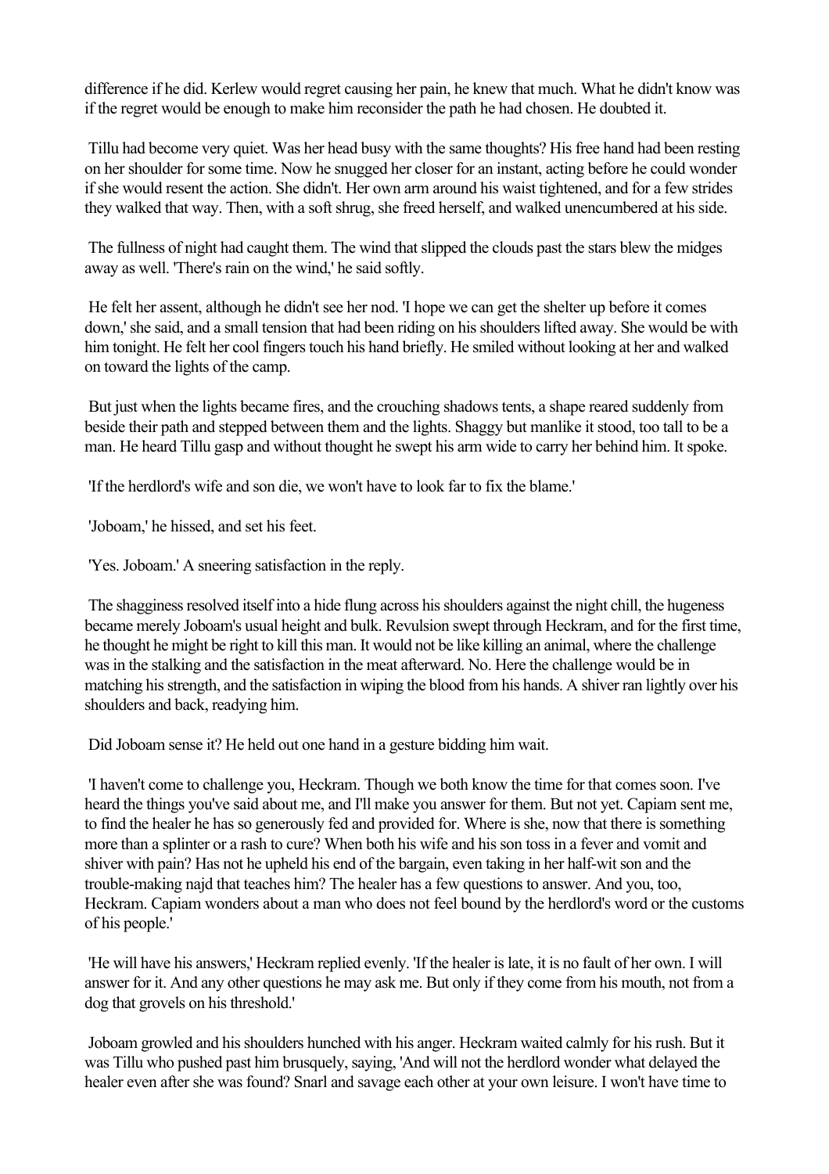difference if he did. Kerlew would regret causing her pain, he knew that much. What he didn't know was if the regret would be enough to make him reconsider the path he had chosen. He doubted it.

 Tillu had become very quiet. Was her head busy with the same thoughts? His free hand had been resting on her shoulder for some time. Now he snugged her closer for an instant, acting before he could wonder if she would resent the action. She didn't. Her own arm around his waist tightened, and for a few strides they walked that way. Then, with a soft shrug, she freed herself, and walked unencumbered at his side.

 The fullness of night had caught them. The wind that slipped the clouds past the stars blew the midges away as well. 'There's rain on the wind,' he said softly.

 He felt her assent, although he didn't see her nod. 'I hope we can get the shelter up before it comes down,' she said, and a small tension that had been riding on his shoulders lifted away. She would be with him tonight. He felt her cool fingers touch his hand briefly. He smiled without looking at her and walked on toward the lights of the camp.

But just when the lights became fires, and the crouching shadows tents, a shape reared suddenly from beside their path and stepped between them and the lights. Shaggy but manlike it stood, too tall to be a man. He heard Tillu gasp and without thought he swept his arm wide to carry her behind him. It spoke.

'If the herdlord's wife and son die, we won't have to look far to fix the blame.'

'Joboam,' he hissed, and set his feet.

'Yes. Joboam.' A sneering satisfaction in the reply.

 The shagginess resolved itself into a hide flung across his shoulders against the night chill, the hugeness became merely Joboam's usual height and bulk. Revulsion swept through Heckram, and for the first time, he thought he might be right to kill this man. It would not be like killing an animal, where the challenge was in the stalking and the satisfaction in the meat afterward. No. Here the challenge would be in matching his strength, and the satisfaction in wiping the blood from his hands. A shiver ran lightly over his shoulders and back, readying him.

Did Joboam sense it? He held out one hand in a gesture bidding him wait.

 'I haven't come to challenge you, Heckram. Though we both know the time for that comes soon. I've heard the things you've said about me, and I'll make you answer for them. But not yet. Capiam sent me, to find the healer he has so generously fed and provided for. Where is she, now that there is something more than a splinter or a rash to cure? When both his wife and his son toss in a fever and vomit and shiver with pain? Has not he upheld his end of the bargain, even taking in her half-wit son and the trouble-making najd that teaches him? The healer has a few questions to answer. And you, too, Heckram. Capiam wonders about a man who does not feel bound by the herdlord's word or the customs of his people.'

 'He will have his answers,' Heckram replied evenly. 'If the healer is late, it is no fault of her own. I will answer for it. And any other questions he may ask me. But only if they come from his mouth, not from a dog that grovels on his threshold.'

 Joboam growled and his shoulders hunched with his anger. Heckram waited calmly for his rush. But it was Tillu who pushed past him brusquely, saying, 'And will not the herdlord wonder what delayed the healer even after she was found? Snarl and savage each other at your own leisure. I won't have time to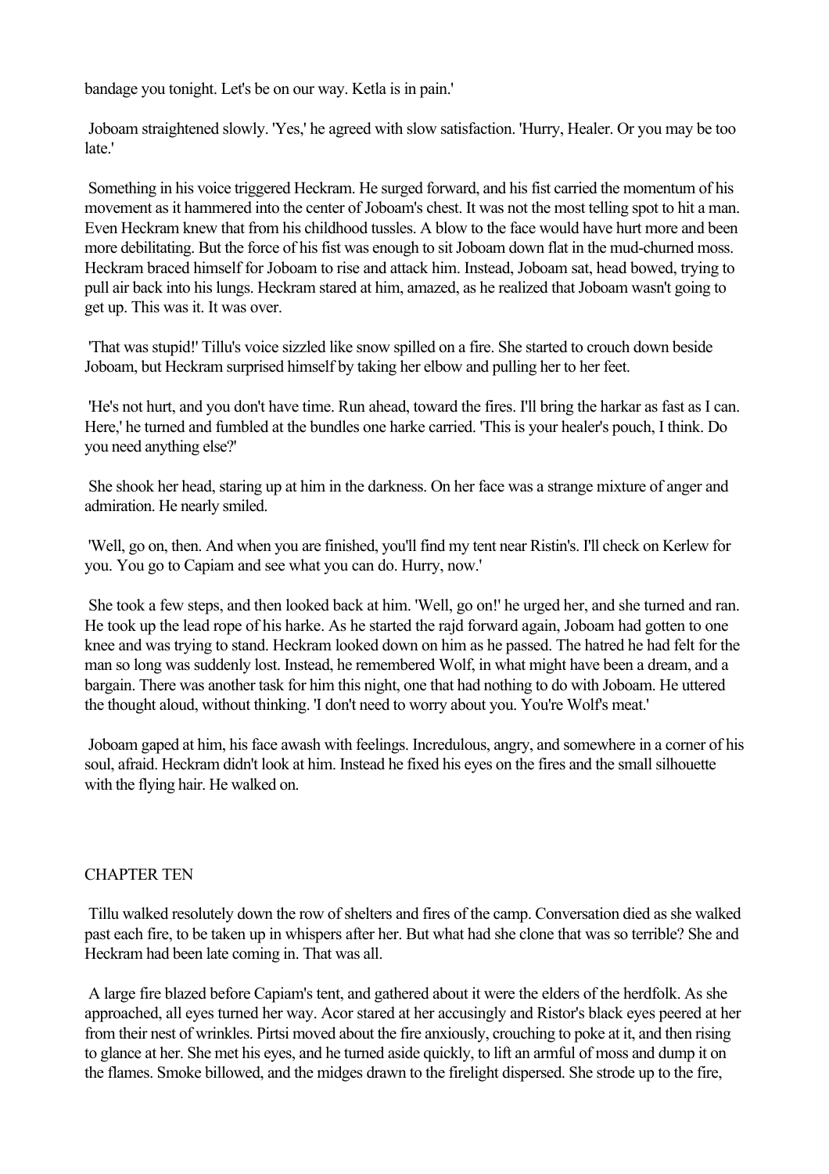bandage you tonight. Let's be on our way. Ketla is in pain.'

 Joboam straightened slowly. 'Yes,' he agreed with slow satisfaction. 'Hurry, Healer. Or you may be too late.'

 Something in his voice triggered Heckram. He surged forward, and his fist carried the momentum of his movement as it hammered into the center of Joboam's chest. It was not the most telling spot to hit a man. Even Heckram knew that from his childhood tussles. A blow to the face would have hurt more and been more debilitating. But the force of his fist was enough to sit Joboam down flat in the mud-churned moss. Heckram braced himself for Joboam to rise and attack him. Instead, Joboam sat, head bowed, trying to pull air back into his lungs. Heckram stared at him, amazed, as he realized that Joboam wasn't going to get up. This was it. It was over.

 'That was stupid!' Tillu's voice sizzled like snow spilled on a fire. She started to crouch down beside Joboam, but Heckram surprised himself by taking her elbow and pulling her to her feet.

 'He's not hurt, and you don't have time. Run ahead, toward the fires. I'll bring the harkar as fast as I can. Here,' he turned and fumbled at the bundles one harke carried. 'This is your healer's pouch, I think. Do you need anything else?'

 She shook her head, staring up at him in the darkness. On her face was a strange mixture of anger and admiration. He nearly smiled.

 'Well, go on, then. And when you are finished, you'll find my tent near Ristin's. I'll check on Kerlew for you. You go to Capiam and see what you can do. Hurry, now.'

 She took a few steps, and then looked back at him. 'Well, go on!' he urged her, and she turned and ran. He took up the lead rope of his harke. As he started the rajd forward again, Joboam had gotten to one knee and was trying to stand. Heckram looked down on him as he passed. The hatred he had felt for the man so long was suddenly lost. Instead, he remembered Wolf, in what might have been a dream, and a bargain. There was another task for him this night, one that had nothing to do with Joboam. He uttered the thought aloud, without thinking. 'I don't need to worry about you. You're Wolf's meat.'

 Joboam gaped at him, his face awash with feelings. Incredulous, angry, and somewhere in a corner of his soul, afraid. Heckram didn't look at him. Instead he fixed his eyes on the fires and the small silhouette with the flying hair. He walked on.

# CHAPTER TEN

 Tillu walked resolutely down the row of shelters and fires of the camp. Conversation died as she walked past each fire, to be taken up in whispers after her. But what had she clone that was so terrible? She and Heckram had been late coming in. That was all.

 A large fire blazed before Capiam's tent, and gathered about it were the elders of the herdfolk. As she approached, all eyes turned her way. Acor stared at her accusingly and Ristor's black eyes peered at her from their nest of wrinkles. Pirtsi moved about the fire anxiously, crouching to poke at it, and then rising to glance at her. She met his eyes, and he turned aside quickly, to lift an armful of moss and dump it on the flames. Smoke billowed, and the midges drawn to the firelight dispersed. She strode up to the fire,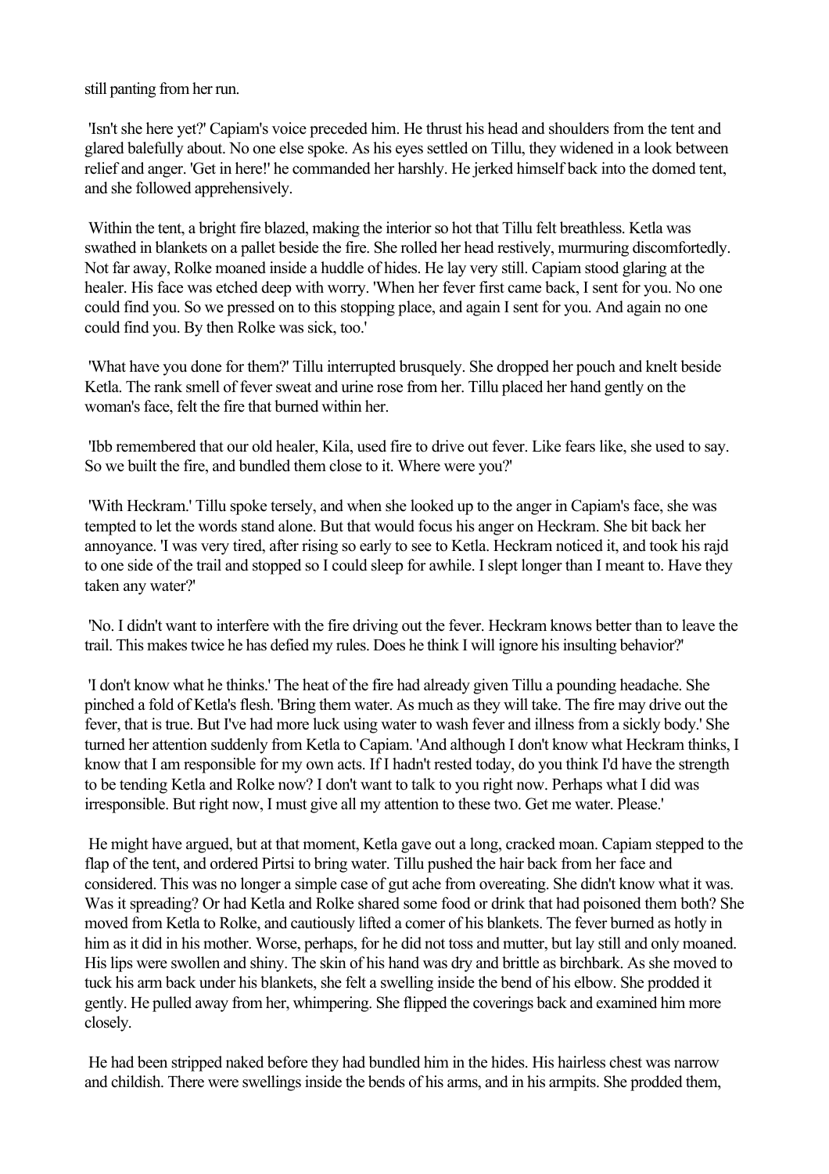still panting from her run.

 'Isn't she here yet?' Capiam's voice preceded him. He thrust his head and shoulders from the tent and glared balefully about. No one else spoke. As his eyes settled on Tillu, they widened in a look between relief and anger. 'Get in here!' he commanded her harshly. He jerked himself back into the domed tent, and she followed apprehensively.

 Within the tent, a bright fire blazed, making the interior so hot that Tillu felt breathless. Ketla was swathed in blankets on a pallet beside the fire. She rolled her head restively, murmuring discomfortedly. Not far away, Rolke moaned inside a huddle of hides. He lay very still. Capiam stood glaring at the healer. His face was etched deep with worry. 'When her fever first came back, I sent for you. No one could find you. So we pressed on to this stopping place, and again I sent for you. And again no one could find you. By then Rolke was sick, too.'

 'What have you done for them?' Tillu interrupted brusquely. She dropped her pouch and knelt beside Ketla. The rank smell of fever sweat and urine rose from her. Tillu placed her hand gently on the woman's face, felt the fire that burned within her.

 'Ibb remembered that our old healer, Kila, used fire to drive out fever. Like fears like, she used to say. So we built the fire, and bundled them close to it. Where were you?'

 'With Heckram.' Tillu spoke tersely, and when she looked up to the anger in Capiam's face, she was tempted to let the words stand alone. But that would focus his anger on Heckram. She bit back her annoyance. 'I was very tired, after rising so early to see to Ketla. Heckram noticed it, and took his rajd to one side of the trail and stopped so I could sleep for awhile. I slept longer than I meant to. Have they taken any water?'

 'No. I didn't want to interfere with the fire driving out the fever. Heckram knows better than to leave the trail. This makes twice he has defied my rules. Does he think I will ignore his insulting behavior?'

 'I don't know what he thinks.' The heat of the fire had already given Tillu a pounding headache. She pinched a fold of Ketla's flesh. 'Bring them water. As much as they will take. The fire may drive out the fever, that is true. But I've had more luck using water to wash fever and illness from a sickly body.' She turned her attention suddenly from Ketla to Capiam. 'And although I don't know what Heckram thinks, I know that I am responsible for my own acts. If I hadn't rested today, do you think I'd have the strength to be tending Ketla and Rolke now? I don't want to talk to you right now. Perhaps what I did was irresponsible. But right now, I must give all my attention to these two. Get me water. Please.'

 He might have argued, but at that moment, Ketla gave out a long, cracked moan. Capiam stepped to the flap of the tent, and ordered Pirtsi to bring water. Tillu pushed the hair back from her face and considered. This was no longer a simple case of gut ache from overeating. She didn't know what it was. Was it spreading? Or had Ketla and Rolke shared some food or drink that had poisoned them both? She moved from Ketla to Rolke, and cautiously lifted a comer of his blankets. The fever burned as hotly in him as it did in his mother. Worse, perhaps, for he did not toss and mutter, but lay still and only moaned. His lips were swollen and shiny. The skin of his hand was dry and brittle as birchbark. As she moved to tuck his arm back under his blankets, she felt a swelling inside the bend of his elbow. She prodded it gently. He pulled away from her, whimpering. She flipped the coverings back and examined him more closely.

 He had been stripped naked before they had bundled him in the hides. His hairless chest was narrow and childish. There were swellings inside the bends of his arms, and in his armpits. She prodded them,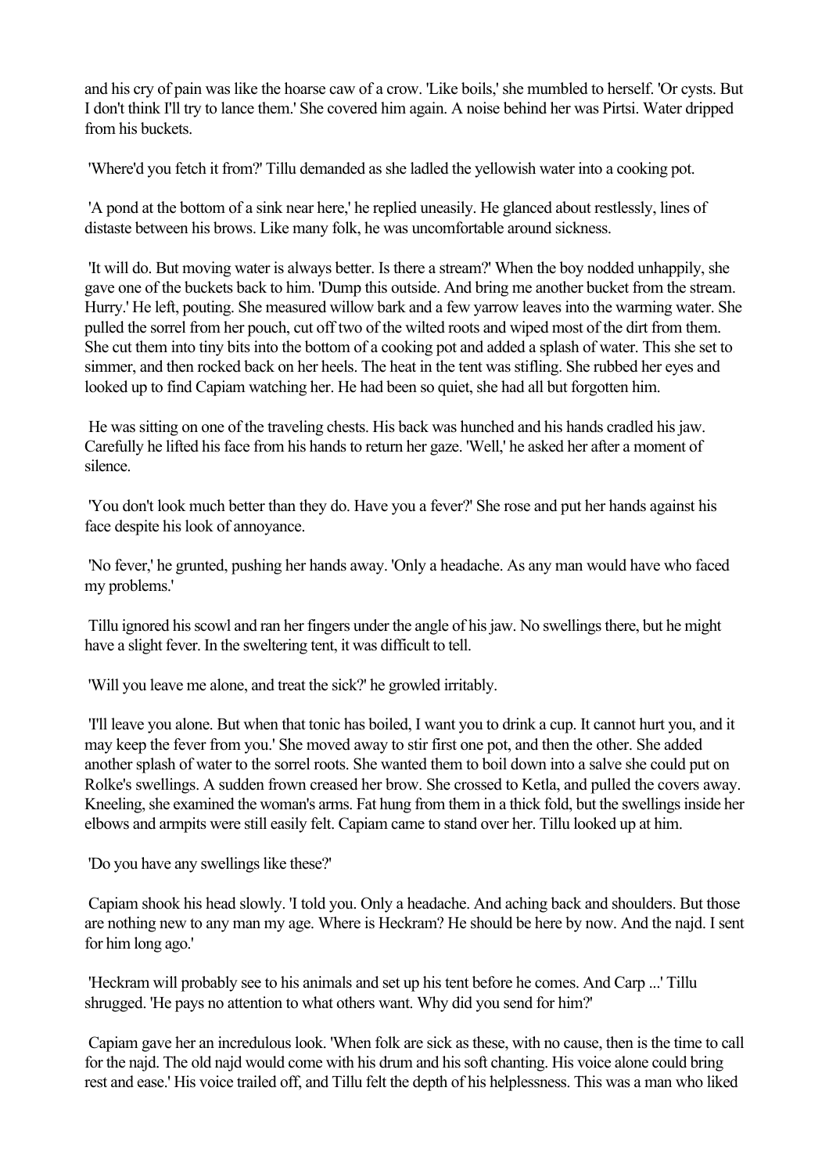and his cry of pain was like the hoarse caw of a crow. 'Like boils,' she mumbled to herself. 'Or cysts. But I don't think I'll try to lance them.' She covered him again. A noise behind her was Pirtsi. Water dripped from his buckets.

'Where'd you fetch it from?' Tillu demanded as she ladled the yellowish water into a cooking pot.

 'A pond at the bottom of a sink near here,' he replied uneasily. He glanced about restlessly, lines of distaste between his brows. Like many folk, he was uncomfortable around sickness.

 'It will do. But moving water is always better. Is there a stream?' When the boy nodded unhappily, she gave one of the buckets back to him. 'Dump this outside. And bring me another bucket from the stream. Hurry.' He left, pouting. She measured willow bark and a few yarrow leaves into the warming water. She pulled the sorrel from her pouch, cut off two of the wilted roots and wiped most of the dirt from them. She cut them into tiny bits into the bottom of a cooking pot and added a splash of water. This she set to simmer, and then rocked back on her heels. The heat in the tent was stifling. She rubbed her eyes and looked up to find Capiam watching her. He had been so quiet, she had all but forgotten him.

 He was sitting on one of the traveling chests. His back was hunched and his hands cradled his jaw. Carefully he lifted his face from his hands to return her gaze. 'Well,' he asked her after a moment of silence.

 'You don't look much better than they do. Have you a fever?' She rose and put her hands against his face despite his look of annoyance.

 'No fever,' he grunted, pushing her hands away. 'Only a headache. As any man would have who faced my problems.'

 Tillu ignored his scowl and ran her fingers under the angle of his jaw. No swellings there, but he might have a slight fever. In the sweltering tent, it was difficult to tell.

'Will you leave me alone, and treat the sick?' he growled irritably.

 'I'll leave you alone. But when that tonic has boiled, I want you to drink a cup. It cannot hurt you, and it may keep the fever from you.' She moved away to stir first one pot, and then the other. She added another splash of water to the sorrel roots. She wanted them to boil down into a salve she could put on Rolke's swellings. A sudden frown creased her brow. She crossed to Ketla, and pulled the covers away. Kneeling, she examined the woman's arms. Fat hung from them in a thick fold, but the swellings inside her elbows and armpits were still easily felt. Capiam came to stand over her. Tillu looked up at him.

'Do you have any swellings like these?'

 Capiam shook his head slowly. 'I told you. Only a headache. And aching back and shoulders. But those are nothing new to any man my age. Where is Heckram? He should be here by now. And the najd. I sent for him long ago.'

 'Heckram will probably see to his animals and set up his tent before he comes. And Carp ...' Tillu shrugged. 'He pays no attention to what others want. Why did you send for him?'

 Capiam gave her an incredulous look. 'When folk are sick as these, with no cause, then is the time to call for the najd. The old najd would come with his drum and his soft chanting. His voice alone could bring rest and ease.' His voice trailed off, and Tillu felt the depth of his helplessness. This was a man who liked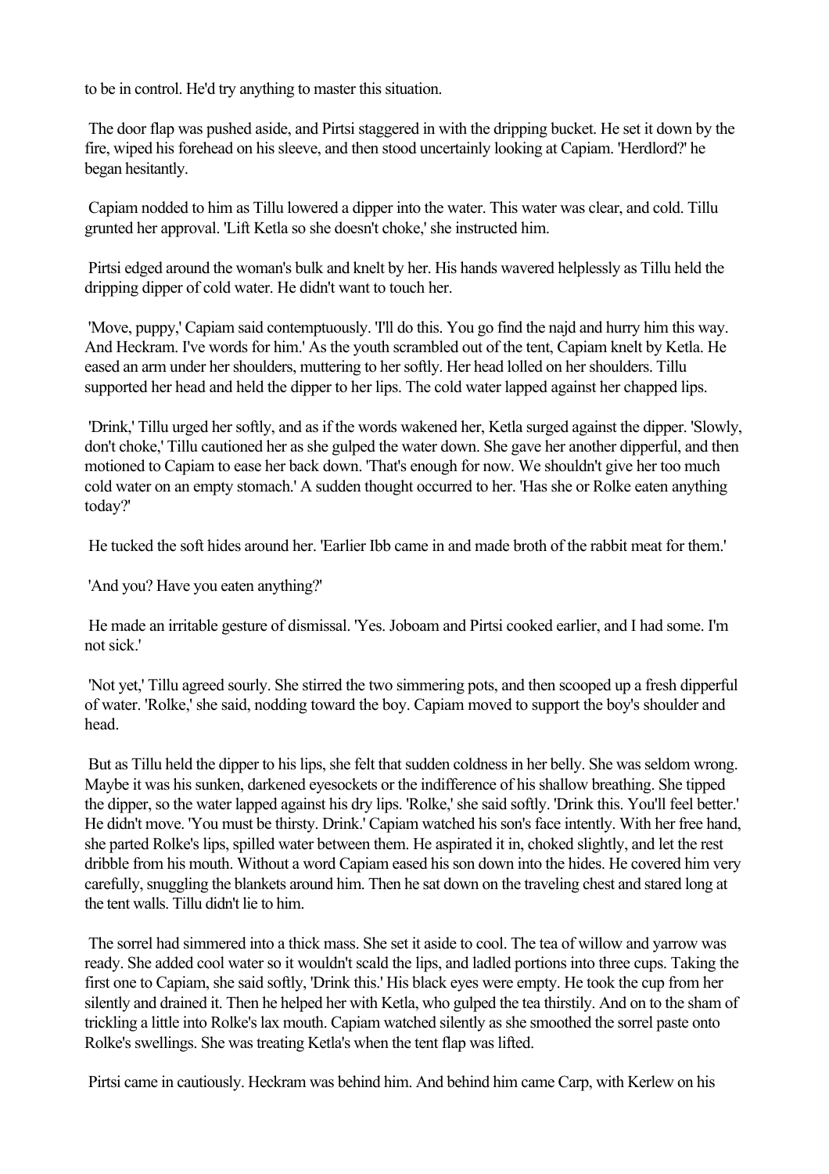to be in control. He'd try anything to master this situation.

 The door flap was pushed aside, and Pirtsi staggered in with the dripping bucket. He set it down by the fire, wiped his forehead on his sleeve, and then stood uncertainly looking at Capiam. 'Herdlord?' he began hesitantly.

 Capiam nodded to him as Tillu lowered a dipper into the water. This water was clear, and cold. Tillu grunted her approval. 'Lift Ketla so she doesn't choke,' she instructed him.

 Pirtsi edged around the woman's bulk and knelt by her. His hands wavered helplessly as Tillu held the dripping dipper of cold water. He didn't want to touch her.

 'Move, puppy,' Capiam said contemptuously. 'I'll do this. You go find the najd and hurry him this way. And Heckram. I've words for him.' As the youth scrambled out of the tent, Capiam knelt by Ketla. He eased an arm under her shoulders, muttering to her softly. Her head lolled on her shoulders. Tillu supported her head and held the dipper to her lips. The cold water lapped against her chapped lips.

 'Drink,' Tillu urged her softly, and as if the words wakened her, Ketla surged against the dipper. 'Slowly, don't choke,' Tillu cautioned her as she gulped the water down. She gave her another dipperful, and then motioned to Capiam to ease her back down. 'That's enough for now. We shouldn't give her too much cold water on an empty stomach.' A sudden thought occurred to her. 'Has she or Rolke eaten anything today?'

He tucked the soft hides around her. 'Earlier Ibb came in and made broth of the rabbit meat for them.'

'And you? Have you eaten anything?'

 He made an irritable gesture of dismissal. 'Yes. Joboam and Pirtsi cooked earlier, and I had some. I'm not sick.'

 'Not yet,' Tillu agreed sourly. She stirred the two simmering pots, and then scooped up a fresh dipperful of water. 'Rolke,' she said, nodding toward the boy. Capiam moved to support the boy's shoulder and head.

 But as Tillu held the dipper to his lips, she felt that sudden coldness in her belly. She was seldom wrong. Maybe it was his sunken, darkened eyesockets or the indifference of his shallow breathing. She tipped the dipper, so the water lapped against his dry lips. 'Rolke,' she said softly. 'Drink this. You'll feel better.' He didn't move. 'You must be thirsty. Drink.' Capiam watched his son's face intently. With her free hand, she parted Rolke's lips, spilled water between them. He aspirated it in, choked slightly, and let the rest dribble from his mouth. Without a word Capiam eased his son down into the hides. He covered him very carefully, snuggling the blankets around him. Then he sat down on the traveling chest and stared long at the tent walls. Tillu didn't lie to him.

 The sorrel had simmered into a thick mass. She set it aside to cool. The tea of willow and yarrow was ready. She added cool water so it wouldn't scald the lips, and ladled portions into three cups. Taking the first one to Capiam, she said softly, 'Drink this.' His black eyes were empty. He took the cup from her silently and drained it. Then he helped her with Ketla, who gulped the tea thirstily. And on to the sham of trickling a little into Rolke's lax mouth. Capiam watched silently as she smoothed the sorrel paste onto Rolke's swellings. She was treating Ketla's when the tent flap was lifted.

Pirtsi came in cautiously. Heckram was behind him. And behind him came Carp, with Kerlew on his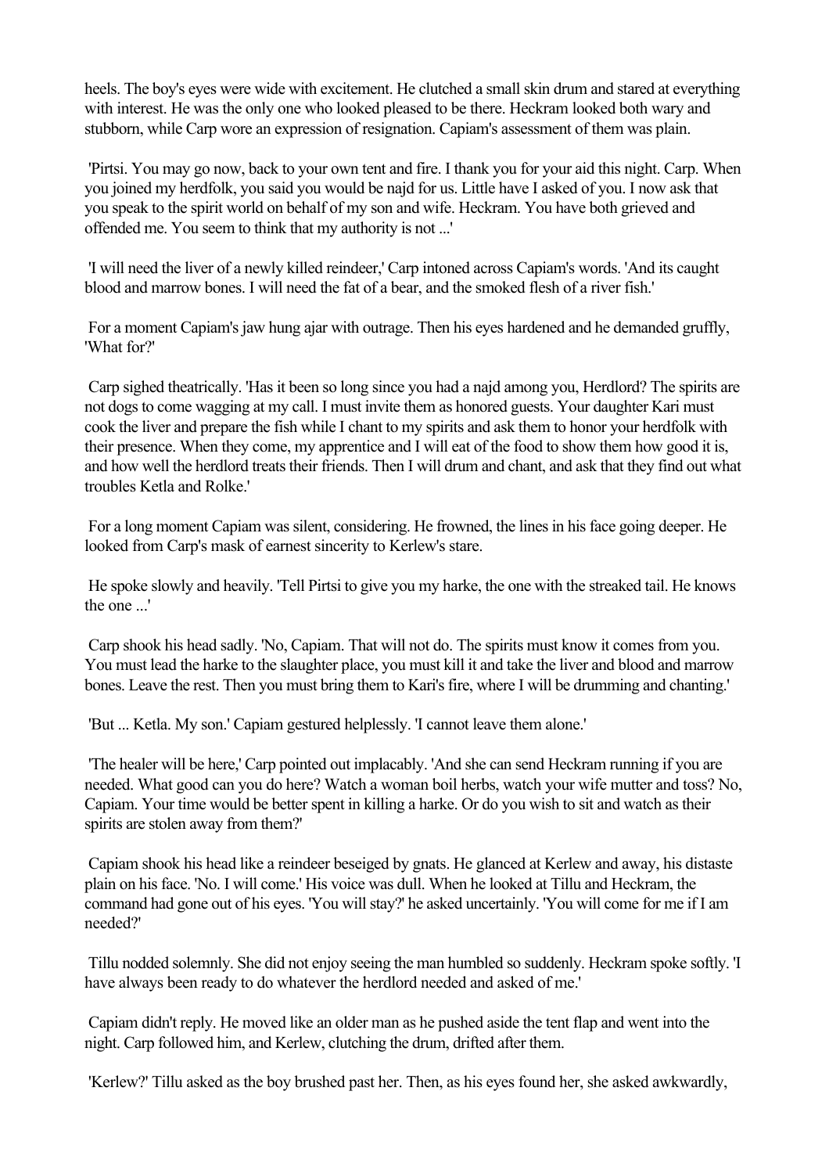heels. The boy's eyes were wide with excitement. He clutched a small skin drum and stared at everything with interest. He was the only one who looked pleased to be there. Heckram looked both wary and stubborn, while Carp wore an expression of resignation. Capiam's assessment of them was plain.

 'Pirtsi. You may go now, back to your own tent and fire. I thank you for your aid this night. Carp. When you joined my herdfolk, you said you would be najd for us. Little have I asked of you. I now ask that you speak to the spirit world on behalf of my son and wife. Heckram. You have both grieved and offended me. You seem to think that my authority is not ...'

 'I will need the liver of a newly killed reindeer,' Carp intoned across Capiam's words. 'And its caught blood and marrow bones. I will need the fat of a bear, and the smoked flesh of a river fish.'

 For a moment Capiam's jaw hung ajar with outrage. Then his eyes hardened and he demanded gruffly, 'What for?'

 Carp sighed theatrically. 'Has it been so long since you had a najd among you, Herdlord? The spirits are not dogs to come wagging at my call. I must invite them as honored guests. Your daughter Kari must cook the liver and prepare the fish while I chant to my spirits and ask them to honor your herdfolk with their presence. When they come, my apprentice and I will eat of the food to show them how good it is, and how well the herdlord treats their friends. Then I will drum and chant, and ask that they find out what troubles Ketla and Rolke.'

 For a long moment Capiam was silent, considering. He frowned, the lines in his face going deeper. He looked from Carp's mask of earnest sincerity to Kerlew's stare.

 He spoke slowly and heavily. 'Tell Pirtsi to give you my harke, the one with the streaked tail. He knows the one  $\cdot$ 

 Carp shook his head sadly. 'No, Capiam. That will not do. The spirits must know it comes from you. You must lead the harke to the slaughter place, you must kill it and take the liver and blood and marrow bones. Leave the rest. Then you must bring them to Kari's fire, where I will be drumming and chanting.'

'But ... Ketla. My son.' Capiam gestured helplessly. 'I cannot leave them alone.'

 'The healer will be here,' Carp pointed out implacably. 'And she can send Heckram running if you are needed. What good can you do here? Watch a woman boil herbs, watch your wife mutter and toss? No, Capiam. Your time would be better spent in killing a harke. Or do you wish to sit and watch as their spirits are stolen away from them?'

 Capiam shook his head like a reindeer beseiged by gnats. He glanced at Kerlew and away, his distaste plain on his face. 'No. I will come.' His voice was dull. When he looked at Tillu and Heckram, the command had gone out of his eyes. 'You will stay?' he asked uncertainly. 'You will come for me if I am needed?'

 Tillu nodded solemnly. She did not enjoy seeing the man humbled so suddenly. Heckram spoke softly. 'I have always been ready to do whatever the herdlord needed and asked of me.'

 Capiam didn't reply. He moved like an older man as he pushed aside the tent flap and went into the night. Carp followed him, and Kerlew, clutching the drum, drifted after them.

'Kerlew?' Tillu asked as the boy brushed past her. Then, as his eyes found her, she asked awkwardly,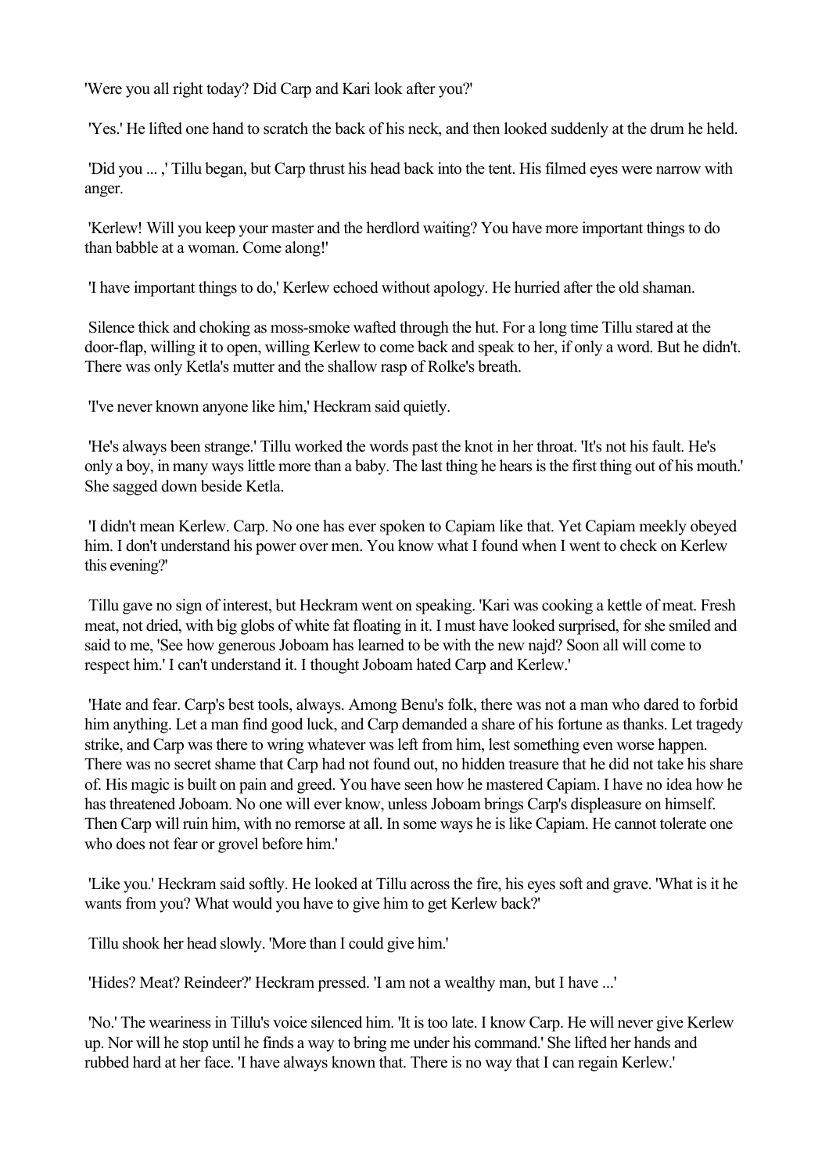'Were you all right today? Did Carp and Kari look after you?'

'Yes.' He lifted one hand to scratch the back of his neck, and then looked suddenly at the drum he held.

 'Did you ... ,' Tillu began, but Carp thrust his head back into the tent. His filmed eyes were narrow with anger.

 'Kerlew! Will you keep your master and the herdlord waiting? You have more important things to do than babble at a woman. Come along!'

'I have important things to do,' Kerlew echoed without apology. He hurried after the old shaman.

 Silence thick and choking as moss-smoke wafted through the hut. For a long time Tillu stared at the door-flap, willing it to open, willing Kerlew to come back and speak to her, if only a word. But he didn't. There was only Ketla's mutter and the shallow rasp of Rolke's breath.

'I've never known anyone like him,' Heckram said quietly.

 'He's always been strange.' Tillu worked the words past the knot in her throat. 'It's not his fault. He's only a boy, in many ways little more than a baby. The last thing he hears is the first thing out of his mouth.' She sagged down beside Ketla.

 'I didn't mean Kerlew. Carp. No one has ever spoken to Capiam like that. Yet Capiam meekly obeyed him. I don't understand his power over men. You know what I found when I went to check on Kerlew this evening?'

 Tillu gave no sign of interest, but Heckram went on speaking. 'Kari was cooking a kettle of meat. Fresh meat, not dried, with big globs of white fat floating in it. I must have looked surprised, for she smiled and said to me, 'See how generous Joboam has learned to be with the new najd? Soon all will come to respect him.' I can't understand it. I thought Joboam hated Carp and Kerlew.'

 'Hate and fear. Carp's best tools, always. Among Benu's folk, there was not a man who dared to forbid him anything. Let a man find good luck, and Carp demanded a share of his fortune as thanks. Let tragedy strike, and Carp was there to wring whatever was left from him, lest something even worse happen. There was no secret shame that Carp had not found out, no hidden treasure that he did not take his share of. His magic is built on pain and greed. You have seen how he mastered Capiam. I have no idea how he has threatened Joboam. No one will ever know, unless Joboam brings Carp's displeasure on himself. Then Carp will ruin him, with no remorse at all. In some ways he is like Capiam. He cannot tolerate one who does not fear or grovel before him.'

 'Like you.' Heckram said softly. He looked at Tillu across the fire, his eyes soft and grave. 'What is it he wants from you? What would you have to give him to get Kerlew back?'

Tillu shook her head slowly. 'More than I could give him.'

'Hides? Meat? Reindeer?' Heckram pressed. 'I am not a wealthy man, but I have ...'

 'No.' The weariness in Tillu's voice silenced him. 'It is too late. I know Carp. He will never give Kerlew up. Nor will he stop until he finds a way to bring me under his command.' She lifted her hands and rubbed hard at her face. 'I have always known that. There is no way that I can regain Kerlew.'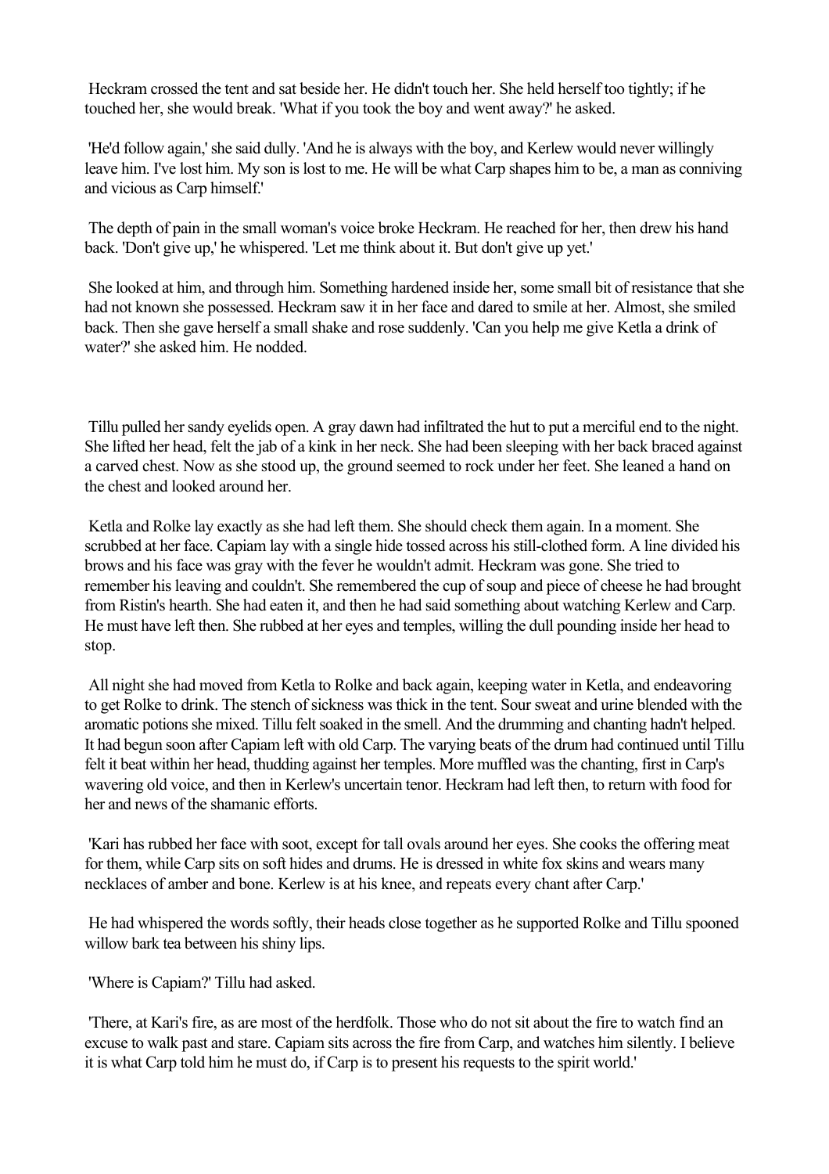Heckram crossed the tent and sat beside her. He didn't touch her. She held herself too tightly; if he touched her, she would break. 'What if you took the boy and went away?' he asked.

 'He'd follow again,' she said dully. 'And he is always with the boy, and Kerlew would never willingly leave him. I've lost him. My son is lost to me. He will be what Carp shapes him to be, a man as conniving and vicious as Carp himself.'

 The depth of pain in the small woman's voice broke Heckram. He reached for her, then drew his hand back. 'Don't give up,' he whispered. 'Let me think about it. But don't give up yet.'

 She looked at him, and through him. Something hardened inside her, some small bit of resistance that she had not known she possessed. Heckram saw it in her face and dared to smile at her. Almost, she smiled back. Then she gave herself a small shake and rose suddenly. 'Can you help me give Ketla a drink of water?' she asked him. He nodded.

 Tillu pulled her sandy eyelids open. A gray dawn had infiltrated the hut to put a merciful end to the night. She lifted her head, felt the jab of a kink in her neck. She had been sleeping with her back braced against a carved chest. Now as she stood up, the ground seemed to rock under her feet. She leaned a hand on the chest and looked around her.

 Ketla and Rolke lay exactly as she had left them. She should check them again. In a moment. She scrubbed at her face. Capiam lay with a single hide tossed across his still-clothed form. A line divided his brows and his face was gray with the fever he wouldn't admit. Heckram was gone. She tried to remember his leaving and couldn't. She remembered the cup of soup and piece of cheese he had brought from Ristin's hearth. She had eaten it, and then he had said something about watching Kerlew and Carp. He must have left then. She rubbed at her eyes and temples, willing the dull pounding inside her head to stop.

 All night she had moved from Ketla to Rolke and back again, keeping water in Ketla, and endeavoring to get Rolke to drink. The stench of sickness was thick in the tent. Sour sweat and urine blended with the aromatic potions she mixed. Tillu felt soaked in the smell. And the drumming and chanting hadn't helped. It had begun soon after Capiam left with old Carp. The varying beats of the drum had continued until Tillu felt it beat within her head, thudding against her temples. More muffled was the chanting, first in Carp's wavering old voice, and then in Kerlew's uncertain tenor. Heckram had left then, to return with food for her and news of the shamanic efforts.

 'Kari has rubbed her face with soot, except for tall ovals around her eyes. She cooks the offering meat for them, while Carp sits on soft hides and drums. He is dressed in white fox skins and wears many necklaces of amber and bone. Kerlew is at his knee, and repeats every chant after Carp.'

 He had whispered the words softly, their heads close together as he supported Rolke and Tillu spooned willow bark tea between his shiny lips.

'Where is Capiam?' Tillu had asked.

 'There, at Kari's fire, as are most of the herdfolk. Those who do not sit about the fire to watch find an excuse to walk past and stare. Capiam sits across the fire from Carp, and watches him silently. I believe it is what Carp told him he must do, if Carp is to present his requests to the spirit world.'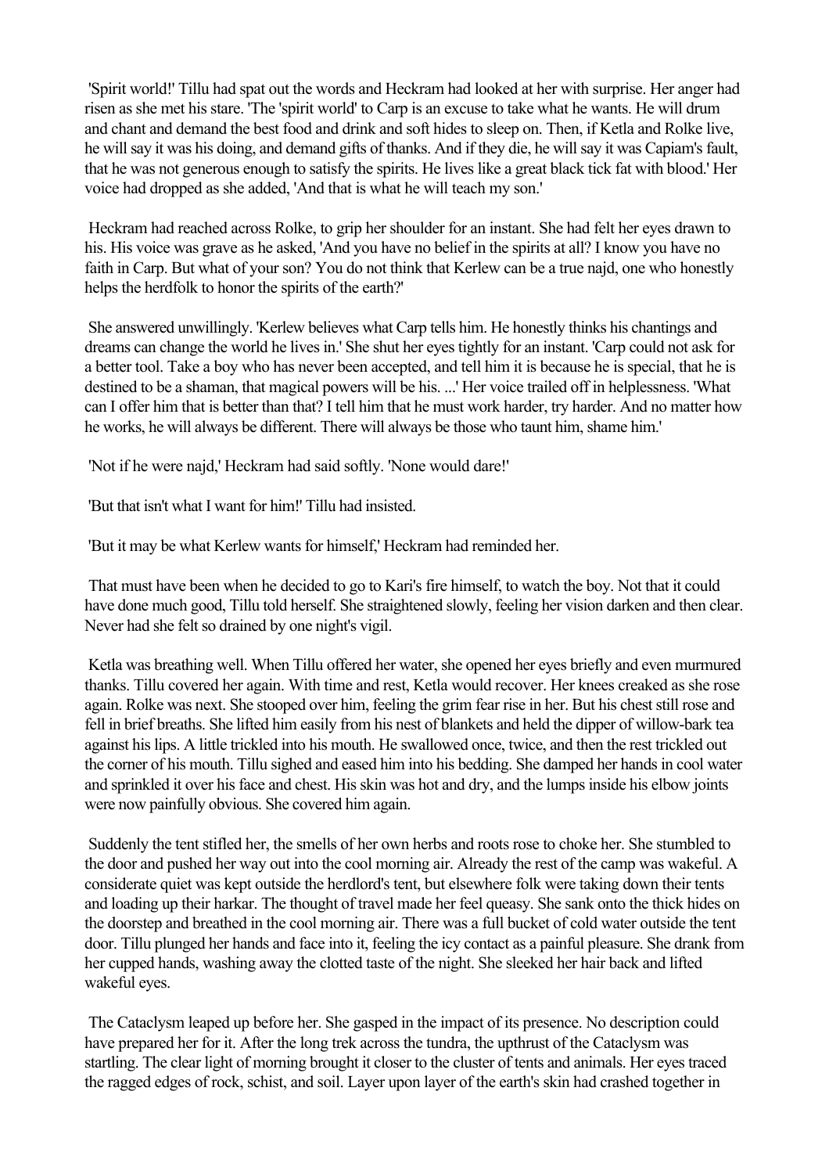'Spirit world!' Tillu had spat out the words and Heckram had looked at her with surprise. Her anger had risen as she met his stare. 'The 'spirit world' to Carp is an excuse to take what he wants. He will drum and chant and demand the best food and drink and soft hides to sleep on. Then, if Ketla and Rolke live, he will say it was his doing, and demand gifts of thanks. And if they die, he will say it was Capiam's fault, that he was not generous enough to satisfy the spirits. He lives like a great black tick fat with blood.' Her voice had dropped as she added, 'And that is what he will teach my son.'

 Heckram had reached across Rolke, to grip her shoulder for an instant. She had felt her eyes drawn to his. His voice was grave as he asked, 'And you have no belief in the spirits at all? I know you have no faith in Carp. But what of your son? You do not think that Kerlew can be a true najd, one who honestly helps the herdfolk to honor the spirits of the earth?'

 She answered unwillingly. 'Kerlew believes what Carp tells him. He honestly thinks his chantings and dreams can change the world he lives in.' She shut her eyes tightly for an instant. 'Carp could not ask for a better tool. Take a boy who has never been accepted, and tell him it is because he is special, that he is destined to be a shaman, that magical powers will be his. ...' Her voice trailed off in helplessness. 'What can I offer him that is better than that? I tell him that he must work harder, try harder. And no matter how he works, he will always be different. There will always be those who taunt him, shame him.'

'Not if he were najd,' Heckram had said softly. 'None would dare!'

'But that isn't what I want for him!' Tillu had insisted.

'But it may be what Kerlew wants for himself,' Heckram had reminded her.

 That must have been when he decided to go to Kari's fire himself, to watch the boy. Not that it could have done much good, Tillu told herself. She straightened slowly, feeling her vision darken and then clear. Never had she felt so drained by one night's vigil.

 Ketla was breathing well. When Tillu offered her water, she opened her eyes briefly and even murmured thanks. Tillu covered her again. With time and rest, Ketla would recover. Her knees creaked as she rose again. Rolke was next. She stooped over him, feeling the grim fear rise in her. But his chest still rose and fell in brief breaths. She lifted him easily from his nest of blankets and held the dipper of willow-bark tea against his lips. A little trickled into his mouth. He swallowed once, twice, and then the rest trickled out the corner of his mouth. Tillu sighed and eased him into his bedding. She damped her hands in cool water and sprinkled it over his face and chest. His skin was hot and dry, and the lumps inside his elbow joints were now painfully obvious. She covered him again.

 Suddenly the tent stifled her, the smells of her own herbs and roots rose to choke her. She stumbled to the door and pushed her way out into the cool morning air. Already the rest of the camp was wakeful. A considerate quiet was kept outside the herdlord's tent, but elsewhere folk were taking down their tents and loading up their harkar. The thought of travel made her feel queasy. She sank onto the thick hides on the doorstep and breathed in the cool morning air. There was a full bucket of cold water outside the tent door. Tillu plunged her hands and face into it, feeling the icy contact as a painful pleasure. She drank from her cupped hands, washing away the clotted taste of the night. She sleeked her hair back and lifted wakeful eyes.

 The Cataclysm leaped up before her. She gasped in the impact of its presence. No description could have prepared her for it. After the long trek across the tundra, the upthrust of the Cataclysm was startling. The clear light of morning brought it closer to the cluster of tents and animals. Her eyes traced the ragged edges of rock, schist, and soil. Layer upon layer of the earth's skin had crashed together in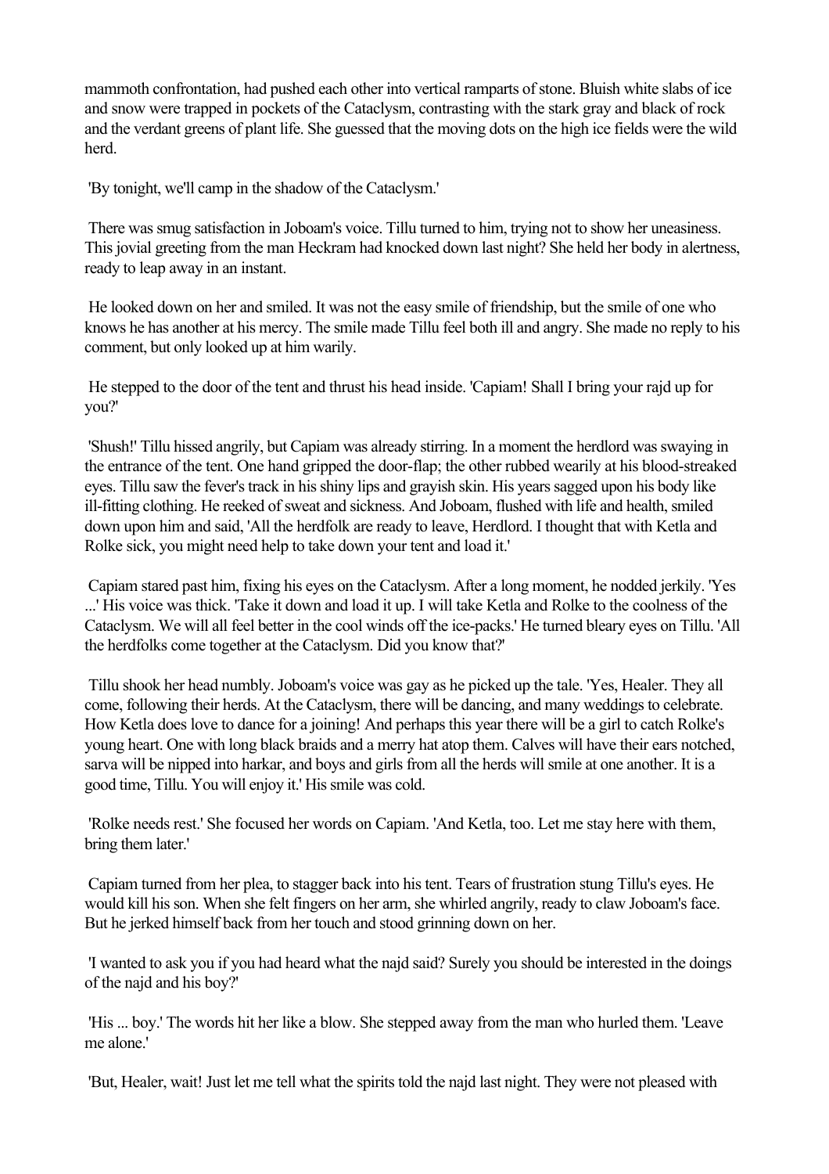mammoth confrontation, had pushed each other into vertical ramparts of stone. Bluish white slabs of ice and snow were trapped in pockets of the Cataclysm, contrasting with the stark gray and black of rock and the verdant greens of plant life. She guessed that the moving dots on the high ice fields were the wild herd.

'By tonight, we'll camp in the shadow of the Cataclysm.'

 There was smug satisfaction in Joboam's voice. Tillu turned to him, trying not to show her uneasiness. This jovial greeting from the man Heckram had knocked down last night? She held her body in alertness, ready to leap away in an instant.

 He looked down on her and smiled. It was not the easy smile of friendship, but the smile of one who knows he has another at his mercy. The smile made Tillu feel both ill and angry. She made no reply to his comment, but only looked up at him warily.

 He stepped to the door of the tent and thrust his head inside. 'Capiam! Shall I bring your rajd up for you?'

 'Shush!' Tillu hissed angrily, but Capiam was already stirring. In a moment the herdlord was swaying in the entrance of the tent. One hand gripped the door-flap; the other rubbed wearily at his blood-streaked eyes. Tillu saw the fever's track in his shiny lips and grayish skin. His years sagged upon his body like ill-fitting clothing. He reeked of sweat and sickness. And Joboam, flushed with life and health, smiled down upon him and said, 'All the herdfolk are ready to leave, Herdlord. I thought that with Ketla and Rolke sick, you might need help to take down your tent and load it.'

 Capiam stared past him, fixing his eyes on the Cataclysm. After a long moment, he nodded jerkily. 'Yes ...' His voice was thick. 'Take it down and load it up. I will take Ketla and Rolke to the coolness of the Cataclysm. We will all feel better in the cool winds off the ice-packs.' He turned bleary eyes on Tillu. 'All the herdfolks come together at the Cataclysm. Did you know that?'

 Tillu shook her head numbly. Joboam's voice was gay as he picked up the tale. 'Yes, Healer. They all come, following their herds. At the Cataclysm, there will be dancing, and many weddings to celebrate. How Ketla does love to dance for a joining! And perhaps this year there will be a girl to catch Rolke's young heart. One with long black braids and a merry hat atop them. Calves will have their ears notched, sarva will be nipped into harkar, and boys and girls from all the herds will smile at one another. It is a good time, Tillu. You will enjoy it.' His smile was cold.

 'Rolke needs rest.' She focused her words on Capiam. 'And Ketla, too. Let me stay here with them, bring them later.'

 Capiam turned from her plea, to stagger back into his tent. Tears of frustration stung Tillu's eyes. He would kill his son. When she felt fingers on her arm, she whirled angrily, ready to claw Joboam's face. But he jerked himself back from her touch and stood grinning down on her.

 'I wanted to ask you if you had heard what the najd said? Surely you should be interested in the doings of the najd and his boy?'

 'His ... boy.' The words hit her like a blow. She stepped away from the man who hurled them. 'Leave me alone.'

'But, Healer, wait! Just let me tell what the spirits told the najd last night. They were not pleased with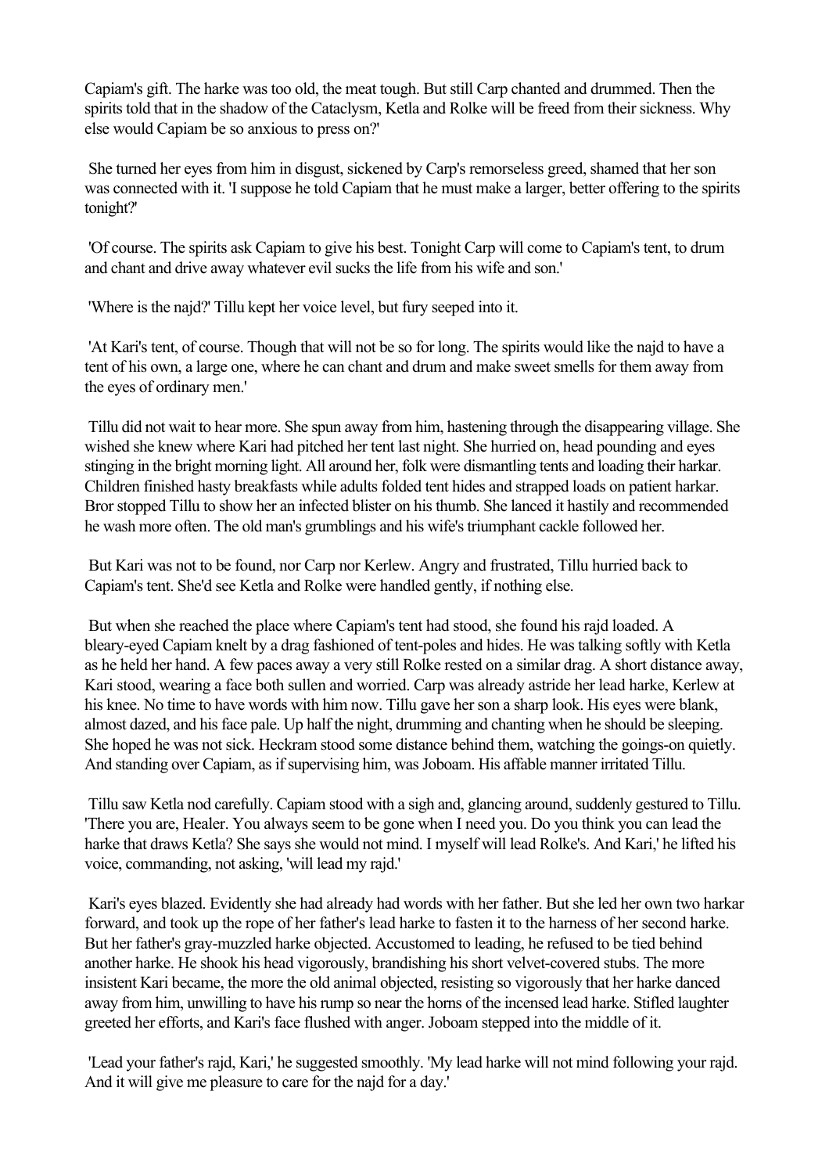Capiam's gift. The harke was too old, the meat tough. But still Carp chanted and drummed. Then the spirits told that in the shadow of the Cataclysm, Ketla and Rolke will be freed from their sickness. Why else would Capiam be so anxious to press on?'

 She turned her eyes from him in disgust, sickened by Carp's remorseless greed, shamed that her son was connected with it. 'I suppose he told Capiam that he must make a larger, better offering to the spirits tonight?'

 'Of course. The spirits ask Capiam to give his best. Tonight Carp will come to Capiam's tent, to drum and chant and drive away whatever evil sucks the life from his wife and son.'

'Where is the najd?' Tillu kept her voice level, but fury seeped into it.

 'At Kari's tent, of course. Though that will not be so for long. The spirits would like the najd to have a tent of his own, a large one, where he can chant and drum and make sweet smells for them away from the eyes of ordinary men.'

 Tillu did not wait to hear more. She spun away from him, hastening through the disappearing village. She wished she knew where Kari had pitched her tent last night. She hurried on, head pounding and eyes stinging in the bright morning light. All around her, folk were dismantling tents and loading their harkar. Children finished hasty breakfasts while adults folded tent hides and strapped loads on patient harkar. Bror stopped Tillu to show her an infected blister on his thumb. She lanced it hastily and recommended he wash more often. The old man's grumblings and his wife's triumphant cackle followed her.

 But Kari was not to be found, nor Carp nor Kerlew. Angry and frustrated, Tillu hurried back to Capiam's tent. She'd see Ketla and Rolke were handled gently, if nothing else.

 But when she reached the place where Capiam's tent had stood, she found his rajd loaded. A bleary-eyed Capiam knelt by a drag fashioned of tent-poles and hides. He was talking softly with Ketla as he held her hand. A few paces away a very still Rolke rested on a similar drag. A short distance away, Kari stood, wearing a face both sullen and worried. Carp was already astride her lead harke, Kerlew at his knee. No time to have words with him now. Tillu gave her son a sharp look. His eyes were blank, almost dazed, and his face pale. Up half the night, drumming and chanting when he should be sleeping. She hoped he was not sick. Heckram stood some distance behind them, watching the goings-on quietly. And standing over Capiam, as if supervising him, was Joboam. His affable manner irritated Tillu.

 Tillu saw Ketla nod carefully. Capiam stood with a sigh and, glancing around, suddenly gestured to Tillu. 'There you are, Healer. You always seem to be gone when I need you. Do you think you can lead the harke that draws Ketla? She says she would not mind. I myself will lead Rolke's. And Kari,' he lifted his voice, commanding, not asking, 'will lead my rajd.'

 Kari's eyes blazed. Evidently she had already had words with her father. But she led her own two harkar forward, and took up the rope of her father's lead harke to fasten it to the harness of her second harke. But her father's gray-muzzled harke objected. Accustomed to leading, he refused to be tied behind another harke. He shook his head vigorously, brandishing his short velvet-covered stubs. The more insistent Kari became, the more the old animal objected, resisting so vigorously that her harke danced away from him, unwilling to have his rump so near the horns of the incensed lead harke. Stifled laughter greeted her efforts, and Kari's face flushed with anger. Joboam stepped into the middle of it.

 'Lead your father's rajd, Kari,' he suggested smoothly. 'My lead harke will not mind following your rajd. And it will give me pleasure to care for the najd for a day.'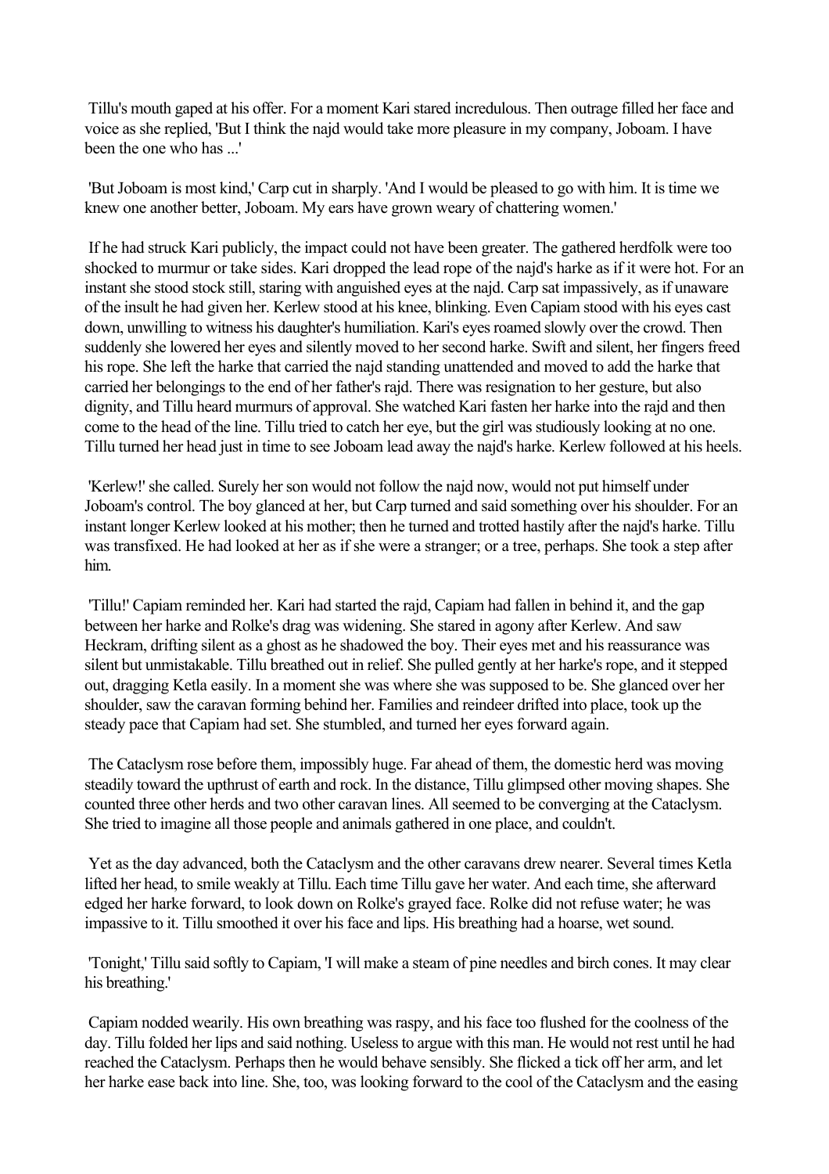Tillu's mouth gaped at his offer. For a moment Kari stared incredulous. Then outrage filled her face and voice as she replied, 'But I think the najd would take more pleasure in my company, Joboam. I have been the one who has '

 'But Joboam is most kind,' Carp cut in sharply. 'And I would be pleased to go with him. It is time we knew one another better, Joboam. My ears have grown weary of chattering women.'

 If he had struck Kari publicly, the impact could not have been greater. The gathered herdfolk were too shocked to murmur or take sides. Kari dropped the lead rope of the najd's harke as if it were hot. For an instant she stood stock still, staring with anguished eyes at the najd. Carp sat impassively, as if unaware of the insult he had given her. Kerlew stood at his knee, blinking. Even Capiam stood with his eyes cast down, unwilling to witness his daughter's humiliation. Kari's eyes roamed slowly over the crowd. Then suddenly she lowered her eyes and silently moved to her second harke. Swift and silent, her fingers freed his rope. She left the harke that carried the najd standing unattended and moved to add the harke that carried her belongings to the end of her father's rajd. There was resignation to her gesture, but also dignity, and Tillu heard murmurs of approval. She watched Kari fasten her harke into the rajd and then come to the head of the line. Tillu tried to catch her eye, but the girl was studiously looking at no one. Tillu turned her head just in time to see Joboam lead away the najd's harke. Kerlew followed at his heels.

 'Kerlew!' she called. Surely her son would not follow the najd now, would not put himself under Joboam's control. The boy glanced at her, but Carp turned and said something over his shoulder. For an instant longer Kerlew looked at his mother; then he turned and trotted hastily after the najd's harke. Tillu was transfixed. He had looked at her as if she were a stranger; or a tree, perhaps. She took a step after him.

 'Tillu!' Capiam reminded her. Kari had started the rajd, Capiam had fallen in behind it, and the gap between her harke and Rolke's drag was widening. She stared in agony after Kerlew. And saw Heckram, drifting silent as a ghost as he shadowed the boy. Their eyes met and his reassurance was silent but unmistakable. Tillu breathed out in relief. She pulled gently at her harke's rope, and it stepped out, dragging Ketla easily. In a moment she was where she was supposed to be. She glanced over her shoulder, saw the caravan forming behind her. Families and reindeer drifted into place, took up the steady pace that Capiam had set. She stumbled, and turned her eyes forward again.

 The Cataclysm rose before them, impossibly huge. Far ahead of them, the domestic herd was moving steadily toward the upthrust of earth and rock. In the distance, Tillu glimpsed other moving shapes. She counted three other herds and two other caravan lines. All seemed to be converging at the Cataclysm. She tried to imagine all those people and animals gathered in one place, and couldn't.

 Yet as the day advanced, both the Cataclysm and the other caravans drew nearer. Several times Ketla lifted her head, to smile weakly at Tillu. Each time Tillu gave her water. And each time, she afterward edged her harke forward, to look down on Rolke's grayed face. Rolke did not refuse water; he was impassive to it. Tillu smoothed it over his face and lips. His breathing had a hoarse, wet sound.

 'Tonight,' Tillu said softly to Capiam, 'I will make a steam of pine needles and birch cones. It may clear his breathing.'

 Capiam nodded wearily. His own breathing was raspy, and his face too flushed for the coolness of the day. Tillu folded her lips and said nothing. Useless to argue with this man. He would not rest until he had reached the Cataclysm. Perhaps then he would behave sensibly. She flicked a tick off her arm, and let her harke ease back into line. She, too, was looking forward to the cool of the Cataclysm and the easing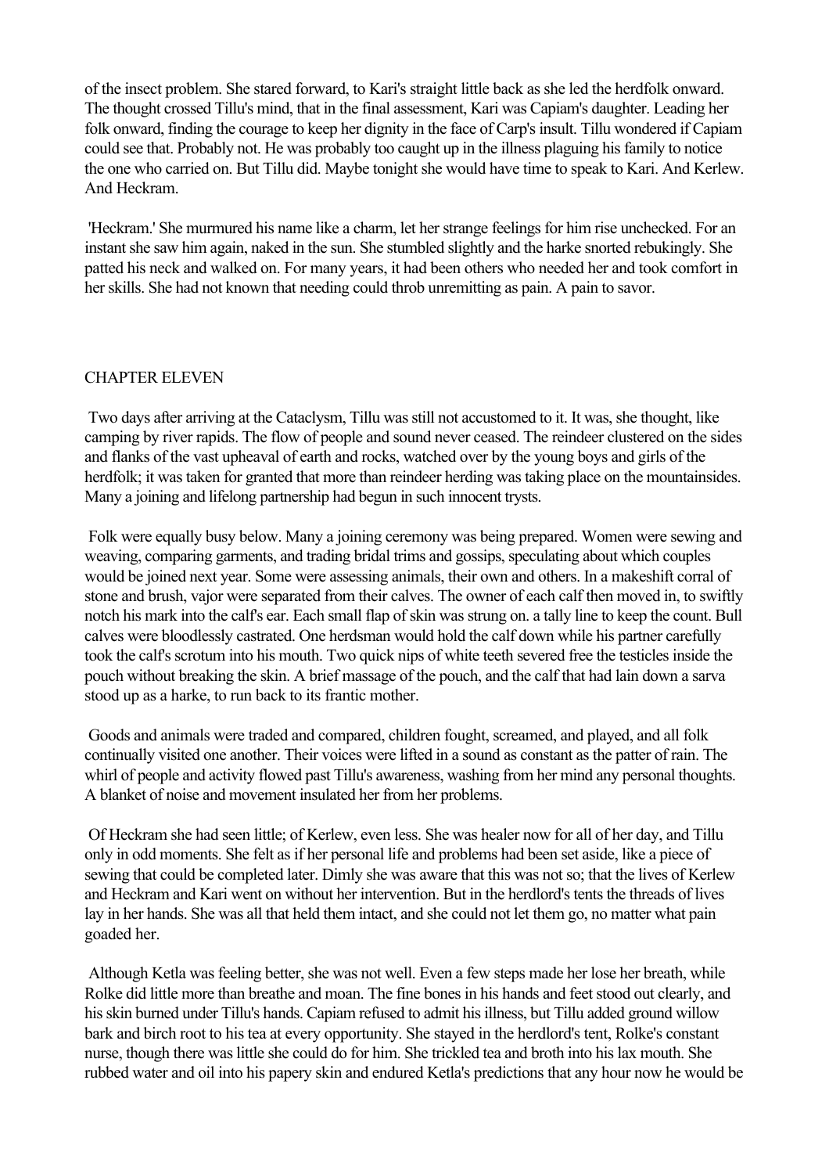of the insect problem. She stared forward, to Kari's straight little back as she led the herdfolk onward. The thought crossed Tillu's mind, that in the final assessment, Kari was Capiam's daughter. Leading her folk onward, finding the courage to keep her dignity in the face of Carp's insult. Tillu wondered if Capiam could see that. Probably not. He was probably too caught up in the illness plaguing his family to notice the one who carried on. But Tillu did. Maybe tonight she would have time to speak to Kari. And Kerlew. And Heckram.

 'Heckram.' She murmured his name like a charm, let her strange feelings for him rise unchecked. For an instant she saw him again, naked in the sun. She stumbled slightly and the harke snorted rebukingly. She patted his neck and walked on. For many years, it had been others who needed her and took comfort in her skills. She had not known that needing could throb unremitting as pain. A pain to savor.

#### CHAPTER ELEVEN

 Two days after arriving at the Cataclysm, Tillu was still not accustomed to it. It was, she thought, like camping by river rapids. The flow of people and sound never ceased. The reindeer clustered on the sides and flanks of the vast upheaval of earth and rocks, watched over by the young boys and girls of the herdfolk; it was taken for granted that more than reindeer herding was taking place on the mountainsides. Many a joining and lifelong partnership had begun in such innocent trysts.

 Folk were equally busy below. Many a joining ceremony was being prepared. Women were sewing and weaving, comparing garments, and trading bridal trims and gossips, speculating about which couples would be joined next year. Some were assessing animals, their own and others. In a makeshift corral of stone and brush, vajor were separated from their calves. The owner of each calf then moved in, to swiftly notch his mark into the calf's ear. Each small flap of skin was strung on. a tally line to keep the count. Bull calves were bloodlessly castrated. One herdsman would hold the calf down while his partner carefully took the calf's scrotum into his mouth. Two quick nips of white teeth severed free the testicles inside the pouch without breaking the skin. A brief massage of the pouch, and the calf that had lain down a sarva stood up as a harke, to run back to its frantic mother.

 Goods and animals were traded and compared, children fought, screamed, and played, and all folk continually visited one another. Their voices were lifted in a sound as constant as the patter of rain. The whirl of people and activity flowed past Tillu's awareness, washing from her mind any personal thoughts. A blanket of noise and movement insulated her from her problems.

 Of Heckram she had seen little; of Kerlew, even less. She was healer now for all of her day, and Tillu only in odd moments. She felt as if her personal life and problems had been set aside, like a piece of sewing that could be completed later. Dimly she was aware that this was not so; that the lives of Kerlew and Heckram and Kari went on without her intervention. But in the herdlord's tents the threads of lives lay in her hands. She was all that held them intact, and she could not let them go, no matter what pain goaded her.

 Although Ketla was feeling better, she was not well. Even a few steps made her lose her breath, while Rolke did little more than breathe and moan. The fine bones in his hands and feet stood out clearly, and his skin burned under Tillu's hands. Capiam refused to admit his illness, but Tillu added ground willow bark and birch root to his tea at every opportunity. She stayed in the herdlord's tent, Rolke's constant nurse, though there was little she could do for him. She trickled tea and broth into his lax mouth. She rubbed water and oil into his papery skin and endured Ketla's predictions that any hour now he would be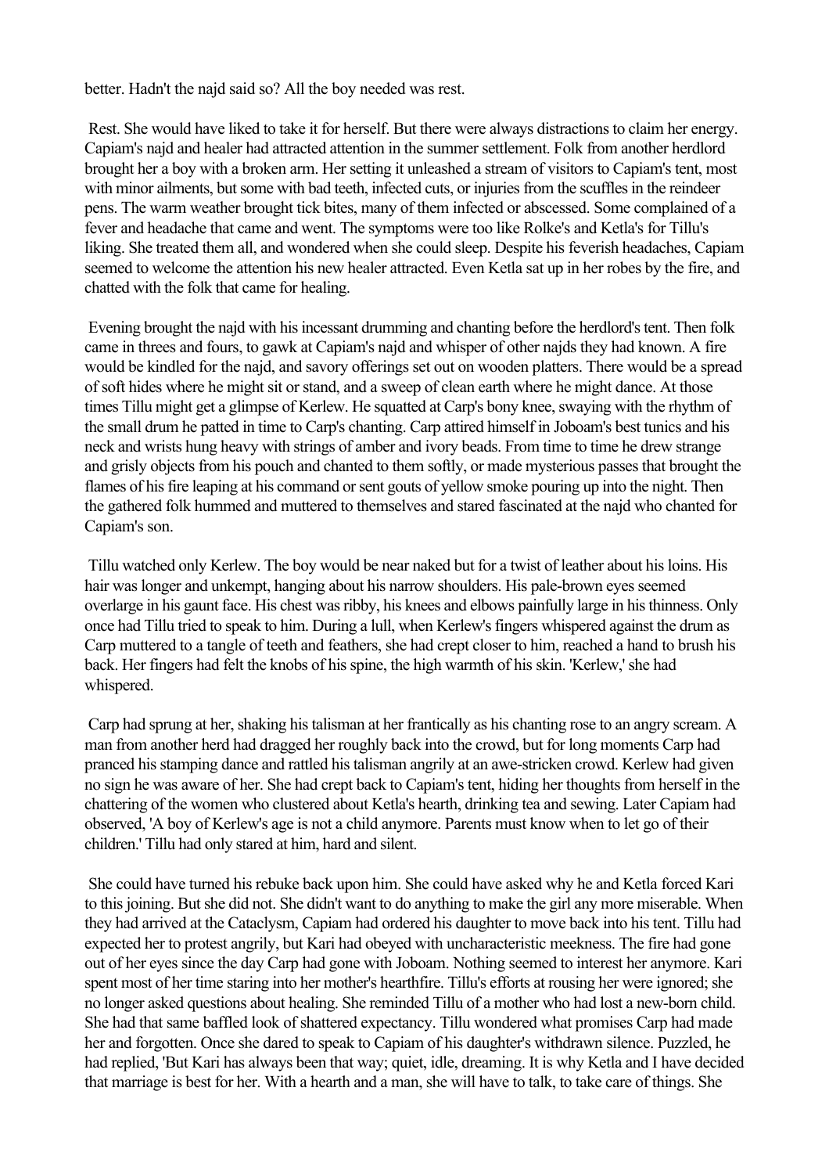better. Hadn't the najd said so? All the boy needed was rest.

 Rest. She would have liked to take it for herself. But there were always distractions to claim her energy. Capiam's najd and healer had attracted attention in the summer settlement. Folk from another herdlord brought her a boy with a broken arm. Her setting it unleashed a stream of visitors to Capiam's tent, most with minor ailments, but some with bad teeth, infected cuts, or injuries from the scuffles in the reindeer pens. The warm weather brought tick bites, many of them infected or abscessed. Some complained of a fever and headache that came and went. The symptoms were too like Rolke's and Ketla's for Tillu's liking. She treated them all, and wondered when she could sleep. Despite his feverish headaches, Capiam seemed to welcome the attention his new healer attracted. Even Ketla sat up in her robes by the fire, and chatted with the folk that came for healing.

 Evening brought the najd with his incessant drumming and chanting before the herdlord's tent. Then folk came in threes and fours, to gawk at Capiam's najd and whisper of other najds they had known. A fire would be kindled for the najd, and savory offerings set out on wooden platters. There would be a spread of soft hides where he might sit or stand, and a sweep of clean earth where he might dance. At those times Tillu might get a glimpse of Kerlew. He squatted at Carp's bony knee, swaying with the rhythm of the small drum he patted in time to Carp's chanting. Carp attired himself in Joboam's best tunics and his neck and wrists hung heavy with strings of amber and ivory beads. From time to time he drew strange and grisly objects from his pouch and chanted to them softly, or made mysterious passes that brought the flames of his fire leaping at his command or sent gouts of yellow smoke pouring up into the night. Then the gathered folk hummed and muttered to themselves and stared fascinated at the najd who chanted for Capiam's son.

 Tillu watched only Kerlew. The boy would be near naked but for a twist of leather about his loins. His hair was longer and unkempt, hanging about his narrow shoulders. His pale-brown eyes seemed overlarge in his gaunt face. His chest was ribby, his knees and elbows painfully large in his thinness. Only once had Tillu tried to speak to him. During a lull, when Kerlew's fingers whispered against the drum as Carp muttered to a tangle of teeth and feathers, she had crept closer to him, reached a hand to brush his back. Her fingers had felt the knobs of his spine, the high warmth of his skin. 'Kerlew,' she had whispered.

 Carp had sprung at her, shaking his talisman at her frantically as his chanting rose to an angry scream. A man from another herd had dragged her roughly back into the crowd, but for long moments Carp had pranced his stamping dance and rattled his talisman angrily at an awe-stricken crowd. Kerlew had given no sign he was aware of her. She had crept back to Capiam's tent, hiding her thoughts from herself in the chattering of the women who clustered about Ketla's hearth, drinking tea and sewing. Later Capiam had observed, 'A boy of Kerlew's age is not a child anymore. Parents must know when to let go of their children.' Tillu had only stared at him, hard and silent.

 She could have turned his rebuke back upon him. She could have asked why he and Ketla forced Kari to this joining. But she did not. She didn't want to do anything to make the girl any more miserable. When they had arrived at the Cataclysm, Capiam had ordered his daughter to move back into his tent. Tillu had expected her to protest angrily, but Kari had obeyed with uncharacteristic meekness. The fire had gone out of her eyes since the day Carp had gone with Joboam. Nothing seemed to interest her anymore. Kari spent most of her time staring into her mother's hearthfire. Tillu's efforts at rousing her were ignored; she no longer asked questions about healing. She reminded Tillu of a mother who had lost a new-born child. She had that same baffled look of shattered expectancy. Tillu wondered what promises Carp had made her and forgotten. Once she dared to speak to Capiam of his daughter's withdrawn silence. Puzzled, he had replied, 'But Kari has always been that way; quiet, idle, dreaming. It is why Ketla and I have decided that marriage is best for her. With a hearth and a man, she will have to talk, to take care of things. She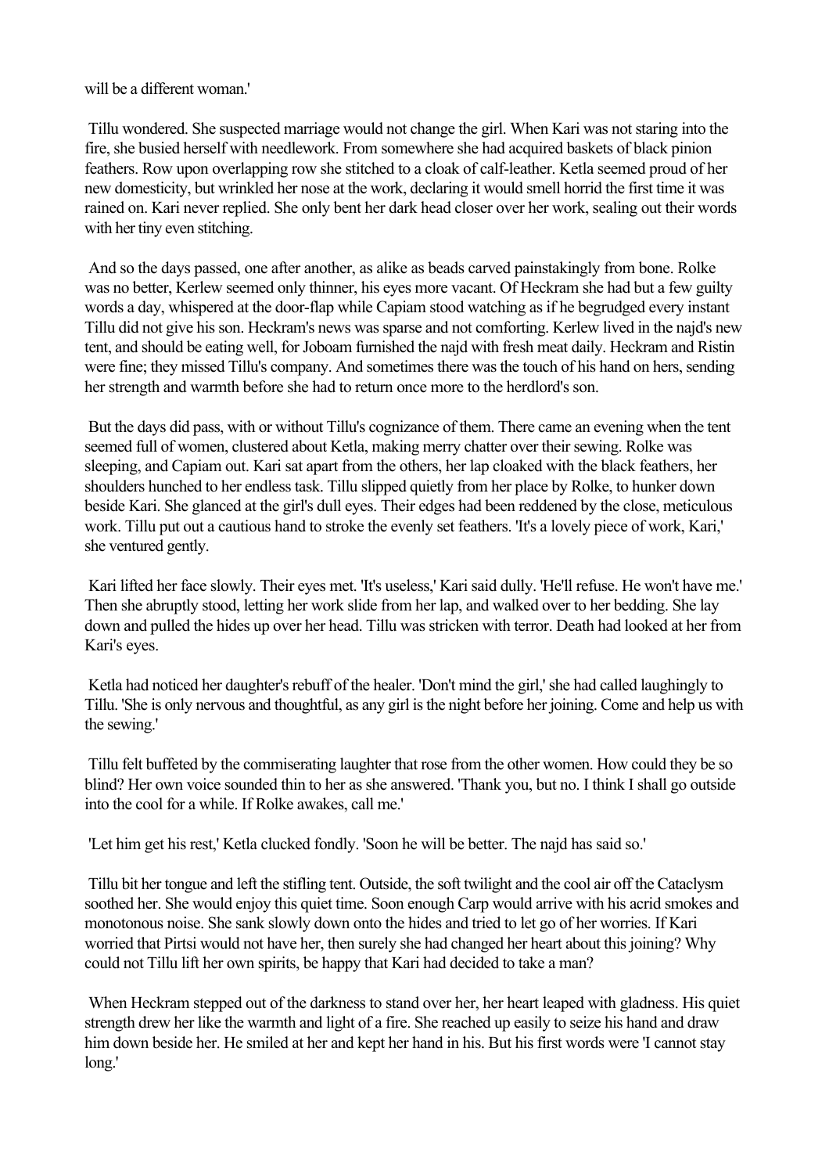will be a different woman'

 Tillu wondered. She suspected marriage would not change the girl. When Kari was not staring into the fire, she busied herself with needlework. From somewhere she had acquired baskets of black pinion feathers. Row upon overlapping row she stitched to a cloak of calf-leather. Ketla seemed proud of her new domesticity, but wrinkled her nose at the work, declaring it would smell horrid the first time it was rained on. Kari never replied. She only bent her dark head closer over her work, sealing out their words with her tiny even stitching.

 And so the days passed, one after another, as alike as beads carved painstakingly from bone. Rolke was no better, Kerlew seemed only thinner, his eyes more vacant. Of Heckram she had but a few guilty words a day, whispered at the door-flap while Capiam stood watching as if he begrudged every instant Tillu did not give his son. Heckram's news was sparse and not comforting. Kerlew lived in the najd's new tent, and should be eating well, for Joboam furnished the najd with fresh meat daily. Heckram and Ristin were fine; they missed Tillu's company. And sometimes there was the touch of his hand on hers, sending her strength and warmth before she had to return once more to the herdlord's son.

 But the days did pass, with or without Tillu's cognizance of them. There came an evening when the tent seemed full of women, clustered about Ketla, making merry chatter over their sewing. Rolke was sleeping, and Capiam out. Kari sat apart from the others, her lap cloaked with the black feathers, her shoulders hunched to her endless task. Tillu slipped quietly from her place by Rolke, to hunker down beside Kari. She glanced at the girl's dull eyes. Their edges had been reddened by the close, meticulous work. Tillu put out a cautious hand to stroke the evenly set feathers. 'It's a lovely piece of work, Kari,' she ventured gently.

 Kari lifted her face slowly. Their eyes met. 'It's useless,' Kari said dully. 'He'll refuse. He won't have me.' Then she abruptly stood, letting her work slide from her lap, and walked over to her bedding. She lay down and pulled the hides up over her head. Tillu was stricken with terror. Death had looked at her from Kari's eyes.

 Ketla had noticed her daughter's rebuff of the healer. 'Don't mind the girl,' she had called laughingly to Tillu. 'She is only nervous and thoughtful, as any girl is the night before her joining. Come and help us with the sewing.'

 Tillu felt buffeted by the commiserating laughter that rose from the other women. How could they be so blind? Her own voice sounded thin to her as she answered. 'Thank you, but no. I think I shall go outside into the cool for a while. If Rolke awakes, call me.'

'Let him get his rest,' Ketla clucked fondly. 'Soon he will be better. The najd has said so.'

 Tillu bit her tongue and left the stifling tent. Outside, the soft twilight and the cool air off the Cataclysm soothed her. She would enjoy this quiet time. Soon enough Carp would arrive with his acrid smokes and monotonous noise. She sank slowly down onto the hides and tried to let go of her worries. If Kari worried that Pirtsi would not have her, then surely she had changed her heart about this joining? Why could not Tillu lift her own spirits, be happy that Kari had decided to take a man?

 When Heckram stepped out of the darkness to stand over her, her heart leaped with gladness. His quiet strength drew her like the warmth and light of a fire. She reached up easily to seize his hand and draw him down beside her. He smiled at her and kept her hand in his. But his first words were 'I cannot stay long.'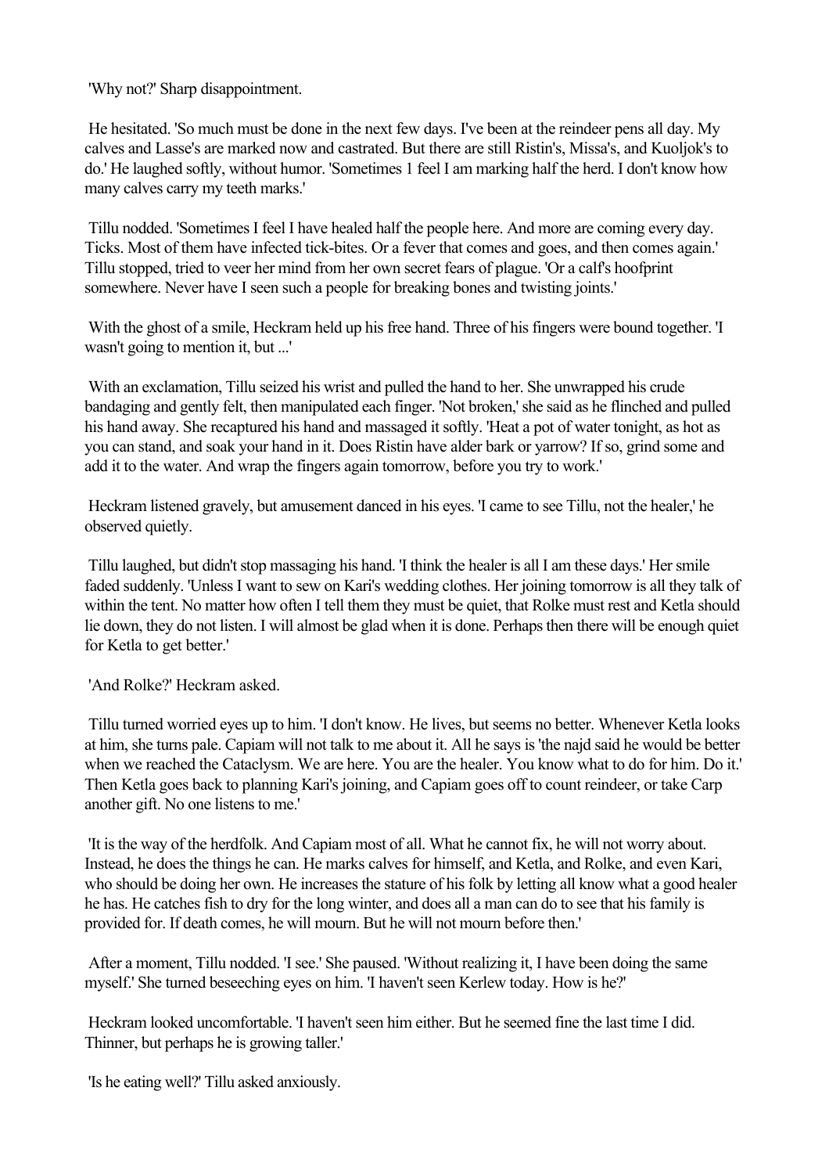'Why not?' Sharp disappointment.

 He hesitated. 'So much must be done in the next few days. I've been at the reindeer pens all day. My calves and Lasse's are marked now and castrated. But there are still Ristin's, Missa's, and Kuoljok's to do.' He laughed softly, without humor. 'Sometimes 1 feel I am marking half the herd. I don't know how many calves carry my teeth marks.'

 Tillu nodded. 'Sometimes I feel I have healed half the people here. And more are coming every day. Ticks. Most of them have infected tick-bites. Or a fever that comes and goes, and then comes again.' Tillu stopped, tried to veer her mind from her own secret fears of plague. 'Or a calf's hoofprint somewhere. Never have I seen such a people for breaking bones and twisting joints.'

 With the ghost of a smile, Heckram held up his free hand. Three of his fingers were bound together. 'I wasn't going to mention it, but ...'

 With an exclamation, Tillu seized his wrist and pulled the hand to her. She unwrapped his crude bandaging and gently felt, then manipulated each finger. 'Not broken,' she said as he flinched and pulled his hand away. She recaptured his hand and massaged it softly. 'Heat a pot of water tonight, as hot as you can stand, and soak your hand in it. Does Ristin have alder bark or yarrow? If so, grind some and add it to the water. And wrap the fingers again tomorrow, before you try to work.'

 Heckram listened gravely, but amusement danced in his eyes. 'I came to see Tillu, not the healer,' he observed quietly.

 Tillu laughed, but didn't stop massaging his hand. 'I think the healer is all I am these days.' Her smile faded suddenly. 'Unless I want to sew on Kari's wedding clothes. Her joining tomorrow is all they talk of within the tent. No matter how often I tell them they must be quiet, that Rolke must rest and Ketla should lie down, they do not listen. I will almost be glad when it is done. Perhaps then there will be enough quiet for Ketla to get better.'

'And Rolke?' Heckram asked.

 Tillu turned worried eyes up to him. 'I don't know. He lives, but seems no better. Whenever Ketla looks at him, she turns pale. Capiam will not talk to me about it. All he says is 'the najd said he would be better when we reached the Cataclysm. We are here. You are the healer. You know what to do for him. Do it.' Then Ketla goes back to planning Kari's joining, and Capiam goes off to count reindeer, or take Carp another gift. No one listens to me.'

 'It is the way of the herdfolk. And Capiam most of all. What he cannot fix, he will not worry about. Instead, he does the things he can. He marks calves for himself, and Ketla, and Rolke, and even Kari, who should be doing her own. He increases the stature of his folk by letting all know what a good healer he has. He catches fish to dry for the long winter, and does all a man can do to see that his family is provided for. If death comes, he will mourn. But he will not mourn before then.'

 After a moment, Tillu nodded. 'I see.' She paused. 'Without realizing it, I have been doing the same myself.' She turned beseeching eyes on him. 'I haven't seen Kerlew today. How is he?'

 Heckram looked uncomfortable. 'I haven't seen him either. But he seemed fine the last time I did. Thinner, but perhaps he is growing taller.'

'Is he eating well?' Tillu asked anxiously.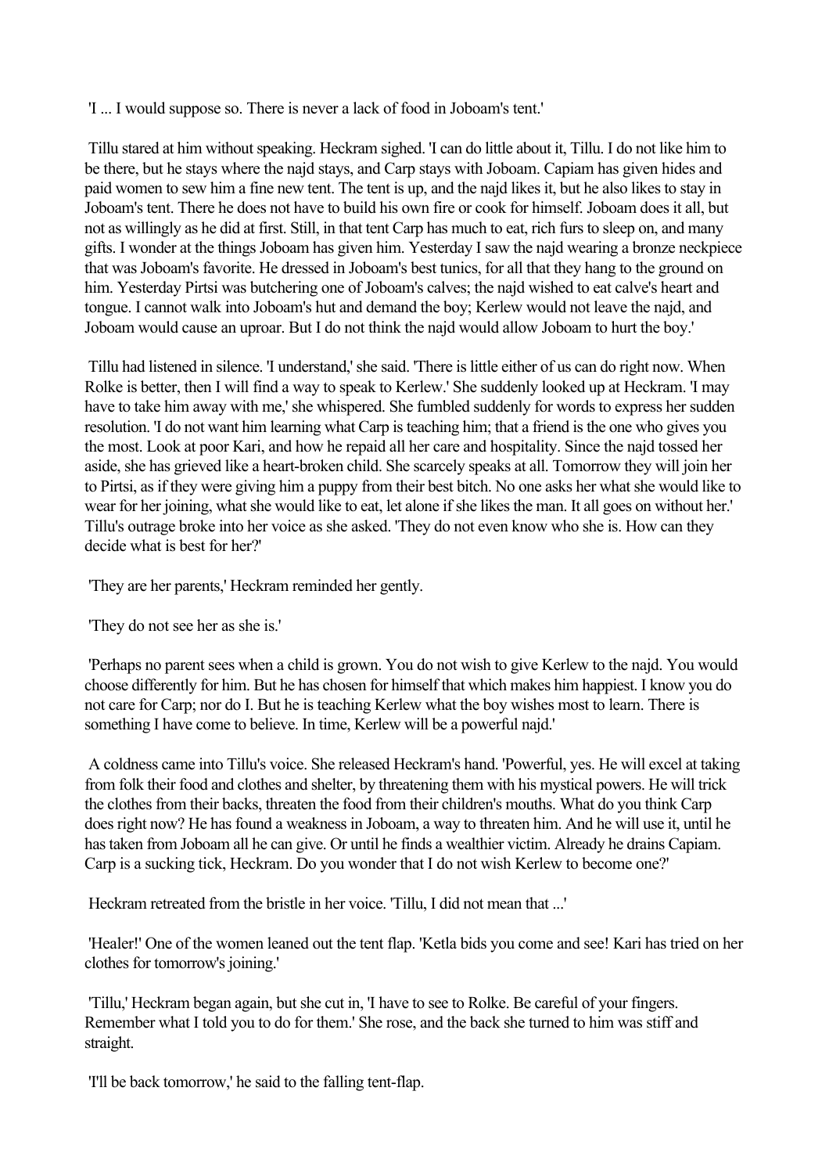'I ... I would suppose so. There is never a lack of food in Joboam's tent.'

 Tillu stared at him without speaking. Heckram sighed. 'I can do little about it, Tillu. I do not like him to be there, but he stays where the najd stays, and Carp stays with Joboam. Capiam has given hides and paid women to sew him a fine new tent. The tent is up, and the najd likes it, but he also likes to stay in Joboam's tent. There he does not have to build his own fire or cook for himself. Joboam does it all, but not as willingly as he did at first. Still, in that tent Carp has much to eat, rich furs to sleep on, and many gifts. I wonder at the things Joboam has given him. Yesterday I saw the najd wearing a bronze neckpiece that was Joboam's favorite. He dressed in Joboam's best tunics, for all that they hang to the ground on him. Yesterday Pirtsi was butchering one of Joboam's calves; the najd wished to eat calve's heart and tongue. I cannot walk into Joboam's hut and demand the boy; Kerlew would not leave the najd, and Joboam would cause an uproar. But I do not think the najd would allow Joboam to hurt the boy.'

 Tillu had listened in silence. 'I understand,' she said. 'There is little either of us can do right now. When Rolke is better, then I will find a way to speak to Kerlew.' She suddenly looked up at Heckram. 'I may have to take him away with me,' she whispered. She fumbled suddenly for words to express her sudden resolution. 'I do not want him learning what Carp is teaching him; that a friend is the one who gives you the most. Look at poor Kari, and how he repaid all her care and hospitality. Since the najd tossed her aside, she has grieved like a heart-broken child. She scarcely speaks at all. Tomorrow they will join her to Pirtsi, as if they were giving him a puppy from their best bitch. No one asks her what she would like to wear for her joining, what she would like to eat, let alone if she likes the man. It all goes on without her.' Tillu's outrage broke into her voice as she asked. 'They do not even know who she is. How can they decide what is best for her?'

'They are her parents,' Heckram reminded her gently.

'They do not see her as she is.'

 'Perhaps no parent sees when a child is grown. You do not wish to give Kerlew to the najd. You would choose differently for him. But he has chosen for himself that which makes him happiest. I know you do not care for Carp; nor do I. But he is teaching Kerlew what the boy wishes most to learn. There is something I have come to believe. In time, Kerlew will be a powerful najd.'

 A coldness came into Tillu's voice. She released Heckram's hand. 'Powerful, yes. He will excel at taking from folk their food and clothes and shelter, by threatening them with his mystical powers. He will trick the clothes from their backs, threaten the food from their children's mouths. What do you think Carp does right now? He has found a weakness in Joboam, a way to threaten him. And he will use it, until he has taken from Joboam all he can give. Or until he finds a wealthier victim. Already he drains Capiam. Carp is a sucking tick, Heckram. Do you wonder that I do not wish Kerlew to become one?'

Heckram retreated from the bristle in her voice. 'Tillu, I did not mean that ...'

 'Healer!' One of the women leaned out the tent flap. 'Ketla bids you come and see! Kari has tried on her clothes for tomorrow's joining.'

 'Tillu,' Heckram began again, but she cut in, 'I have to see to Rolke. Be careful of your fingers. Remember what I told you to do for them.' She rose, and the back she turned to him was stiff and straight.

'I'll be back tomorrow,' he said to the falling tent-flap.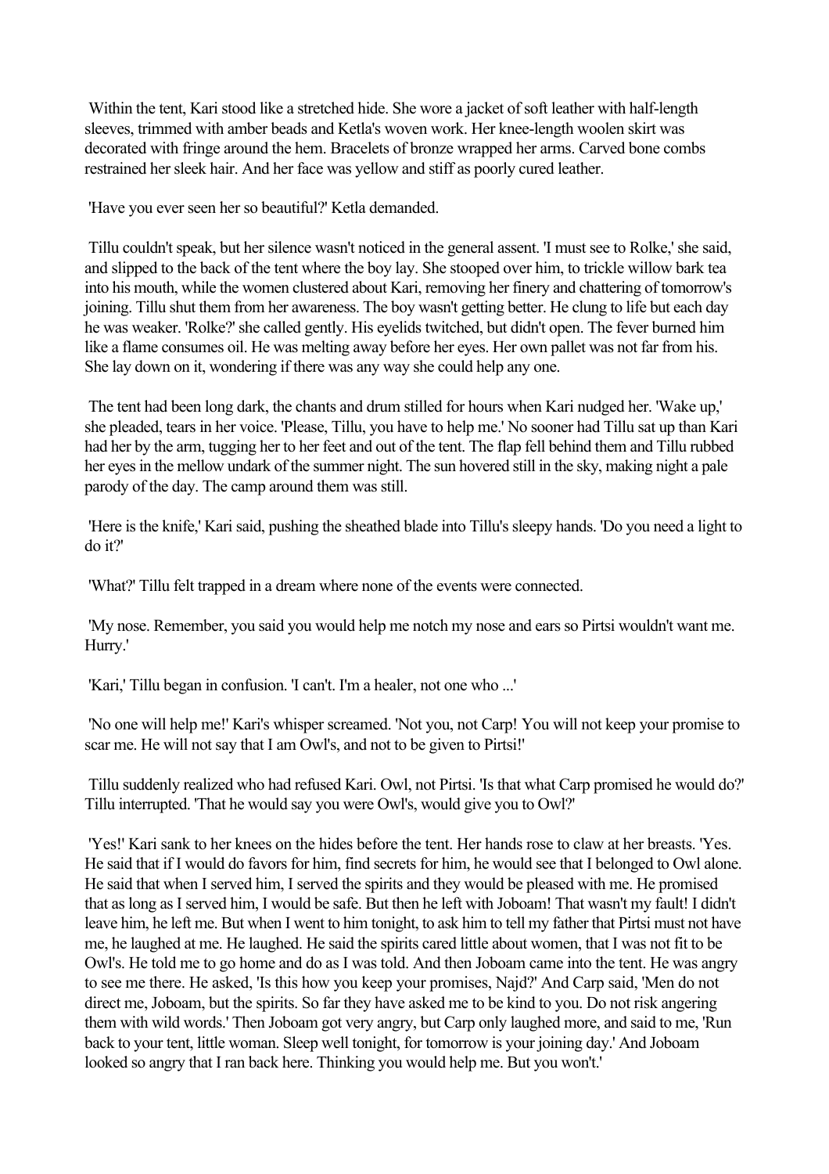Within the tent, Kari stood like a stretched hide. She wore a jacket of soft leather with half-length sleeves, trimmed with amber beads and Ketla's woven work. Her knee-length woolen skirt was decorated with fringe around the hem. Bracelets of bronze wrapped her arms. Carved bone combs restrained her sleek hair. And her face was yellow and stiff as poorly cured leather.

'Have you ever seen her so beautiful?' Ketla demanded.

 Tillu couldn't speak, but her silence wasn't noticed in the general assent. 'I must see to Rolke,' she said, and slipped to the back of the tent where the boy lay. She stooped over him, to trickle willow bark tea into his mouth, while the women clustered about Kari, removing her finery and chattering of tomorrow's joining. Tillu shut them from her awareness. The boy wasn't getting better. He clung to life but each day he was weaker. 'Rolke?' she called gently. His eyelids twitched, but didn't open. The fever burned him like a flame consumes oil. He was melting away before her eyes. Her own pallet was not far from his. She lay down on it, wondering if there was any way she could help any one.

 The tent had been long dark, the chants and drum stilled for hours when Kari nudged her. 'Wake up,' she pleaded, tears in her voice. 'Please, Tillu, you have to help me.' No sooner had Tillu sat up than Kari had her by the arm, tugging her to her feet and out of the tent. The flap fell behind them and Tillu rubbed her eyes in the mellow undark of the summer night. The sun hovered still in the sky, making night a pale parody of the day. The camp around them was still.

 'Here is the knife,' Kari said, pushing the sheathed blade into Tillu's sleepy hands. 'Do you need a light to do it?'

'What?' Tillu felt trapped in a dream where none of the events were connected.

 'My nose. Remember, you said you would help me notch my nose and ears so Pirtsi wouldn't want me. Hurry.'

'Kari,' Tillu began in confusion. 'I can't. I'm a healer, not one who ...'

 'No one will help me!' Kari's whisper screamed. 'Not you, not Carp! You will not keep your promise to scar me. He will not say that I am Owl's, and not to be given to Pirtsi!'

 Tillu suddenly realized who had refused Kari. Owl, not Pirtsi. 'Is that what Carp promised he would do?' Tillu interrupted. 'That he would say you were Owl's, would give you to Owl?'

 'Yes!' Kari sank to her knees on the hides before the tent. Her hands rose to claw at her breasts. 'Yes. He said that if I would do favors for him, find secrets for him, he would see that I belonged to Owl alone. He said that when I served him, I served the spirits and they would be pleased with me. He promised that as long as I served him, I would be safe. But then he left with Joboam! That wasn't my fault! I didn't leave him, he left me. But when I went to him tonight, to ask him to tell my father that Pirtsi must not have me, he laughed at me. He laughed. He said the spirits cared little about women, that I was not fit to be Owl's. He told me to go home and do as I was told. And then Joboam came into the tent. He was angry to see me there. He asked, 'Is this how you keep your promises, Najd?' And Carp said, 'Men do not direct me, Joboam, but the spirits. So far they have asked me to be kind to you. Do not risk angering them with wild words.' Then Joboam got very angry, but Carp only laughed more, and said to me, 'Run back to your tent, little woman. Sleep well tonight, for tomorrow is your joining day.' And Joboam looked so angry that I ran back here. Thinking you would help me. But you won't.'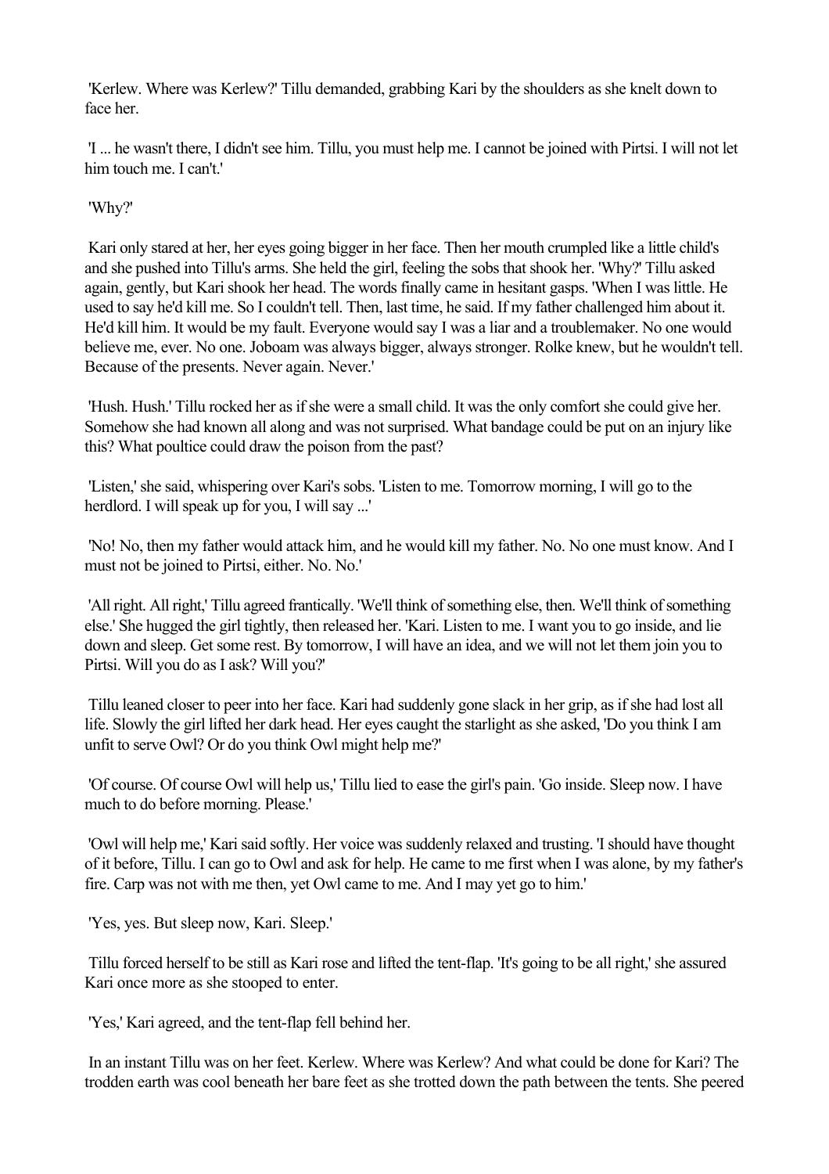'Kerlew. Where was Kerlew?' Tillu demanded, grabbing Kari by the shoulders as she knelt down to face her.

 'I ... he wasn't there, I didn't see him. Tillu, you must help me. I cannot be joined with Pirtsi. I will not let him touch me. I can't.'

# 'Why?'

 Kari only stared at her, her eyes going bigger in her face. Then her mouth crumpled like a little child's and she pushed into Tillu's arms. She held the girl, feeling the sobs that shook her. 'Why?' Tillu asked again, gently, but Kari shook her head. The words finally came in hesitant gasps. 'When I was little. He used to say he'd kill me. So I couldn't tell. Then, last time, he said. If my father challenged him about it. He'd kill him. It would be my fault. Everyone would say I was a liar and a troublemaker. No one would believe me, ever. No one. Joboam was always bigger, always stronger. Rolke knew, but he wouldn't tell. Because of the presents. Never again. Never.'

 'Hush. Hush.' Tillu rocked her as if she were a small child. It was the only comfort she could give her. Somehow she had known all along and was not surprised. What bandage could be put on an injury like this? What poultice could draw the poison from the past?

 'Listen,' she said, whispering over Kari's sobs. 'Listen to me. Tomorrow morning, I will go to the herdlord. I will speak up for you, I will say ...'

 'No! No, then my father would attack him, and he would kill my father. No. No one must know. And I must not be joined to Pirtsi, either. No. No.'

 'All right. All right,' Tillu agreed frantically. 'We'll think of something else, then. We'll think of something else.' She hugged the girl tightly, then released her. 'Kari. Listen to me. I want you to go inside, and lie down and sleep. Get some rest. By tomorrow, I will have an idea, and we will not let them join you to Pirtsi. Will you do as I ask? Will you?'

 Tillu leaned closer to peer into her face. Kari had suddenly gone slack in her grip, as if she had lost all life. Slowly the girl lifted her dark head. Her eyes caught the starlight as she asked, 'Do you think I am unfit to serve Owl? Or do you think Owl might help me?'

 'Of course. Of course Owl will help us,' Tillu lied to ease the girl's pain. 'Go inside. Sleep now. I have much to do before morning. Please.'

 'Owl will help me,' Kari said softly. Her voice was suddenly relaxed and trusting. 'I should have thought of it before, Tillu. I can go to Owl and ask for help. He came to me first when I was alone, by my father's fire. Carp was not with me then, yet Owl came to me. And I may yet go to him.'

'Yes, yes. But sleep now, Kari. Sleep.'

 Tillu forced herself to be still as Kari rose and lifted the tent-flap. 'It's going to be all right,' she assured Kari once more as she stooped to enter.

'Yes,' Kari agreed, and the tent-flap fell behind her.

 In an instant Tillu was on her feet. Kerlew. Where was Kerlew? And what could be done for Kari? The trodden earth was cool beneath her bare feet as she trotted down the path between the tents. She peered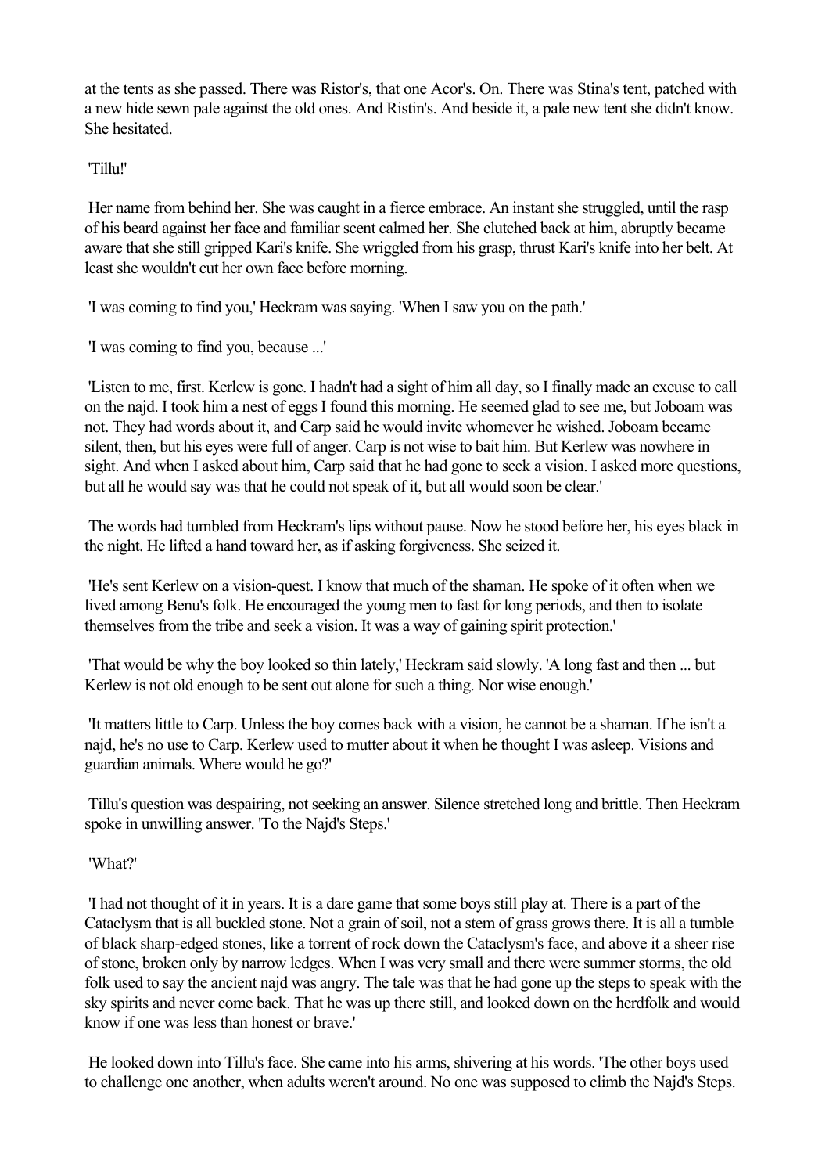at the tents as she passed. There was Ristor's, that one Acor's. On. There was Stina's tent, patched with a new hide sewn pale against the old ones. And Ristin's. And beside it, a pale new tent she didn't know. She hesitated.

## 'Tillu!'

 Her name from behind her. She was caught in a fierce embrace. An instant she struggled, until the rasp of his beard against her face and familiar scent calmed her. She clutched back at him, abruptly became aware that she still gripped Kari's knife. She wriggled from his grasp, thrust Kari's knife into her belt. At least she wouldn't cut her own face before morning.

'I was coming to find you,' Heckram was saying. 'When I saw you on the path.'

'I was coming to find you, because ...'

 'Listen to me, first. Kerlew is gone. I hadn't had a sight of him all day, so I finally made an excuse to call on the najd. I took him a nest of eggs I found this morning. He seemed glad to see me, but Joboam was not. They had words about it, and Carp said he would invite whomever he wished. Joboam became silent, then, but his eyes were full of anger. Carp is not wise to bait him. But Kerlew was nowhere in sight. And when I asked about him, Carp said that he had gone to seek a vision. I asked more questions, but all he would say was that he could not speak of it, but all would soon be clear.'

 The words had tumbled from Heckram's lips without pause. Now he stood before her, his eyes black in the night. He lifted a hand toward her, as if asking forgiveness. She seized it.

 'He's sent Kerlew on a vision-quest. I know that much of the shaman. He spoke of it often when we lived among Benu's folk. He encouraged the young men to fast for long periods, and then to isolate themselves from the tribe and seek a vision. It was a way of gaining spirit protection.'

 'That would be why the boy looked so thin lately,' Heckram said slowly. 'A long fast and then ... but Kerlew is not old enough to be sent out alone for such a thing. Nor wise enough.'

 'It matters little to Carp. Unless the boy comes back with a vision, he cannot be a shaman. If he isn't a najd, he's no use to Carp. Kerlew used to mutter about it when he thought I was asleep. Visions and guardian animals. Where would he go?'

 Tillu's question was despairing, not seeking an answer. Silence stretched long and brittle. Then Heckram spoke in unwilling answer. 'To the Najd's Steps.'

'What?'

 'I had not thought of it in years. It is a dare game that some boys still play at. There is a part of the Cataclysm that is all buckled stone. Not a grain of soil, not a stem of grass grows there. It is all a tumble of black sharp-edged stones, like a torrent of rock down the Cataclysm's face, and above it a sheer rise of stone, broken only by narrow ledges. When I was very small and there were summer storms, the old folk used to say the ancient najd was angry. The tale was that he had gone up the steps to speak with the sky spirits and never come back. That he was up there still, and looked down on the herdfolk and would know if one was less than honest or brave.'

 He looked down into Tillu's face. She came into his arms, shivering at his words. 'The other boys used to challenge one another, when adults weren't around. No one was supposed to climb the Najd's Steps.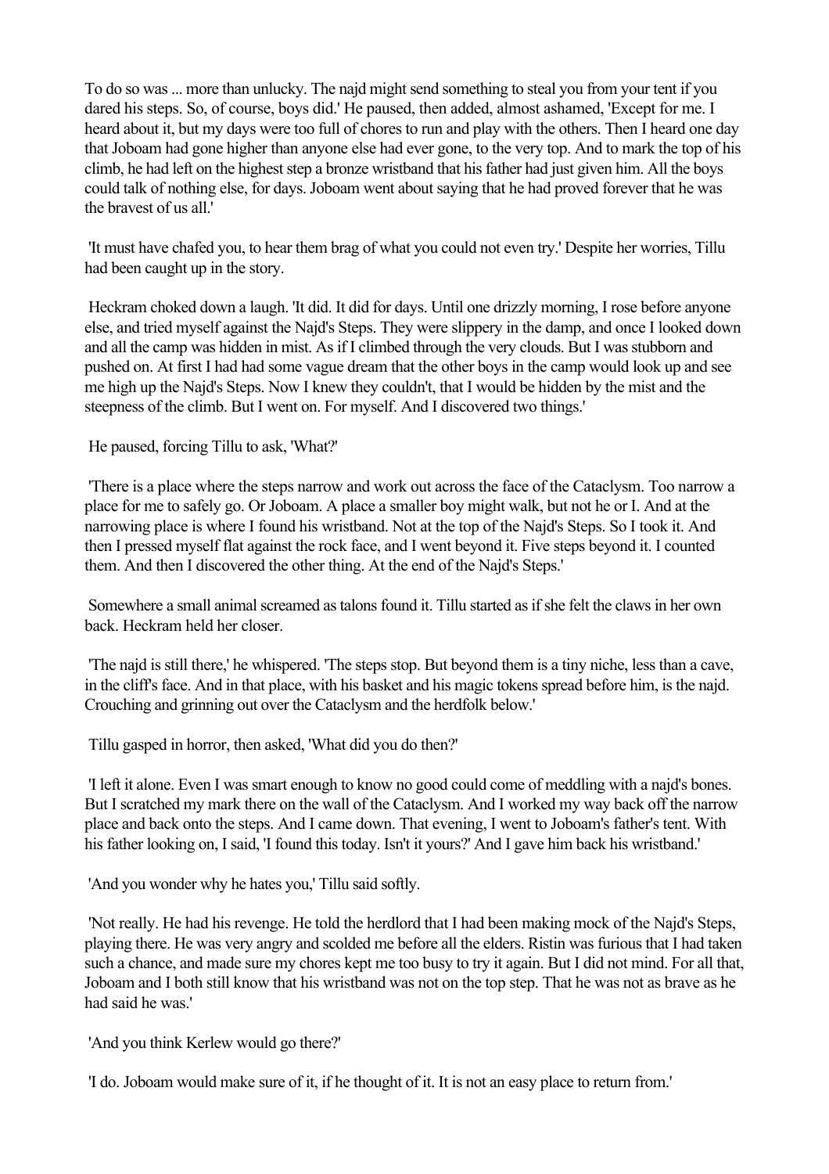To do so was ... more than unlucky. The najd might send something to steal you from your tent if you dared his steps. So, of course, boys did.' He paused, then added, almost ashamed, 'Except for me. I heard about it, but my days were too full of chores to run and play with the others. Then I heard one day that Joboam had gone higher than anyone else had ever gone, to the very top. And to mark the top of his climb, he had left on the highest step a bronze wristband that his father had just given him. All the boys could talk of nothing else, for days. Joboam went about saying that he had proved forever that he was the bravest of us all.'

 'It must have chafed you, to hear them brag of what you could not even try.' Despite her worries, Tillu had been caught up in the story.

 Heckram choked down a laugh. 'It did. It did for days. Until one drizzly morning, I rose before anyone else, and tried myself against the Najd's Steps. They were slippery in the damp, and once I looked down and all the camp was hidden in mist. As if I climbed through the very clouds. But I was stubborn and pushed on. At first I had had some vague dream that the other boys in the camp would look up and see me high up the Najd's Steps. Now I knew they couldn't, that I would be hidden by the mist and the steepness of the climb. But I went on. For myself. And I discovered two things.'

## He paused, forcing Tillu to ask, 'What?'

 'There is a place where the steps narrow and work out across the face of the Cataclysm. Too narrow a place for me to safely go. Or Joboam. A place a smaller boy might walk, but not he or I. And at the narrowing place is where I found his wristband. Not at the top of the Najd's Steps. So I took it. And then I pressed myself flat against the rock face, and I went beyond it. Five steps beyond it. I counted them. And then I discovered the other thing. At the end of the Najd's Steps.'

 Somewhere a small animal screamed as talons found it. Tillu started as if she felt the claws in her own back. Heckram held her closer.

 'The najd is still there,' he whispered. 'The steps stop. But beyond them is a tiny niche, less than a cave, in the cliff's face. And in that place, with his basket and his magic tokens spread before him, is the najd. Crouching and grinning out over the Cataclysm and the herdfolk below.'

Tillu gasped in horror, then asked, 'What did you do then?'

 'I left it alone. Even I was smart enough to know no good could come of meddling with a najd's bones. But I scratched my mark there on the wall of the Cataclysm. And I worked my way back off the narrow place and back onto the steps. And I came down. That evening, I went to Joboam's father's tent. With his father looking on, I said, 'I found this today. Isn't it yours?' And I gave him back his wristband.'

'And you wonder why he hates you,' Tillu said softly.

 'Not really. He had his revenge. He told the herdlord that I had been making mock of the Najd's Steps, playing there. He was very angry and scolded me before all the elders. Ristin was furious that I had taken such a chance, and made sure my chores kept me too busy to try it again. But I did not mind. For all that, Joboam and I both still know that his wristband was not on the top step. That he was not as brave as he had said he was.'

'And you think Kerlew would go there?'

'I do. Joboam would make sure of it, if he thought of it. It is not an easy place to return from.'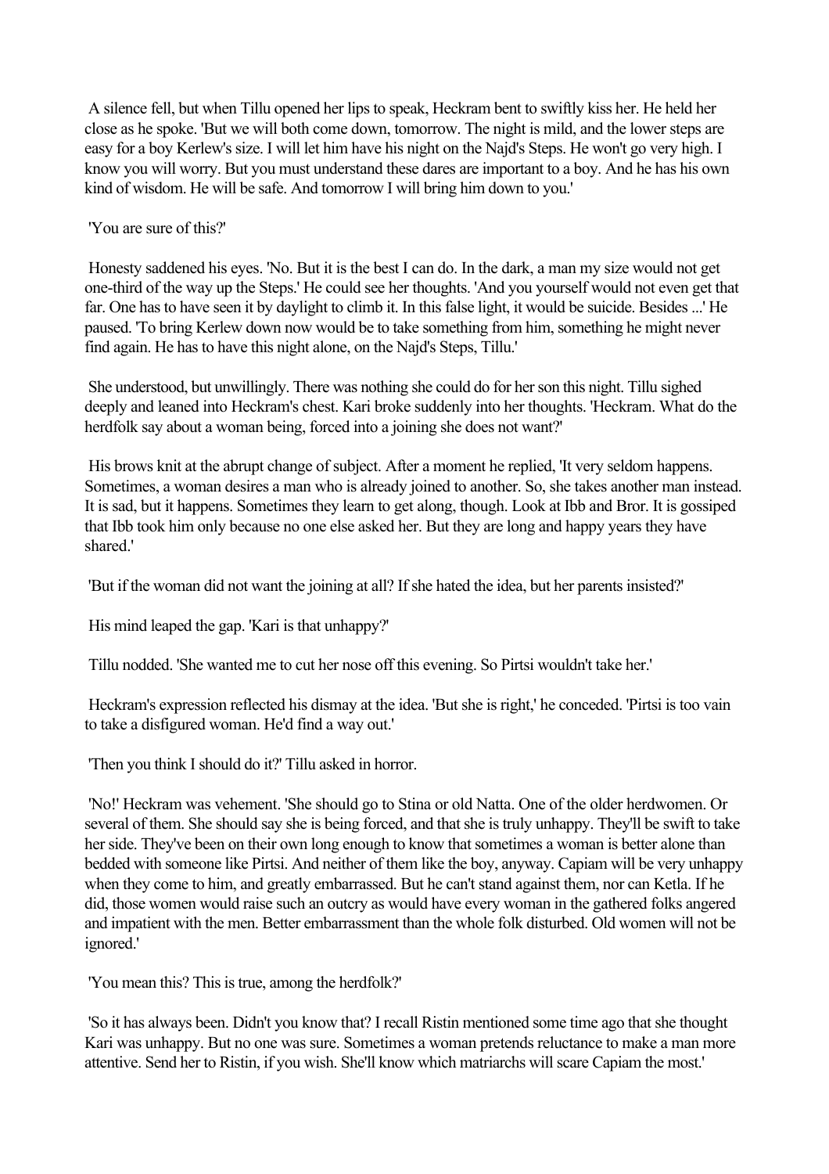A silence fell, but when Tillu opened her lips to speak, Heckram bent to swiftly kiss her. He held her close as he spoke. 'But we will both come down, tomorrow. The night is mild, and the lower steps are easy for a boy Kerlew's size. I will let him have his night on the Najd's Steps. He won't go very high. I know you will worry. But you must understand these dares are important to a boy. And he has his own kind of wisdom. He will be safe. And tomorrow I will bring him down to you.'

'You are sure of this?'

 Honesty saddened his eyes. 'No. But it is the best I can do. In the dark, a man my size would not get one-third of the way up the Steps.' He could see her thoughts. 'And you yourself would not even get that far. One has to have seen it by daylight to climb it. In this false light, it would be suicide. Besides ...' He paused. 'To bring Kerlew down now would be to take something from him, something he might never find again. He has to have this night alone, on the Najd's Steps, Tillu.'

 She understood, but unwillingly. There was nothing she could do for her son this night. Tillu sighed deeply and leaned into Heckram's chest. Kari broke suddenly into her thoughts. 'Heckram. What do the herdfolk say about a woman being, forced into a joining she does not want?'

 His brows knit at the abrupt change of subject. After a moment he replied, 'It very seldom happens. Sometimes, a woman desires a man who is already joined to another. So, she takes another man instead. It is sad, but it happens. Sometimes they learn to get along, though. Look at Ibb and Bror. It is gossiped that Ibb took him only because no one else asked her. But they are long and happy years they have shared.'

'But if the woman did not want the joining at all? If she hated the idea, but her parents insisted?'

His mind leaped the gap. 'Kari is that unhappy?'

Tillu nodded. 'She wanted me to cut her nose off this evening. So Pirtsi wouldn't take her.'

 Heckram's expression reflected his dismay at the idea. 'But she is right,' he conceded. 'Pirtsi is too vain to take a disfigured woman. He'd find a way out.'

'Then you think I should do it?' Tillu asked in horror.

 'No!' Heckram was vehement. 'She should go to Stina or old Natta. One of the older herdwomen. Or several of them. She should say she is being forced, and that she is truly unhappy. They'll be swift to take her side. They've been on their own long enough to know that sometimes a woman is better alone than bedded with someone like Pirtsi. And neither of them like the boy, anyway. Capiam will be very unhappy when they come to him, and greatly embarrassed. But he can't stand against them, nor can Ketla. If he did, those women would raise such an outcry as would have every woman in the gathered folks angered and impatient with the men. Better embarrassment than the whole folk disturbed. Old women will not be ignored.'

'You mean this? This is true, among the herdfolk?'

 'So it has always been. Didn't you know that? I recall Ristin mentioned some time ago that she thought Kari was unhappy. But no one was sure. Sometimes a woman pretends reluctance to make a man more attentive. Send her to Ristin, if you wish. She'll know which matriarchs will scare Capiam the most.'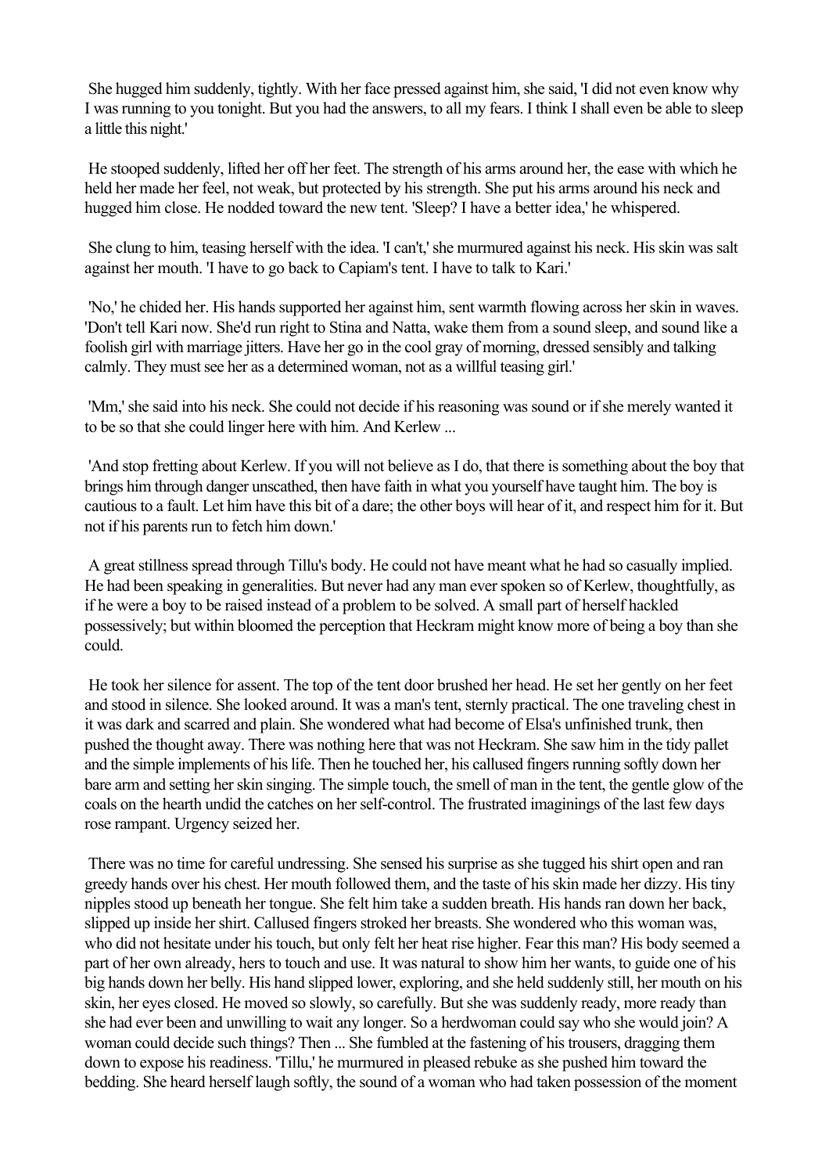She hugged him suddenly, tightly. With her face pressed against him, she said, 'I did not even know why I was running to you tonight. But you had the answers, to all my fears. I think I shall even be able to sleep a little this night.'

 He stooped suddenly, lifted her off her feet. The strength of his arms around her, the ease with which he held her made her feel, not weak, but protected by his strength. She put his arms around his neck and hugged him close. He nodded toward the new tent. 'Sleep? I have a better idea,' he whispered.

 She clung to him, teasing herself with the idea. 'I can't,' she murmured against his neck. His skin was salt against her mouth. 'I have to go back to Capiam's tent. I have to talk to Kari.'

 'No,' he chided her. His hands supported her against him, sent warmth flowing across her skin in waves. 'Don't tell Kari now. She'd run right to Stina and Natta, wake them from a sound sleep, and sound like a foolish girl with marriage jitters. Have her go in the cool gray of morning, dressed sensibly and talking calmly. They must see her as a determined woman, not as a willful teasing girl.'

 'Mm,' she said into his neck. She could not decide if his reasoning was sound or if she merely wanted it to be so that she could linger here with him. And Kerlew ...

 'And stop fretting about Kerlew. If you will not believe as I do, that there is something about the boy that brings him through danger unscathed, then have faith in what you yourself have taught him. The boy is cautious to a fault. Let him have this bit of a dare; the other boys will hear of it, and respect him for it. But not if his parents run to fetch him down.'

 A great stillness spread through Tillu's body. He could not have meant what he had so casually implied. He had been speaking in generalities. But never had any man ever spoken so of Kerlew, thoughtfully, as if he were a boy to be raised instead of a problem to be solved. A small part of herself hackled possessively; but within bloomed the perception that Heckram might know more of being a boy than she could.

 He took her silence for assent. The top of the tent door brushed her head. He set her gently on her feet and stood in silence. She looked around. It was a man's tent, sternly practical. The one traveling chest in it was dark and scarred and plain. She wondered what had become of Elsa's unfinished trunk, then pushed the thought away. There was nothing here that was not Heckram. She saw him in the tidy pallet and the simple implements of his life. Then he touched her, his callused fingers running softly down her bare arm and setting her skin singing. The simple touch, the smell of man in the tent, the gentle glow of the coals on the hearth undid the catches on her self-control. The frustrated imaginings of the last few days rose rampant. Urgency seized her.

 There was no time for careful undressing. She sensed his surprise as she tugged his shirt open and ran greedy hands over his chest. Her mouth followed them, and the taste of his skin made her dizzy. His tiny nipples stood up beneath her tongue. She felt him take a sudden breath. His hands ran down her back, slipped up inside her shirt. Callused fingers stroked her breasts. She wondered who this woman was, who did not hesitate under his touch, but only felt her heat rise higher. Fear this man? His body seemed a part of her own already, hers to touch and use. It was natural to show him her wants, to guide one of his big hands down her belly. His hand slipped lower, exploring, and she held suddenly still, her mouth on his skin, her eyes closed. He moved so slowly, so carefully. But she was suddenly ready, more ready than she had ever been and unwilling to wait any longer. So a herdwoman could say who she would join? A woman could decide such things? Then ... She fumbled at the fastening of his trousers, dragging them down to expose his readiness. 'Tillu,' he murmured in pleased rebuke as she pushed him toward the bedding. She heard herself laugh softly, the sound of a woman who had taken possession of the moment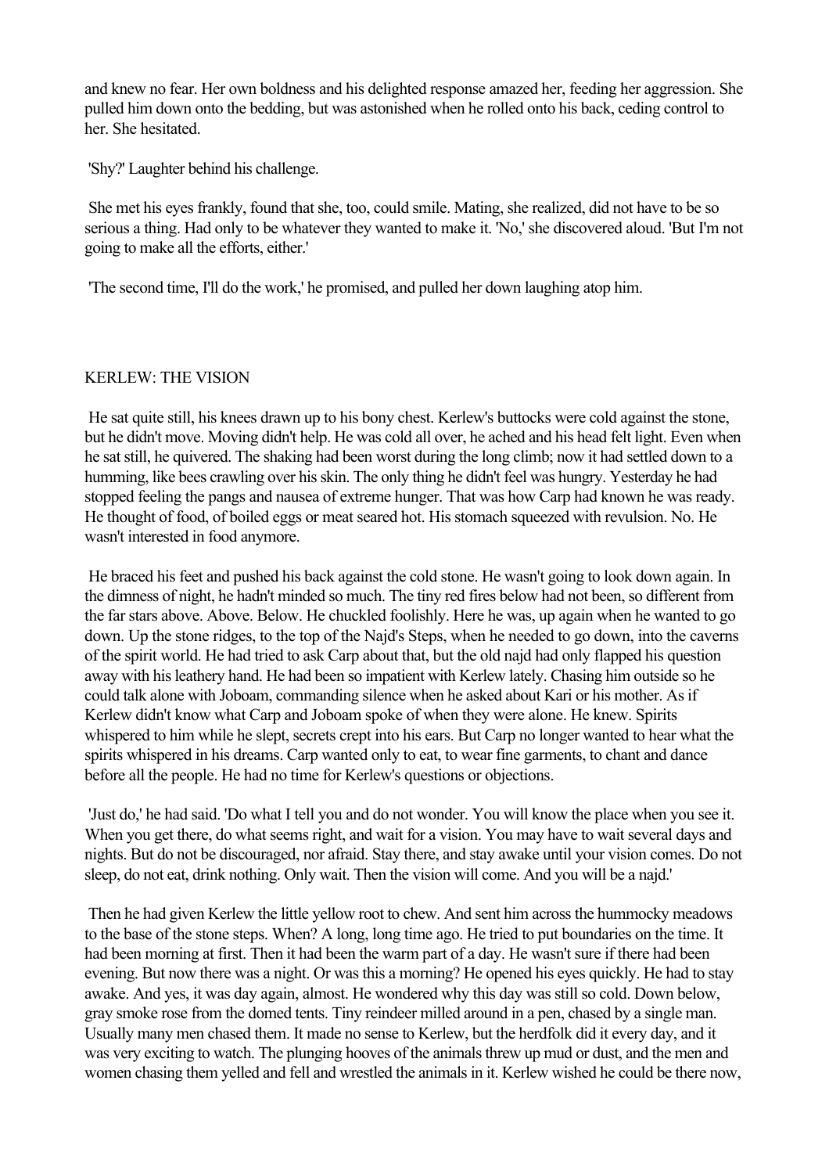and knew no fear. Her own boldness and his delighted response amazed her, feeding her aggression. She pulled him down onto the bedding, but was astonished when he rolled onto his back, ceding control to her. She hesitated.

'Shy?' Laughter behind his challenge.

 She met his eyes frankly, found that she, too, could smile. Mating, she realized, did not have to be so serious a thing. Had only to be whatever they wanted to make it. 'No,' she discovered aloud. 'But I'm not going to make all the efforts, either.'

'The second time, I'll do the work,' he promised, and pulled her down laughing atop him.

### KERLEW: THE VISION

 He sat quite still, his knees drawn up to his bony chest. Kerlew's buttocks were cold against the stone, but he didn't move. Moving didn't help. He was cold all over, he ached and his head felt light. Even when he sat still, he quivered. The shaking had been worst during the long climb; now it had settled down to a humming, like bees crawling over his skin. The only thing he didn't feel was hungry. Yesterday he had stopped feeling the pangs and nausea of extreme hunger. That was how Carp had known he was ready. He thought of food, of boiled eggs or meat seared hot. His stomach squeezed with revulsion. No. He wasn't interested in food anymore.

 He braced his feet and pushed his back against the cold stone. He wasn't going to look down again. In the dimness of night, he hadn't minded so much. The tiny red fires below had not been, so different from the far stars above. Above. Below. He chuckled foolishly. Here he was, up again when he wanted to go down. Up the stone ridges, to the top of the Najd's Steps, when he needed to go down, into the caverns of the spirit world. He had tried to ask Carp about that, but the old najd had only flapped his question away with his leathery hand. He had been so impatient with Kerlew lately. Chasing him outside so he could talk alone with Joboam, commanding silence when he asked about Kari or his mother. As if Kerlew didn't know what Carp and Joboam spoke of when they were alone. He knew. Spirits whispered to him while he slept, secrets crept into his ears. But Carp no longer wanted to hear what the spirits whispered in his dreams. Carp wanted only to eat, to wear fine garments, to chant and dance before all the people. He had no time for Kerlew's questions or objections.

 'Just do,' he had said. 'Do what I tell you and do not wonder. You will know the place when you see it. When you get there, do what seems right, and wait for a vision. You may have to wait several days and nights. But do not be discouraged, nor afraid. Stay there, and stay awake until your vision comes. Do not sleep, do not eat, drink nothing. Only wait. Then the vision will come. And you will be a najd.'

 Then he had given Kerlew the little yellow root to chew. And sent him across the hummocky meadows to the base of the stone steps. When? A long, long time ago. He tried to put boundaries on the time. It had been morning at first. Then it had been the warm part of a day. He wasn't sure if there had been evening. But now there was a night. Or was this a morning? He opened his eyes quickly. He had to stay awake. And yes, it was day again, almost. He wondered why this day was still so cold. Down below, gray smoke rose from the domed tents. Tiny reindeer milled around in a pen, chased by a single man. Usually many men chased them. It made no sense to Kerlew, but the herdfolk did it every day, and it was very exciting to watch. The plunging hooves of the animals threw up mud or dust, and the men and women chasing them yelled and fell and wrestled the animals in it. Kerlew wished he could be there now,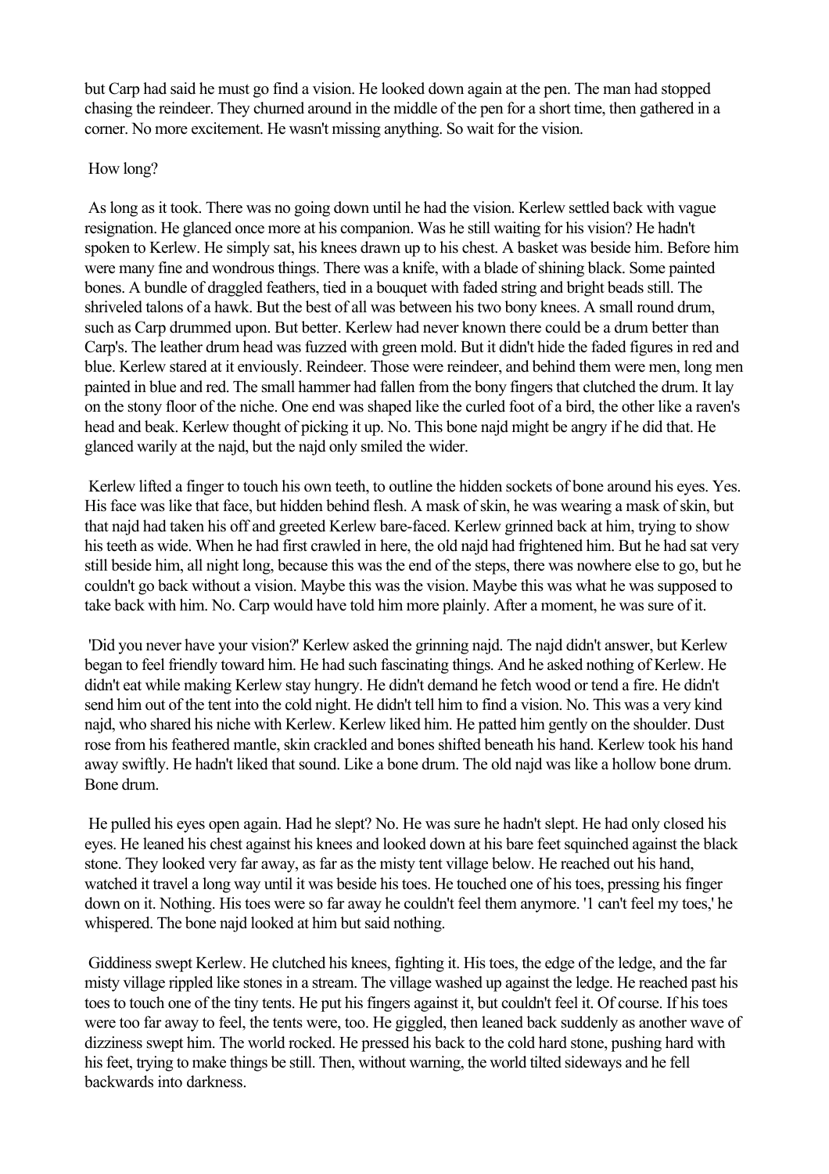but Carp had said he must go find a vision. He looked down again at the pen. The man had stopped chasing the reindeer. They churned around in the middle of the pen for a short time, then gathered in a corner. No more excitement. He wasn't missing anything. So wait for the vision.

### How long?

 As long as it took. There was no going down until he had the vision. Kerlew settled back with vague resignation. He glanced once more at his companion. Was he still waiting for his vision? He hadn't spoken to Kerlew. He simply sat, his knees drawn up to his chest. A basket was beside him. Before him were many fine and wondrous things. There was a knife, with a blade of shining black. Some painted bones. A bundle of draggled feathers, tied in a bouquet with faded string and bright beads still. The shriveled talons of a hawk. But the best of all was between his two bony knees. A small round drum, such as Carp drummed upon. But better. Kerlew had never known there could be a drum better than Carp's. The leather drum head was fuzzed with green mold. But it didn't hide the faded figures in red and blue. Kerlew stared at it enviously. Reindeer. Those were reindeer, and behind them were men, long men painted in blue and red. The small hammer had fallen from the bony fingers that clutched the drum. It lay on the stony floor of the niche. One end was shaped like the curled foot of a bird, the other like a raven's head and beak. Kerlew thought of picking it up. No. This bone najd might be angry if he did that. He glanced warily at the najd, but the najd only smiled the wider.

 Kerlew lifted a finger to touch his own teeth, to outline the hidden sockets of bone around his eyes. Yes. His face was like that face, but hidden behind flesh. A mask of skin, he was wearing a mask of skin, but that najd had taken his off and greeted Kerlew bare-faced. Kerlew grinned back at him, trying to show his teeth as wide. When he had first crawled in here, the old najd had frightened him. But he had sat very still beside him, all night long, because this was the end of the steps, there was nowhere else to go, but he couldn't go back without a vision. Maybe this was the vision. Maybe this was what he was supposed to take back with him. No. Carp would have told him more plainly. After a moment, he was sure of it.

 'Did you never have your vision?' Kerlew asked the grinning najd. The najd didn't answer, but Kerlew began to feel friendly toward him. He had such fascinating things. And he asked nothing of Kerlew. He didn't eat while making Kerlew stay hungry. He didn't demand he fetch wood or tend a fire. He didn't send him out of the tent into the cold night. He didn't tell him to find a vision. No. This was a very kind najd, who shared his niche with Kerlew. Kerlew liked him. He patted him gently on the shoulder. Dust rose from his feathered mantle, skin crackled and bones shifted beneath his hand. Kerlew took his hand away swiftly. He hadn't liked that sound. Like a bone drum. The old najd was like a hollow bone drum. Bone drum.

 He pulled his eyes open again. Had he slept? No. He was sure he hadn't slept. He had only closed his eyes. He leaned his chest against his knees and looked down at his bare feet squinched against the black stone. They looked very far away, as far as the misty tent village below. He reached out his hand, watched it travel a long way until it was beside his toes. He touched one of his toes, pressing his finger down on it. Nothing. His toes were so far away he couldn't feel them anymore. '1 can't feel my toes,' he whispered. The bone najd looked at him but said nothing.

 Giddiness swept Kerlew. He clutched his knees, fighting it. His toes, the edge of the ledge, and the far misty village rippled like stones in a stream. The village washed up against the ledge. He reached past his toes to touch one of the tiny tents. He put his fingers against it, but couldn't feel it. Of course. If his toes were too far away to feel, the tents were, too. He giggled, then leaned back suddenly as another wave of dizziness swept him. The world rocked. He pressed his back to the cold hard stone, pushing hard with his feet, trying to make things be still. Then, without warning, the world tilted sideways and he fell backwards into darkness.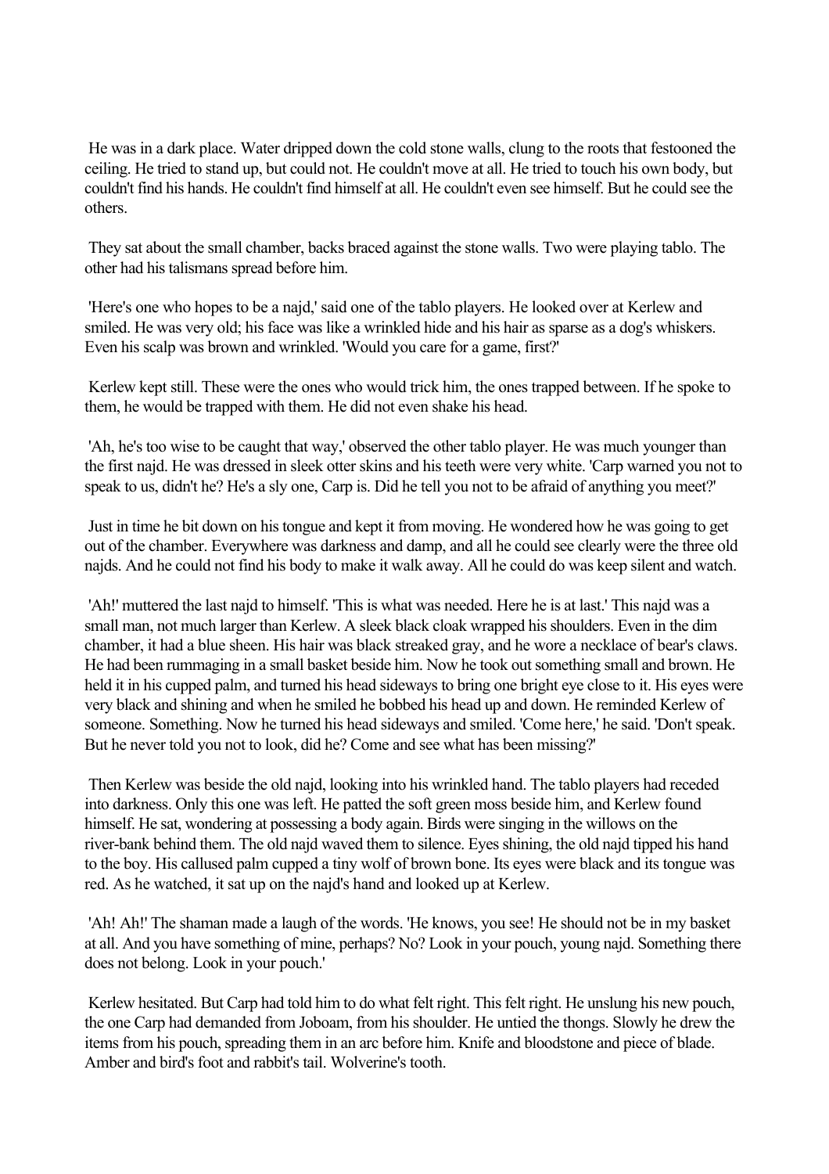He was in a dark place. Water dripped down the cold stone walls, clung to the roots that festooned the ceiling. He tried to stand up, but could not. He couldn't move at all. He tried to touch his own body, but couldn't find his hands. He couldn't find himself at all. He couldn't even see himself. But he could see the others.

 They sat about the small chamber, backs braced against the stone walls. Two were playing tablo. The other had his talismans spread before him.

 'Here's one who hopes to be a najd,' said one of the tablo players. He looked over at Kerlew and smiled. He was very old; his face was like a wrinkled hide and his hair as sparse as a dog's whiskers. Even his scalp was brown and wrinkled. 'Would you care for a game, first?'

 Kerlew kept still. These were the ones who would trick him, the ones trapped between. If he spoke to them, he would be trapped with them. He did not even shake his head.

 'Ah, he's too wise to be caught that way,' observed the other tablo player. He was much younger than the first najd. He was dressed in sleek otter skins and his teeth were very white. 'Carp warned you not to speak to us, didn't he? He's a sly one, Carp is. Did he tell you not to be afraid of anything you meet?'

 Just in time he bit down on his tongue and kept it from moving. He wondered how he was going to get out of the chamber. Everywhere was darkness and damp, and all he could see clearly were the three old najds. And he could not find his body to make it walk away. All he could do was keep silent and watch.

 'Ah!' muttered the last najd to himself. 'This is what was needed. Here he is at last.' This najd was a small man, not much larger than Kerlew. A sleek black cloak wrapped his shoulders. Even in the dim chamber, it had a blue sheen. His hair was black streaked gray, and he wore a necklace of bear's claws. He had been rummaging in a small basket beside him. Now he took out something small and brown. He held it in his cupped palm, and turned his head sideways to bring one bright eye close to it. His eyes were very black and shining and when he smiled he bobbed his head up and down. He reminded Kerlew of someone. Something. Now he turned his head sideways and smiled. 'Come here,' he said. 'Don't speak. But he never told you not to look, did he? Come and see what has been missing?'

 Then Kerlew was beside the old najd, looking into his wrinkled hand. The tablo players had receded into darkness. Only this one was left. He patted the soft green moss beside him, and Kerlew found himself. He sat, wondering at possessing a body again. Birds were singing in the willows on the river-bank behind them. The old najd waved them to silence. Eyes shining, the old najd tipped his hand to the boy. His callused palm cupped a tiny wolf of brown bone. Its eyes were black and its tongue was red. As he watched, it sat up on the najd's hand and looked up at Kerlew.

 'Ah! Ah!' The shaman made a laugh of the words. 'He knows, you see! He should not be in my basket at all. And you have something of mine, perhaps? No? Look in your pouch, young najd. Something there does not belong. Look in your pouch.'

 Kerlew hesitated. But Carp had told him to do what felt right. This felt right. He unslung his new pouch, the one Carp had demanded from Joboam, from his shoulder. He untied the thongs. Slowly he drew the items from his pouch, spreading them in an arc before him. Knife and bloodstone and piece of blade. Amber and bird's foot and rabbit's tail. Wolverine's tooth.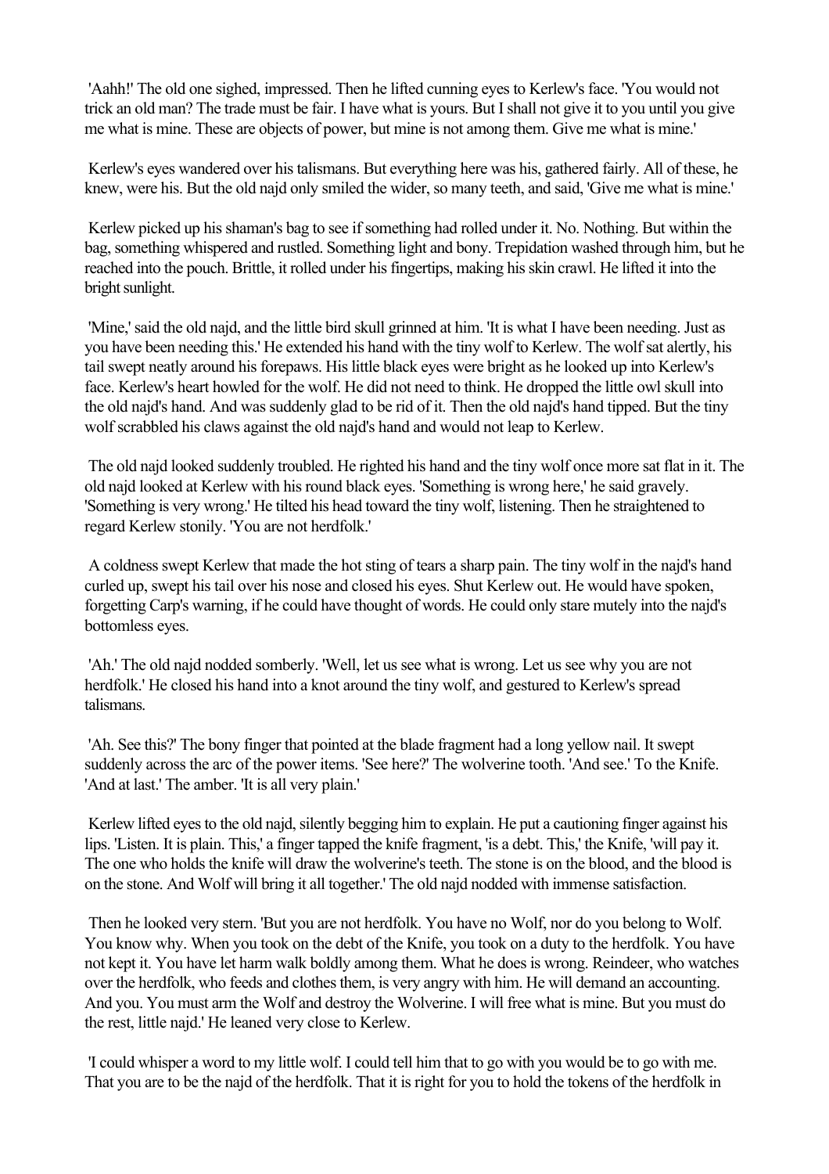'Aahh!' The old one sighed, impressed. Then he lifted cunning eyes to Kerlew's face. 'You would not trick an old man? The trade must be fair. I have what is yours. But I shall not give it to you until you give me what is mine. These are objects of power, but mine is not among them. Give me what is mine.'

 Kerlew's eyes wandered over his talismans. But everything here was his, gathered fairly. All of these, he knew, were his. But the old najd only smiled the wider, so many teeth, and said, 'Give me what is mine.'

 Kerlew picked up his shaman's bag to see if something had rolled under it. No. Nothing. But within the bag, something whispered and rustled. Something light and bony. Trepidation washed through him, but he reached into the pouch. Brittle, it rolled under his fingertips, making his skin crawl. He lifted it into the bright sunlight.

 'Mine,' said the old najd, and the little bird skull grinned at him. 'It is what I have been needing. Just as you have been needing this.' He extended his hand with the tiny wolf to Kerlew. The wolf sat alertly, his tail swept neatly around his forepaws. His little black eyes were bright as he looked up into Kerlew's face. Kerlew's heart howled for the wolf. He did not need to think. He dropped the little owl skull into the old najd's hand. And was suddenly glad to be rid of it. Then the old najd's hand tipped. But the tiny wolf scrabbled his claws against the old najd's hand and would not leap to Kerlew.

 The old najd looked suddenly troubled. He righted his hand and the tiny wolf once more sat flat in it. The old najd looked at Kerlew with his round black eyes. 'Something is wrong here,' he said gravely. 'Something is very wrong.' He tilted his head toward the tiny wolf, listening. Then he straightened to regard Kerlew stonily. 'You are not herdfolk.'

 A coldness swept Kerlew that made the hot sting of tears a sharp pain. The tiny wolf in the najd's hand curled up, swept his tail over his nose and closed his eyes. Shut Kerlew out. He would have spoken, forgetting Carp's warning, if he could have thought of words. He could only stare mutely into the najd's bottomless eyes.

 'Ah.' The old najd nodded somberly. 'Well, let us see what is wrong. Let us see why you are not herdfolk.' He closed his hand into a knot around the tiny wolf, and gestured to Kerlew's spread talismans.

 'Ah. See this?' The bony finger that pointed at the blade fragment had a long yellow nail. It swept suddenly across the arc of the power items. 'See here?' The wolverine tooth. 'And see.' To the Knife. 'And at last.' The amber. 'It is all very plain.'

 Kerlew lifted eyes to the old najd, silently begging him to explain. He put a cautioning finger against his lips. 'Listen. It is plain. This,' a finger tapped the knife fragment, 'is a debt. This,' the Knife, 'will pay it. The one who holds the knife will draw the wolverine's teeth. The stone is on the blood, and the blood is on the stone. And Wolf will bring it all together.' The old najd nodded with immense satisfaction.

 Then he looked very stern. 'But you are not herdfolk. You have no Wolf, nor do you belong to Wolf. You know why. When you took on the debt of the Knife, you took on a duty to the herdfolk. You have not kept it. You have let harm walk boldly among them. What he does is wrong. Reindeer, who watches over the herdfolk, who feeds and clothes them, is very angry with him. He will demand an accounting. And you. You must arm the Wolf and destroy the Wolverine. I will free what is mine. But you must do the rest, little najd.' He leaned very close to Kerlew.

 'I could whisper a word to my little wolf. I could tell him that to go with you would be to go with me. That you are to be the najd of the herdfolk. That it is right for you to hold the tokens of the herdfolk in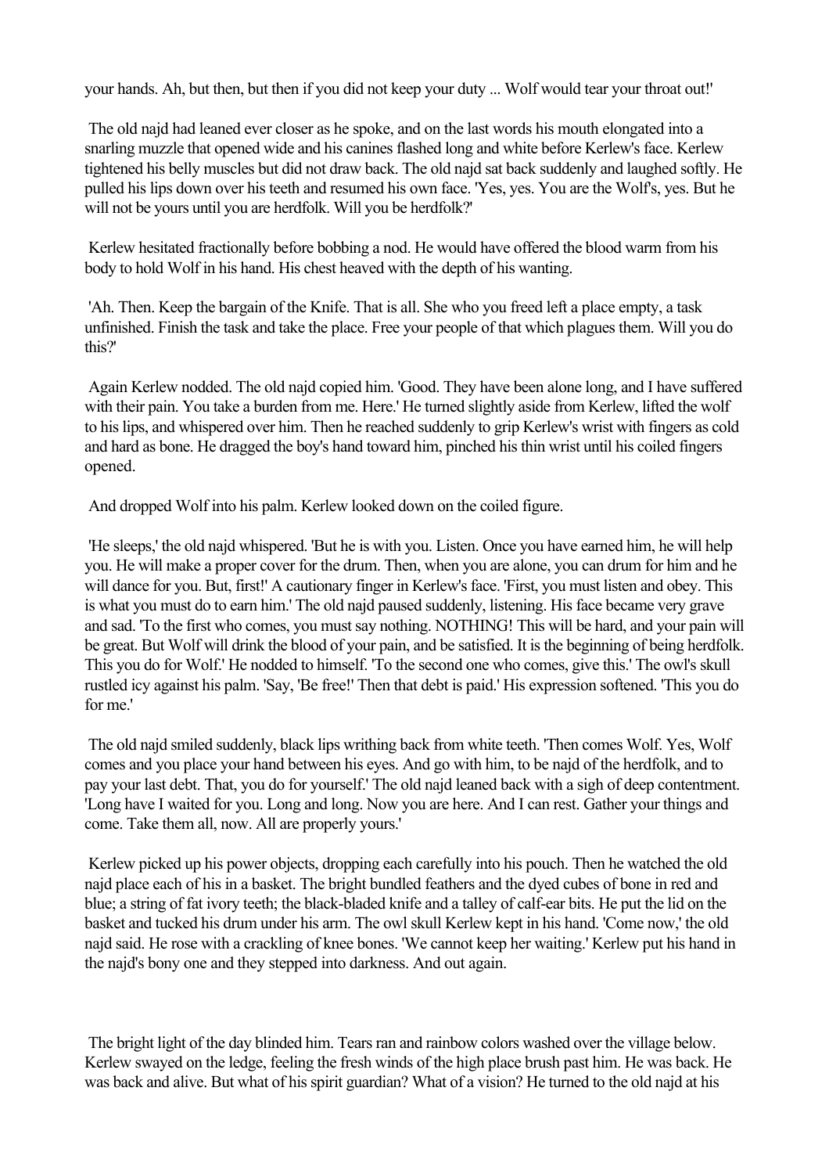your hands. Ah, but then, but then if you did not keep your duty ... Wolf would tear your throat out!'

 The old najd had leaned ever closer as he spoke, and on the last words his mouth elongated into a snarling muzzle that opened wide and his canines flashed long and white before Kerlew's face. Kerlew tightened his belly muscles but did not draw back. The old najd sat back suddenly and laughed softly. He pulled his lips down over his teeth and resumed his own face. 'Yes, yes. You are the Wolf's, yes. But he will not be yours until you are herdfolk. Will you be herdfolk?'

 Kerlew hesitated fractionally before bobbing a nod. He would have offered the blood warm from his body to hold Wolf in his hand. His chest heaved with the depth of his wanting.

 'Ah. Then. Keep the bargain of the Knife. That is all. She who you freed left a place empty, a task unfinished. Finish the task and take the place. Free your people of that which plagues them. Will you do this?'

 Again Kerlew nodded. The old najd copied him. 'Good. They have been alone long, and I have suffered with their pain. You take a burden from me. Here.' He turned slightly aside from Kerlew, lifted the wolf to his lips, and whispered over him. Then he reached suddenly to grip Kerlew's wrist with fingers as cold and hard as bone. He dragged the boy's hand toward him, pinched his thin wrist until his coiled fingers opened.

And dropped Wolf into his palm. Kerlew looked down on the coiled figure.

 'He sleeps,' the old najd whispered. 'But he is with you. Listen. Once you have earned him, he will help you. He will make a proper cover for the drum. Then, when you are alone, you can drum for him and he will dance for you. But, first!' A cautionary finger in Kerlew's face. 'First, you must listen and obey. This is what you must do to earn him.' The old najd paused suddenly, listening. His face became very grave and sad. 'To the first who comes, you must say nothing. NOTHING! This will be hard, and your pain will be great. But Wolf will drink the blood of your pain, and be satisfied. It is the beginning of being herdfolk. This you do for Wolf.' He nodded to himself. 'To the second one who comes, give this.' The owl's skull rustled icy against his palm. 'Say, 'Be free!' Then that debt is paid.' His expression softened. 'This you do for me.'

 The old najd smiled suddenly, black lips writhing back from white teeth. 'Then comes Wolf. Yes, Wolf comes and you place your hand between his eyes. And go with him, to be najd of the herdfolk, and to pay your last debt. That, you do for yourself.' The old najd leaned back with a sigh of deep contentment. 'Long have I waited for you. Long and long. Now you are here. And I can rest. Gather your things and come. Take them all, now. All are properly yours.'

 Kerlew picked up his power objects, dropping each carefully into his pouch. Then he watched the old najd place each of his in a basket. The bright bundled feathers and the dyed cubes of bone in red and blue; a string of fat ivory teeth; the black-bladed knife and a talley of calf-ear bits. He put the lid on the basket and tucked his drum under his arm. The owl skull Kerlew kept in his hand. 'Come now,' the old najd said. He rose with a crackling of knee bones. 'We cannot keep her waiting.' Kerlew put his hand in the najd's bony one and they stepped into darkness. And out again.

 The bright light of the day blinded him. Tears ran and rainbow colors washed over the village below. Kerlew swayed on the ledge, feeling the fresh winds of the high place brush past him. He was back. He was back and alive. But what of his spirit guardian? What of a vision? He turned to the old najd at his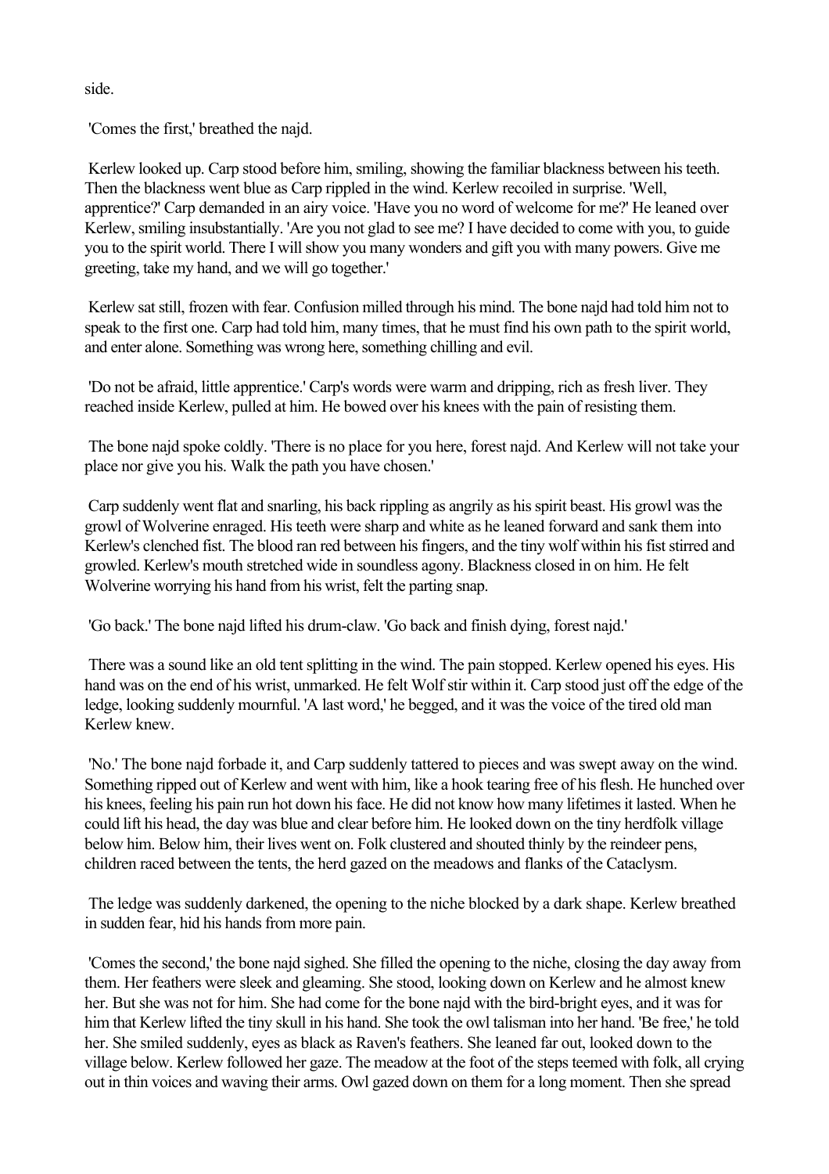side.

'Comes the first,' breathed the najd.

 Kerlew looked up. Carp stood before him, smiling, showing the familiar blackness between his teeth. Then the blackness went blue as Carp rippled in the wind. Kerlew recoiled in surprise. 'Well, apprentice?' Carp demanded in an airy voice. 'Have you no word of welcome for me?' He leaned over Kerlew, smiling insubstantially. 'Are you not glad to see me? I have decided to come with you, to guide you to the spirit world. There I will show you many wonders and gift you with many powers. Give me greeting, take my hand, and we will go together.'

 Kerlew sat still, frozen with fear. Confusion milled through his mind. The bone najd had told him not to speak to the first one. Carp had told him, many times, that he must find his own path to the spirit world, and enter alone. Something was wrong here, something chilling and evil.

 'Do not be afraid, little apprentice.' Carp's words were warm and dripping, rich as fresh liver. They reached inside Kerlew, pulled at him. He bowed over his knees with the pain of resisting them.

 The bone najd spoke coldly. 'There is no place for you here, forest najd. And Kerlew will not take your place nor give you his. Walk the path you have chosen.'

 Carp suddenly went flat and snarling, his back rippling as angrily as his spirit beast. His growl was the growl of Wolverine enraged. His teeth were sharp and white as he leaned forward and sank them into Kerlew's clenched fist. The blood ran red between his fingers, and the tiny wolf within his fist stirred and growled. Kerlew's mouth stretched wide in soundless agony. Blackness closed in on him. He felt Wolverine worrying his hand from his wrist, felt the parting snap.

'Go back.' The bone najd lifted his drum-claw. 'Go back and finish dying, forest najd.'

 There was a sound like an old tent splitting in the wind. The pain stopped. Kerlew opened his eyes. His hand was on the end of his wrist, unmarked. He felt Wolf stir within it. Carp stood just off the edge of the ledge, looking suddenly mournful. 'A last word,' he begged, and it was the voice of the tired old man Kerlew knew.

 'No.' The bone najd forbade it, and Carp suddenly tattered to pieces and was swept away on the wind. Something ripped out of Kerlew and went with him, like a hook tearing free of his flesh. He hunched over his knees, feeling his pain run hot down his face. He did not know how many lifetimes it lasted. When he could lift his head, the day was blue and clear before him. He looked down on the tiny herdfolk village below him. Below him, their lives went on. Folk clustered and shouted thinly by the reindeer pens, children raced between the tents, the herd gazed on the meadows and flanks of the Cataclysm.

 The ledge was suddenly darkened, the opening to the niche blocked by a dark shape. Kerlew breathed in sudden fear, hid his hands from more pain.

 'Comes the second,' the bone najd sighed. She filled the opening to the niche, closing the day away from them. Her feathers were sleek and gleaming. She stood, looking down on Kerlew and he almost knew her. But she was not for him. She had come for the bone najd with the bird-bright eyes, and it was for him that Kerlew lifted the tiny skull in his hand. She took the owl talisman into her hand. 'Be free,' he told her. She smiled suddenly, eyes as black as Raven's feathers. She leaned far out, looked down to the village below. Kerlew followed her gaze. The meadow at the foot of the steps teemed with folk, all crying out in thin voices and waving their arms. Owl gazed down on them for a long moment. Then she spread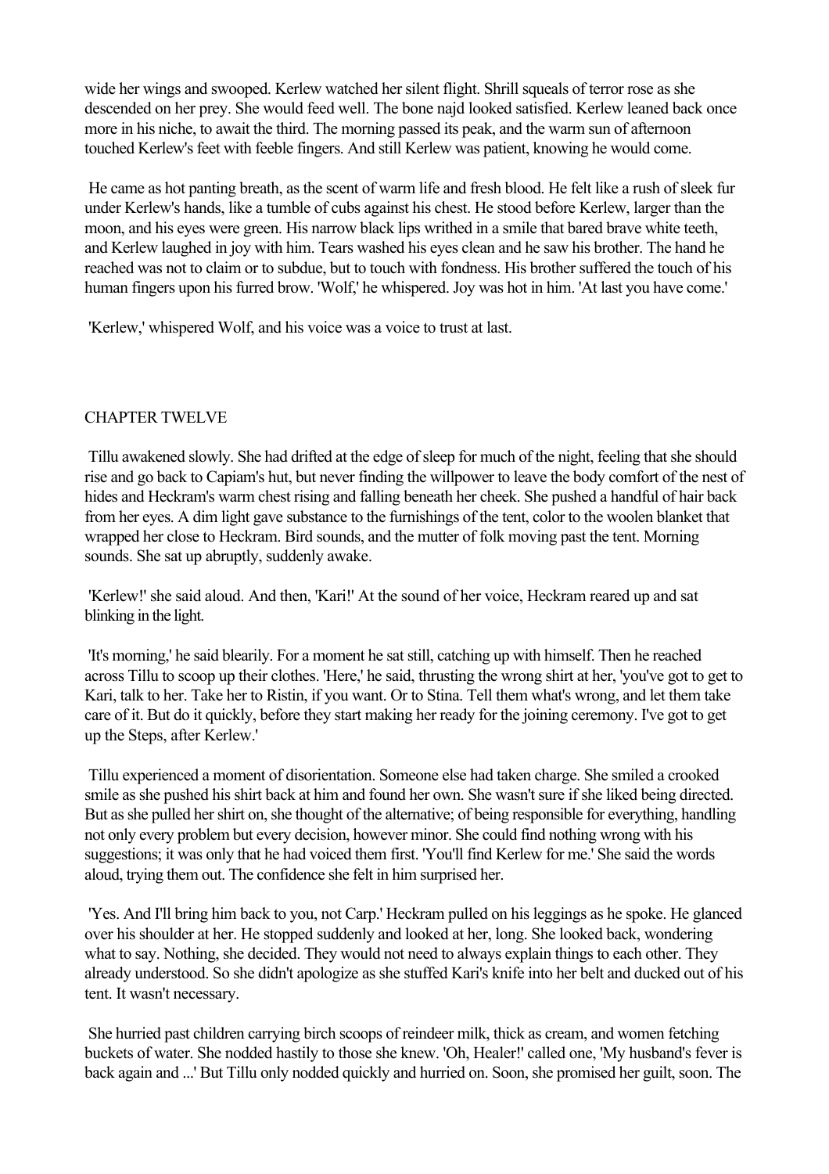wide her wings and swooped. Kerlew watched her silent flight. Shrill squeals of terror rose as she descended on her prey. She would feed well. The bone najd looked satisfied. Kerlew leaned back once more in his niche, to await the third. The morning passed its peak, and the warm sun of afternoon touched Kerlew's feet with feeble fingers. And still Kerlew was patient, knowing he would come.

 He came as hot panting breath, as the scent of warm life and fresh blood. He felt like a rush of sleek fur under Kerlew's hands, like a tumble of cubs against his chest. He stood before Kerlew, larger than the moon, and his eyes were green. His narrow black lips writhed in a smile that bared brave white teeth, and Kerlew laughed in joy with him. Tears washed his eyes clean and he saw his brother. The hand he reached was not to claim or to subdue, but to touch with fondness. His brother suffered the touch of his human fingers upon his furred brow. 'Wolf,' he whispered. Joy was hot in him. 'At last you have come.'

'Kerlew,' whispered Wolf, and his voice was a voice to trust at last.

### CHAPTER TWELVE

 Tillu awakened slowly. She had drifted at the edge of sleep for much of the night, feeling that she should rise and go back to Capiam's hut, but never finding the willpower to leave the body comfort of the nest of hides and Heckram's warm chest rising and falling beneath her cheek. She pushed a handful of hair back from her eyes. A dim light gave substance to the furnishings of the tent, color to the woolen blanket that wrapped her close to Heckram. Bird sounds, and the mutter of folk moving past the tent. Morning sounds. She sat up abruptly, suddenly awake.

 'Kerlew!' she said aloud. And then, 'Kari!' At the sound of her voice, Heckram reared up and sat blinking in the light.

 'It's morning,' he said blearily. For a moment he sat still, catching up with himself. Then he reached across Tillu to scoop up their clothes. 'Here,' he said, thrusting the wrong shirt at her, 'you've got to get to Kari, talk to her. Take her to Ristin, if you want. Or to Stina. Tell them what's wrong, and let them take care of it. But do it quickly, before they start making her ready for the joining ceremony. I've got to get up the Steps, after Kerlew.'

 Tillu experienced a moment of disorientation. Someone else had taken charge. She smiled a crooked smile as she pushed his shirt back at him and found her own. She wasn't sure if she liked being directed. But as she pulled her shirt on, she thought of the alternative; of being responsible for everything, handling not only every problem but every decision, however minor. She could find nothing wrong with his suggestions; it was only that he had voiced them first. 'You'll find Kerlew for me.' She said the words aloud, trying them out. The confidence she felt in him surprised her.

 'Yes. And I'll bring him back to you, not Carp.' Heckram pulled on his leggings as he spoke. He glanced over his shoulder at her. He stopped suddenly and looked at her, long. She looked back, wondering what to say. Nothing, she decided. They would not need to always explain things to each other. They already understood. So she didn't apologize as she stuffed Kari's knife into her belt and ducked out of his tent. It wasn't necessary.

 She hurried past children carrying birch scoops of reindeer milk, thick as cream, and women fetching buckets of water. She nodded hastily to those she knew. 'Oh, Healer!' called one, 'My husband's fever is back again and ...' But Tillu only nodded quickly and hurried on. Soon, she promised her guilt, soon. The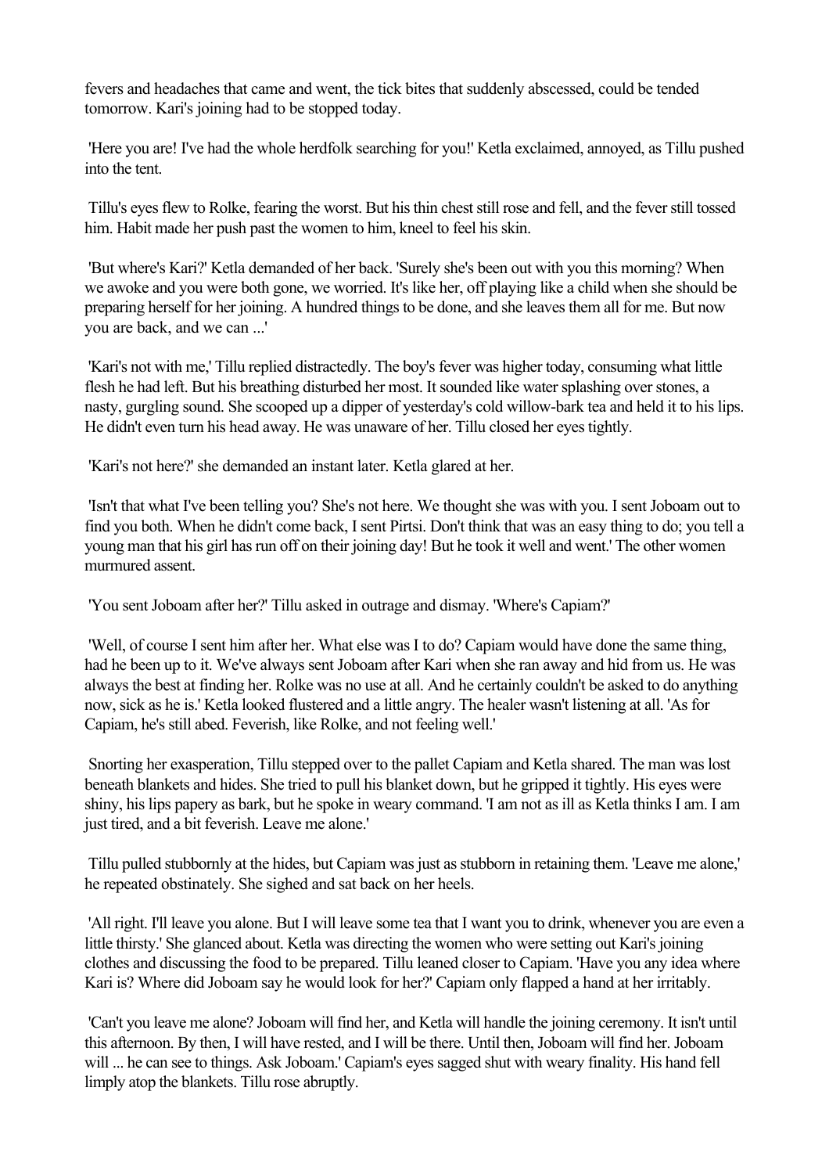fevers and headaches that came and went, the tick bites that suddenly abscessed, could be tended tomorrow. Kari's joining had to be stopped today.

 'Here you are! I've had the whole herdfolk searching for you!' Ketla exclaimed, annoyed, as Tillu pushed into the tent.

 Tillu's eyes flew to Rolke, fearing the worst. But his thin chest still rose and fell, and the fever still tossed him. Habit made her push past the women to him, kneel to feel his skin.

 'But where's Kari?' Ketla demanded of her back. 'Surely she's been out with you this morning? When we awoke and you were both gone, we worried. It's like her, off playing like a child when she should be preparing herself for her joining. A hundred things to be done, and she leaves them all for me. But now you are back, and we can ...'

 'Kari's not with me,' Tillu replied distractedly. The boy's fever was higher today, consuming what little flesh he had left. But his breathing disturbed her most. It sounded like water splashing over stones, a nasty, gurgling sound. She scooped up a dipper of yesterday's cold willow-bark tea and held it to his lips. He didn't even turn his head away. He was unaware of her. Tillu closed her eyes tightly.

'Kari's not here?' she demanded an instant later. Ketla glared at her.

 'Isn't that what I've been telling you? She's not here. We thought she was with you. I sent Joboam out to find you both. When he didn't come back, I sent Pirtsi. Don't think that was an easy thing to do; you tell a young man that his girl has run off on their joining day! But he took it well and went.' The other women murmured assent.

'You sent Joboam after her?' Tillu asked in outrage and dismay. 'Where's Capiam?'

 'Well, of course I sent him after her. What else was I to do? Capiam would have done the same thing, had he been up to it. We've always sent Joboam after Kari when she ran away and hid from us. He was always the best at finding her. Rolke was no use at all. And he certainly couldn't be asked to do anything now, sick as he is.' Ketla looked flustered and a little angry. The healer wasn't listening at all. 'As for Capiam, he's still abed. Feverish, like Rolke, and not feeling well.'

 Snorting her exasperation, Tillu stepped over to the pallet Capiam and Ketla shared. The man was lost beneath blankets and hides. She tried to pull his blanket down, but he gripped it tightly. His eyes were shiny, his lips papery as bark, but he spoke in weary command. 'I am not as ill as Ketla thinks I am. I am just tired, and a bit feverish. Leave me alone.'

 Tillu pulled stubbornly at the hides, but Capiam was just as stubborn in retaining them. 'Leave me alone,' he repeated obstinately. She sighed and sat back on her heels.

 'All right. I'll leave you alone. But I will leave some tea that I want you to drink, whenever you are even a little thirsty.' She glanced about. Ketla was directing the women who were setting out Kari's joining clothes and discussing the food to be prepared. Tillu leaned closer to Capiam. 'Have you any idea where Kari is? Where did Joboam say he would look for her?' Capiam only flapped a hand at her irritably.

 'Can't you leave me alone? Joboam will find her, and Ketla will handle the joining ceremony. It isn't until this afternoon. By then, I will have rested, and I will be there. Until then, Joboam will find her. Joboam will ... he can see to things. Ask Joboam.' Capiam's eyes sagged shut with weary finality. His hand fell limply atop the blankets. Tillu rose abruptly.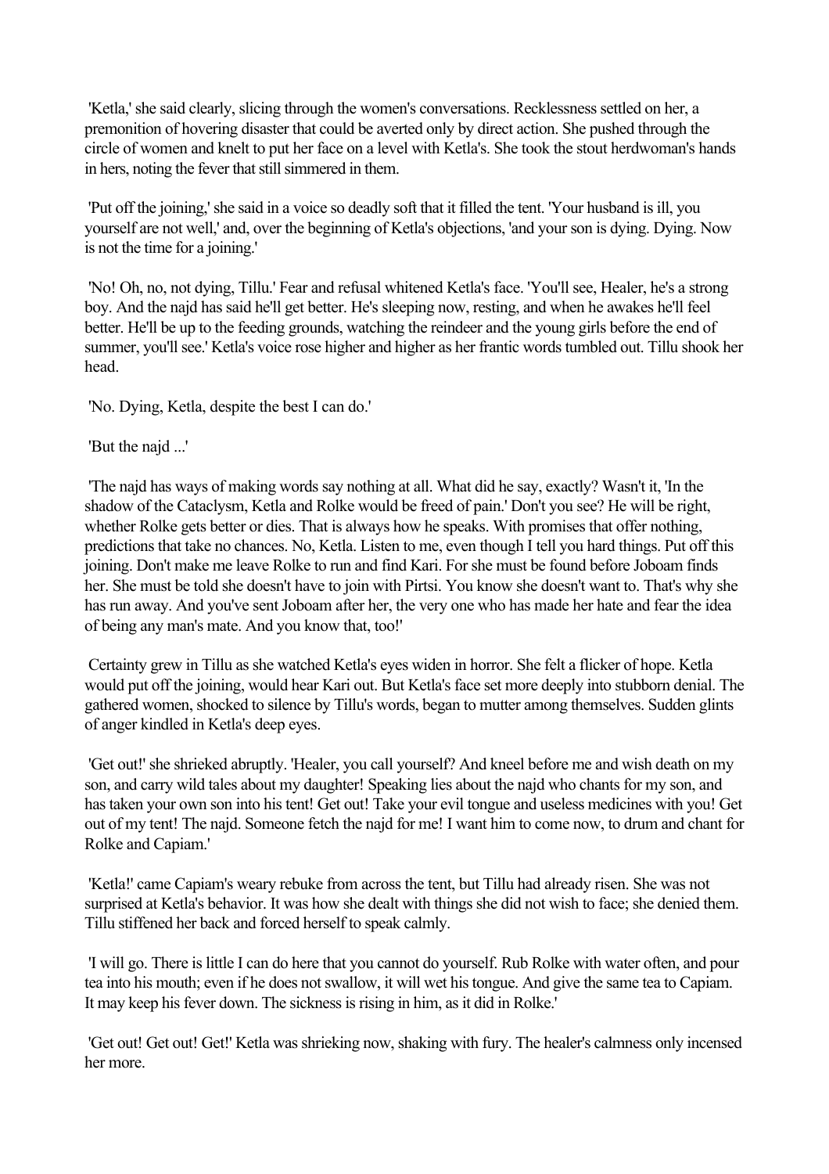'Ketla,' she said clearly, slicing through the women's conversations. Recklessness settled on her, a premonition of hovering disaster that could be averted only by direct action. She pushed through the circle of women and knelt to put her face on a level with Ketla's. She took the stout herdwoman's hands in hers, noting the fever that still simmered in them.

 'Put off the joining,' she said in a voice so deadly soft that it filled the tent. 'Your husband is ill, you yourself are not well,' and, over the beginning of Ketla's objections, 'and your son is dying. Dying. Now is not the time for a joining.'

 'No! Oh, no, not dying, Tillu.' Fear and refusal whitened Ketla's face. 'You'll see, Healer, he's a strong boy. And the najd has said he'll get better. He's sleeping now, resting, and when he awakes he'll feel better. He'll be up to the feeding grounds, watching the reindeer and the young girls before the end of summer, you'll see.' Ketla's voice rose higher and higher as her frantic words tumbled out. Tillu shook her head.

'No. Dying, Ketla, despite the best I can do.'

'But the najd ...'

 'The najd has ways of making words say nothing at all. What did he say, exactly? Wasn't it, 'In the shadow of the Cataclysm, Ketla and Rolke would be freed of pain.' Don't you see? He will be right, whether Rolke gets better or dies. That is always how he speaks. With promises that offer nothing, predictions that take no chances. No, Ketla. Listen to me, even though I tell you hard things. Put off this joining. Don't make me leave Rolke to run and find Kari. For she must be found before Joboam finds her. She must be told she doesn't have to join with Pirtsi. You know she doesn't want to. That's why she has run away. And you've sent Joboam after her, the very one who has made her hate and fear the idea of being any man's mate. And you know that, too!'

 Certainty grew in Tillu as she watched Ketla's eyes widen in horror. She felt a flicker of hope. Ketla would put off the joining, would hear Kari out. But Ketla's face set more deeply into stubborn denial. The gathered women, shocked to silence by Tillu's words, began to mutter among themselves. Sudden glints of anger kindled in Ketla's deep eyes.

 'Get out!' she shrieked abruptly. 'Healer, you call yourself? And kneel before me and wish death on my son, and carry wild tales about my daughter! Speaking lies about the najd who chants for my son, and has taken your own son into his tent! Get out! Take your evil tongue and useless medicines with you! Get out of my tent! The najd. Someone fetch the najd for me! I want him to come now, to drum and chant for Rolke and Capiam.'

 'Ketla!' came Capiam's weary rebuke from across the tent, but Tillu had already risen. She was not surprised at Ketla's behavior. It was how she dealt with things she did not wish to face; she denied them. Tillu stiffened her back and forced herself to speak calmly.

 'I will go. There is little I can do here that you cannot do yourself. Rub Rolke with water often, and pour tea into his mouth; even if he does not swallow, it will wet his tongue. And give the same tea to Capiam. It may keep his fever down. The sickness is rising in him, as it did in Rolke.'

 'Get out! Get out! Get!' Ketla was shrieking now, shaking with fury. The healer's calmness only incensed her more.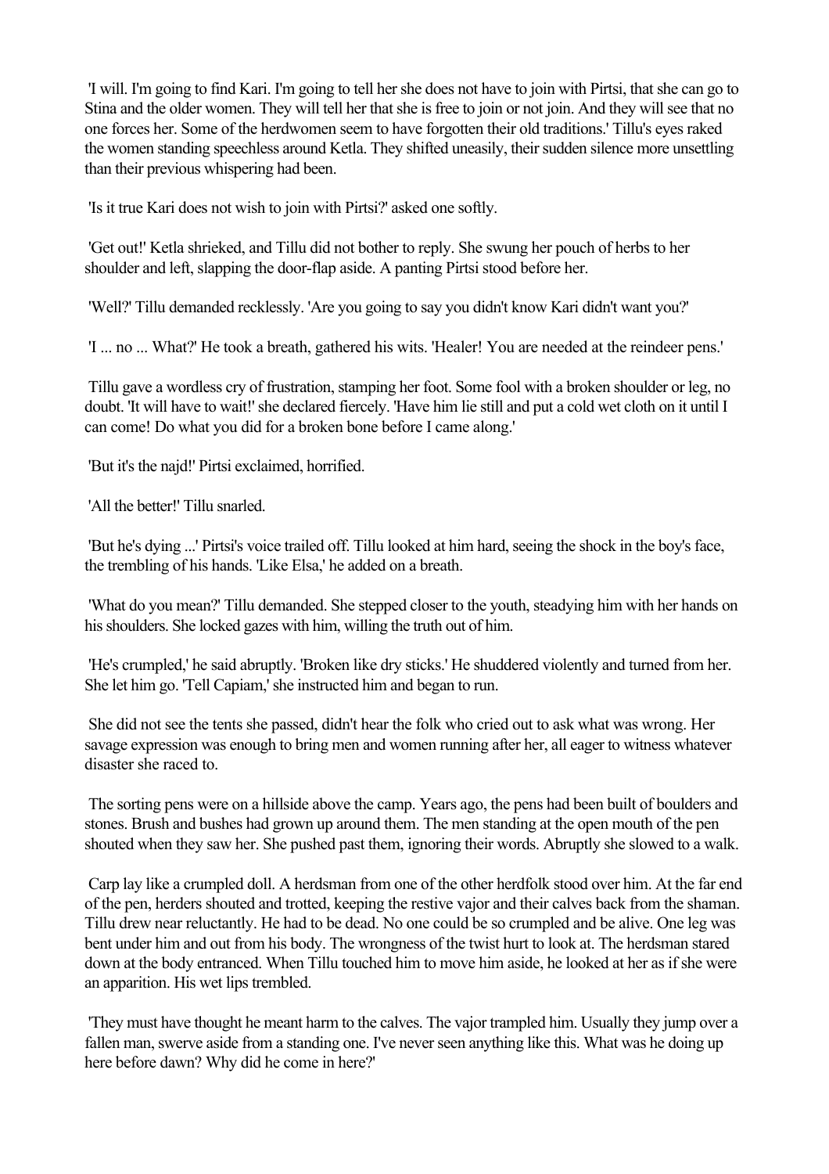'I will. I'm going to find Kari. I'm going to tell her she does not have to join with Pirtsi, that she can go to Stina and the older women. They will tell her that she is free to join or not join. And they will see that no one forces her. Some of the herdwomen seem to have forgotten their old traditions.' Tillu's eyes raked the women standing speechless around Ketla. They shifted uneasily, their sudden silence more unsettling than their previous whispering had been.

'Is it true Kari does not wish to join with Pirtsi?' asked one softly.

 'Get out!' Ketla shrieked, and Tillu did not bother to reply. She swung her pouch of herbs to her shoulder and left, slapping the door-flap aside. A panting Pirtsi stood before her.

'Well?' Tillu demanded recklessly. 'Are you going to say you didn't know Kari didn't want you?'

'I ... no ... What?' He took a breath, gathered his wits. 'Healer! You are needed at the reindeer pens.'

 Tillu gave a wordless cry of frustration, stamping her foot. Some fool with a broken shoulder or leg, no doubt. 'It will have to wait!' she declared fiercely. 'Have him lie still and put a cold wet cloth on it until I can come! Do what you did for a broken bone before I came along.'

'But it's the najd!' Pirtsi exclaimed, horrified.

'All the better!' Tillu snarled.

 'But he's dying ...' Pirtsi's voice trailed off. Tillu looked at him hard, seeing the shock in the boy's face, the trembling of his hands. 'Like Elsa,' he added on a breath.

 'What do you mean?' Tillu demanded. She stepped closer to the youth, steadying him with her hands on his shoulders. She locked gazes with him, willing the truth out of him.

 'He's crumpled,' he said abruptly. 'Broken like dry sticks.' He shuddered violently and turned from her. She let him go. 'Tell Capiam,' she instructed him and began to run.

 She did not see the tents she passed, didn't hear the folk who cried out to ask what was wrong. Her savage expression was enough to bring men and women running after her, all eager to witness whatever disaster she raced to.

 The sorting pens were on a hillside above the camp. Years ago, the pens had been built of boulders and stones. Brush and bushes had grown up around them. The men standing at the open mouth of the pen shouted when they saw her. She pushed past them, ignoring their words. Abruptly she slowed to a walk.

 Carp lay like a crumpled doll. A herdsman from one of the other herdfolk stood over him. At the far end of the pen, herders shouted and trotted, keeping the restive vajor and their calves back from the shaman. Tillu drew near reluctantly. He had to be dead. No one could be so crumpled and be alive. One leg was bent under him and out from his body. The wrongness of the twist hurt to look at. The herdsman stared down at the body entranced. When Tillu touched him to move him aside, he looked at her as if she were an apparition. His wet lips trembled.

 'They must have thought he meant harm to the calves. The vajor trampled him. Usually they jump over a fallen man, swerve aside from a standing one. I've never seen anything like this. What was he doing up here before dawn? Why did he come in here?'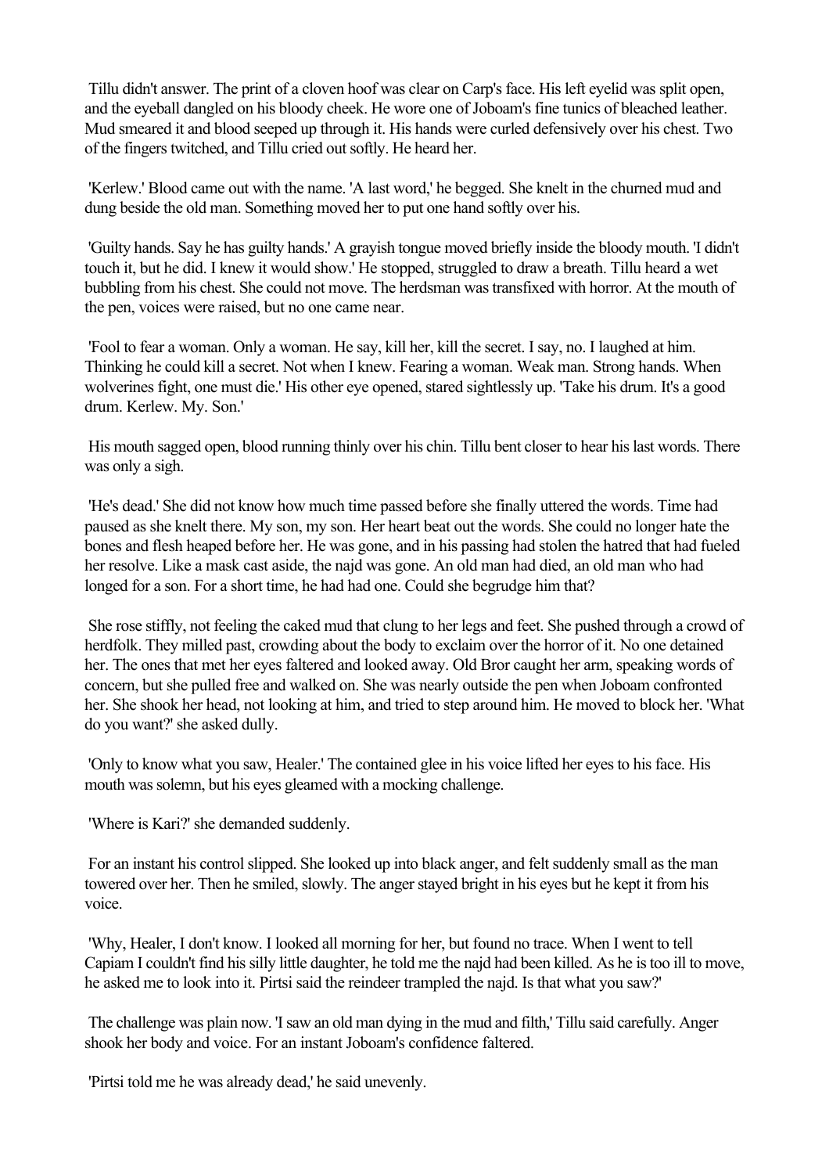Tillu didn't answer. The print of a cloven hoof was clear on Carp's face. His left eyelid was split open, and the eyeball dangled on his bloody cheek. He wore one of Joboam's fine tunics of bleached leather. Mud smeared it and blood seeped up through it. His hands were curled defensively over his chest. Two of the fingers twitched, and Tillu cried out softly. He heard her.

 'Kerlew.' Blood came out with the name. 'A last word,' he begged. She knelt in the churned mud and dung beside the old man. Something moved her to put one hand softly over his.

 'Guilty hands. Say he has guilty hands.' A grayish tongue moved briefly inside the bloody mouth. 'I didn't touch it, but he did. I knew it would show.' He stopped, struggled to draw a breath. Tillu heard a wet bubbling from his chest. She could not move. The herdsman was transfixed with horror. At the mouth of the pen, voices were raised, but no one came near.

 'Fool to fear a woman. Only a woman. He say, kill her, kill the secret. I say, no. I laughed at him. Thinking he could kill a secret. Not when I knew. Fearing a woman. Weak man. Strong hands. When wolverines fight, one must die.' His other eye opened, stared sightlessly up. 'Take his drum. It's a good drum. Kerlew. My. Son.'

 His mouth sagged open, blood running thinly over his chin. Tillu bent closer to hear his last words. There was only a sigh.

 'He's dead.' She did not know how much time passed before she finally uttered the words. Time had paused as she knelt there. My son, my son. Her heart beat out the words. She could no longer hate the bones and flesh heaped before her. He was gone, and in his passing had stolen the hatred that had fueled her resolve. Like a mask cast aside, the najd was gone. An old man had died, an old man who had longed for a son. For a short time, he had had one. Could she begrudge him that?

 She rose stiffly, not feeling the caked mud that clung to her legs and feet. She pushed through a crowd of herdfolk. They milled past, crowding about the body to exclaim over the horror of it. No one detained her. The ones that met her eyes faltered and looked away. Old Bror caught her arm, speaking words of concern, but she pulled free and walked on. She was nearly outside the pen when Joboam confronted her. She shook her head, not looking at him, and tried to step around him. He moved to block her. 'What do you want?' she asked dully.

 'Only to know what you saw, Healer.' The contained glee in his voice lifted her eyes to his face. His mouth was solemn, but his eyes gleamed with a mocking challenge.

'Where is Kari?' she demanded suddenly.

 For an instant his control slipped. She looked up into black anger, and felt suddenly small as the man towered over her. Then he smiled, slowly. The anger stayed bright in his eyes but he kept it from his voice.

 'Why, Healer, I don't know. I looked all morning for her, but found no trace. When I went to tell Capiam I couldn't find his silly little daughter, he told me the najd had been killed. As he is too ill to move, he asked me to look into it. Pirtsi said the reindeer trampled the najd. Is that what you saw?'

 The challenge was plain now. 'I saw an old man dying in the mud and filth,' Tillu said carefully. Anger shook her body and voice. For an instant Joboam's confidence faltered.

'Pirtsi told me he was already dead,' he said unevenly.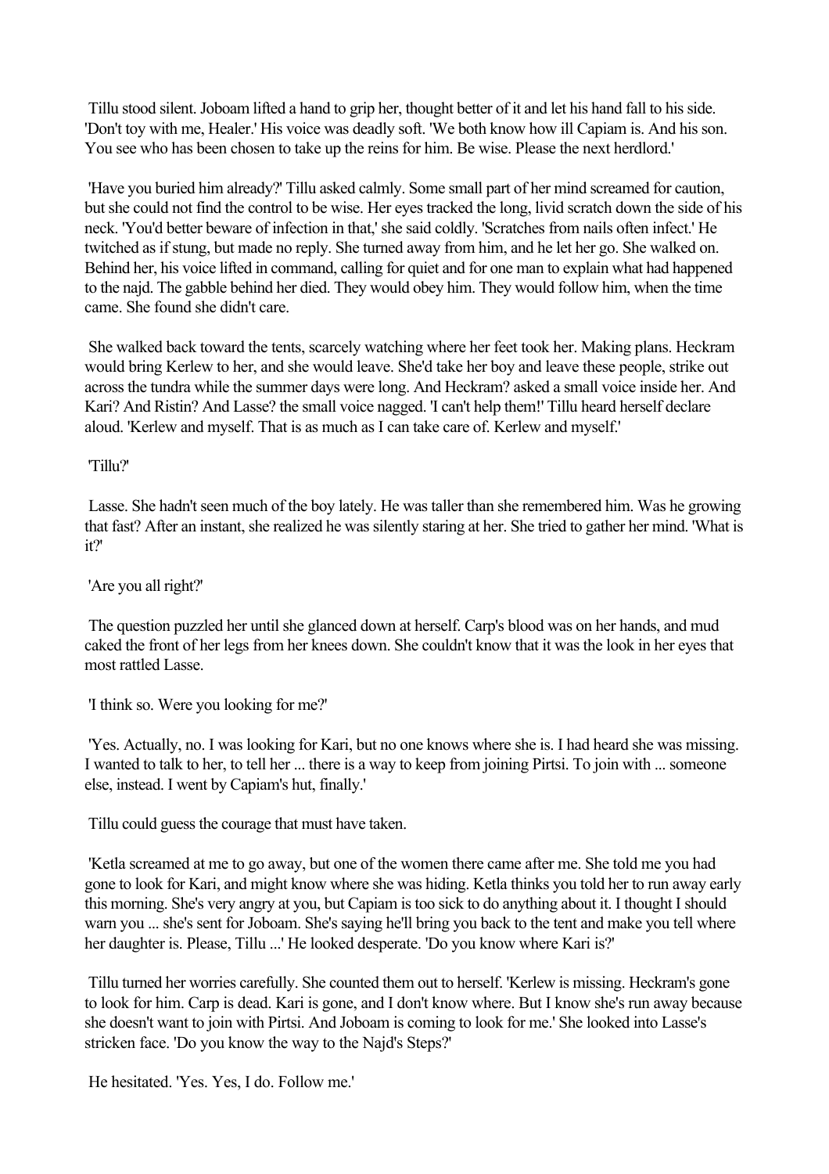Tillu stood silent. Joboam lifted a hand to grip her, thought better of it and let his hand fall to his side. 'Don't toy with me, Healer.' His voice was deadly soft. 'We both know how ill Capiam is. And his son. You see who has been chosen to take up the reins for him. Be wise. Please the next herdlord.'

 'Have you buried him already?' Tillu asked calmly. Some small part of her mind screamed for caution, but she could not find the control to be wise. Her eyes tracked the long, livid scratch down the side of his neck. 'You'd better beware of infection in that,' she said coldly. 'Scratches from nails often infect.' He twitched as if stung, but made no reply. She turned away from him, and he let her go. She walked on. Behind her, his voice lifted in command, calling for quiet and for one man to explain what had happened to the najd. The gabble behind her died. They would obey him. They would follow him, when the time came. She found she didn't care.

 She walked back toward the tents, scarcely watching where her feet took her. Making plans. Heckram would bring Kerlew to her, and she would leave. She'd take her boy and leave these people, strike out across the tundra while the summer days were long. And Heckram? asked a small voice inside her. And Kari? And Ristin? And Lasse? the small voice nagged. 'I can't help them!' Tillu heard herself declare aloud. 'Kerlew and myself. That is as much as I can take care of. Kerlew and myself.'

### 'Tillu?'

 Lasse. She hadn't seen much of the boy lately. He was taller than she remembered him. Was he growing that fast? After an instant, she realized he was silently staring at her. She tried to gather her mind. 'What is it?'

#### 'Are you all right?'

 The question puzzled her until she glanced down at herself. Carp's blood was on her hands, and mud caked the front of her legs from her knees down. She couldn't know that it was the look in her eyes that most rattled Lasse.

'I think so. Were you looking for me?'

 'Yes. Actually, no. I was looking for Kari, but no one knows where she is. I had heard she was missing. I wanted to talk to her, to tell her ... there is a way to keep from joining Pirtsi. To join with ... someone else, instead. I went by Capiam's hut, finally.'

Tillu could guess the courage that must have taken.

 'Ketla screamed at me to go away, but one of the women there came after me. She told me you had gone to look for Kari, and might know where she was hiding. Ketla thinks you told her to run away early this morning. She's very angry at you, but Capiam is too sick to do anything about it. I thought I should warn you ... she's sent for Joboam. She's saying he'll bring you back to the tent and make you tell where her daughter is. Please, Tillu ...' He looked desperate. 'Do you know where Kari is?'

 Tillu turned her worries carefully. She counted them out to herself. 'Kerlew is missing. Heckram's gone to look for him. Carp is dead. Kari is gone, and I don't know where. But I know she's run away because she doesn't want to join with Pirtsi. And Joboam is coming to look for me.' She looked into Lasse's stricken face. 'Do you know the way to the Najd's Steps?'

He hesitated. 'Yes. Yes, I do. Follow me.'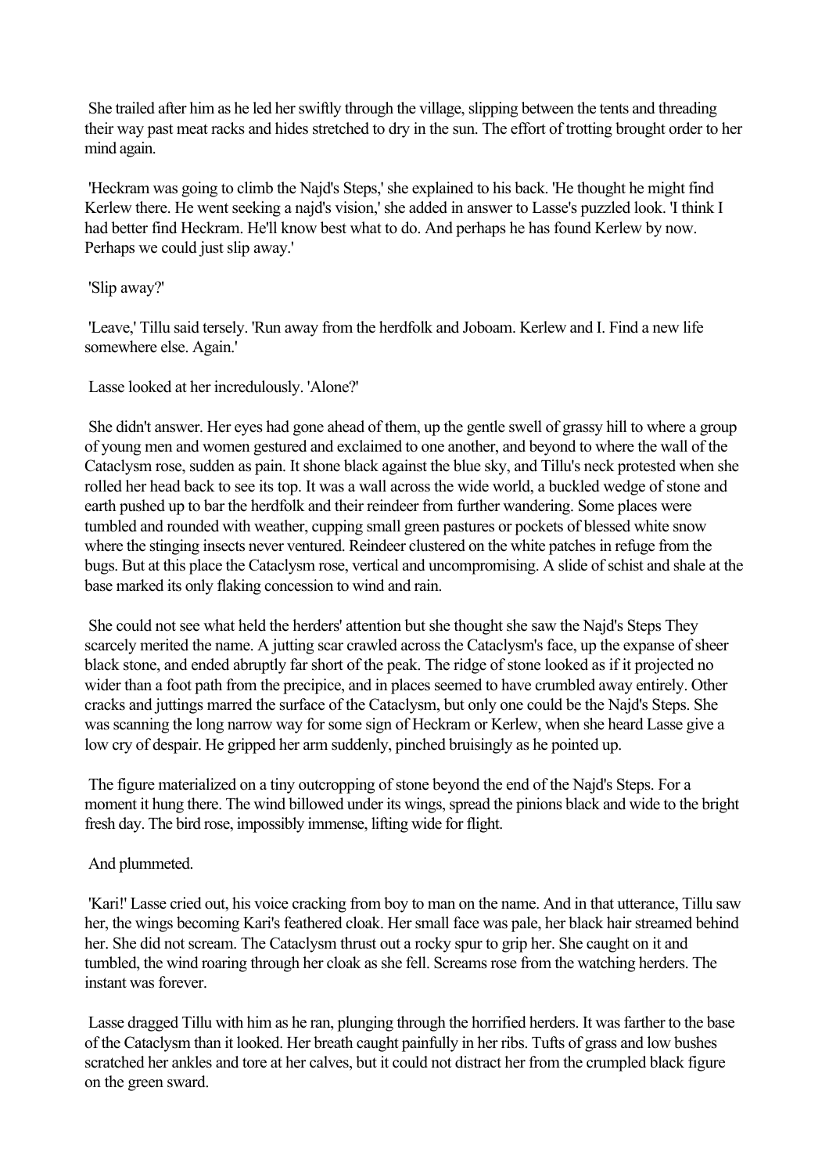She trailed after him as he led her swiftly through the village, slipping between the tents and threading their way past meat racks and hides stretched to dry in the sun. The effort of trotting brought order to her mind again.

 'Heckram was going to climb the Najd's Steps,' she explained to his back. 'He thought he might find Kerlew there. He went seeking a najd's vision,' she added in answer to Lasse's puzzled look. 'I think I had better find Heckram. He'll know best what to do. And perhaps he has found Kerlew by now. Perhaps we could just slip away.'

'Slip away?'

 'Leave,' Tillu said tersely. 'Run away from the herdfolk and Joboam. Kerlew and I. Find a new life somewhere else. Again.'

Lasse looked at her incredulously. 'Alone?'

 She didn't answer. Her eyes had gone ahead of them, up the gentle swell of grassy hill to where a group of young men and women gestured and exclaimed to one another, and beyond to where the wall of the Cataclysm rose, sudden as pain. It shone black against the blue sky, and Tillu's neck protested when she rolled her head back to see its top. It was a wall across the wide world, a buckled wedge of stone and earth pushed up to bar the herdfolk and their reindeer from further wandering. Some places were tumbled and rounded with weather, cupping small green pastures or pockets of blessed white snow where the stinging insects never ventured. Reindeer clustered on the white patches in refuge from the bugs. But at this place the Cataclysm rose, vertical and uncompromising. A slide of schist and shale at the base marked its only flaking concession to wind and rain.

 She could not see what held the herders' attention but she thought she saw the Najd's Steps They scarcely merited the name. A jutting scar crawled across the Cataclysm's face, up the expanse of sheer black stone, and ended abruptly far short of the peak. The ridge of stone looked as if it projected no wider than a foot path from the precipice, and in places seemed to have crumbled away entirely. Other cracks and juttings marred the surface of the Cataclysm, but only one could be the Najd's Steps. She was scanning the long narrow way for some sign of Heckram or Kerlew, when she heard Lasse give a low cry of despair. He gripped her arm suddenly, pinched bruisingly as he pointed up.

 The figure materialized on a tiny outcropping of stone beyond the end of the Najd's Steps. For a moment it hung there. The wind billowed under its wings, spread the pinions black and wide to the bright fresh day. The bird rose, impossibly immense, lifting wide for flight.

## And plummeted.

 'Kari!' Lasse cried out, his voice cracking from boy to man on the name. And in that utterance, Tillu saw her, the wings becoming Kari's feathered cloak. Her small face was pale, her black hair streamed behind her. She did not scream. The Cataclysm thrust out a rocky spur to grip her. She caught on it and tumbled, the wind roaring through her cloak as she fell. Screams rose from the watching herders. The instant was forever.

 Lasse dragged Tillu with him as he ran, plunging through the horrified herders. It was farther to the base of the Cataclysm than it looked. Her breath caught painfully in her ribs. Tufts of grass and low bushes scratched her ankles and tore at her calves, but it could not distract her from the crumpled black figure on the green sward.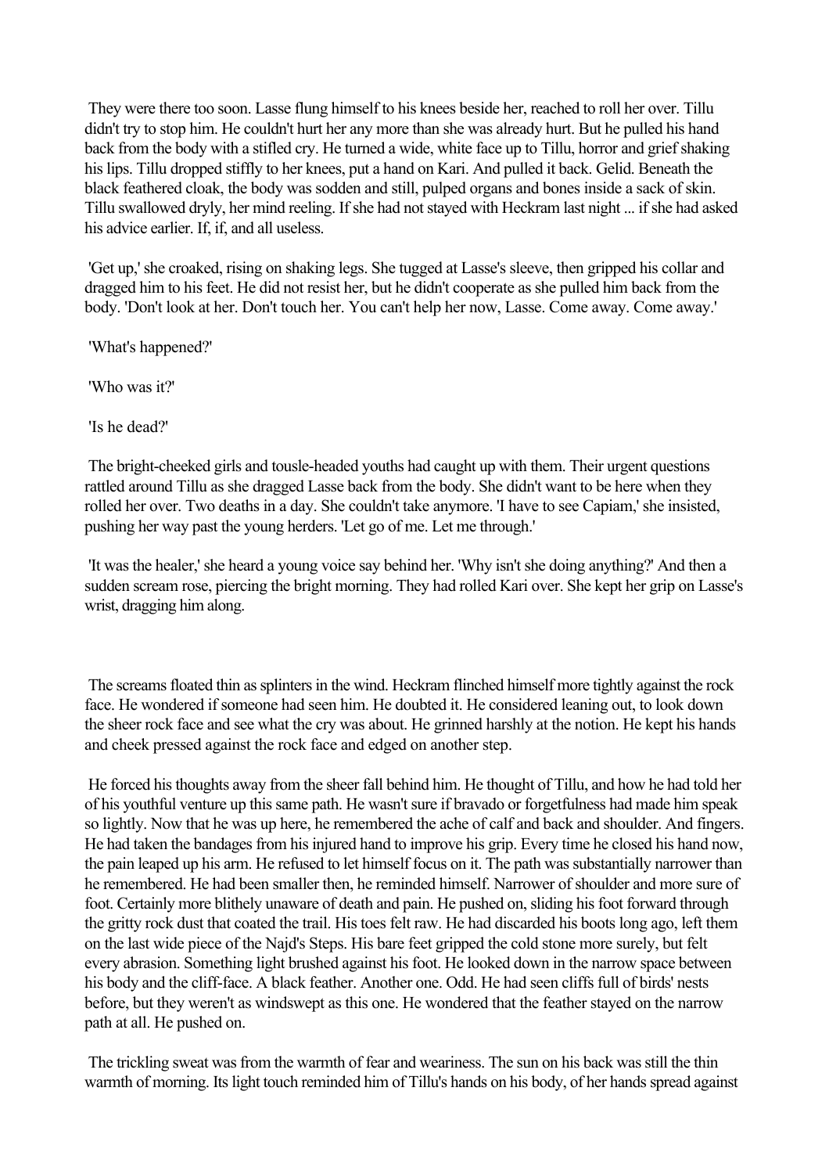They were there too soon. Lasse flung himself to his knees beside her, reached to roll her over. Tillu didn't try to stop him. He couldn't hurt her any more than she was already hurt. But he pulled his hand back from the body with a stifled cry. He turned a wide, white face up to Tillu, horror and grief shaking his lips. Tillu dropped stiffly to her knees, put a hand on Kari. And pulled it back. Gelid. Beneath the black feathered cloak, the body was sodden and still, pulped organs and bones inside a sack of skin. Tillu swallowed dryly, her mind reeling. If she had not stayed with Heckram last night ... if she had asked his advice earlier. If, if, and all useless.

 'Get up,' she croaked, rising on shaking legs. She tugged at Lasse's sleeve, then gripped his collar and dragged him to his feet. He did not resist her, but he didn't cooperate as she pulled him back from the body. 'Don't look at her. Don't touch her. You can't help her now, Lasse. Come away. Come away.'

'What's happened?'

'Who was it?'

'Is he dead?'

 The bright-cheeked girls and tousle-headed youths had caught up with them. Their urgent questions rattled around Tillu as she dragged Lasse back from the body. She didn't want to be here when they rolled her over. Two deaths in a day. She couldn't take anymore. 'I have to see Capiam,' she insisted, pushing her way past the young herders. 'Let go of me. Let me through.'

 'It was the healer,' she heard a young voice say behind her. 'Why isn't she doing anything?' And then a sudden scream rose, piercing the bright morning. They had rolled Kari over. She kept her grip on Lasse's wrist, dragging him along.

 The screams floated thin as splinters in the wind. Heckram flinched himself more tightly against the rock face. He wondered if someone had seen him. He doubted it. He considered leaning out, to look down the sheer rock face and see what the cry was about. He grinned harshly at the notion. He kept his hands and cheek pressed against the rock face and edged on another step.

 He forced his thoughts away from the sheer fall behind him. He thought of Tillu, and how he had told her of his youthful venture up this same path. He wasn't sure if bravado or forgetfulness had made him speak so lightly. Now that he was up here, he remembered the ache of calf and back and shoulder. And fingers. He had taken the bandages from his injured hand to improve his grip. Every time he closed his hand now, the pain leaped up his arm. He refused to let himself focus on it. The path was substantially narrower than he remembered. He had been smaller then, he reminded himself. Narrower of shoulder and more sure of foot. Certainly more blithely unaware of death and pain. He pushed on, sliding his foot forward through the gritty rock dust that coated the trail. His toes felt raw. He had discarded his boots long ago, left them on the last wide piece of the Najd's Steps. His bare feet gripped the cold stone more surely, but felt every abrasion. Something light brushed against his foot. He looked down in the narrow space between his body and the cliff-face. A black feather. Another one. Odd. He had seen cliffs full of birds' nests before, but they weren't as windswept as this one. He wondered that the feather stayed on the narrow path at all. He pushed on.

 The trickling sweat was from the warmth of fear and weariness. The sun on his back was still the thin warmth of morning. Its light touch reminded him of Tillu's hands on his body, of her hands spread against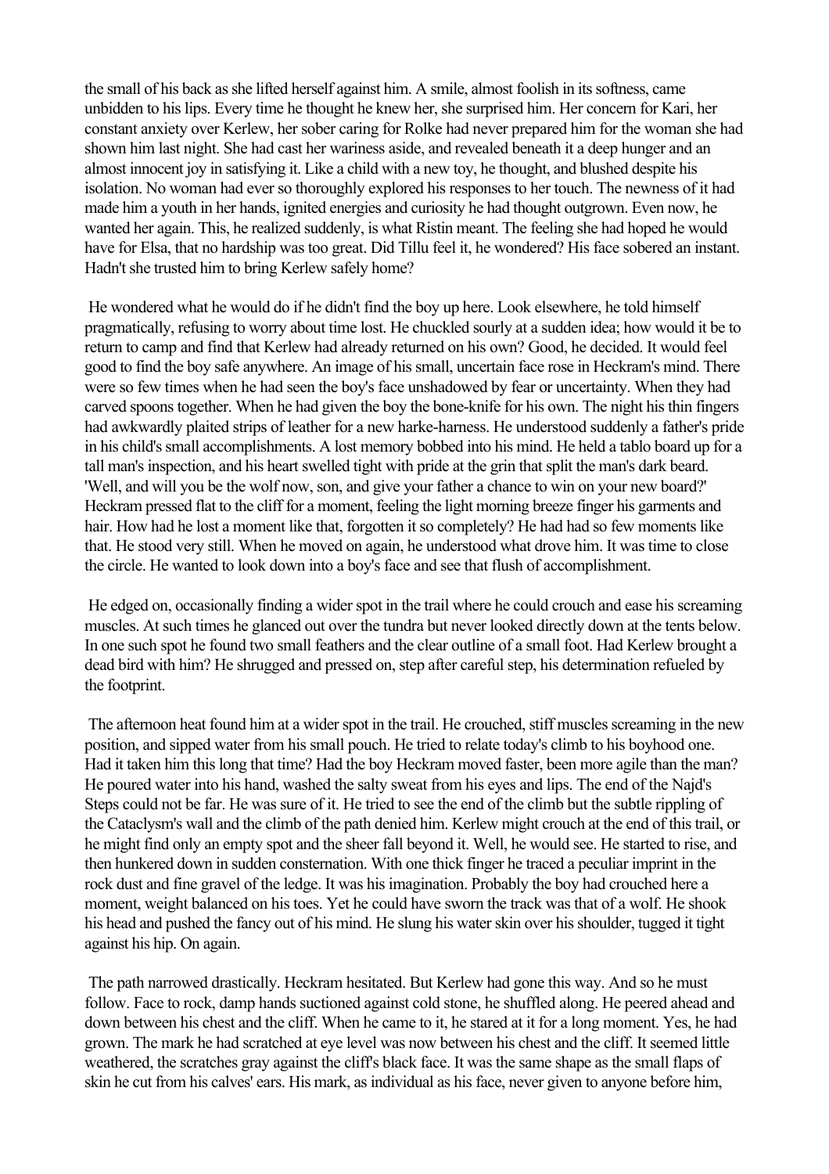the small of his back as she lifted herself against him. A smile, almost foolish in its softness, came unbidden to his lips. Every time he thought he knew her, she surprised him. Her concern for Kari, her constant anxiety over Kerlew, her sober caring for Rolke had never prepared him for the woman she had shown him last night. She had cast her wariness aside, and revealed beneath it a deep hunger and an almost innocent joy in satisfying it. Like a child with a new toy, he thought, and blushed despite his isolation. No woman had ever so thoroughly explored his responses to her touch. The newness of it had made him a youth in her hands, ignited energies and curiosity he had thought outgrown. Even now, he wanted her again. This, he realized suddenly, is what Ristin meant. The feeling she had hoped he would have for Elsa, that no hardship was too great. Did Tillu feel it, he wondered? His face sobered an instant. Hadn't she trusted him to bring Kerlew safely home?

 He wondered what he would do if he didn't find the boy up here. Look elsewhere, he told himself pragmatically, refusing to worry about time lost. He chuckled sourly at a sudden idea; how would it be to return to camp and find that Kerlew had already returned on his own? Good, he decided. It would feel good to find the boy safe anywhere. An image of his small, uncertain face rose in Heckram's mind. There were so few times when he had seen the boy's face unshadowed by fear or uncertainty. When they had carved spoons together. When he had given the boy the bone-knife for his own. The night his thin fingers had awkwardly plaited strips of leather for a new harke-harness. He understood suddenly a father's pride in his child's small accomplishments. A lost memory bobbed into his mind. He held a tablo board up for a tall man's inspection, and his heart swelled tight with pride at the grin that split the man's dark beard. 'Well, and will you be the wolf now, son, and give your father a chance to win on your new board?' Heckram pressed flat to the cliff for a moment, feeling the light morning breeze finger his garments and hair. How had he lost a moment like that, forgotten it so completely? He had had so few moments like that. He stood very still. When he moved on again, he understood what drove him. It was time to close the circle. He wanted to look down into a boy's face and see that flush of accomplishment.

 He edged on, occasionally finding a wider spot in the trail where he could crouch and ease his screaming muscles. At such times he glanced out over the tundra but never looked directly down at the tents below. In one such spot he found two small feathers and the clear outline of a small foot. Had Kerlew brought a dead bird with him? He shrugged and pressed on, step after careful step, his determination refueled by the footprint.

 The afternoon heat found him at a wider spot in the trail. He crouched, stiff muscles screaming in the new position, and sipped water from his small pouch. He tried to relate today's climb to his boyhood one. Had it taken him this long that time? Had the boy Heckram moved faster, been more agile than the man? He poured water into his hand, washed the salty sweat from his eyes and lips. The end of the Najd's Steps could not be far. He was sure of it. He tried to see the end of the climb but the subtle rippling of the Cataclysm's wall and the climb of the path denied him. Kerlew might crouch at the end of this trail, or he might find only an empty spot and the sheer fall beyond it. Well, he would see. He started to rise, and then hunkered down in sudden consternation. With one thick finger he traced a peculiar imprint in the rock dust and fine gravel of the ledge. It was his imagination. Probably the boy had crouched here a moment, weight balanced on his toes. Yet he could have sworn the track was that of a wolf. He shook his head and pushed the fancy out of his mind. He slung his water skin over his shoulder, tugged it tight against his hip. On again.

 The path narrowed drastically. Heckram hesitated. But Kerlew had gone this way. And so he must follow. Face to rock, damp hands suctioned against cold stone, he shuffled along. He peered ahead and down between his chest and the cliff. When he came to it, he stared at it for a long moment. Yes, he had grown. The mark he had scratched at eye level was now between his chest and the cliff. It seemed little weathered, the scratches gray against the cliff's black face. It was the same shape as the small flaps of skin he cut from his calves' ears. His mark, as individual as his face, never given to anyone before him,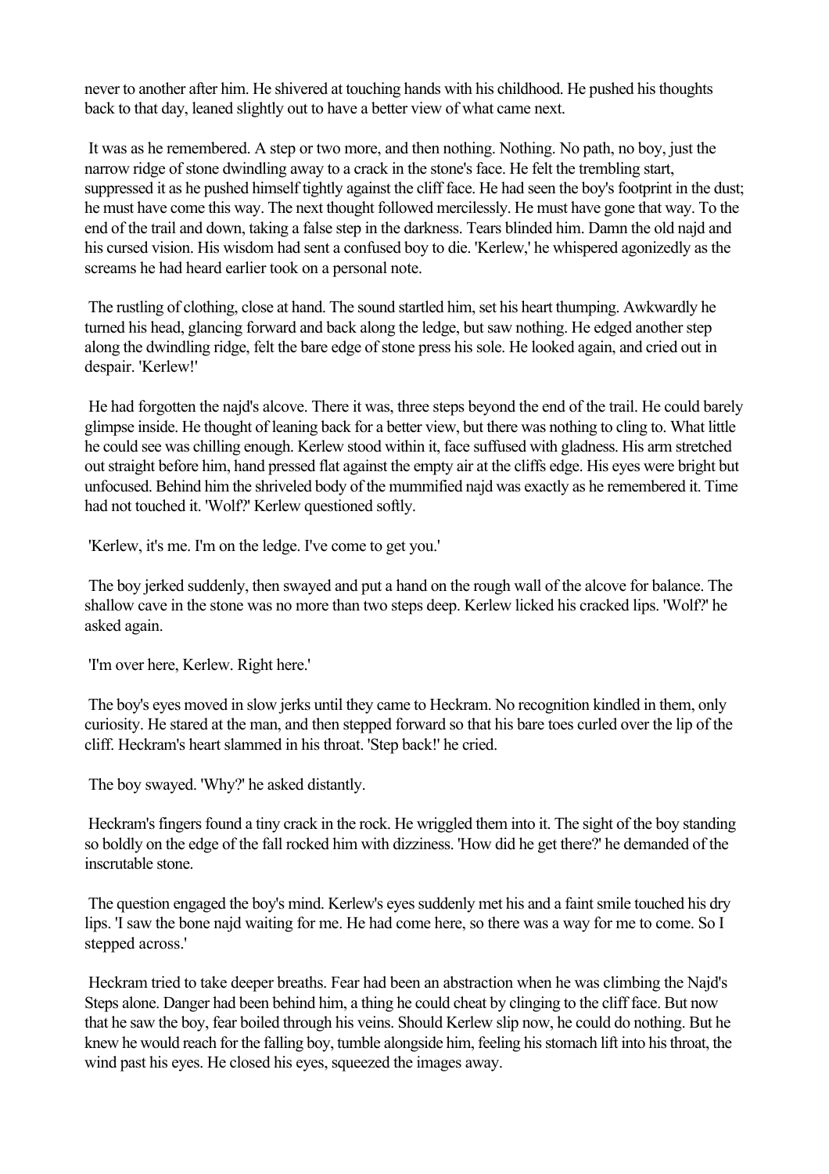never to another after him. He shivered at touching hands with his childhood. He pushed his thoughts back to that day, leaned slightly out to have a better view of what came next.

 It was as he remembered. A step or two more, and then nothing. Nothing. No path, no boy, just the narrow ridge of stone dwindling away to a crack in the stone's face. He felt the trembling start, suppressed it as he pushed himself tightly against the cliff face. He had seen the boy's footprint in the dust; he must have come this way. The next thought followed mercilessly. He must have gone that way. To the end of the trail and down, taking a false step in the darkness. Tears blinded him. Damn the old najd and his cursed vision. His wisdom had sent a confused boy to die. 'Kerlew,' he whispered agonizedly as the screams he had heard earlier took on a personal note.

 The rustling of clothing, close at hand. The sound startled him, set his heart thumping. Awkwardly he turned his head, glancing forward and back along the ledge, but saw nothing. He edged another step along the dwindling ridge, felt the bare edge of stone press his sole. He looked again, and cried out in despair. 'Kerlew!'

 He had forgotten the najd's alcove. There it was, three steps beyond the end of the trail. He could barely glimpse inside. He thought of leaning back for a better view, but there was nothing to cling to. What little he could see was chilling enough. Kerlew stood within it, face suffused with gladness. His arm stretched out straight before him, hand pressed flat against the empty air at the cliffs edge. His eyes were bright but unfocused. Behind him the shriveled body of the mummified najd was exactly as he remembered it. Time had not touched it. 'Wolf?' Kerlew questioned softly.

'Kerlew, it's me. I'm on the ledge. I've come to get you.'

 The boy jerked suddenly, then swayed and put a hand on the rough wall of the alcove for balance. The shallow cave in the stone was no more than two steps deep. Kerlew licked his cracked lips. 'Wolf?' he asked again.

'I'm over here, Kerlew. Right here.'

 The boy's eyes moved in slow jerks until they came to Heckram. No recognition kindled in them, only curiosity. He stared at the man, and then stepped forward so that his bare toes curled over the lip of the cliff. Heckram's heart slammed in his throat. 'Step back!' he cried.

The boy swayed. 'Why?' he asked distantly.

 Heckram's fingers found a tiny crack in the rock. He wriggled them into it. The sight of the boy standing so boldly on the edge of the fall rocked him with dizziness. 'How did he get there?' he demanded of the inscrutable stone.

 The question engaged the boy's mind. Kerlew's eyes suddenly met his and a faint smile touched his dry lips. 'I saw the bone najd waiting for me. He had come here, so there was a way for me to come. So I stepped across.'

 Heckram tried to take deeper breaths. Fear had been an abstraction when he was climbing the Najd's Steps alone. Danger had been behind him, a thing he could cheat by clinging to the cliff face. But now that he saw the boy, fear boiled through his veins. Should Kerlew slip now, he could do nothing. But he knew he would reach for the falling boy, tumble alongside him, feeling his stomach lift into his throat, the wind past his eyes. He closed his eyes, squeezed the images away.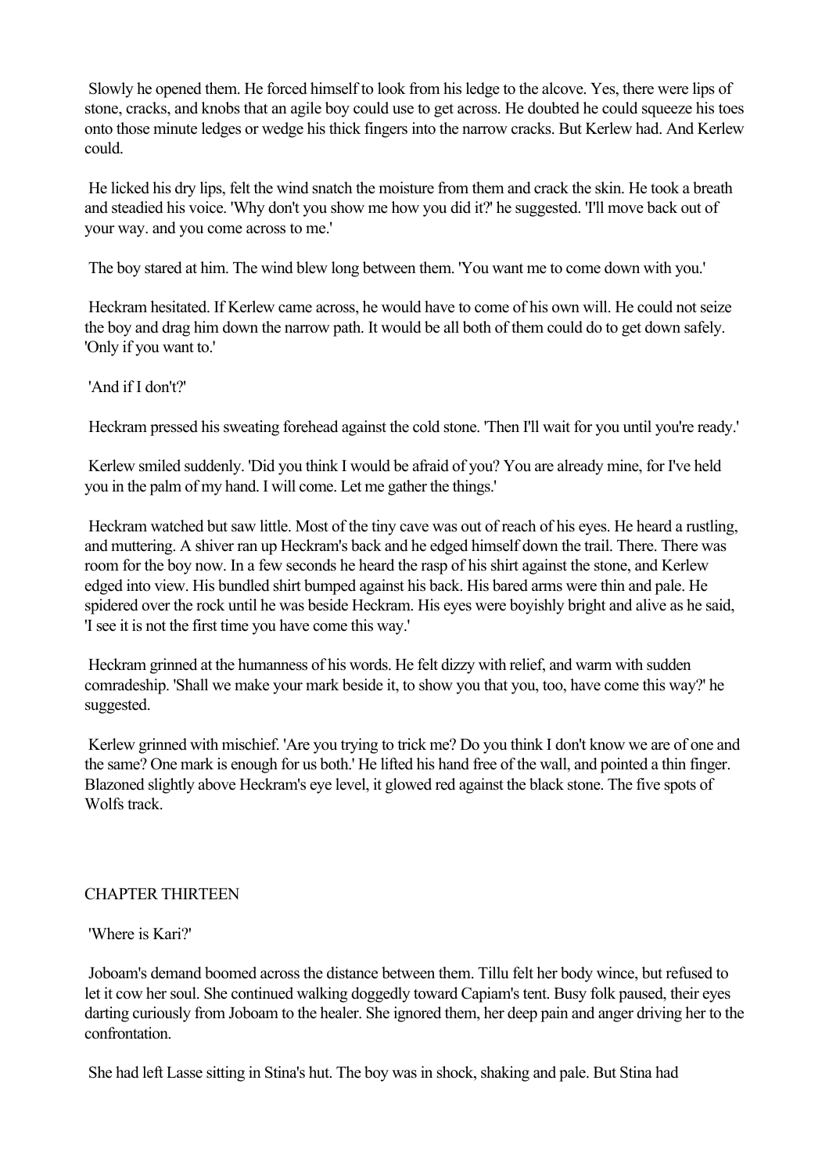Slowly he opened them. He forced himself to look from his ledge to the alcove. Yes, there were lips of stone, cracks, and knobs that an agile boy could use to get across. He doubted he could squeeze his toes onto those minute ledges or wedge his thick fingers into the narrow cracks. But Kerlew had. And Kerlew could.

 He licked his dry lips, felt the wind snatch the moisture from them and crack the skin. He took a breath and steadied his voice. 'Why don't you show me how you did it?' he suggested. 'I'll move back out of your way. and you come across to me.'

The boy stared at him. The wind blew long between them. 'You want me to come down with you.'

 Heckram hesitated. If Kerlew came across, he would have to come of his own will. He could not seize the boy and drag him down the narrow path. It would be all both of them could do to get down safely. 'Only if you want to.'

'And if I don't?'

Heckram pressed his sweating forehead against the cold stone. 'Then I'll wait for you until you're ready.'

 Kerlew smiled suddenly. 'Did you think I would be afraid of you? You are already mine, for I've held you in the palm of my hand. I will come. Let me gather the things.'

 Heckram watched but saw little. Most of the tiny cave was out of reach of his eyes. He heard a rustling, and muttering. A shiver ran up Heckram's back and he edged himself down the trail. There. There was room for the boy now. In a few seconds he heard the rasp of his shirt against the stone, and Kerlew edged into view. His bundled shirt bumped against his back. His bared arms were thin and pale. He spidered over the rock until he was beside Heckram. His eyes were boyishly bright and alive as he said, 'I see it is not the first time you have come this way.'

 Heckram grinned at the humanness of his words. He felt dizzy with relief, and warm with sudden comradeship. 'Shall we make your mark beside it, to show you that you, too, have come this way?' he suggested.

 Kerlew grinned with mischief. 'Are you trying to trick me? Do you think I don't know we are of one and the same? One mark is enough for us both.' He lifted his hand free of the wall, and pointed a thin finger. Blazoned slightly above Heckram's eye level, it glowed red against the black stone. The five spots of Wolfs track.

# CHAPTER THIRTEEN

#### 'Where is Kari?'

 Joboam's demand boomed across the distance between them. Tillu felt her body wince, but refused to let it cow her soul. She continued walking doggedly toward Capiam's tent. Busy folk paused, their eyes darting curiously from Joboam to the healer. She ignored them, her deep pain and anger driving her to the confrontation.

She had left Lasse sitting in Stina's hut. The boy was in shock, shaking and pale. But Stina had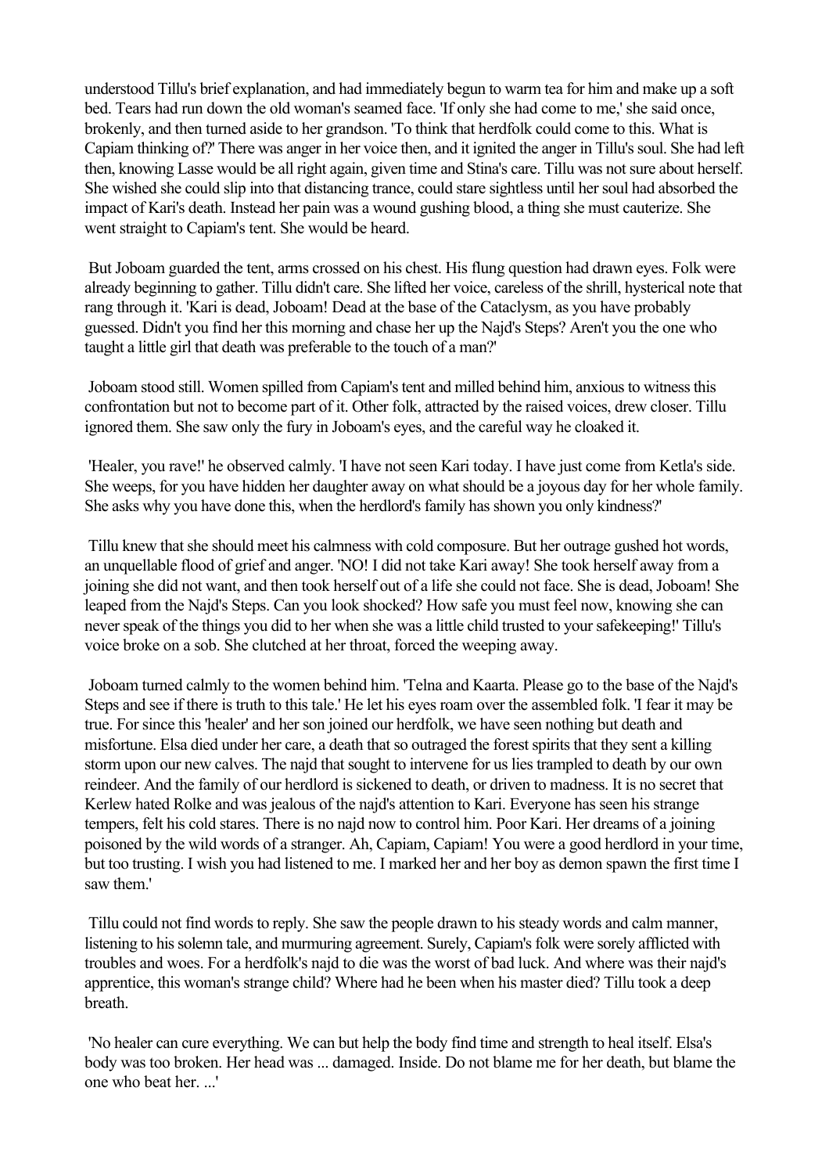understood Tillu's brief explanation, and had immediately begun to warm tea for him and make up a soft bed. Tears had run down the old woman's seamed face. 'If only she had come to me,' she said once, brokenly, and then turned aside to her grandson. 'To think that herdfolk could come to this. What is Capiam thinking of?' There was anger in her voice then, and it ignited the anger in Tillu's soul. She had left then, knowing Lasse would be all right again, given time and Stina's care. Tillu was not sure about herself. She wished she could slip into that distancing trance, could stare sightless until her soul had absorbed the impact of Kari's death. Instead her pain was a wound gushing blood, a thing she must cauterize. She went straight to Capiam's tent. She would be heard.

 But Joboam guarded the tent, arms crossed on his chest. His flung question had drawn eyes. Folk were already beginning to gather. Tillu didn't care. She lifted her voice, careless of the shrill, hysterical note that rang through it. 'Kari is dead, Joboam! Dead at the base of the Cataclysm, as you have probably guessed. Didn't you find her this morning and chase her up the Najd's Steps? Aren't you the one who taught a little girl that death was preferable to the touch of a man?'

 Joboam stood still. Women spilled from Capiam's tent and milled behind him, anxious to witness this confrontation but not to become part of it. Other folk, attracted by the raised voices, drew closer. Tillu ignored them. She saw only the fury in Joboam's eyes, and the careful way he cloaked it.

 'Healer, you rave!' he observed calmly. 'I have not seen Kari today. I have just come from Ketla's side. She weeps, for you have hidden her daughter away on what should be a joyous day for her whole family. She asks why you have done this, when the herdlord's family has shown you only kindness?'

 Tillu knew that she should meet his calmness with cold composure. But her outrage gushed hot words, an unquellable flood of grief and anger. 'NO! I did not take Kari away! She took herself away from a joining she did not want, and then took herself out of a life she could not face. She is dead, Joboam! She leaped from the Najd's Steps. Can you look shocked? How safe you must feel now, knowing she can never speak of the things you did to her when she was a little child trusted to your safekeeping!' Tillu's voice broke on a sob. She clutched at her throat, forced the weeping away.

 Joboam turned calmly to the women behind him. 'Telna and Kaarta. Please go to the base of the Najd's Steps and see if there is truth to this tale.' He let his eyes roam over the assembled folk. 'I fear it may be true. For since this 'healer' and her son joined our herdfolk, we have seen nothing but death and misfortune. Elsa died under her care, a death that so outraged the forest spirits that they sent a killing storm upon our new calves. The najd that sought to intervene for us lies trampled to death by our own reindeer. And the family of our herdlord is sickened to death, or driven to madness. It is no secret that Kerlew hated Rolke and was jealous of the najd's attention to Kari. Everyone has seen his strange tempers, felt his cold stares. There is no najd now to control him. Poor Kari. Her dreams of a joining poisoned by the wild words of a stranger. Ah, Capiam, Capiam! You were a good herdlord in your time, but too trusting. I wish you had listened to me. I marked her and her boy as demon spawn the first time I saw them.'

 Tillu could not find words to reply. She saw the people drawn to his steady words and calm manner, listening to his solemn tale, and murmuring agreement. Surely, Capiam's folk were sorely afflicted with troubles and woes. For a herdfolk's najd to die was the worst of bad luck. And where was their najd's apprentice, this woman's strange child? Where had he been when his master died? Tillu took a deep breath.

 'No healer can cure everything. We can but help the body find time and strength to heal itself. Elsa's body was too broken. Her head was ... damaged. Inside. Do not blame me for her death, but blame the one who beat her. ...'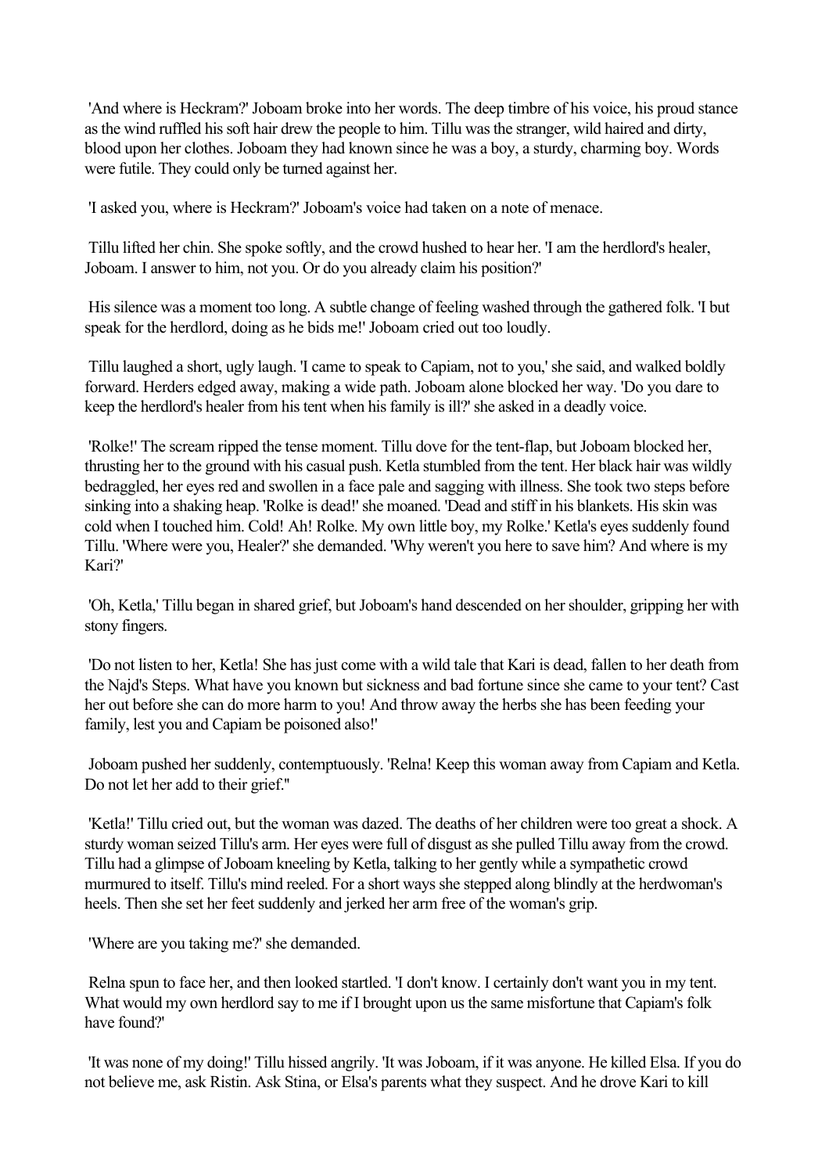'And where is Heckram?' Joboam broke into her words. The deep timbre of his voice, his proud stance as the wind ruffled his soft hair drew the people to him. Tillu was the stranger, wild haired and dirty, blood upon her clothes. Joboam they had known since he was a boy, a sturdy, charming boy. Words were futile. They could only be turned against her.

'I asked you, where is Heckram?' Joboam's voice had taken on a note of menace.

 Tillu lifted her chin. She spoke softly, and the crowd hushed to hear her. 'I am the herdlord's healer, Joboam. I answer to him, not you. Or do you already claim his position?'

 His silence was a moment too long. A subtle change of feeling washed through the gathered folk. 'I but speak for the herdlord, doing as he bids me!' Joboam cried out too loudly.

 Tillu laughed a short, ugly laugh. 'I came to speak to Capiam, not to you,' she said, and walked boldly forward. Herders edged away, making a wide path. Joboam alone blocked her way. 'Do you dare to keep the herdlord's healer from his tent when his family is ill?' she asked in a deadly voice.

 'Rolke!' The scream ripped the tense moment. Tillu dove for the tent-flap, but Joboam blocked her, thrusting her to the ground with his casual push. Ketla stumbled from the tent. Her black hair was wildly bedraggled, her eyes red and swollen in a face pale and sagging with illness. She took two steps before sinking into a shaking heap. 'Rolke is dead!' she moaned. 'Dead and stiff in his blankets. His skin was cold when I touched him. Cold! Ah! Rolke. My own little boy, my Rolke.' Ketla's eyes suddenly found Tillu. 'Where were you, Healer?' she demanded. 'Why weren't you here to save him? And where is my Kari?'

 'Oh, Ketla,' Tillu began in shared grief, but Joboam's hand descended on her shoulder, gripping her with stony fingers.

 'Do not listen to her, Ketla! She has just come with a wild tale that Kari is dead, fallen to her death from the Najd's Steps. What have you known but sickness and bad fortune since she came to your tent? Cast her out before she can do more harm to you! And throw away the herbs she has been feeding your family, lest you and Capiam be poisoned also!'

 Joboam pushed her suddenly, contemptuously. 'Relna! Keep this woman away from Capiam and Ketla. Do not let her add to their grief.''

 'Ketla!' Tillu cried out, but the woman was dazed. The deaths of her children were too great a shock. A sturdy woman seized Tillu's arm. Her eyes were full of disgust as she pulled Tillu away from the crowd. Tillu had a glimpse of Joboam kneeling by Ketla, talking to her gently while a sympathetic crowd murmured to itself. Tillu's mind reeled. For a short ways she stepped along blindly at the herdwoman's heels. Then she set her feet suddenly and jerked her arm free of the woman's grip.

'Where are you taking me?' she demanded.

 Relna spun to face her, and then looked startled. 'I don't know. I certainly don't want you in my tent. What would my own herdlord say to me if I brought upon us the same misfortune that Capiam's folk have found?'

 'It was none of my doing!' Tillu hissed angrily. 'It was Joboam, if it was anyone. He killed Elsa. If you do not believe me, ask Ristin. Ask Stina, or Elsa's parents what they suspect. And he drove Kari to kill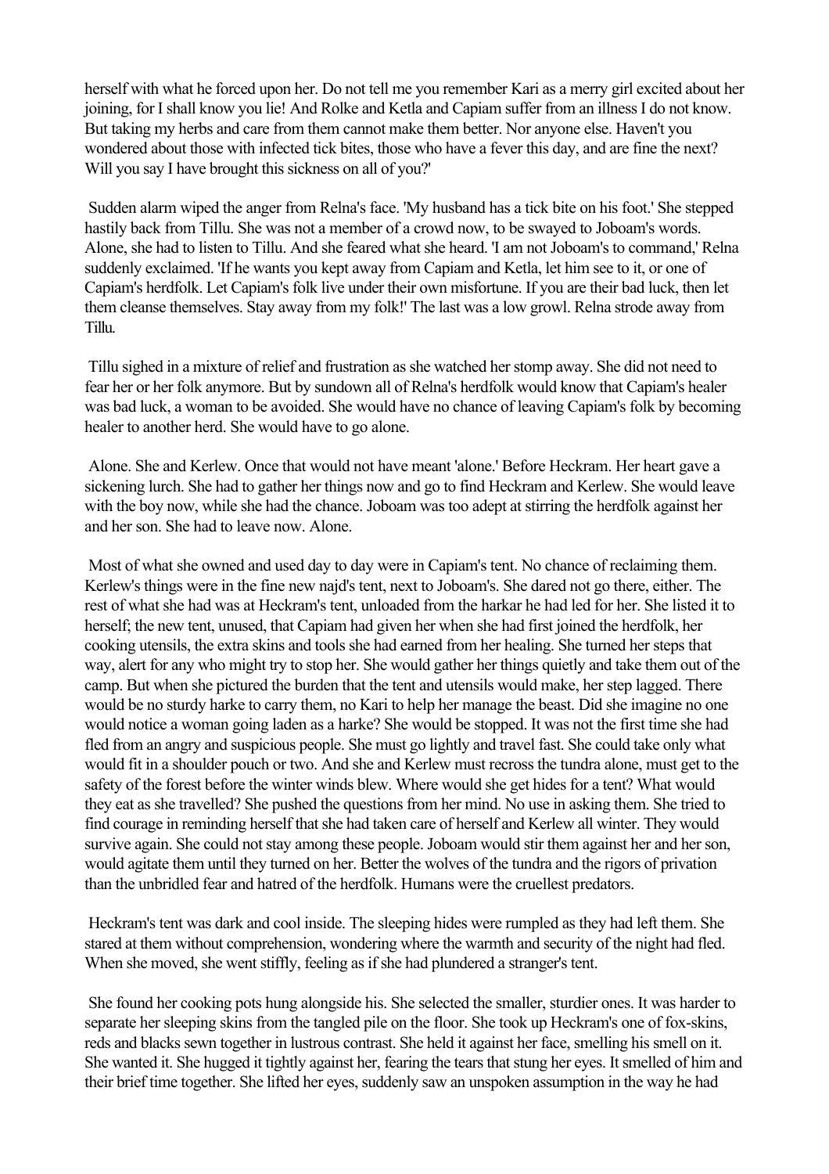herself with what he forced upon her. Do not tell me you remember Kari as a merry girl excited about her joining, for I shall know you lie! And Rolke and Ketla and Capiam suffer from an illness I do not know. But taking my herbs and care from them cannot make them better. Nor anyone else. Haven't you wondered about those with infected tick bites, those who have a fever this day, and are fine the next? Will you say I have brought this sickness on all of you?'

 Sudden alarm wiped the anger from Relna's face. 'My husband has a tick bite on his foot.' She stepped hastily back from Tillu. She was not a member of a crowd now, to be swayed to Joboam's words. Alone, she had to listen to Tillu. And she feared what she heard. 'I am not Joboam's to command,' Relna suddenly exclaimed. 'If he wants you kept away from Capiam and Ketla, let him see to it, or one of Capiam's herdfolk. Let Capiam's folk live under their own misfortune. If you are their bad luck, then let them cleanse themselves. Stay away from my folk!' The last was a low growl. Relna strode away from Tillu.

 Tillu sighed in a mixture of relief and frustration as she watched her stomp away. She did not need to fear her or her folk anymore. But by sundown all of Relna's herdfolk would know that Capiam's healer was bad luck, a woman to be avoided. She would have no chance of leaving Capiam's folk by becoming healer to another herd. She would have to go alone.

 Alone. She and Kerlew. Once that would not have meant 'alone.' Before Heckram. Her heart gave a sickening lurch. She had to gather her things now and go to find Heckram and Kerlew. She would leave with the boy now, while she had the chance. Joboam was too adept at stirring the herdfolk against her and her son. She had to leave now. Alone.

 Most of what she owned and used day to day were in Capiam's tent. No chance of reclaiming them. Kerlew's things were in the fine new najd's tent, next to Joboam's. She dared not go there, either. The rest of what she had was at Heckram's tent, unloaded from the harkar he had led for her. She listed it to herself; the new tent, unused, that Capiam had given her when she had first joined the herdfolk, her cooking utensils, the extra skins and tools she had earned from her healing. She turned her steps that way, alert for any who might try to stop her. She would gather her things quietly and take them out of the camp. But when she pictured the burden that the tent and utensils would make, her step lagged. There would be no sturdy harke to carry them, no Kari to help her manage the beast. Did she imagine no one would notice a woman going laden as a harke? She would be stopped. It was not the first time she had fled from an angry and suspicious people. She must go lightly and travel fast. She could take only what would fit in a shoulder pouch or two. And she and Kerlew must recross the tundra alone, must get to the safety of the forest before the winter winds blew. Where would she get hides for a tent? What would they eat as she travelled? She pushed the questions from her mind. No use in asking them. She tried to find courage in reminding herself that she had taken care of herself and Kerlew all winter. They would survive again. She could not stay among these people. Joboam would stir them against her and her son, would agitate them until they turned on her. Better the wolves of the tundra and the rigors of privation than the unbridled fear and hatred of the herdfolk. Humans were the cruellest predators.

 Heckram's tent was dark and cool inside. The sleeping hides were rumpled as they had left them. She stared at them without comprehension, wondering where the warmth and security of the night had fled. When she moved, she went stiffly, feeling as if she had plundered a stranger's tent.

 She found her cooking pots hung alongside his. She selected the smaller, sturdier ones. It was harder to separate her sleeping skins from the tangled pile on the floor. She took up Heckram's one of fox-skins, reds and blacks sewn together in lustrous contrast. She held it against her face, smelling his smell on it. She wanted it. She hugged it tightly against her, fearing the tears that stung her eyes. It smelled of him and their brief time together. She lifted her eyes, suddenly saw an unspoken assumption in the way he had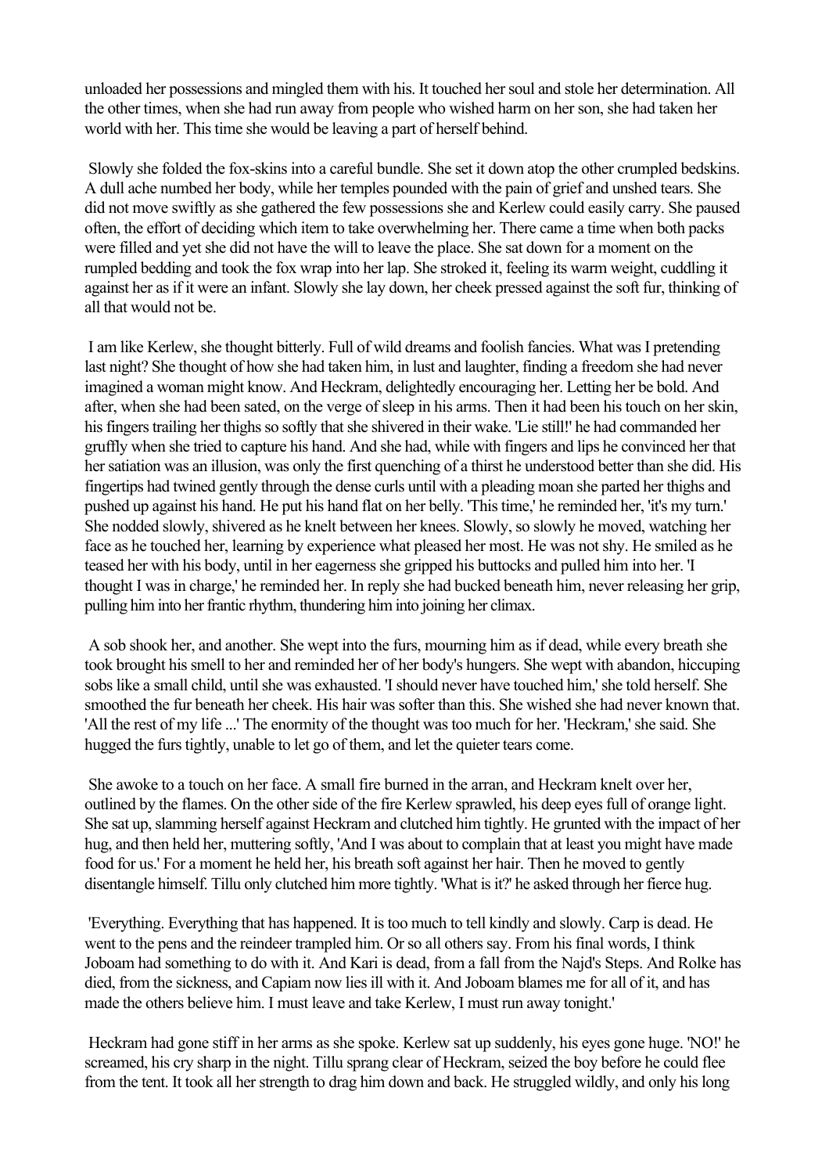unloaded her possessions and mingled them with his. It touched her soul and stole her determination. All the other times, when she had run away from people who wished harm on her son, she had taken her world with her. This time she would be leaving a part of herself behind.

 Slowly she folded the fox-skins into a careful bundle. She set it down atop the other crumpled bedskins. A dull ache numbed her body, while her temples pounded with the pain of grief and unshed tears. She did not move swiftly as she gathered the few possessions she and Kerlew could easily carry. She paused often, the effort of deciding which item to take overwhelming her. There came a time when both packs were filled and yet she did not have the will to leave the place. She sat down for a moment on the rumpled bedding and took the fox wrap into her lap. She stroked it, feeling its warm weight, cuddling it against her as if it were an infant. Slowly she lay down, her cheek pressed against the soft fur, thinking of all that would not be.

 I am like Kerlew, she thought bitterly. Full of wild dreams and foolish fancies. What was I pretending last night? She thought of how she had taken him, in lust and laughter, finding a freedom she had never imagined a woman might know. And Heckram, delightedly encouraging her. Letting her be bold. And after, when she had been sated, on the verge of sleep in his arms. Then it had been his touch on her skin, his fingers trailing her thighs so softly that she shivered in their wake. 'Lie still!' he had commanded her gruffly when she tried to capture his hand. And she had, while with fingers and lips he convinced her that her satiation was an illusion, was only the first quenching of a thirst he understood better than she did. His fingertips had twined gently through the dense curls until with a pleading moan she parted her thighs and pushed up against his hand. He put his hand flat on her belly. 'This time,' he reminded her, 'it's my turn.' She nodded slowly, shivered as he knelt between her knees. Slowly, so slowly he moved, watching her face as he touched her, learning by experience what pleased her most. He was not shy. He smiled as he teased her with his body, until in her eagerness she gripped his buttocks and pulled him into her. 'I thought I was in charge,' he reminded her. In reply she had bucked beneath him, never releasing her grip, pulling him into her frantic rhythm, thundering him into joining her climax.

 A sob shook her, and another. She wept into the furs, mourning him as if dead, while every breath she took brought his smell to her and reminded her of her body's hungers. She wept with abandon, hiccuping sobs like a small child, until she was exhausted. 'I should never have touched him,' she told herself. She smoothed the fur beneath her cheek. His hair was softer than this. She wished she had never known that. 'All the rest of my life ...' The enormity of the thought was too much for her. 'Heckram,' she said. She hugged the furs tightly, unable to let go of them, and let the quieter tears come.

 She awoke to a touch on her face. A small fire burned in the arran, and Heckram knelt over her, outlined by the flames. On the other side of the fire Kerlew sprawled, his deep eyes full of orange light. She sat up, slamming herself against Heckram and clutched him tightly. He grunted with the impact of her hug, and then held her, muttering softly, 'And I was about to complain that at least you might have made food for us.' For a moment he held her, his breath soft against her hair. Then he moved to gently disentangle himself. Tillu only clutched him more tightly. 'What is it?' he asked through her fierce hug.

 'Everything. Everything that has happened. It is too much to tell kindly and slowly. Carp is dead. He went to the pens and the reindeer trampled him. Or so all others say. From his final words, I think Joboam had something to do with it. And Kari is dead, from a fall from the Najd's Steps. And Rolke has died, from the sickness, and Capiam now lies ill with it. And Joboam blames me for all of it, and has made the others believe him. I must leave and take Kerlew, I must run away tonight.'

 Heckram had gone stiff in her arms as she spoke. Kerlew sat up suddenly, his eyes gone huge. 'NO!' he screamed, his cry sharp in the night. Tillu sprang clear of Heckram, seized the boy before he could flee from the tent. It took all her strength to drag him down and back. He struggled wildly, and only his long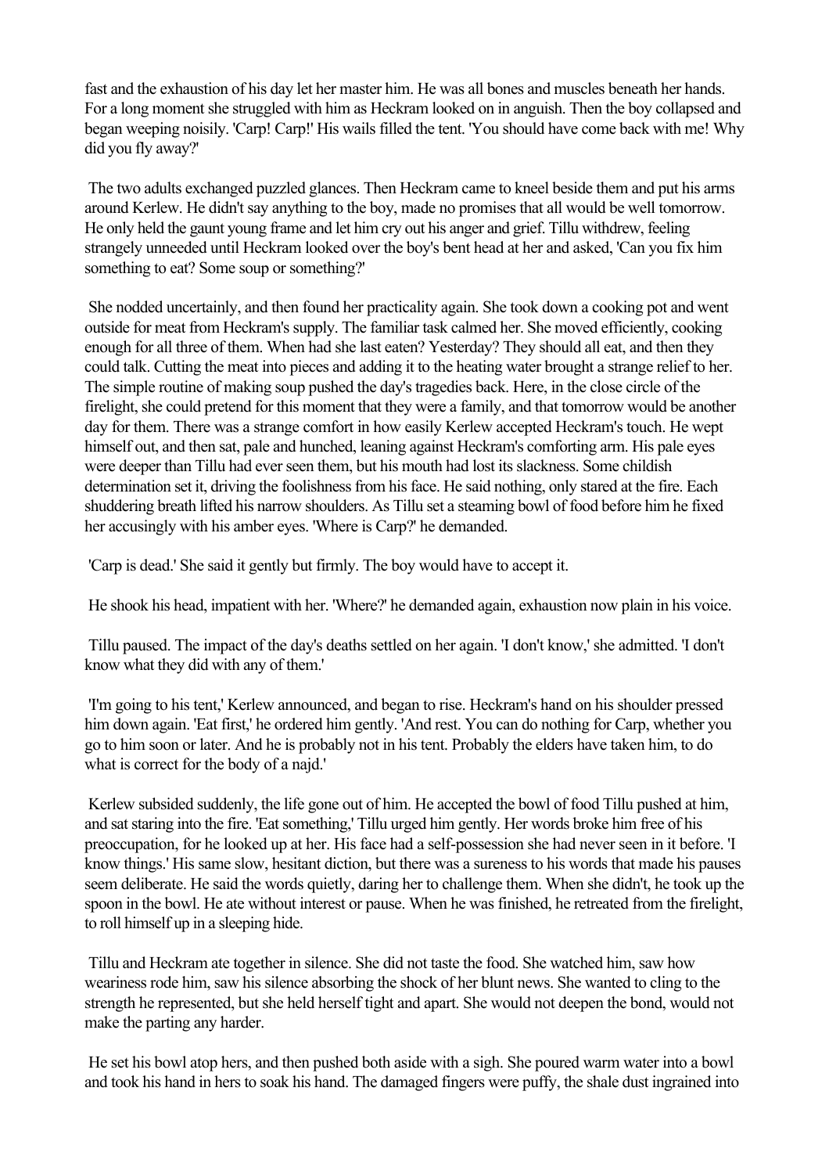fast and the exhaustion of his day let her master him. He was all bones and muscles beneath her hands. For a long moment she struggled with him as Heckram looked on in anguish. Then the boy collapsed and began weeping noisily. 'Carp! Carp!' His wails filled the tent. 'You should have come back with me! Why did you fly away?'

 The two adults exchanged puzzled glances. Then Heckram came to kneel beside them and put his arms around Kerlew. He didn't say anything to the boy, made no promises that all would be well tomorrow. He only held the gaunt young frame and let him cry out his anger and grief. Tillu withdrew, feeling strangely unneeded until Heckram looked over the boy's bent head at her and asked, 'Can you fix him something to eat? Some soup or something?'

 She nodded uncertainly, and then found her practicality again. She took down a cooking pot and went outside for meat from Heckram's supply. The familiar task calmed her. She moved efficiently, cooking enough for all three of them. When had she last eaten? Yesterday? They should all eat, and then they could talk. Cutting the meat into pieces and adding it to the heating water brought a strange relief to her. The simple routine of making soup pushed the day's tragedies back. Here, in the close circle of the firelight, she could pretend for this moment that they were a family, and that tomorrow would be another day for them. There was a strange comfort in how easily Kerlew accepted Heckram's touch. He wept himself out, and then sat, pale and hunched, leaning against Heckram's comforting arm. His pale eyes were deeper than Tillu had ever seen them, but his mouth had lost its slackness. Some childish determination set it, driving the foolishness from his face. He said nothing, only stared at the fire. Each shuddering breath lifted his narrow shoulders. As Tillu set a steaming bowl of food before him he fixed her accusingly with his amber eyes. 'Where is Carp?' he demanded.

'Carp is dead.' She said it gently but firmly. The boy would have to accept it.

He shook his head, impatient with her. 'Where?' he demanded again, exhaustion now plain in his voice.

 Tillu paused. The impact of the day's deaths settled on her again. 'I don't know,' she admitted. 'I don't know what they did with any of them.'

 'I'm going to his tent,' Kerlew announced, and began to rise. Heckram's hand on his shoulder pressed him down again. 'Eat first,' he ordered him gently. 'And rest. You can do nothing for Carp, whether you go to him soon or later. And he is probably not in his tent. Probably the elders have taken him, to do what is correct for the body of a najd.'

 Kerlew subsided suddenly, the life gone out of him. He accepted the bowl of food Tillu pushed at him, and sat staring into the fire. 'Eat something,' Tillu urged him gently. Her words broke him free of his preoccupation, for he looked up at her. His face had a self-possession she had never seen in it before. 'I know things.' His same slow, hesitant diction, but there was a sureness to his words that made his pauses seem deliberate. He said the words quietly, daring her to challenge them. When she didn't, he took up the spoon in the bowl. He ate without interest or pause. When he was finished, he retreated from the firelight, to roll himself up in a sleeping hide.

 Tillu and Heckram ate together in silence. She did not taste the food. She watched him, saw how weariness rode him, saw his silence absorbing the shock of her blunt news. She wanted to cling to the strength he represented, but she held herself tight and apart. She would not deepen the bond, would not make the parting any harder.

 He set his bowl atop hers, and then pushed both aside with a sigh. She poured warm water into a bowl and took his hand in hers to soak his hand. The damaged fingers were puffy, the shale dust ingrained into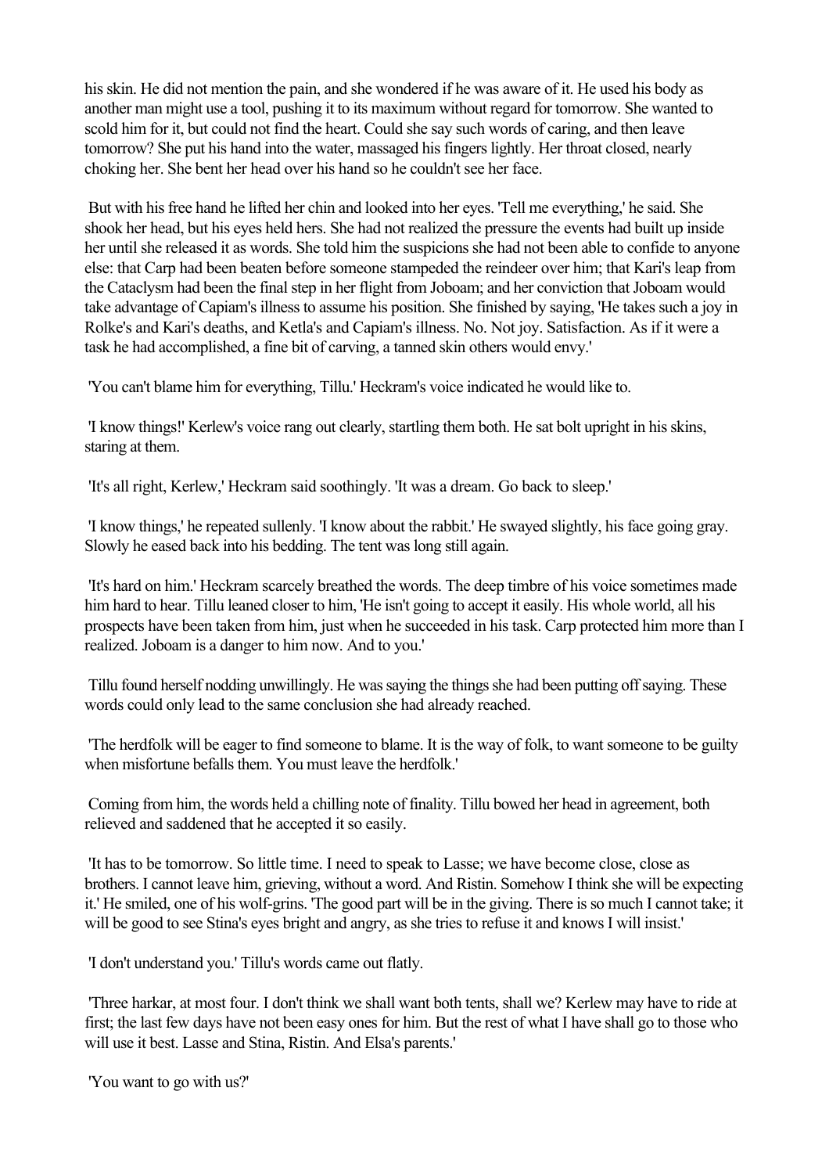his skin. He did not mention the pain, and she wondered if he was aware of it. He used his body as another man might use a tool, pushing it to its maximum without regard for tomorrow. She wanted to scold him for it, but could not find the heart. Could she say such words of caring, and then leave tomorrow? She put his hand into the water, massaged his fingers lightly. Her throat closed, nearly choking her. She bent her head over his hand so he couldn't see her face.

 But with his free hand he lifted her chin and looked into her eyes. 'Tell me everything,' he said. She shook her head, but his eyes held hers. She had not realized the pressure the events had built up inside her until she released it as words. She told him the suspicions she had not been able to confide to anyone else: that Carp had been beaten before someone stampeded the reindeer over him; that Kari's leap from the Cataclysm had been the final step in her flight from Joboam; and her conviction that Joboam would take advantage of Capiam's illness to assume his position. She finished by saying, 'He takes such a joy in Rolke's and Kari's deaths, and Ketla's and Capiam's illness. No. Not joy. Satisfaction. As if it were a task he had accomplished, a fine bit of carving, a tanned skin others would envy.'

'You can't blame him for everything, Tillu.' Heckram's voice indicated he would like to.

 'I know things!' Kerlew's voice rang out clearly, startling them both. He sat bolt upright in his skins, staring at them.

'It's all right, Kerlew,' Heckram said soothingly. 'It was a dream. Go back to sleep.'

 'I know things,' he repeated sullenly. 'I know about the rabbit.' He swayed slightly, his face going gray. Slowly he eased back into his bedding. The tent was long still again.

 'It's hard on him.' Heckram scarcely breathed the words. The deep timbre of his voice sometimes made him hard to hear. Tillu leaned closer to him, 'He isn't going to accept it easily. His whole world, all his prospects have been taken from him, just when he succeeded in his task. Carp protected him more than I realized. Joboam is a danger to him now. And to you.'

 Tillu found herself nodding unwillingly. He was saying the things she had been putting off saying. These words could only lead to the same conclusion she had already reached.

 'The herdfolk will be eager to find someone to blame. It is the way of folk, to want someone to be guilty when misfortune befalls them. You must leave the herdfolk.'

 Coming from him, the words held a chilling note of finality. Tillu bowed her head in agreement, both relieved and saddened that he accepted it so easily.

 'It has to be tomorrow. So little time. I need to speak to Lasse; we have become close, close as brothers. I cannot leave him, grieving, without a word. And Ristin. Somehow I think she will be expecting it.' He smiled, one of his wolf-grins. 'The good part will be in the giving. There is so much I cannot take; it will be good to see Stina's eyes bright and angry, as she tries to refuse it and knows I will insist.'

'I don't understand you.' Tillu's words came out flatly.

 'Three harkar, at most four. I don't think we shall want both tents, shall we? Kerlew may have to ride at first; the last few days have not been easy ones for him. But the rest of what I have shall go to those who will use it best. Lasse and Stina, Ristin. And Elsa's parents.'

'You want to go with us?'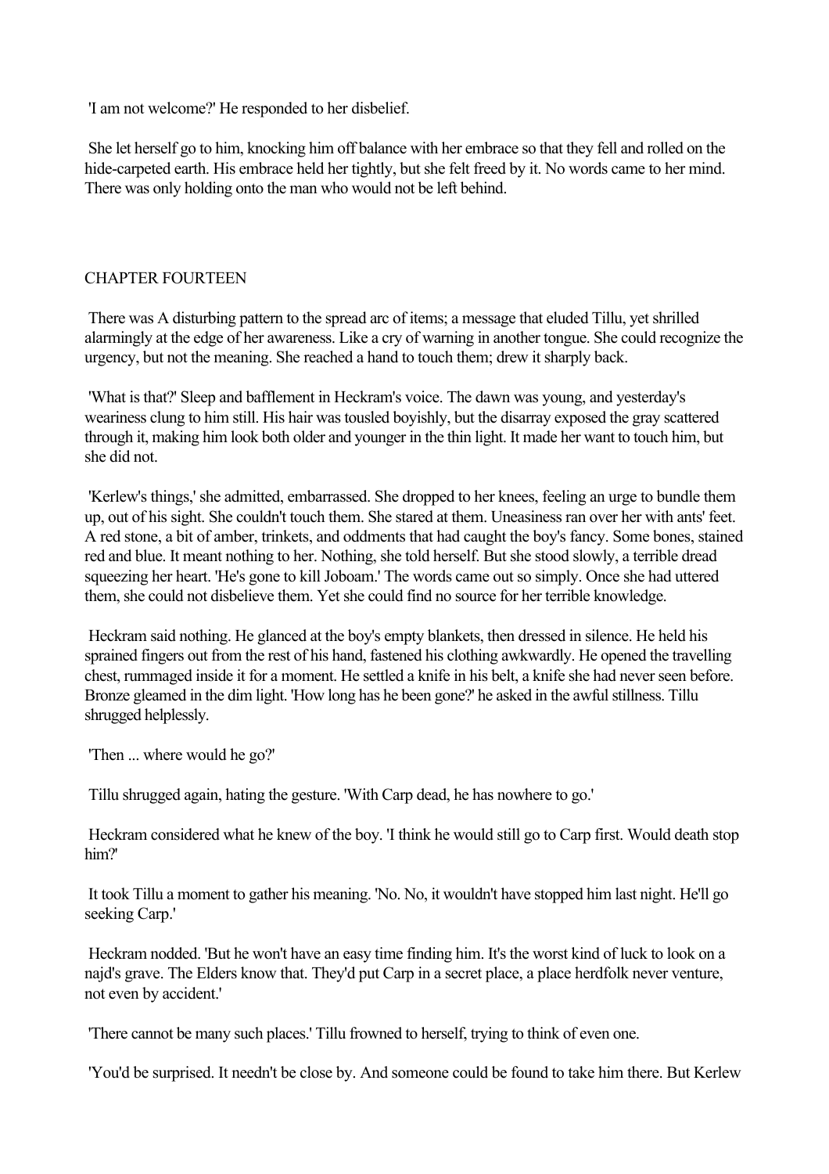'I am not welcome?' He responded to her disbelief.

 She let herself go to him, knocking him off balance with her embrace so that they fell and rolled on the hide-carpeted earth. His embrace held her tightly, but she felt freed by it. No words came to her mind. There was only holding onto the man who would not be left behind.

## CHAPTER FOURTEEN

 There was A disturbing pattern to the spread arc of items; a message that eluded Tillu, yet shrilled alarmingly at the edge of her awareness. Like a cry of warning in another tongue. She could recognize the urgency, but not the meaning. She reached a hand to touch them; drew it sharply back.

 'What is that?' Sleep and bafflement in Heckram's voice. The dawn was young, and yesterday's weariness clung to him still. His hair was tousled boyishly, but the disarray exposed the gray scattered through it, making him look both older and younger in the thin light. It made her want to touch him, but she did not.

 'Kerlew's things,' she admitted, embarrassed. She dropped to her knees, feeling an urge to bundle them up, out of his sight. She couldn't touch them. She stared at them. Uneasiness ran over her with ants' feet. A red stone, a bit of amber, trinkets, and oddments that had caught the boy's fancy. Some bones, stained red and blue. It meant nothing to her. Nothing, she told herself. But she stood slowly, a terrible dread squeezing her heart. 'He's gone to kill Joboam.' The words came out so simply. Once she had uttered them, she could not disbelieve them. Yet she could find no source for her terrible knowledge.

 Heckram said nothing. He glanced at the boy's empty blankets, then dressed in silence. He held his sprained fingers out from the rest of his hand, fastened his clothing awkwardly. He opened the travelling chest, rummaged inside it for a moment. He settled a knife in his belt, a knife she had never seen before. Bronze gleamed in the dim light. 'How long has he been gone?' he asked in the awful stillness. Tillu shrugged helplessly.

'Then ... where would he go?'

Tillu shrugged again, hating the gesture. 'With Carp dead, he has nowhere to go.'

 Heckram considered what he knew of the boy. 'I think he would still go to Carp first. Would death stop him?'

 It took Tillu a moment to gather his meaning. 'No. No, it wouldn't have stopped him last night. He'll go seeking Carp.'

 Heckram nodded. 'But he won't have an easy time finding him. It's the worst kind of luck to look on a najd's grave. The Elders know that. They'd put Carp in a secret place, a place herdfolk never venture, not even by accident.'

'There cannot be many such places.' Tillu frowned to herself, trying to think of even one.

'You'd be surprised. It needn't be close by. And someone could be found to take him there. But Kerlew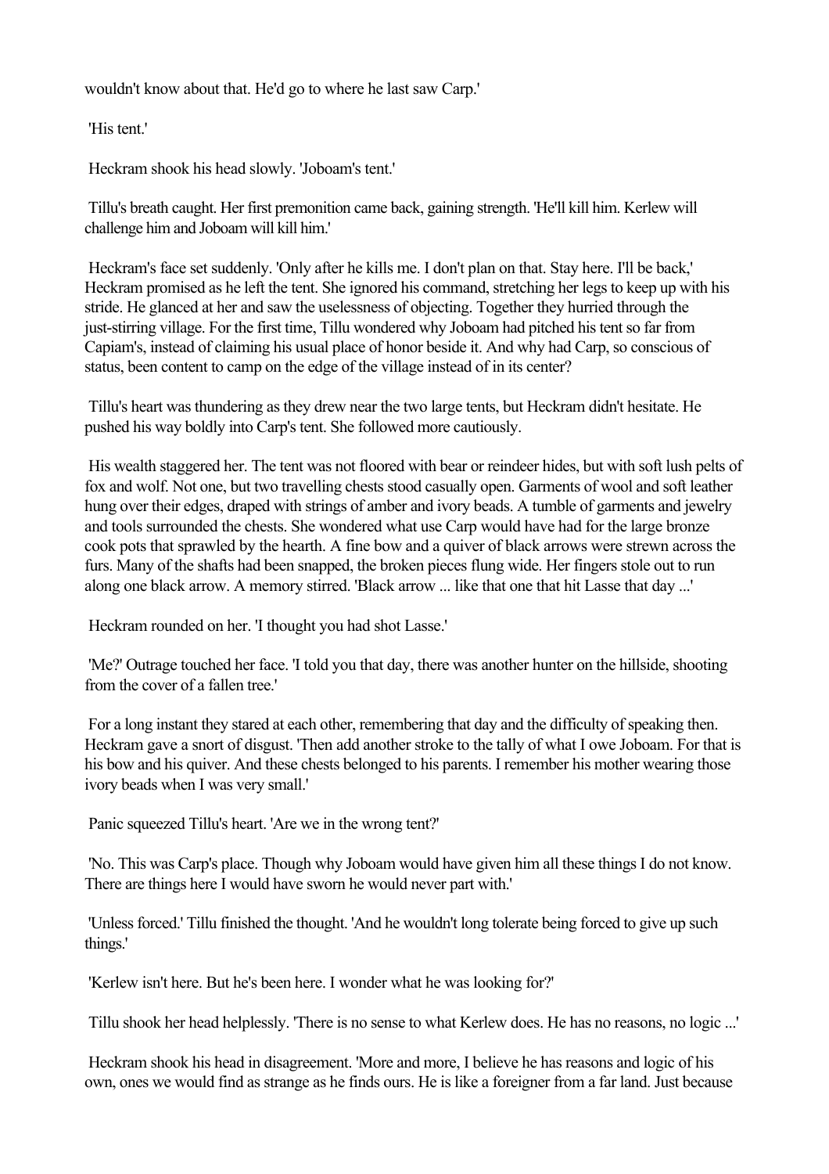wouldn't know about that. He'd go to where he last saw Carp.'

'His tent.'

Heckram shook his head slowly. 'Joboam's tent.'

 Tillu's breath caught. Her first premonition came back, gaining strength. 'He'll kill him. Kerlew will challenge him and Joboam will kill him.'

 Heckram's face set suddenly. 'Only after he kills me. I don't plan on that. Stay here. I'll be back,' Heckram promised as he left the tent. She ignored his command, stretching her legs to keep up with his stride. He glanced at her and saw the uselessness of objecting. Together they hurried through the just-stirring village. For the first time, Tillu wondered why Joboam had pitched his tent so far from Capiam's, instead of claiming his usual place of honor beside it. And why had Carp, so conscious of status, been content to camp on the edge of the village instead of in its center?

 Tillu's heart was thundering as they drew near the two large tents, but Heckram didn't hesitate. He pushed his way boldly into Carp's tent. She followed more cautiously.

 His wealth staggered her. The tent was not floored with bear or reindeer hides, but with soft lush pelts of fox and wolf. Not one, but two travelling chests stood casually open. Garments of wool and soft leather hung over their edges, draped with strings of amber and ivory beads. A tumble of garments and jewelry and tools surrounded the chests. She wondered what use Carp would have had for the large bronze cook pots that sprawled by the hearth. A fine bow and a quiver of black arrows were strewn across the furs. Many of the shafts had been snapped, the broken pieces flung wide. Her fingers stole out to run along one black arrow. A memory stirred. 'Black arrow ... like that one that hit Lasse that day ...'

Heckram rounded on her. 'I thought you had shot Lasse.'

 'Me?' Outrage touched her face. 'I told you that day, there was another hunter on the hillside, shooting from the cover of a fallen tree.'

 For a long instant they stared at each other, remembering that day and the difficulty of speaking then. Heckram gave a snort of disgust. 'Then add another stroke to the tally of what I owe Joboam. For that is his bow and his quiver. And these chests belonged to his parents. I remember his mother wearing those ivory beads when I was very small.'

Panic squeezed Tillu's heart. 'Are we in the wrong tent?'

 'No. This was Carp's place. Though why Joboam would have given him all these things I do not know. There are things here I would have sworn he would never part with.'

 'Unless forced.' Tillu finished the thought. 'And he wouldn't long tolerate being forced to give up such things.'

'Kerlew isn't here. But he's been here. I wonder what he was looking for?'

Tillu shook her head helplessly. 'There is no sense to what Kerlew does. He has no reasons, no logic ...'

 Heckram shook his head in disagreement. 'More and more, I believe he has reasons and logic of his own, ones we would find as strange as he finds ours. He is like a foreigner from a far land. Just because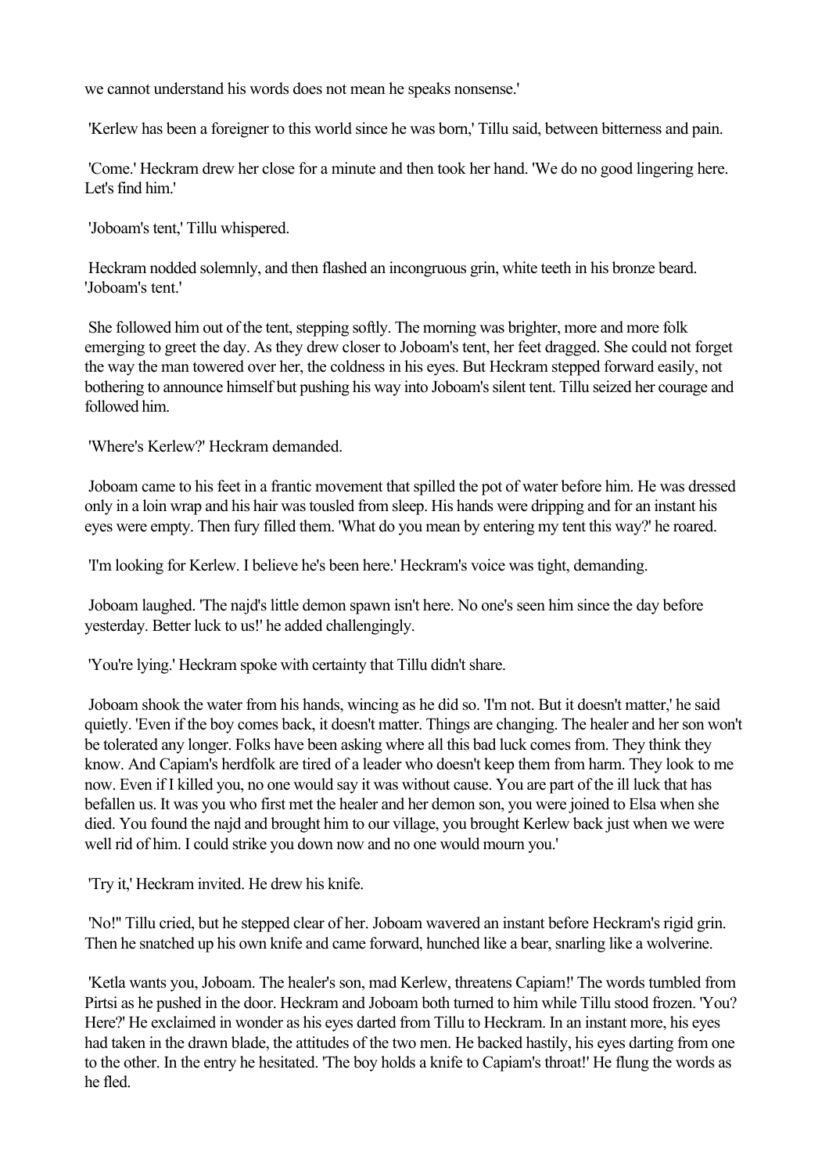we cannot understand his words does not mean he speaks nonsense.'

'Kerlew has been a foreigner to this world since he was born,' Tillu said, between bitterness and pain.

 'Come.' Heckram drew her close for a minute and then took her hand. 'We do no good lingering here. Let's find him.'

'Joboam's tent,' Tillu whispered.

 Heckram nodded solemnly, and then flashed an incongruous grin, white teeth in his bronze beard. 'Joboam's tent.'

 She followed him out of the tent, stepping softly. The morning was brighter, more and more folk emerging to greet the day. As they drew closer to Joboam's tent, her feet dragged. She could not forget the way the man towered over her, the coldness in his eyes. But Heckram stepped forward easily, not bothering to announce himself but pushing his way into Joboam's silent tent. Tillu seized her courage and followed him.

'Where's Kerlew?' Heckram demanded.

 Joboam came to his feet in a frantic movement that spilled the pot of water before him. He was dressed only in a loin wrap and his hair was tousled from sleep. His hands were dripping and for an instant his eyes were empty. Then fury filled them. 'What do you mean by entering my tent this way?' he roared.

'I'm looking for Kerlew. I believe he's been here.' Heckram's voice was tight, demanding.

 Joboam laughed. 'The najd's little demon spawn isn't here. No one's seen him since the day before yesterday. Better luck to us!' he added challengingly.

'You're lying.' Heckram spoke with certainty that Tillu didn't share.

 Joboam shook the water from his hands, wincing as he did so. 'I'm not. But it doesn't matter,' he said quietly. 'Even if the boy comes back, it doesn't matter. Things are changing. The healer and her son won't be tolerated any longer. Folks have been asking where all this bad luck comes from. They think they know. And Capiam's herdfolk are tired of a leader who doesn't keep them from harm. They look to me now. Even if I killed you, no one would say it was without cause. You are part of the ill luck that has befallen us. It was you who first met the healer and her demon son, you were joined to Elsa when she died. You found the najd and brought him to our village, you brought Kerlew back just when we were well rid of him. I could strike you down now and no one would mourn you.'

'Try it,' Heckram invited. He drew his knife.

 'No!'' Tillu cried, but he stepped clear of her. Joboam wavered an instant before Heckram's rigid grin. Then he snatched up his own knife and came forward, hunched like a bear, snarling like a wolverine.

 'Ketla wants you, Joboam. The healer's son, mad Kerlew, threatens Capiam!' The words tumbled from Pirtsi as he pushed in the door. Heckram and Joboam both turned to him while Tillu stood frozen. 'You? Here?' He exclaimed in wonder as his eyes darted from Tillu to Heckram. In an instant more, his eyes had taken in the drawn blade, the attitudes of the two men. He backed hastily, his eyes darting from one to the other. In the entry he hesitated. 'The boy holds a knife to Capiam's throat!' He flung the words as he fled.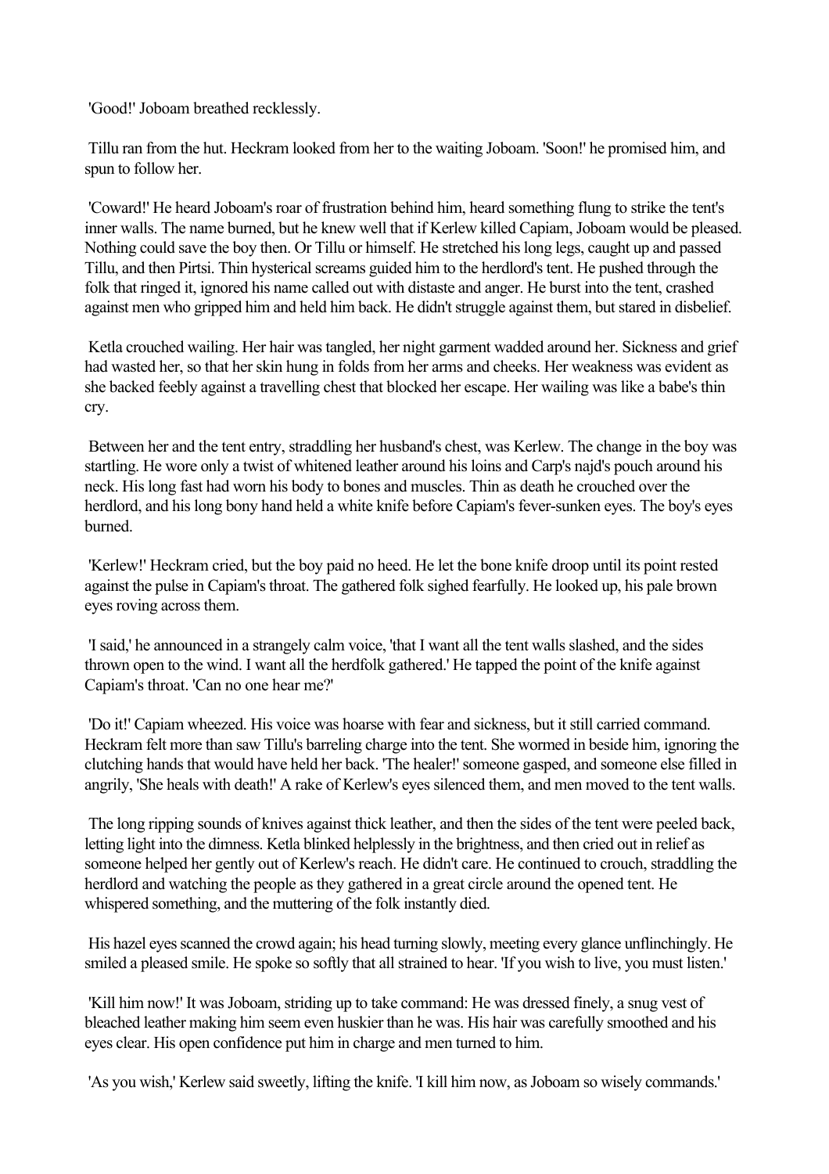'Good!' Joboam breathed recklessly.

 Tillu ran from the hut. Heckram looked from her to the waiting Joboam. 'Soon!' he promised him, and spun to follow her.

 'Coward!' He heard Joboam's roar of frustration behind him, heard something flung to strike the tent's inner walls. The name burned, but he knew well that if Kerlew killed Capiam, Joboam would be pleased. Nothing could save the boy then. Or Tillu or himself. He stretched his long legs, caught up and passed Tillu, and then Pirtsi. Thin hysterical screams guided him to the herdlord's tent. He pushed through the folk that ringed it, ignored his name called out with distaste and anger. He burst into the tent, crashed against men who gripped him and held him back. He didn't struggle against them, but stared in disbelief.

 Ketla crouched wailing. Her hair was tangled, her night garment wadded around her. Sickness and grief had wasted her, so that her skin hung in folds from her arms and cheeks. Her weakness was evident as she backed feebly against a travelling chest that blocked her escape. Her wailing was like a babe's thin cry.

 Between her and the tent entry, straddling her husband's chest, was Kerlew. The change in the boy was startling. He wore only a twist of whitened leather around his loins and Carp's najd's pouch around his neck. His long fast had worn his body to bones and muscles. Thin as death he crouched over the herdlord, and his long bony hand held a white knife before Capiam's fever-sunken eyes. The boy's eyes burned.

 'Kerlew!' Heckram cried, but the boy paid no heed. He let the bone knife droop until its point rested against the pulse in Capiam's throat. The gathered folk sighed fearfully. He looked up, his pale brown eyes roving across them.

 'I said,' he announced in a strangely calm voice, 'that I want all the tent walls slashed, and the sides thrown open to the wind. I want all the herdfolk gathered.' He tapped the point of the knife against Capiam's throat. 'Can no one hear me?'

 'Do it!' Capiam wheezed. His voice was hoarse with fear and sickness, but it still carried command. Heckram felt more than saw Tillu's barreling charge into the tent. She wormed in beside him, ignoring the clutching hands that would have held her back. 'The healer!' someone gasped, and someone else filled in angrily, 'She heals with death!' A rake of Kerlew's eyes silenced them, and men moved to the tent walls.

 The long ripping sounds of knives against thick leather, and then the sides of the tent were peeled back, letting light into the dimness. Ketla blinked helplessly in the brightness, and then cried out in relief as someone helped her gently out of Kerlew's reach. He didn't care. He continued to crouch, straddling the herdlord and watching the people as they gathered in a great circle around the opened tent. He whispered something, and the muttering of the folk instantly died.

 His hazel eyes scanned the crowd again; his head turning slowly, meeting every glance unflinchingly. He smiled a pleased smile. He spoke so softly that all strained to hear. 'If you wish to live, you must listen.'

 'Kill him now!' It was Joboam, striding up to take command: He was dressed finely, a snug vest of bleached leather making him seem even huskier than he was. His hair was carefully smoothed and his eyes clear. His open confidence put him in charge and men turned to him.

'As you wish,' Kerlew said sweetly, lifting the knife. 'I kill him now, as Joboam so wisely commands.'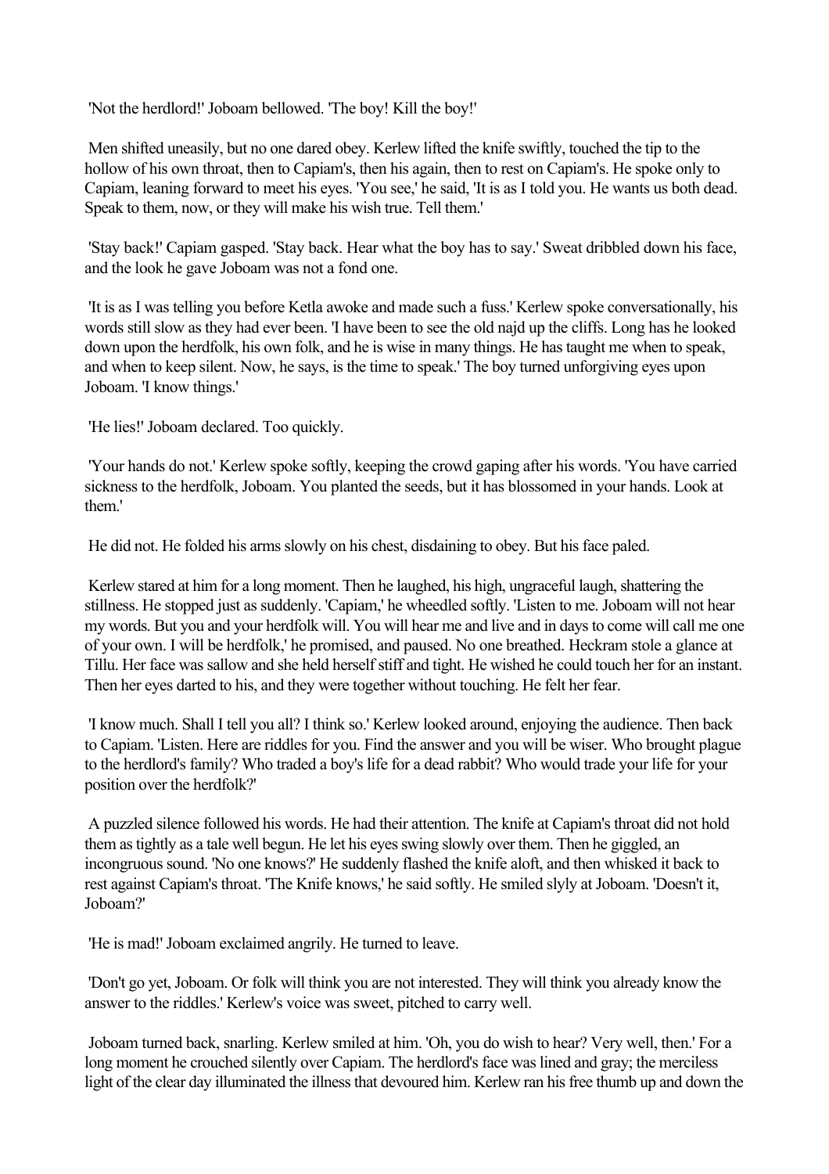'Not the herdlord!' Joboam bellowed. 'The boy! Kill the boy!'

 Men shifted uneasily, but no one dared obey. Kerlew lifted the knife swiftly, touched the tip to the hollow of his own throat, then to Capiam's, then his again, then to rest on Capiam's. He spoke only to Capiam, leaning forward to meet his eyes. 'You see,' he said, 'It is as I told you. He wants us both dead. Speak to them, now, or they will make his wish true. Tell them.'

 'Stay back!' Capiam gasped. 'Stay back. Hear what the boy has to say.' Sweat dribbled down his face, and the look he gave Joboam was not a fond one.

 'It is as I was telling you before Ketla awoke and made such a fuss.' Kerlew spoke conversationally, his words still slow as they had ever been. 'I have been to see the old najd up the cliffs. Long has he looked down upon the herdfolk, his own folk, and he is wise in many things. He has taught me when to speak, and when to keep silent. Now, he says, is the time to speak.' The boy turned unforgiving eyes upon Joboam. 'I know things.'

'He lies!' Joboam declared. Too quickly.

 'Your hands do not.' Kerlew spoke softly, keeping the crowd gaping after his words. 'You have carried sickness to the herdfolk, Joboam. You planted the seeds, but it has blossomed in your hands. Look at them.'

He did not. He folded his arms slowly on his chest, disdaining to obey. But his face paled.

 Kerlew stared at him for a long moment. Then he laughed, his high, ungraceful laugh, shattering the stillness. He stopped just as suddenly. 'Capiam,' he wheedled softly. 'Listen to me. Joboam will not hear my words. But you and your herdfolk will. You will hear me and live and in days to come will call me one of your own. I will be herdfolk,' he promised, and paused. No one breathed. Heckram stole a glance at Tillu. Her face was sallow and she held herself stiff and tight. He wished he could touch her for an instant. Then her eyes darted to his, and they were together without touching. He felt her fear.

 'I know much. Shall I tell you all? I think so.' Kerlew looked around, enjoying the audience. Then back to Capiam. 'Listen. Here are riddles for you. Find the answer and you will be wiser. Who brought plague to the herdlord's family? Who traded a boy's life for a dead rabbit? Who would trade your life for your position over the herdfolk?'

 A puzzled silence followed his words. He had their attention. The knife at Capiam's throat did not hold them as tightly as a tale well begun. He let his eyes swing slowly over them. Then he giggled, an incongruous sound. 'No one knows?' He suddenly flashed the knife aloft, and then whisked it back to rest against Capiam's throat. 'The Knife knows,' he said softly. He smiled slyly at Joboam. 'Doesn't it, Joboam?'

'He is mad!' Joboam exclaimed angrily. He turned to leave.

 'Don't go yet, Joboam. Or folk will think you are not interested. They will think you already know the answer to the riddles.' Kerlew's voice was sweet, pitched to carry well.

 Joboam turned back, snarling. Kerlew smiled at him. 'Oh, you do wish to hear? Very well, then.' For a long moment he crouched silently over Capiam. The herdlord's face was lined and gray; the merciless light of the clear day illuminated the illness that devoured him. Kerlew ran his free thumb up and down the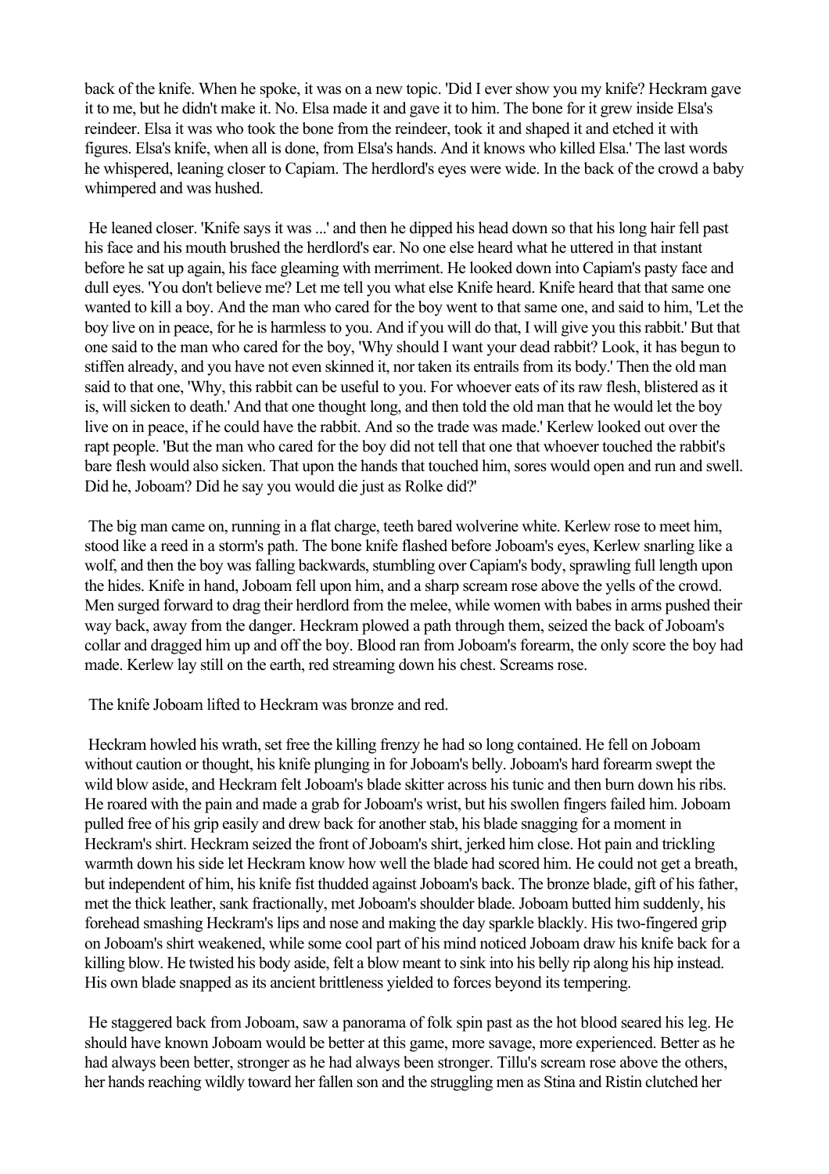back of the knife. When he spoke, it was on a new topic. 'Did I ever show you my knife? Heckram gave it to me, but he didn't make it. No. Elsa made it and gave it to him. The bone for it grew inside Elsa's reindeer. Elsa it was who took the bone from the reindeer, took it and shaped it and etched it with figures. Elsa's knife, when all is done, from Elsa's hands. And it knows who killed Elsa.' The last words he whispered, leaning closer to Capiam. The herdlord's eyes were wide. In the back of the crowd a baby whimpered and was hushed.

 He leaned closer. 'Knife says it was ...' and then he dipped his head down so that his long hair fell past his face and his mouth brushed the herdlord's ear. No one else heard what he uttered in that instant before he sat up again, his face gleaming with merriment. He looked down into Capiam's pasty face and dull eyes. 'You don't believe me? Let me tell you what else Knife heard. Knife heard that that same one wanted to kill a boy. And the man who cared for the boy went to that same one, and said to him, 'Let the boy live on in peace, for he is harmless to you. And if you will do that, I will give you this rabbit.' But that one said to the man who cared for the boy, 'Why should I want your dead rabbit? Look, it has begun to stiffen already, and you have not even skinned it, nor taken its entrails from its body.' Then the old man said to that one, 'Why, this rabbit can be useful to you. For whoever eats of its raw flesh, blistered as it is, will sicken to death.' And that one thought long, and then told the old man that he would let the boy live on in peace, if he could have the rabbit. And so the trade was made.' Kerlew looked out over the rapt people. 'But the man who cared for the boy did not tell that one that whoever touched the rabbit's bare flesh would also sicken. That upon the hands that touched him, sores would open and run and swell. Did he, Joboam? Did he say you would die just as Rolke did?'

 The big man came on, running in a flat charge, teeth bared wolverine white. Kerlew rose to meet him, stood like a reed in a storm's path. The bone knife flashed before Joboam's eyes, Kerlew snarling like a wolf, and then the boy was falling backwards, stumbling over Capiam's body, sprawling full length upon the hides. Knife in hand, Joboam fell upon him, and a sharp scream rose above the yells of the crowd. Men surged forward to drag their herdlord from the melee, while women with babes in arms pushed their way back, away from the danger. Heckram plowed a path through them, seized the back of Joboam's collar and dragged him up and off the boy. Blood ran from Joboam's forearm, the only score the boy had made. Kerlew lay still on the earth, red streaming down his chest. Screams rose.

The knife Joboam lifted to Heckram was bronze and red.

 Heckram howled his wrath, set free the killing frenzy he had so long contained. He fell on Joboam without caution or thought, his knife plunging in for Joboam's belly. Joboam's hard forearm swept the wild blow aside, and Heckram felt Joboam's blade skitter across his tunic and then burn down his ribs. He roared with the pain and made a grab for Joboam's wrist, but his swollen fingers failed him. Joboam pulled free of his grip easily and drew back for another stab, his blade snagging for a moment in Heckram's shirt. Heckram seized the front of Joboam's shirt, jerked him close. Hot pain and trickling warmth down his side let Heckram know how well the blade had scored him. He could not get a breath, but independent of him, his knife fist thudded against Joboam's back. The bronze blade, gift of his father, met the thick leather, sank fractionally, met Joboam's shoulder blade. Joboam butted him suddenly, his forehead smashing Heckram's lips and nose and making the day sparkle blackly. His two-fingered grip on Joboam's shirt weakened, while some cool part of his mind noticed Joboam draw his knife back for a killing blow. He twisted his body aside, felt a blow meant to sink into his belly rip along his hip instead. His own blade snapped as its ancient brittleness yielded to forces beyond its tempering.

 He staggered back from Joboam, saw a panorama of folk spin past as the hot blood seared his leg. He should have known Joboam would be better at this game, more savage, more experienced. Better as he had always been better, stronger as he had always been stronger. Tillu's scream rose above the others, her hands reaching wildly toward her fallen son and the struggling men as Stina and Ristin clutched her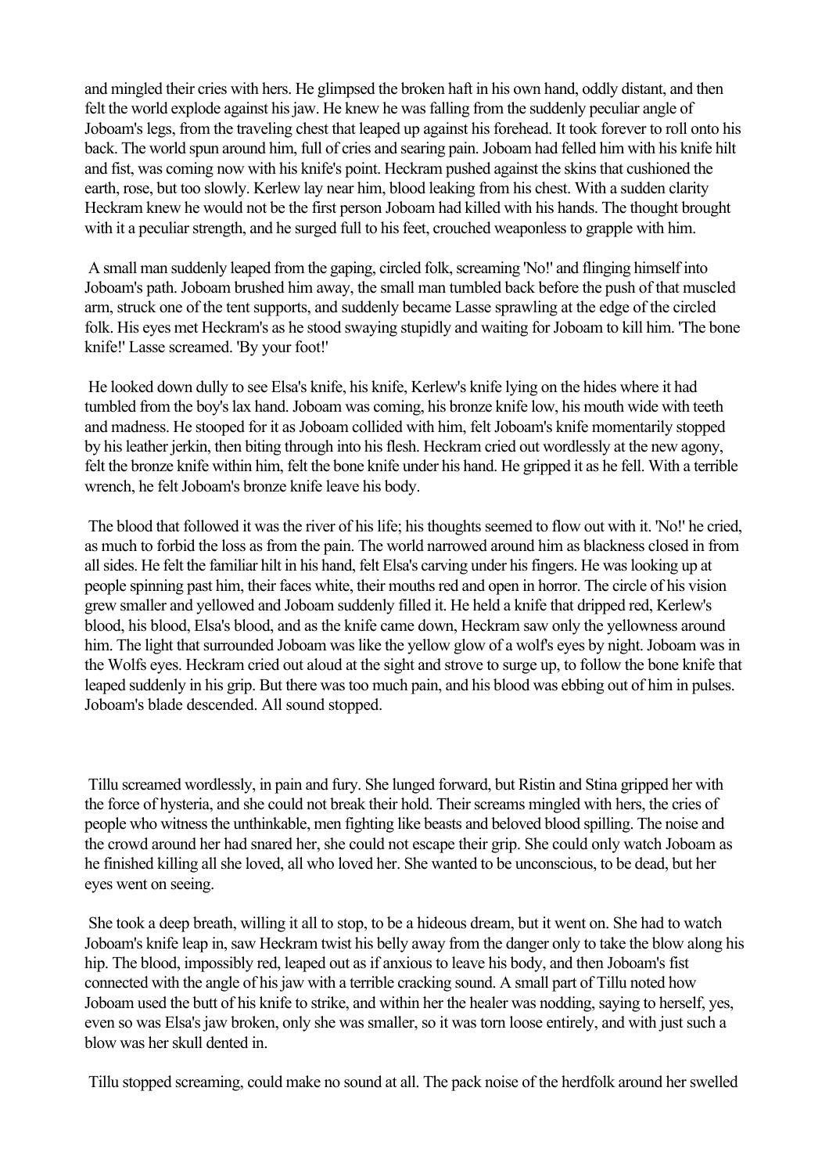and mingled their cries with hers. He glimpsed the broken haft in his own hand, oddly distant, and then felt the world explode against his jaw. He knew he was falling from the suddenly peculiar angle of Joboam's legs, from the traveling chest that leaped up against his forehead. It took forever to roll onto his back. The world spun around him, full of cries and searing pain. Joboam had felled him with his knife hilt and fist, was coming now with his knife's point. Heckram pushed against the skins that cushioned the earth, rose, but too slowly. Kerlew lay near him, blood leaking from his chest. With a sudden clarity Heckram knew he would not be the first person Joboam had killed with his hands. The thought brought with it a peculiar strength, and he surged full to his feet, crouched weaponless to grapple with him.

 A small man suddenly leaped from the gaping, circled folk, screaming 'No!' and flinging himself into Joboam's path. Joboam brushed him away, the small man tumbled back before the push of that muscled arm, struck one of the tent supports, and suddenly became Lasse sprawling at the edge of the circled folk. His eyes met Heckram's as he stood swaying stupidly and waiting for Joboam to kill him. 'The bone knife!' Lasse screamed. 'By your foot!'

 He looked down dully to see Elsa's knife, his knife, Kerlew's knife lying on the hides where it had tumbled from the boy's lax hand. Joboam was coming, his bronze knife low, his mouth wide with teeth and madness. He stooped for it as Joboam collided with him, felt Joboam's knife momentarily stopped by his leather jerkin, then biting through into his flesh. Heckram cried out wordlessly at the new agony, felt the bronze knife within him, felt the bone knife under his hand. He gripped it as he fell. With a terrible wrench, he felt Joboam's bronze knife leave his body.

 The blood that followed it was the river of his life; his thoughts seemed to flow out with it. 'No!' he cried, as much to forbid the loss as from the pain. The world narrowed around him as blackness closed in from all sides. He felt the familiar hilt in his hand, felt Elsa's carving under his fingers. He was looking up at people spinning past him, their faces white, their mouths red and open in horror. The circle of his vision grew smaller and yellowed and Joboam suddenly filled it. He held a knife that dripped red, Kerlew's blood, his blood, Elsa's blood, and as the knife came down, Heckram saw only the yellowness around him. The light that surrounded Joboam was like the yellow glow of a wolf's eyes by night. Joboam was in the Wolfs eyes. Heckram cried out aloud at the sight and strove to surge up, to follow the bone knife that leaped suddenly in his grip. But there was too much pain, and his blood was ebbing out of him in pulses. Joboam's blade descended. All sound stopped.

 Tillu screamed wordlessly, in pain and fury. She lunged forward, but Ristin and Stina gripped her with the force of hysteria, and she could not break their hold. Their screams mingled with hers, the cries of people who witness the unthinkable, men fighting like beasts and beloved blood spilling. The noise and the crowd around her had snared her, she could not escape their grip. She could only watch Joboam as he finished killing all she loved, all who loved her. She wanted to be unconscious, to be dead, but her eyes went on seeing.

 She took a deep breath, willing it all to stop, to be a hideous dream, but it went on. She had to watch Joboam's knife leap in, saw Heckram twist his belly away from the danger only to take the blow along his hip. The blood, impossibly red, leaped out as if anxious to leave his body, and then Joboam's fist connected with the angle of his jaw with a terrible cracking sound. A small part of Tillu noted how Joboam used the butt of his knife to strike, and within her the healer was nodding, saying to herself, yes, even so was Elsa's jaw broken, only she was smaller, so it was torn loose entirely, and with just such a blow was her skull dented in.

Tillu stopped screaming, could make no sound at all. The pack noise of the herdfolk around her swelled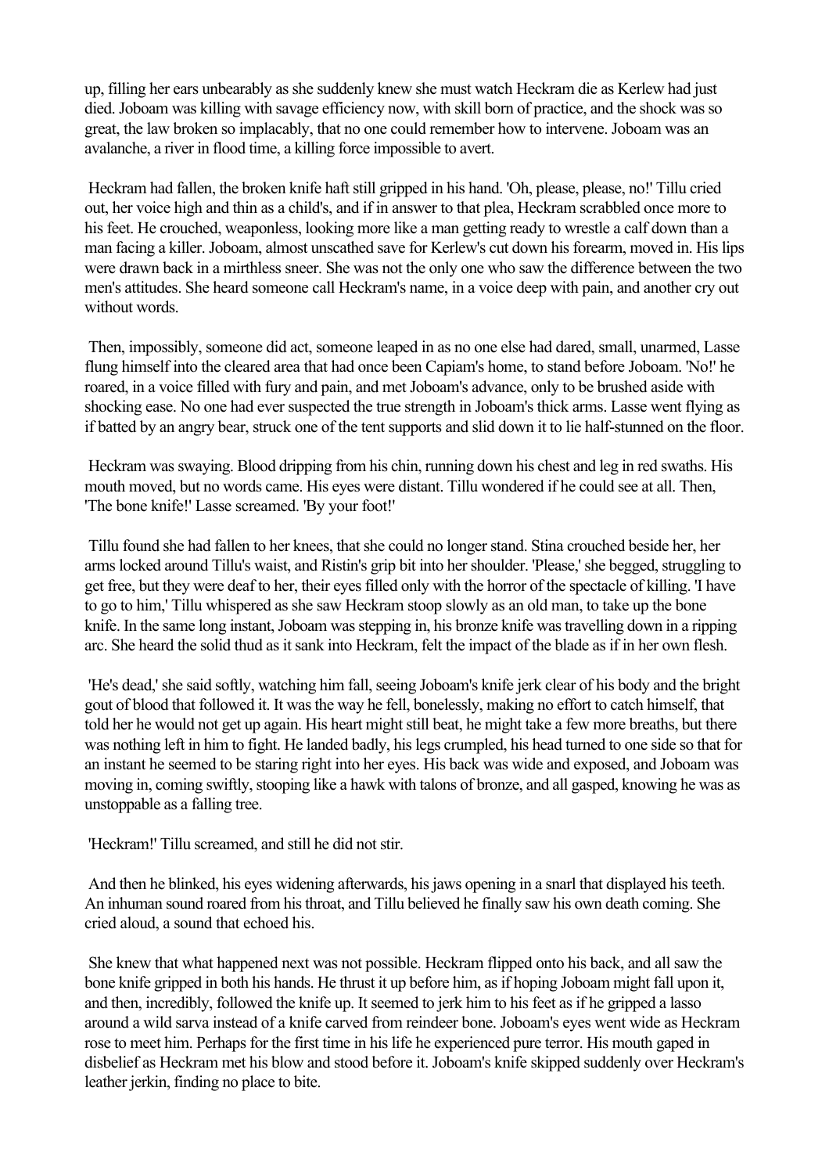up, filling her ears unbearably as she suddenly knew she must watch Heckram die as Kerlew had just died. Joboam was killing with savage efficiency now, with skill born of practice, and the shock was so great, the law broken so implacably, that no one could remember how to intervene. Joboam was an avalanche, a river in flood time, a killing force impossible to avert.

 Heckram had fallen, the broken knife haft still gripped in his hand. 'Oh, please, please, no!' Tillu cried out, her voice high and thin as a child's, and if in answer to that plea, Heckram scrabbled once more to his feet. He crouched, weaponless, looking more like a man getting ready to wrestle a calf down than a man facing a killer. Joboam, almost unscathed save for Kerlew's cut down his forearm, moved in. His lips were drawn back in a mirthless sneer. She was not the only one who saw the difference between the two men's attitudes. She heard someone call Heckram's name, in a voice deep with pain, and another cry out without words.

 Then, impossibly, someone did act, someone leaped in as no one else had dared, small, unarmed, Lasse flung himself into the cleared area that had once been Capiam's home, to stand before Joboam. 'No!' he roared, in a voice filled with fury and pain, and met Joboam's advance, only to be brushed aside with shocking ease. No one had ever suspected the true strength in Joboam's thick arms. Lasse went flying as if batted by an angry bear, struck one of the tent supports and slid down it to lie half-stunned on the floor.

 Heckram was swaying. Blood dripping from his chin, running down his chest and leg in red swaths. His mouth moved, but no words came. His eyes were distant. Tillu wondered if he could see at all. Then, 'The bone knife!' Lasse screamed. 'By your foot!'

 Tillu found she had fallen to her knees, that she could no longer stand. Stina crouched beside her, her arms locked around Tillu's waist, and Ristin's grip bit into her shoulder. 'Please,' she begged, struggling to get free, but they were deaf to her, their eyes filled only with the horror of the spectacle of killing. 'I have to go to him,' Tillu whispered as she saw Heckram stoop slowly as an old man, to take up the bone knife. In the same long instant, Joboam was stepping in, his bronze knife was travelling down in a ripping arc. She heard the solid thud as it sank into Heckram, felt the impact of the blade as if in her own flesh.

 'He's dead,' she said softly, watching him fall, seeing Joboam's knife jerk clear of his body and the bright gout of blood that followed it. It was the way he fell, bonelessly, making no effort to catch himself, that told her he would not get up again. His heart might still beat, he might take a few more breaths, but there was nothing left in him to fight. He landed badly, his legs crumpled, his head turned to one side so that for an instant he seemed to be staring right into her eyes. His back was wide and exposed, and Joboam was moving in, coming swiftly, stooping like a hawk with talons of bronze, and all gasped, knowing he was as unstoppable as a falling tree.

'Heckram!' Tillu screamed, and still he did not stir.

 And then he blinked, his eyes widening afterwards, his jaws opening in a snarl that displayed his teeth. An inhuman sound roared from his throat, and Tillu believed he finally saw his own death coming. She cried aloud, a sound that echoed his.

 She knew that what happened next was not possible. Heckram flipped onto his back, and all saw the bone knife gripped in both his hands. He thrust it up before him, as if hoping Joboam might fall upon it, and then, incredibly, followed the knife up. It seemed to jerk him to his feet as if he gripped a lasso around a wild sarva instead of a knife carved from reindeer bone. Joboam's eyes went wide as Heckram rose to meet him. Perhaps for the first time in his life he experienced pure terror. His mouth gaped in disbelief as Heckram met his blow and stood before it. Joboam's knife skipped suddenly over Heckram's leather jerkin, finding no place to bite.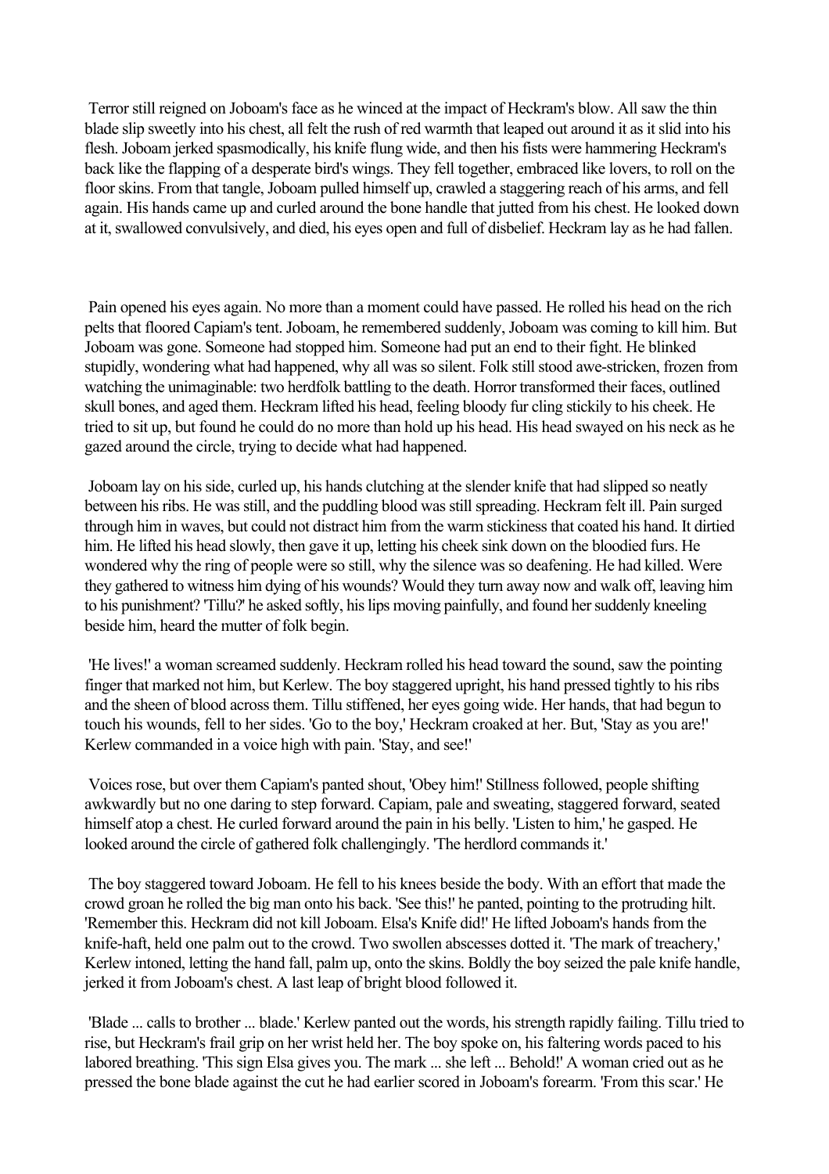Terror still reigned on Joboam's face as he winced at the impact of Heckram's blow. All saw the thin blade slip sweetly into his chest, all felt the rush of red warmth that leaped out around it as it slid into his flesh. Joboam jerked spasmodically, his knife flung wide, and then his fists were hammering Heckram's back like the flapping of a desperate bird's wings. They fell together, embraced like lovers, to roll on the floor skins. From that tangle, Joboam pulled himself up, crawled a staggering reach of his arms, and fell again. His hands came up and curled around the bone handle that jutted from his chest. He looked down at it, swallowed convulsively, and died, his eyes open and full of disbelief. Heckram lay as he had fallen.

 Pain opened his eyes again. No more than a moment could have passed. He rolled his head on the rich pelts that floored Capiam's tent. Joboam, he remembered suddenly, Joboam was coming to kill him. But Joboam was gone. Someone had stopped him. Someone had put an end to their fight. He blinked stupidly, wondering what had happened, why all was so silent. Folk still stood awe-stricken, frozen from watching the unimaginable: two herdfolk battling to the death. Horror transformed their faces, outlined skull bones, and aged them. Heckram lifted his head, feeling bloody fur cling stickily to his cheek. He tried to sit up, but found he could do no more than hold up his head. His head swayed on his neck as he gazed around the circle, trying to decide what had happened.

 Joboam lay on his side, curled up, his hands clutching at the slender knife that had slipped so neatly between his ribs. He was still, and the puddling blood was still spreading. Heckram felt ill. Pain surged through him in waves, but could not distract him from the warm stickiness that coated his hand. It dirtied him. He lifted his head slowly, then gave it up, letting his cheek sink down on the bloodied furs. He wondered why the ring of people were so still, why the silence was so deafening. He had killed. Were they gathered to witness him dying of his wounds? Would they turn away now and walk off, leaving him to his punishment? 'Tillu?' he asked softly, his lips moving painfully, and found her suddenly kneeling beside him, heard the mutter of folk begin.

 'He lives!' a woman screamed suddenly. Heckram rolled his head toward the sound, saw the pointing finger that marked not him, but Kerlew. The boy staggered upright, his hand pressed tightly to his ribs and the sheen of blood across them. Tillu stiffened, her eyes going wide. Her hands, that had begun to touch his wounds, fell to her sides. 'Go to the boy,' Heckram croaked at her. But, 'Stay as you are!' Kerlew commanded in a voice high with pain. 'Stay, and see!'

 Voices rose, but over them Capiam's panted shout, 'Obey him!' Stillness followed, people shifting awkwardly but no one daring to step forward. Capiam, pale and sweating, staggered forward, seated himself atop a chest. He curled forward around the pain in his belly. 'Listen to him,' he gasped. He looked around the circle of gathered folk challengingly. 'The herdlord commands it.'

 The boy staggered toward Joboam. He fell to his knees beside the body. With an effort that made the crowd groan he rolled the big man onto his back. 'See this!' he panted, pointing to the protruding hilt. 'Remember this. Heckram did not kill Joboam. Elsa's Knife did!' He lifted Joboam's hands from the knife-haft, held one palm out to the crowd. Two swollen abscesses dotted it. 'The mark of treachery,' Kerlew intoned, letting the hand fall, palm up, onto the skins. Boldly the boy seized the pale knife handle, jerked it from Joboam's chest. A last leap of bright blood followed it.

 'Blade ... calls to brother ... blade.' Kerlew panted out the words, his strength rapidly failing. Tillu tried to rise, but Heckram's frail grip on her wrist held her. The boy spoke on, his faltering words paced to his labored breathing. 'This sign Elsa gives you. The mark ... she left ... Behold!' A woman cried out as he pressed the bone blade against the cut he had earlier scored in Joboam's forearm. 'From this scar.' He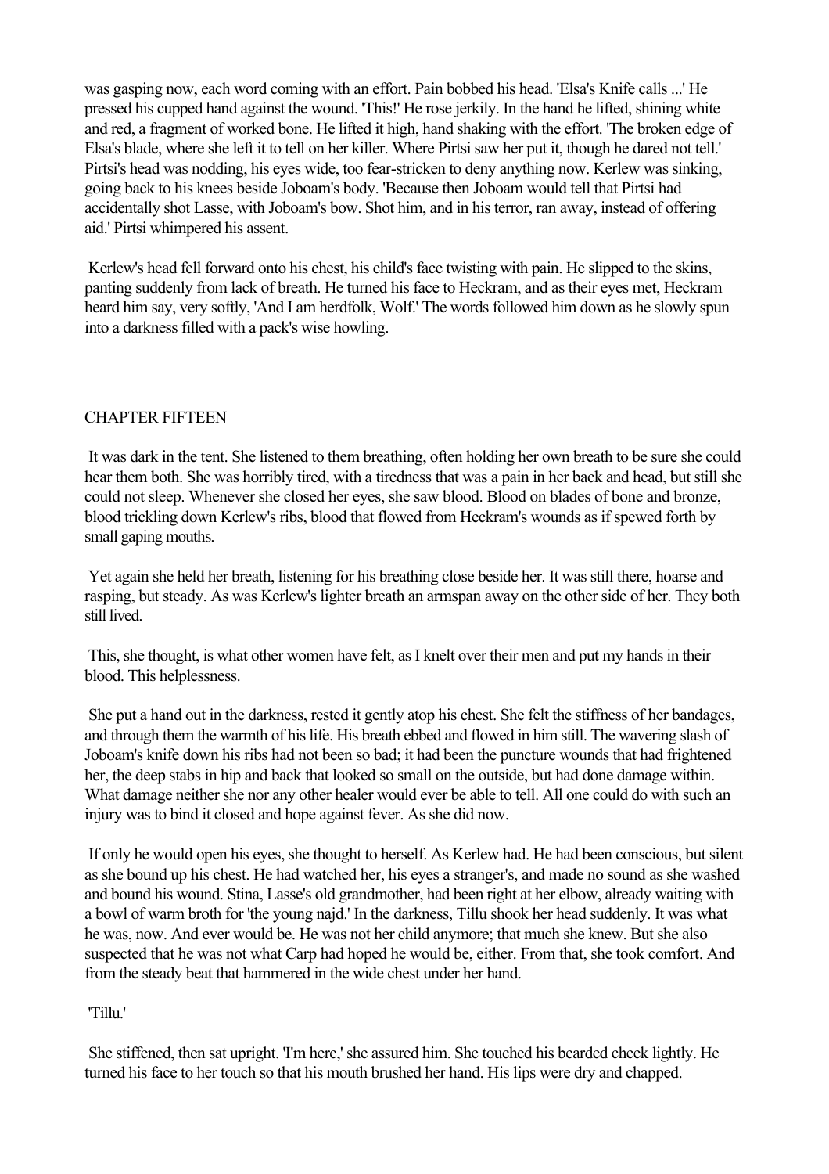was gasping now, each word coming with an effort. Pain bobbed his head. 'Elsa's Knife calls ...' He pressed his cupped hand against the wound. 'This!' He rose jerkily. In the hand he lifted, shining white and red, a fragment of worked bone. He lifted it high, hand shaking with the effort. 'The broken edge of Elsa's blade, where she left it to tell on her killer. Where Pirtsi saw her put it, though he dared not tell.' Pirtsi's head was nodding, his eyes wide, too fear-stricken to deny anything now. Kerlew was sinking, going back to his knees beside Joboam's body. 'Because then Joboam would tell that Pirtsi had accidentally shot Lasse, with Joboam's bow. Shot him, and in his terror, ran away, instead of offering aid.' Pirtsi whimpered his assent.

 Kerlew's head fell forward onto his chest, his child's face twisting with pain. He slipped to the skins, panting suddenly from lack of breath. He turned his face to Heckram, and as their eyes met, Heckram heard him say, very softly, 'And I am herdfolk, Wolf.' The words followed him down as he slowly spun into a darkness filled with a pack's wise howling.

# CHAPTER FIFTEEN

 It was dark in the tent. She listened to them breathing, often holding her own breath to be sure she could hear them both. She was horribly tired, with a tiredness that was a pain in her back and head, but still she could not sleep. Whenever she closed her eyes, she saw blood. Blood on blades of bone and bronze, blood trickling down Kerlew's ribs, blood that flowed from Heckram's wounds as if spewed forth by small gaping mouths.

 Yet again she held her breath, listening for his breathing close beside her. It was still there, hoarse and rasping, but steady. As was Kerlew's lighter breath an armspan away on the other side of her. They both still lived.

 This, she thought, is what other women have felt, as I knelt over their men and put my hands in their blood. This helplessness.

 She put a hand out in the darkness, rested it gently atop his chest. She felt the stiffness of her bandages, and through them the warmth of his life. His breath ebbed and flowed in him still. The wavering slash of Joboam's knife down his ribs had not been so bad; it had been the puncture wounds that had frightened her, the deep stabs in hip and back that looked so small on the outside, but had done damage within. What damage neither she nor any other healer would ever be able to tell. All one could do with such an injury was to bind it closed and hope against fever. As she did now.

 If only he would open his eyes, she thought to herself. As Kerlew had. He had been conscious, but silent as she bound up his chest. He had watched her, his eyes a stranger's, and made no sound as she washed and bound his wound. Stina, Lasse's old grandmother, had been right at her elbow, already waiting with a bowl of warm broth for 'the young najd.' In the darkness, Tillu shook her head suddenly. It was what he was, now. And ever would be. He was not her child anymore; that much she knew. But she also suspected that he was not what Carp had hoped he would be, either. From that, she took comfort. And from the steady beat that hammered in the wide chest under her hand.

# 'Tillu.'

 She stiffened, then sat upright. 'I'm here,' she assured him. She touched his bearded cheek lightly. He turned his face to her touch so that his mouth brushed her hand. His lips were dry and chapped.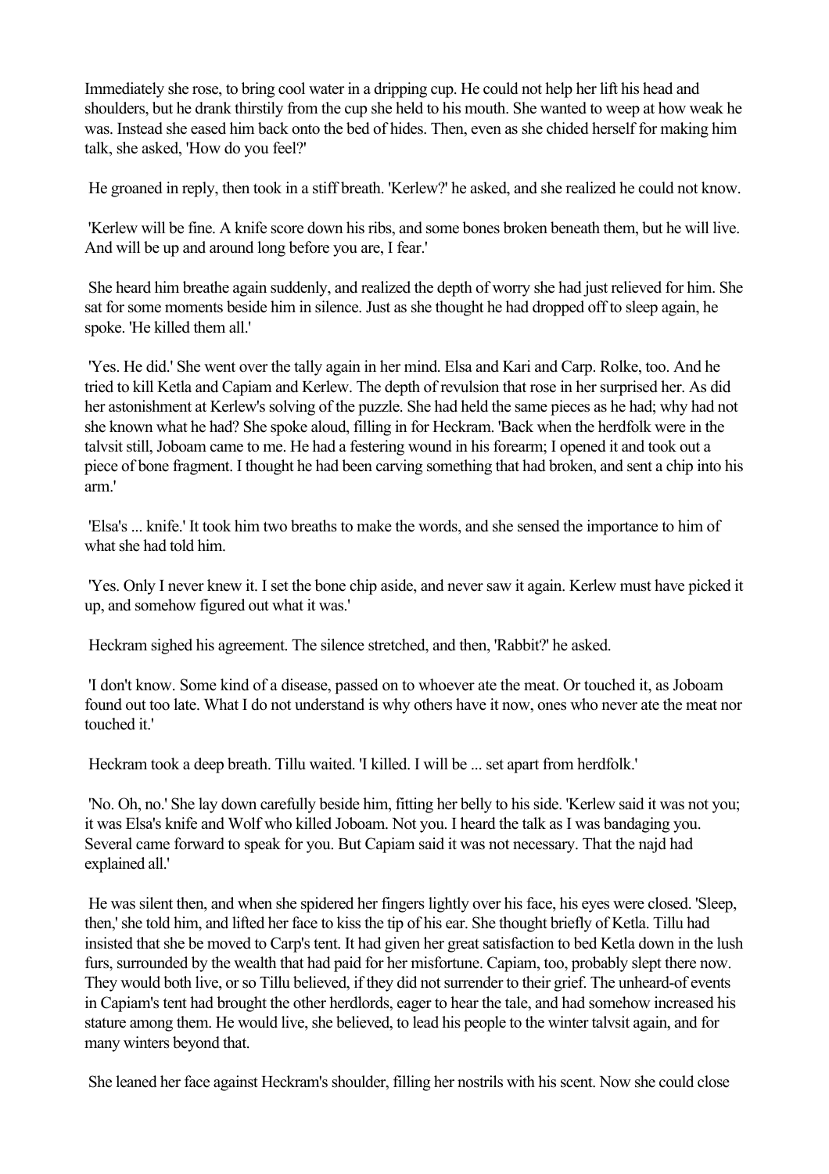Immediately she rose, to bring cool water in a dripping cup. He could not help her lift his head and shoulders, but he drank thirstily from the cup she held to his mouth. She wanted to weep at how weak he was. Instead she eased him back onto the bed of hides. Then, even as she chided herself for making him talk, she asked, 'How do you feel?'

He groaned in reply, then took in a stiff breath. 'Kerlew?' he asked, and she realized he could not know.

 'Kerlew will be fine. A knife score down his ribs, and some bones broken beneath them, but he will live. And will be up and around long before you are, I fear.'

 She heard him breathe again suddenly, and realized the depth of worry she had just relieved for him. She sat for some moments beside him in silence. Just as she thought he had dropped off to sleep again, he spoke. 'He killed them all.'

 'Yes. He did.' She went over the tally again in her mind. Elsa and Kari and Carp. Rolke, too. And he tried to kill Ketla and Capiam and Kerlew. The depth of revulsion that rose in her surprised her. As did her astonishment at Kerlew's solving of the puzzle. She had held the same pieces as he had; why had not she known what he had? She spoke aloud, filling in for Heckram. 'Back when the herdfolk were in the talvsit still, Joboam came to me. He had a festering wound in his forearm; I opened it and took out a piece of bone fragment. I thought he had been carving something that had broken, and sent a chip into his arm.'

 'Elsa's ... knife.' It took him two breaths to make the words, and she sensed the importance to him of what she had told him.

 'Yes. Only I never knew it. I set the bone chip aside, and never saw it again. Kerlew must have picked it up, and somehow figured out what it was.'

Heckram sighed his agreement. The silence stretched, and then, 'Rabbit?' he asked.

 'I don't know. Some kind of a disease, passed on to whoever ate the meat. Or touched it, as Joboam found out too late. What I do not understand is why others have it now, ones who never ate the meat nor touched it.'

Heckram took a deep breath. Tillu waited. 'I killed. I will be ... set apart from herdfolk.'

 'No. Oh, no.' She lay down carefully beside him, fitting her belly to his side. 'Kerlew said it was not you; it was Elsa's knife and Wolf who killed Joboam. Not you. I heard the talk as I was bandaging you. Several came forward to speak for you. But Capiam said it was not necessary. That the najd had explained all.'

 He was silent then, and when she spidered her fingers lightly over his face, his eyes were closed. 'Sleep, then,' she told him, and lifted her face to kiss the tip of his ear. She thought briefly of Ketla. Tillu had insisted that she be moved to Carp's tent. It had given her great satisfaction to bed Ketla down in the lush furs, surrounded by the wealth that had paid for her misfortune. Capiam, too, probably slept there now. They would both live, or so Tillu believed, if they did not surrender to their grief. The unheard-of events in Capiam's tent had brought the other herdlords, eager to hear the tale, and had somehow increased his stature among them. He would live, she believed, to lead his people to the winter talvsit again, and for many winters beyond that.

She leaned her face against Heckram's shoulder, filling her nostrils with his scent. Now she could close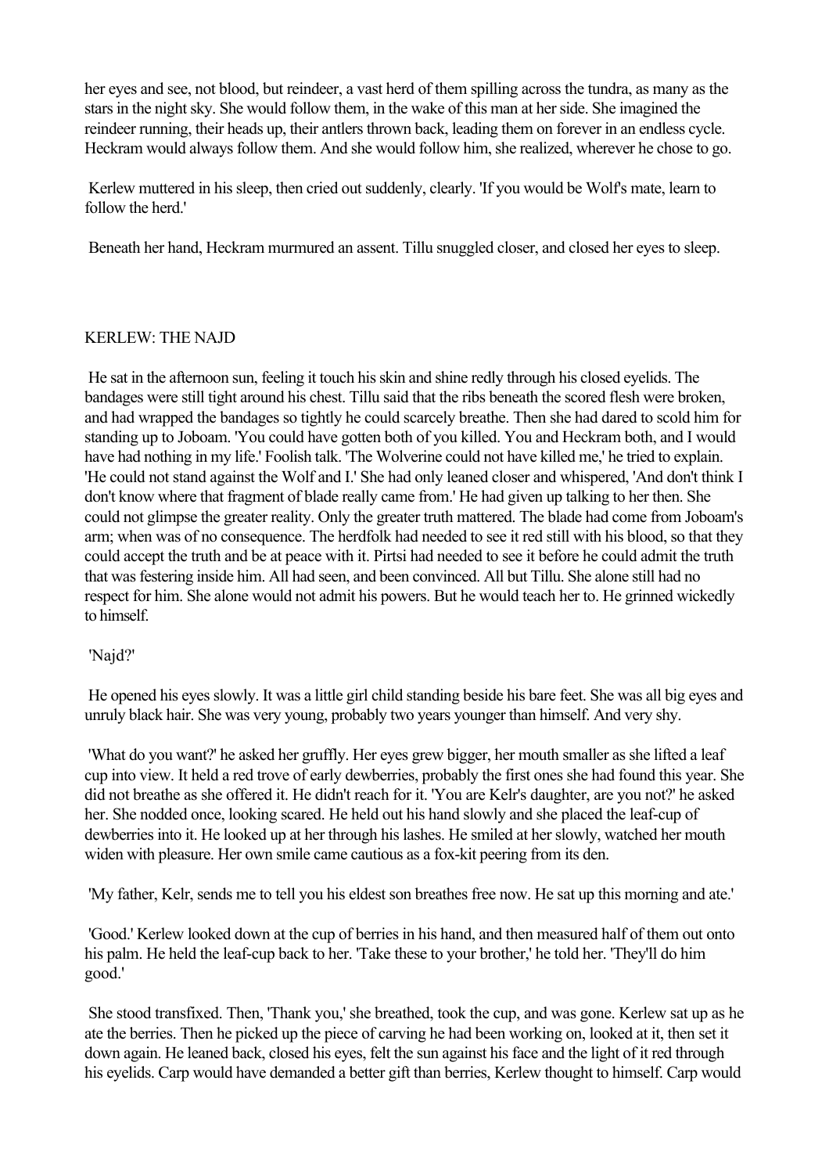her eyes and see, not blood, but reindeer, a vast herd of them spilling across the tundra, as many as the stars in the night sky. She would follow them, in the wake of this man at her side. She imagined the reindeer running, their heads up, their antlers thrown back, leading them on forever in an endless cycle. Heckram would always follow them. And she would follow him, she realized, wherever he chose to go.

 Kerlew muttered in his sleep, then cried out suddenly, clearly. 'If you would be Wolf's mate, learn to follow the herd.'

Beneath her hand, Heckram murmured an assent. Tillu snuggled closer, and closed her eyes to sleep.

## KERLEW: THE NAJD

 He sat in the afternoon sun, feeling it touch his skin and shine redly through his closed eyelids. The bandages were still tight around his chest. Tillu said that the ribs beneath the scored flesh were broken, and had wrapped the bandages so tightly he could scarcely breathe. Then she had dared to scold him for standing up to Joboam. 'You could have gotten both of you killed. You and Heckram both, and I would have had nothing in my life.' Foolish talk. 'The Wolverine could not have killed me,' he tried to explain. 'He could not stand against the Wolf and I.' She had only leaned closer and whispered, 'And don't think I don't know where that fragment of blade really came from.' He had given up talking to her then. She could not glimpse the greater reality. Only the greater truth mattered. The blade had come from Joboam's arm; when was of no consequence. The herdfolk had needed to see it red still with his blood, so that they could accept the truth and be at peace with it. Pirtsi had needed to see it before he could admit the truth that was festering inside him. All had seen, and been convinced. All but Tillu. She alone still had no respect for him. She alone would not admit his powers. But he would teach her to. He grinned wickedly to himself.

### 'Naid?'

 He opened his eyes slowly. It was a little girl child standing beside his bare feet. She was all big eyes and unruly black hair. She was very young, probably two years younger than himself. And very shy.

 'What do you want?' he asked her gruffly. Her eyes grew bigger, her mouth smaller as she lifted a leaf cup into view. It held a red trove of early dewberries, probably the first ones she had found this year. She did not breathe as she offered it. He didn't reach for it. 'You are Kelr's daughter, are you not?' he asked her. She nodded once, looking scared. He held out his hand slowly and she placed the leaf-cup of dewberries into it. He looked up at her through his lashes. He smiled at her slowly, watched her mouth widen with pleasure. Her own smile came cautious as a fox-kit peering from its den.

'My father, Kelr, sends me to tell you his eldest son breathes free now. He sat up this morning and ate.'

 'Good.' Kerlew looked down at the cup of berries in his hand, and then measured half of them out onto his palm. He held the leaf-cup back to her. 'Take these to your brother,' he told her. 'They'll do him good.'

 She stood transfixed. Then, 'Thank you,' she breathed, took the cup, and was gone. Kerlew sat up as he ate the berries. Then he picked up the piece of carving he had been working on, looked at it, then set it down again. He leaned back, closed his eyes, felt the sun against his face and the light of it red through his eyelids. Carp would have demanded a better gift than berries, Kerlew thought to himself. Carp would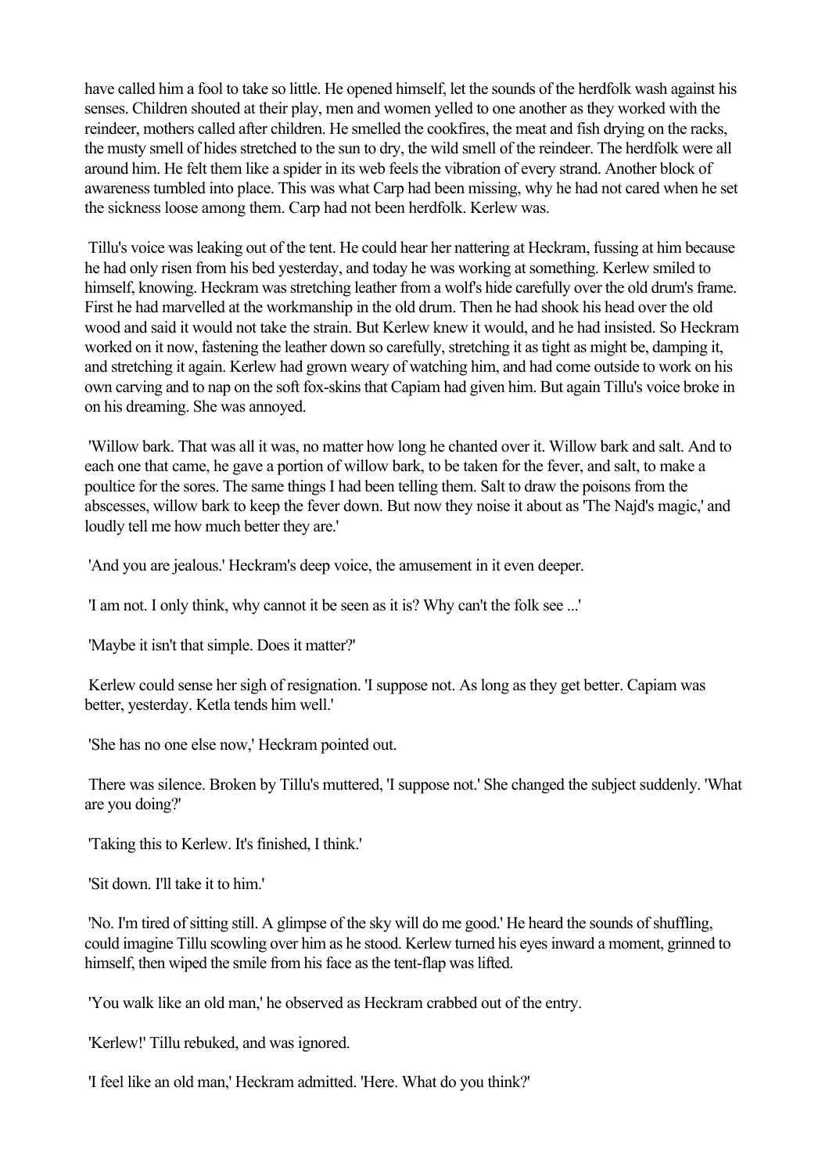have called him a fool to take so little. He opened himself, let the sounds of the herdfolk wash against his senses. Children shouted at their play, men and women yelled to one another as they worked with the reindeer, mothers called after children. He smelled the cookfires, the meat and fish drying on the racks, the musty smell of hides stretched to the sun to dry, the wild smell of the reindeer. The herdfolk were all around him. He felt them like a spider in its web feels the vibration of every strand. Another block of awareness tumbled into place. This was what Carp had been missing, why he had not cared when he set the sickness loose among them. Carp had not been herdfolk. Kerlew was.

 Tillu's voice was leaking out of the tent. He could hear her nattering at Heckram, fussing at him because he had only risen from his bed yesterday, and today he was working at something. Kerlew smiled to himself, knowing. Heckram was stretching leather from a wolf's hide carefully over the old drum's frame. First he had marvelled at the workmanship in the old drum. Then he had shook his head over the old wood and said it would not take the strain. But Kerlew knew it would, and he had insisted. So Heckram worked on it now, fastening the leather down so carefully, stretching it as tight as might be, damping it, and stretching it again. Kerlew had grown weary of watching him, and had come outside to work on his own carving and to nap on the soft fox-skins that Capiam had given him. But again Tillu's voice broke in on his dreaming. She was annoyed.

 'Willow bark. That was all it was, no matter how long he chanted over it. Willow bark and salt. And to each one that came, he gave a portion of willow bark, to be taken for the fever, and salt, to make a poultice for the sores. The same things I had been telling them. Salt to draw the poisons from the abscesses, willow bark to keep the fever down. But now they noise it about as 'The Najd's magic,' and loudly tell me how much better they are.'

'And you are jealous.' Heckram's deep voice, the amusement in it even deeper.

'I am not. I only think, why cannot it be seen as it is? Why can't the folk see ...'

'Maybe it isn't that simple. Does it matter?'

 Kerlew could sense her sigh of resignation. 'I suppose not. As long as they get better. Capiam was better, yesterday. Ketla tends him well.'

'She has no one else now,' Heckram pointed out.

 There was silence. Broken by Tillu's muttered, 'I suppose not.' She changed the subject suddenly. 'What are you doing?'

'Taking this to Kerlew. It's finished, I think.'

'Sit down. I'll take it to him.'

 'No. I'm tired of sitting still. A glimpse of the sky will do me good.' He heard the sounds of shuffling, could imagine Tillu scowling over him as he stood. Kerlew turned his eyes inward a moment, grinned to himself, then wiped the smile from his face as the tent-flap was lifted.

'You walk like an old man,' he observed as Heckram crabbed out of the entry.

'Kerlew!' Tillu rebuked, and was ignored.

'I feel like an old man,' Heckram admitted. 'Here. What do you think?'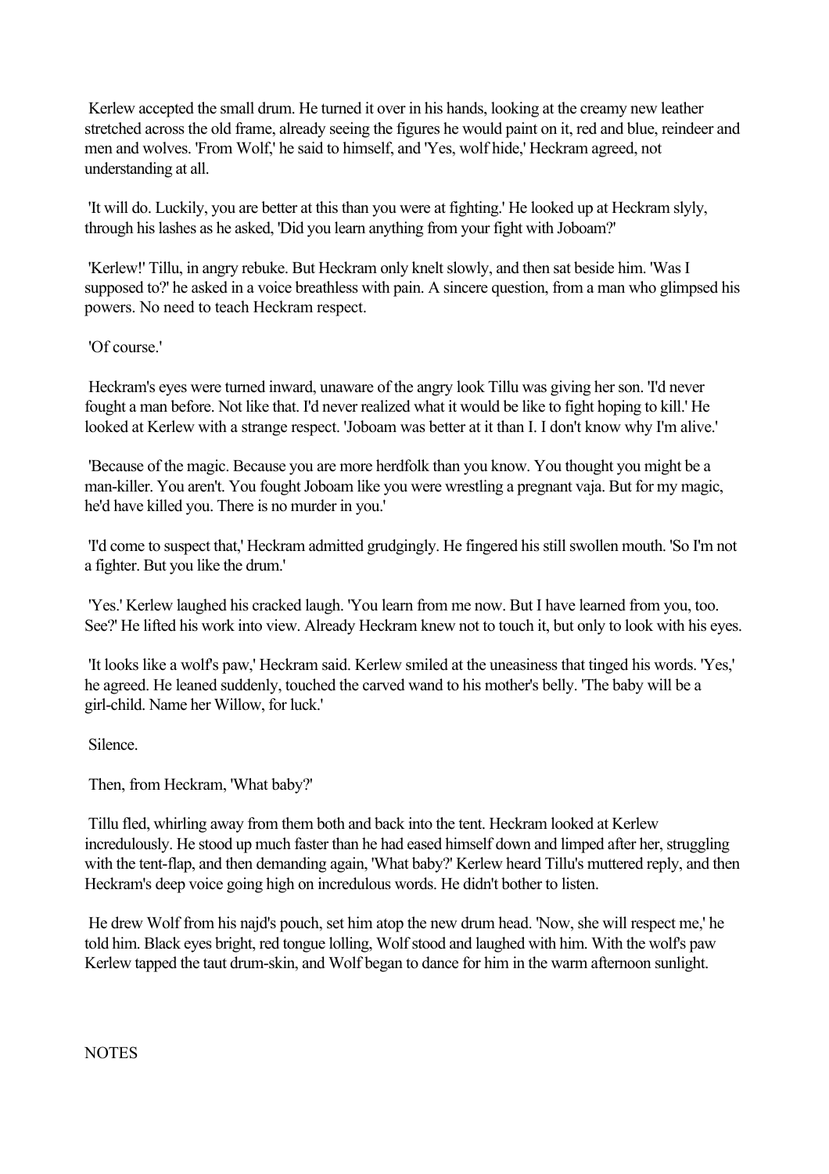Kerlew accepted the small drum. He turned it over in his hands, looking at the creamy new leather stretched across the old frame, already seeing the figures he would paint on it, red and blue, reindeer and men and wolves. 'From Wolf,' he said to himself, and 'Yes, wolf hide,' Heckram agreed, not understanding at all.

 'It will do. Luckily, you are better at this than you were at fighting.' He looked up at Heckram slyly, through his lashes as he asked, 'Did you learn anything from your fight with Joboam?'

 'Kerlew!' Tillu, in angry rebuke. But Heckram only knelt slowly, and then sat beside him. 'Was I supposed to?' he asked in a voice breathless with pain. A sincere question, from a man who glimpsed his powers. No need to teach Heckram respect.

'Of course.'

 Heckram's eyes were turned inward, unaware of the angry look Tillu was giving her son. 'I'd never fought a man before. Not like that. I'd never realized what it would be like to fight hoping to kill.' He looked at Kerlew with a strange respect. 'Joboam was better at it than I. I don't know why I'm alive.'

 'Because of the magic. Because you are more herdfolk than you know. You thought you might be a man-killer. You aren't. You fought Joboam like you were wrestling a pregnant vaja. But for my magic, he'd have killed you. There is no murder in you.'

 'I'd come to suspect that,' Heckram admitted grudgingly. He fingered his still swollen mouth. 'So I'm not a fighter. But you like the drum.'

 'Yes.' Kerlew laughed his cracked laugh. 'You learn from me now. But I have learned from you, too. See?' He lifted his work into view. Already Heckram knew not to touch it, but only to look with his eyes.

 'It looks like a wolf's paw,' Heckram said. Kerlew smiled at the uneasiness that tinged his words. 'Yes,' he agreed. He leaned suddenly, touched the carved wand to his mother's belly. 'The baby will be a girl-child. Name her Willow, for luck.'

Silence.

Then, from Heckram, 'What baby?'

 Tillu fled, whirling away from them both and back into the tent. Heckram looked at Kerlew incredulously. He stood up much faster than he had eased himself down and limped after her, struggling with the tent-flap, and then demanding again, 'What baby?' Kerlew heard Tillu's muttered reply, and then Heckram's deep voice going high on incredulous words. He didn't bother to listen.

 He drew Wolf from his najd's pouch, set him atop the new drum head. 'Now, she will respect me,' he told him. Black eyes bright, red tongue lolling, Wolf stood and laughed with him. With the wolf's paw Kerlew tapped the taut drum-skin, and Wolf began to dance for him in the warm afternoon sunlight.